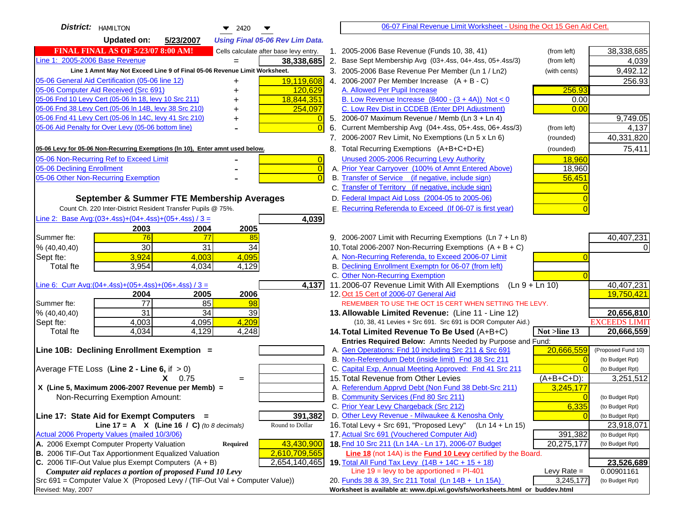| <b>District:</b> HAMILTON<br>$\blacktriangledown$ 2420                              | 06-07 Final Revenue Limit Worksheet - Using the Oct 15 Gen Aid Cert.                                                             |                      |
|-------------------------------------------------------------------------------------|----------------------------------------------------------------------------------------------------------------------------------|----------------------|
| <b>Updated on:</b><br>5/23/2007<br><b>Using Final 05-06 Rev Lim Data.</b>           |                                                                                                                                  |                      |
| <b>FINAL FINAL AS OF 5/23/07 8:00 AM!</b><br>Cells calculate after base levy entry. | 1. 2005-2006 Base Revenue (Funds 10, 38, 41)<br>(from left)                                                                      | 38,338,685           |
| Line 1: 2005-2006 Base Revenue<br>38,338,685                                        | 2. Base Sept Membership Avg (03+.4ss, 04+.4ss, 05+.4ss/3)<br>(from left)                                                         | 4,039                |
| Line 1 Amnt May Not Exceed Line 9 of Final 05-06 Revenue Limit Worksheet.           | 3. 2005-2006 Base Revenue Per Member (Ln 1 / Ln2)<br>(with cents)                                                                | 9,492.12             |
| 05-06 General Aid Certification (05-06 line 12)<br>19,119,608<br>+                  | 4. 2006-2007 Per Member Increase $(A + B - C)$                                                                                   | 256.93               |
| 05-06 Computer Aid Received (Src 691)<br>120,629                                    | 256.93<br>A. Allowed Per Pupil Increase                                                                                          |                      |
| 05-06 Fnd 10 Levy Cert (05-06 ln 18, levy 10 Src 211)<br>18,844,351                 | B. Low Revenue Increase $(8400 - (3 + 4A))$ Not < 0<br>0.00                                                                      |                      |
| 05-06 Fnd 38 Levy Cert (05-06 In 14B, levy 38 Src 210)<br>254,097                   | C. Low Rev Dist in CCDEB (Enter DPI Adjustment)<br>0.00                                                                          |                      |
| 05-06 Fnd 41 Levy Cert (05-06 In 14C, levy 41 Src 210)                              | 5. 2006-07 Maximum Revenue / Memb (Ln 3 + Ln 4)                                                                                  | 9,749.05             |
| 05-06 Aid Penalty for Over Levy (05-06 bottom line)<br>$\Omega$                     | Current Membership Avg (04+.4ss, 05+.4ss, 06+.4ss/3)<br>6.<br>(from left)                                                        | 4,137                |
|                                                                                     | 7. 2006-2007 Rev Limit, No Exemptions (Ln 5 x Ln 6)<br>(rounded)                                                                 | 40,331,820           |
| 05-06 Levy for 05-06 Non-Recurring Exemptions (In 10), Enter amnt used below.       | 8. Total Recurring Exemptions (A+B+C+D+E)<br>(rounded)                                                                           | 75,411               |
| 05-06 Non-Recurring Ref to Exceed Limit<br>$\overline{0}$                           | Unused 2005-2006 Recurring Levy Authority<br>18,960                                                                              |                      |
| 05-06 Declining Enrollment<br>$\overline{0}$                                        | A. Prior Year Carryover (100% of Amnt Entered Above)<br>18,960                                                                   |                      |
| 05-06 Other Non-Recurring Exemption<br>$\Omega$                                     | B. Transfer of Service (if negative, include sign)<br>56,451                                                                     |                      |
|                                                                                     | C. Transfer of Territory (if negative, include sign)                                                                             |                      |
| September & Summer FTE Membership Averages                                          | D. Federal Impact Aid Loss (2004-05 to 2005-06)                                                                                  |                      |
| Count Ch. 220 Inter-District Resident Transfer Pupils @ 75%.                        | E. Recurring Referenda to Exceed (If 06-07 is first year)                                                                        |                      |
| Line 2: Base Avg:(03+.4ss)+(04+.4ss)+(05+.4ss) / 3 =<br>4,039                       |                                                                                                                                  |                      |
| 2003<br>2004<br>2005                                                                |                                                                                                                                  |                      |
| 76<br>77<br>Summer fte:<br>85                                                       | 9. 2006-2007 Limit with Recurring Exemptions (Ln 7 + Ln 8)                                                                       | 40,407,231           |
| 30<br>31<br>34<br>% (40, 40, 40)                                                    | 10. Total 2006-2007 Non-Recurring Exemptions (A + B + C)                                                                         |                      |
| 3,924<br>4,003<br>4,095<br>Sept fte:                                                | A. Non-Recurring Referenda, to Exceed 2006-07 Limit                                                                              |                      |
| 3,954<br>4,129<br><b>Total fte</b><br>4,034                                         | B. Declining Enrollment Exemptn for 06-07 (from left)                                                                            |                      |
|                                                                                     | C. Other Non-Recurring Exemption                                                                                                 |                      |
| Line 6: Curr Avg: $(04+.4ss)+(05+.4ss)+(06+.4ss)/3=$<br>4,137                       | 11.2006-07 Revenue Limit With All Exemptions<br>$(Ln 9 + Ln 10)$                                                                 | 40,407,231           |
| 2005<br>2006<br>2004                                                                | 12. Oct 15 Cert of 2006-07 General Aid                                                                                           | 19,750,421           |
| $\overline{77}$<br>85<br>98<br>Summer fte:                                          | REMEMBER TO USE THE OCT 15 CERT WHEN SETTING THE LEVY.                                                                           |                      |
| $\overline{31}$<br>$\overline{34}$<br>39<br>% (40, 40, 40)                          | 13. Allowable Limited Revenue: (Line 11 - Line 12)                                                                               | 20,656,810           |
| 4,095<br>4,209<br>Sept fte:<br>4,003                                                | (10, 38, 41 Levies + Src 691. Src 691 is DOR Computer Aid.)                                                                      | <b>EXCEEDS LIMIT</b> |
| 4,129<br>4,248<br>4,034<br><b>Total fte</b>                                         | 14. Total Limited Revenue To Be Used (A+B+C)<br>Not >line 13                                                                     | 20,666,559           |
| Line 10B: Declining Enrollment Exemption =                                          | Entries Required Below: Amnts Needed by Purpose and Fund:<br>20,666,559<br>A. Gen Operations: Fnd 10 including Src 211 & Src 691 | (Proposed Fund 10)   |
|                                                                                     | B. Non-Referendum Debt (inside limit) Fnd 38 Src 211<br>$\Omega$                                                                 | (to Budget Rpt)      |
| Average FTE Loss (Line $2 -$ Line 6, if $> 0$ )                                     | C. Capital Exp, Annual Meeting Approved: Fnd 41 Src 211                                                                          | (to Budget Rpt)      |
| $X = 0.75$<br>$=$                                                                   | 15. Total Revenue from Other Levies<br>$(A+B+C+D)$ :                                                                             | 3,251,512            |
| X (Line 5, Maximum 2006-2007 Revenue per Memb) =                                    | A. Referendum Apprvd Debt (Non Fund 38 Debt-Src 211)<br>3,245,177                                                                |                      |
| Non-Recurring Exemption Amount:                                                     | B. Community Services (Fnd 80 Src 211)<br>$\Omega$                                                                               | (to Budget Rpt)      |
|                                                                                     | C. Prior Year Levy Chargeback (Src 212)<br>6,335                                                                                 | (to Budget Rpt)      |
| Line 17: State Aid for Exempt Computers =<br>391,382                                | D. Other Levy Revenue - Milwaukee & Kenosha Only                                                                                 | (to Budget Rpt)      |
| Round to Dollar<br>Line 17 = A $X$ (Line 16 / C) (to 8 decimals)                    | 16. Total Levy + Src 691, "Proposed Levy"<br>$(Ln 14 + Ln 15)$                                                                   | 23,918,071           |
| Actual 2006 Property Values (mailed 10/3/06)                                        | 17. Actual Src 691 (Vouchered Computer Aid)<br>391,382                                                                           | (to Budget Rpt)      |
| A. 2006 Exempt Computer Property Valuation<br>43,430,900<br><b>Required</b>         | 18. Fnd 10 Src 211 (Ln 14A - Ln 17), 2006-07 Budget<br>20,275,177                                                                | (to Budget Rpt)      |
| B. 2006 TIF-Out Tax Apportionment Equalized Valuation<br>2,610,709,565              | Line 18 (not 14A) is the <b>Fund 10 Levy</b> certified by the Board.                                                             |                      |
| C. 2006 TIF-Out Value plus Exempt Computers $(A + B)$<br>2,654,140,465              | 19. Total All Fund Tax Levy (14B + 14C + 15 + 18)                                                                                | 23,526,689           |
| Computer aid replaces a portion of proposed Fund 10 Levy                            | Line $19 = \text{levy}$ to be apportioned = PI-401<br>Levy Rate $=$                                                              | 0.00901161           |
| Src 691 = Computer Value X (Proposed Levy / (TIF-Out Val + Computer Value))         | 20. Funds 38 & 39, Src 211 Total (Ln 14B + Ln 15A)<br>3,245,177                                                                  | (to Budget Rpt)      |
| Revised: May, 2007                                                                  | Worksheet is available at: www.dpi.wi.gov/sfs/worksheets.html or buddev.html                                                     |                      |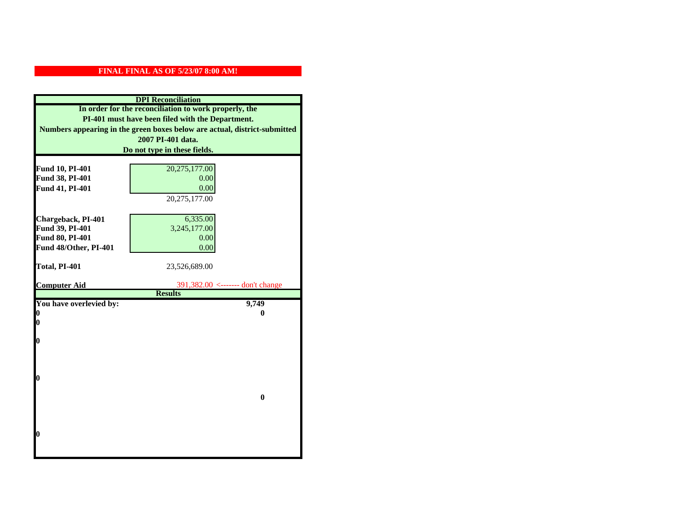|                         | <b>DPI</b> Reconciliation                                                 |
|-------------------------|---------------------------------------------------------------------------|
|                         | In order for the reconciliation to work properly, the                     |
|                         | PI-401 must have been filed with the Department.                          |
|                         | Numbers appearing in the green boxes below are actual, district-submitted |
|                         | 2007 PI-401 data.                                                         |
|                         | Do not type in these fields.                                              |
|                         |                                                                           |
| Fund 10, PI-401         | 20,275,177.00                                                             |
| Fund 38, PI-401         | 0.00                                                                      |
| Fund 41, PI-401         | 0.00                                                                      |
|                         | 20,275,177.00                                                             |
|                         |                                                                           |
| Chargeback, PI-401      | 6,335.00                                                                  |
| Fund 39, PI-401         | 3,245,177.00                                                              |
| Fund 80, PI-401         | 0.00                                                                      |
| Fund 48/Other, PI-401   | 0.00                                                                      |
| Total, PI-401           |                                                                           |
|                         | 23,526,689.00                                                             |
| <b>Computer Aid</b>     | 391,382.00 <------- don't change                                          |
|                         | <b>Results</b>                                                            |
| You have overlevied by: | 9,749                                                                     |
| 0                       |                                                                           |
|                         | 0                                                                         |
| 0                       |                                                                           |
|                         |                                                                           |
| $\boldsymbol{0}$        |                                                                           |
|                         |                                                                           |
|                         |                                                                           |
| 0                       |                                                                           |
|                         |                                                                           |
|                         | $\bf{0}$                                                                  |
|                         |                                                                           |
|                         |                                                                           |
|                         |                                                                           |
| 0                       |                                                                           |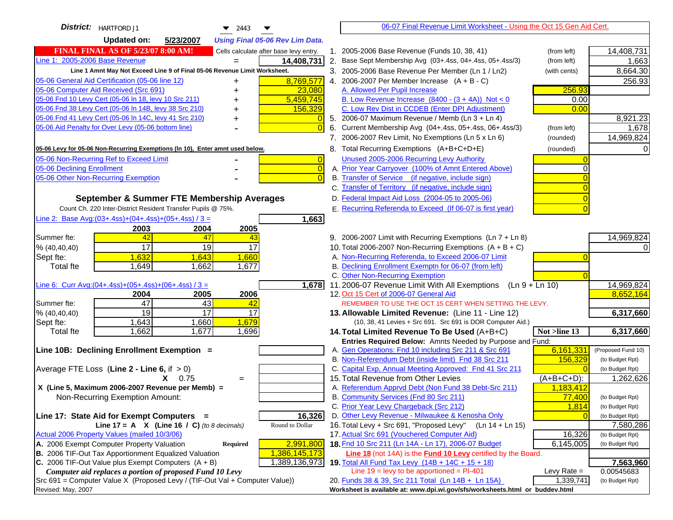| District:   HARTFORD J1<br>$\blacktriangledown$ 2443<br>▼                           |    | 06-07 Final Revenue Limit Worksheet - Using the Oct 15 Gen Aid Cert.                                            |                            |                    |
|-------------------------------------------------------------------------------------|----|-----------------------------------------------------------------------------------------------------------------|----------------------------|--------------------|
| <b>Updated on:</b><br>5/23/2007<br><b>Using Final 05-06 Rev Lim Data.</b>           |    |                                                                                                                 |                            |                    |
| <b>FINAL FINAL AS OF 5/23/07 8:00 AM!</b><br>Cells calculate after base levy entry. |    | 1. 2005-2006 Base Revenue (Funds 10, 38, 41)                                                                    | (from left)                | 14,408,731         |
| Line 1: 2005-2006 Base Revenue<br>14,408,731                                        |    | 2. Base Sept Membership Avg (03+.4ss, 04+.4ss, 05+.4ss/3)                                                       | (from left)                | 1,663              |
| Line 1 Amnt May Not Exceed Line 9 of Final 05-06 Revenue Limit Worksheet.           |    | 3. 2005-2006 Base Revenue Per Member (Ln 1 / Ln2)                                                               | (with cents)               | 8,664.30           |
| 05-06 General Aid Certification (05-06 line 12)<br>8,769,577<br>+                   |    | 4. 2006-2007 Per Member Increase $(A + B - C)$                                                                  |                            | 256.93             |
| 05-06 Computer Aid Received (Src 691)<br>23,080                                     |    | A. Allowed Per Pupil Increase                                                                                   | 256.93                     |                    |
| 05-06 Fnd 10 Levy Cert (05-06 ln 18, levy 10 Src 211)<br>5,459,745                  |    | B. Low Revenue Increase $(8400 - (3 + 4A))$ Not < 0                                                             | 0.00                       |                    |
| 05-06 Fnd 38 Levy Cert (05-06 In 14B, levy 38 Src 210)<br>156,329                   |    | C. Low Rev Dist in CCDEB (Enter DPI Adjustment)                                                                 | 0.00                       |                    |
| 05-06 Fnd 41 Levy Cert (05-06 In 14C, levy 41 Src 210)                              |    | 5. 2006-07 Maximum Revenue / Memb (Ln 3 + Ln 4)                                                                 |                            | 8,921.23           |
| 05-06 Aid Penalty for Over Levy (05-06 bottom line)<br>$\Omega$                     | 6. | Current Membership Avg (04+.4ss, 05+.4ss, 06+.4ss/3)                                                            | (from left)                | 1,678              |
|                                                                                     |    | 7. 2006-2007 Rev Limit, No Exemptions (Ln 5 x Ln 6)                                                             | (rounded)                  | 14,969,824         |
| 05-06 Levy for 05-06 Non-Recurring Exemptions (In 10), Enter amnt used below.       |    | 8. Total Recurring Exemptions (A+B+C+D+E)                                                                       | (rounded)                  |                    |
| 05-06 Non-Recurring Ref to Exceed Limit<br>$\overline{0}$                           |    | Unused 2005-2006 Recurring Levy Authority                                                                       |                            |                    |
| 05-06 Declining Enrollment<br>$\overline{0}$                                        |    | A. Prior Year Carryover (100% of Amnt Entered Above)                                                            |                            |                    |
| 05-06 Other Non-Recurring Exemption<br>$\Omega$                                     |    | B. Transfer of Service (if negative, include sign)                                                              |                            |                    |
|                                                                                     |    | C. Transfer of Territory (if negative, include sign)                                                            |                            |                    |
| September & Summer FTE Membership Averages                                          |    | D. Federal Impact Aid Loss (2004-05 to 2005-06)                                                                 |                            |                    |
| Count Ch. 220 Inter-District Resident Transfer Pupils @ 75%.                        |    | E. Recurring Referenda to Exceed (If 06-07 is first year)                                                       |                            |                    |
| Line 2: Base Avg:(03+.4ss)+(04+.4ss)+(05+.4ss) / 3 =<br>1,663                       |    |                                                                                                                 |                            |                    |
| 2003<br>2004<br>2005                                                                |    |                                                                                                                 |                            |                    |
| 42<br>Summer fte:<br>47<br>43                                                       |    | 9. 2006-2007 Limit with Recurring Exemptions (Ln 7 + Ln 8)                                                      |                            | 14,969,824         |
| 17<br>19<br>17<br>% (40, 40, 40)                                                    |    | 10. Total 2006-2007 Non-Recurring Exemptions (A + B + C)                                                        |                            |                    |
| 1,632<br>1,643<br>Sept fte:<br>1,660                                                |    | A. Non-Recurring Referenda, to Exceed 2006-07 Limit                                                             |                            |                    |
| 1,649<br>1,662<br>1,677<br><b>Total fte</b>                                         |    | B. Declining Enrollment Exemptn for 06-07 (from left)                                                           |                            |                    |
|                                                                                     |    | C. Other Non-Recurring Exemption                                                                                |                            |                    |
| Line 6: Curr Avg: $(04+.4ss)+(05+.4ss)+(06+.4ss)/3=$<br>1,678                       |    | 11.2006-07 Revenue Limit With All Exemptions                                                                    | $(Ln 9 + Ln 10)$           | 14,969,824         |
| 2005<br>2006<br>2004                                                                |    | 12. Oct 15 Cert of 2006-07 General Aid                                                                          |                            | 8,652,164          |
| 47<br>43<br>Summer fte:<br>42                                                       |    | REMEMBER TO USE THE OCT 15 CERT WHEN SETTING THE LEVY.                                                          |                            |                    |
| $\overline{19}$<br>17<br>17<br>% (40, 40, 40)                                       |    | 13. Allowable Limited Revenue: (Line 11 - Line 12)                                                              |                            | 6,317,660          |
| 1,643<br>1,660<br>1,679<br>Sept fte:                                                |    | (10, 38, 41 Levies + Src 691. Src 691 is DOR Computer Aid.)                                                     |                            |                    |
| 1,662<br>1,677<br>1,696<br><b>Total fte</b>                                         |    | 14. Total Limited Revenue To Be Used (A+B+C)                                                                    | Not >line 13               | 6,317,660          |
|                                                                                     |    | Entries Required Below: Amnts Needed by Purpose and Fund:                                                       |                            |                    |
| Line 10B: Declining Enrollment Exemption =                                          |    | A. Gen Operations: Fnd 10 including Src 211 & Src 691                                                           | 6,161,331                  | (Proposed Fund 10) |
|                                                                                     |    | B. Non-Referendum Debt (inside limit) Fnd 38 Src 211<br>C. Capital Exp, Annual Meeting Approved: Fnd 41 Src 211 | 156,329                    | (to Budget Rpt)    |
| Average FTE Loss (Line $2 -$ Line 6, if $> 0$ )                                     |    | 15. Total Revenue from Other Levies                                                                             |                            | (to Budget Rpt)    |
| $X = 0.75$<br>$=$<br>X (Line 5, Maximum 2006-2007 Revenue per Memb) =               |    | A. Referendum Apprvd Debt (Non Fund 38 Debt-Src 211)                                                            | $(A+B+C+D)$ :<br>1,183,412 | 1,262,626          |
| Non-Recurring Exemption Amount:                                                     |    | B. Community Services (Fnd 80 Src 211)                                                                          | 77.400                     | (to Budget Rpt)    |
|                                                                                     |    | C. Prior Year Levy Chargeback (Src 212)                                                                         | 1,814                      | (to Budget Rpt)    |
| 16,326<br>Line 17: State Aid for Exempt Computers =                                 |    | D. Other Levy Revenue - Milwaukee & Kenosha Only                                                                |                            | (to Budget Rpt)    |
| Round to Dollar<br>Line 17 = A $X$ (Line 16 / C) (to 8 decimals)                    |    | 16. Total Levy + Src 691, "Proposed Levy"<br>$(Ln 14 + Ln 15)$                                                  |                            | 7,580,286          |
| Actual 2006 Property Values (mailed 10/3/06)                                        |    | 17. Actual Src 691 (Vouchered Computer Aid)                                                                     | 16,326                     | (to Budget Rpt)    |
| A. 2006 Exempt Computer Property Valuation<br>2,991,800<br><b>Required</b>          |    | 18. Fnd 10 Src 211 (Ln 14A - Ln 17), 2006-07 Budget                                                             | 6,145,005                  | (to Budget Rpt)    |
| B. 2006 TIF-Out Tax Apportionment Equalized Valuation<br>1,386,145,173              |    | Line 18 (not 14A) is the <b>Fund 10 Levy</b> certified by the Board.                                            |                            |                    |
| C. 2006 TIF-Out Value plus Exempt Computers $(A + B)$<br>,389,136,973               |    | 19. Total All Fund Tax Levy (14B + 14C + 15 + 18)                                                               |                            | 7,563,960          |
| Computer aid replaces a portion of proposed Fund 10 Levy                            |    | Line $19 = \text{levy}$ to be apportioned = PI-401                                                              | Levy Rate $=$              | 0.00545683         |
| Src 691 = Computer Value X (Proposed Levy / (TIF-Out Val + Computer Value))         |    | 20. Funds 38 & 39, Src 211 Total (Ln 14B + Ln 15A)                                                              | 1,339,741                  | (to Budget Rpt)    |
| Revised: May, 2007                                                                  |    | Worksheet is available at: www.dpi.wi.gov/sfs/worksheets.html or buddev.html                                    |                            |                    |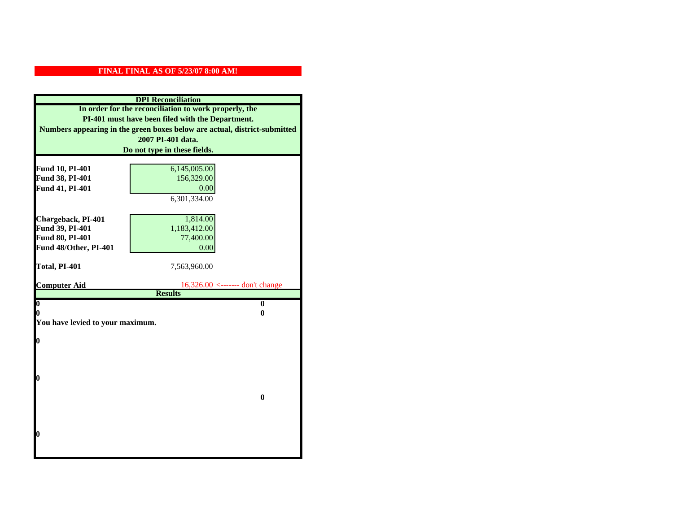|                                  | <b>DPI</b> Reconciliation                                                 |
|----------------------------------|---------------------------------------------------------------------------|
|                                  | In order for the reconciliation to work properly, the                     |
|                                  | PI-401 must have been filed with the Department.                          |
|                                  | Numbers appearing in the green boxes below are actual, district-submitted |
|                                  | 2007 PI-401 data.                                                         |
|                                  | Do not type in these fields.                                              |
|                                  |                                                                           |
| Fund 10, PI-401                  | 6,145,005.00                                                              |
| Fund 38, PI-401                  | 156,329.00                                                                |
| Fund 41, PI-401                  | 0.00                                                                      |
|                                  | 6,301,334.00                                                              |
|                                  |                                                                           |
| Chargeback, PI-401               | 1,814.00                                                                  |
| Fund 39, PI-401                  | 1,183,412.00                                                              |
| Fund 80, PI-401                  | 77,400.00                                                                 |
| Fund 48/Other, PI-401            | 0.00                                                                      |
| Total, PI-401                    | 7,563,960.00                                                              |
|                                  |                                                                           |
| <b>Computer Aid</b>              | $16,326.00 \le$ ------- don't change                                      |
|                                  | <b>Results</b>                                                            |
| $\overline{\mathbf{0}}$          | $\bf{0}$                                                                  |
| 0                                | 0                                                                         |
| You have levied to your maximum. |                                                                           |
| $\bf{0}$                         |                                                                           |
|                                  |                                                                           |
|                                  |                                                                           |
|                                  |                                                                           |
| l0                               |                                                                           |
|                                  |                                                                           |
|                                  | $\bf{0}$                                                                  |
|                                  |                                                                           |
|                                  |                                                                           |
|                                  |                                                                           |
| $\boldsymbol{0}$                 |                                                                           |
|                                  |                                                                           |
|                                  |                                                                           |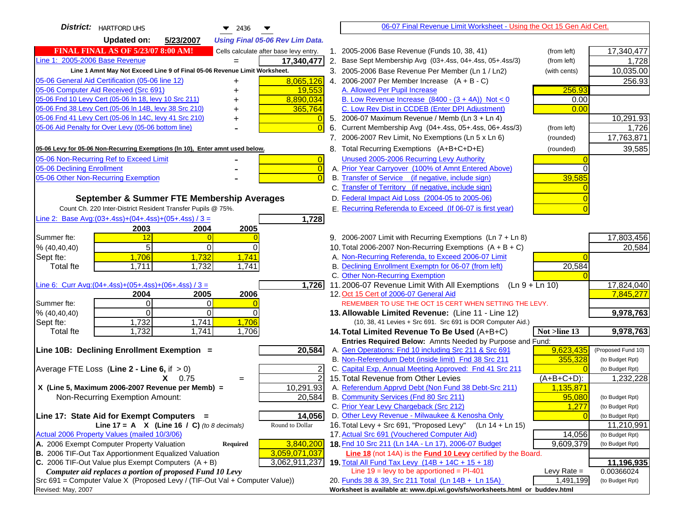| <b>District:</b>   HARTFORD UHS<br>$\bullet$ 2436                                                                               | 06-07 Final Revenue Limit Worksheet - Using the Oct 15 Gen Aid Cert.                                                       |                          |
|---------------------------------------------------------------------------------------------------------------------------------|----------------------------------------------------------------------------------------------------------------------------|--------------------------|
| <b>Updated on:</b><br>5/23/2007<br><b>Using Final 05-06 Rev Lim Data.</b>                                                       |                                                                                                                            |                          |
| <b>FINAL FINAL AS OF 5/23/07 8:00 AM!</b><br>Cells calculate after base levy entry.                                             | 2005-2006 Base Revenue (Funds 10, 38, 41)<br>(from left)<br>$1_{\cdot}$                                                    | 17,340,477               |
| Line 1: 2005-2006 Base Revenue<br>17,340,477<br>$=$                                                                             | 2. Base Sept Membership Avg (03+.4ss, 04+.4ss, 05+.4ss/3)<br>(from left)                                                   | 1,728                    |
| Line 1 Amnt May Not Exceed Line 9 of Final 05-06 Revenue Limit Worksheet.                                                       | 3. 2005-2006 Base Revenue Per Member (Ln 1 / Ln2)<br>(with cents)                                                          | 10,035.00                |
| 8,065,126<br>05-06 General Aid Certification (05-06 line 12)                                                                    | 4. 2006-2007 Per Member Increase $(A + B - C)$                                                                             | 256.93                   |
| 05-06 Computer Aid Received (Src 691)<br>19,553                                                                                 | A. Allowed Per Pupil Increase<br>256.93                                                                                    |                          |
| 05-06 Fnd 10 Levy Cert (05-06 ln 18, levy 10 Src 211)<br>8,890,034                                                              | B. Low Revenue Increase $(8400 - (3 + 4A))$ Not < 0<br>0.00                                                                |                          |
| 05-06 Fnd 38 Levy Cert (05-06 In 14B, levy 38 Src 210)<br>365,764                                                               | C. Low Rev Dist in CCDEB (Enter DPI Adjustment)<br>0.00                                                                    |                          |
| 05-06 Fnd 41 Levy Cert (05-06 In 14C, levy 41 Src 210)<br>0<br>+                                                                | 5. 2006-07 Maximum Revenue / Memb (Ln 3 + Ln 4)                                                                            | 10,291.93                |
| 05-06 Aid Penalty for Over Levy (05-06 bottom line)                                                                             | Current Membership Avg (04+.4ss, 05+.4ss, 06+.4ss/3)<br>(from left)<br>6.                                                  | 1,726                    |
|                                                                                                                                 | 7. 2006-2007 Rev Limit, No Exemptions (Ln 5 x Ln 6)<br>(rounded)                                                           | 17,763,871               |
| 05-06 Levy for 05-06 Non-Recurring Exemptions (In 10), Enter amnt used below.                                                   | 8. Total Recurring Exemptions (A+B+C+D+E)<br>(rounded)                                                                     | 39,585                   |
| 05-06 Non-Recurring Ref to Exceed Limit<br>$\overline{0}$                                                                       | Unused 2005-2006 Recurring Levy Authority                                                                                  |                          |
| 05-06 Declining Enrollment<br>$\overline{0}$                                                                                    | A. Prior Year Carryover (100% of Amnt Entered Above)<br>0                                                                  |                          |
| 05-06 Other Non-Recurring Exemption<br>$\sqrt{ }$                                                                               | B. Transfer of Service (if negative, include sign)<br>39,585                                                               |                          |
|                                                                                                                                 | C. Transfer of Territory (if negative, include sign)                                                                       |                          |
| September & Summer FTE Membership Averages                                                                                      | D. Federal Impact Aid Loss (2004-05 to 2005-06)                                                                            |                          |
| Count Ch. 220 Inter-District Resident Transfer Pupils @ 75%.                                                                    | E. Recurring Referenda to Exceed (If 06-07 is first year)                                                                  |                          |
| Line 2: Base Avg: $(03+.4ss)+(04+.4ss)+(05+.4ss)/3 =$<br>1,728                                                                  |                                                                                                                            |                          |
| 2003<br>2004<br>2005                                                                                                            |                                                                                                                            |                          |
| Summer fte:<br>12                                                                                                               | 9. 2006-2007 Limit with Recurring Exemptions (Ln 7 + Ln 8)                                                                 | 17,803,456               |
| 5<br>$\Omega$<br>$\Omega$<br>% (40, 40, 40)                                                                                     | 10. Total 2006-2007 Non-Recurring Exemptions $(A + B + C)$                                                                 | 20,584                   |
| 1,706<br>1,732<br>1,741<br>Sept fte:                                                                                            | A. Non-Recurring Referenda, to Exceed 2006-07 Limit                                                                        |                          |
| <b>Total fte</b><br>1,711<br>1,741<br>1,732                                                                                     | B. Declining Enrollment Exemptn for 06-07 (from left)<br>20,584                                                            |                          |
|                                                                                                                                 | C. Other Non-Recurring Exemption                                                                                           |                          |
| Line 6: Curr Avg: $(04+.4ss)+(05+.4ss)+(06+.4ss)/3=$<br>1,726                                                                   | 11.2006-07 Revenue Limit With All Exemptions $(Ln 9 + Ln 10)$                                                              | 17,824,040               |
| 2006<br>2004<br>2005<br>$\Omega$<br>0<br>Summer fte:                                                                            | 12. Oct 15 Cert of 2006-07 General Aid<br>REMEMBER TO USE THE OCT 15 CERT WHEN SETTING THE LEVY.                           | 7,845,277                |
| % (40, 40, 40)<br>$\Omega$<br>0<br>0                                                                                            | 13. Allowable Limited Revenue: (Line 11 - Line 12)                                                                         | 9,978,763                |
| 1,732<br>1,741<br>1,706<br>Sept fte:                                                                                            | (10, 38, 41 Levies + Src 691. Src 691 is DOR Computer Aid.)                                                                |                          |
| 1,732<br>1,741<br>1,706<br><b>Total fte</b>                                                                                     | Not >line 13<br>14. Total Limited Revenue To Be Used (A+B+C)                                                               | 9,978,763                |
|                                                                                                                                 | Entries Required Below: Amnts Needed by Purpose and Fund:                                                                  |                          |
| 20,584<br>Line 10B: Declining Enrollment Exemption =                                                                            | A. Gen Operations: Fnd 10 including Src 211 & Src 691<br>9,623,435                                                         | (Proposed Fund 10)       |
|                                                                                                                                 | B. Non-Referendum Debt (inside limit) Fnd 38 Src 211<br>355,328                                                            | (to Budget Rpt)          |
| Average FTE Loss (Line $2 -$ Line 6, if $> 0$ )                                                                                 | C. Capital Exp, Annual Meeting Approved: Fnd 41 Src 211                                                                    | (to Budget Rpt)          |
| $\overline{2}$<br>$X = 0.75$<br>$=$                                                                                             | 15. Total Revenue from Other Levies<br>$(A+B+C+D)$ :                                                                       | 1,232,228                |
| X (Line 5, Maximum 2006-2007 Revenue per Memb) =<br>10,291.93                                                                   | A. Referendum Apprvd Debt (Non Fund 38 Debt-Src 211)<br>1,135,871                                                          |                          |
| 20,584<br>Non-Recurring Exemption Amount:                                                                                       | B. Community Services (Fnd 80 Src 211)<br>95,080                                                                           | (to Budget Rpt)          |
|                                                                                                                                 | C. Prior Year Levy Chargeback (Src 212)<br>1,277                                                                           | (to Budget Rpt)          |
| 14,056<br>Line 17: State Aid for Exempt Computers =                                                                             | D. Other Levy Revenue - Milwaukee & Kenosha Only                                                                           | (to Budget Rpt)          |
| Round to Dollar<br>Line 17 = A $X$ (Line 16 / C) (to 8 decimals)                                                                | 16. Total Levy + Src 691, "Proposed Levy"<br>(Ln 14 + Ln 15)                                                               | 11,210,991               |
| Actual 2006 Property Values (mailed 10/3/06)                                                                                    | 17. Actual Src 691 (Vouchered Computer Aid)<br>14,056                                                                      | (to Budget Rpt)          |
| A. 2006 Exempt Computer Property Valuation<br>3,840,200<br>Required                                                             | 18. Fnd 10 Src 211 (Ln 14A - Ln 17), 2006-07 Budget<br>9,609,379                                                           | (to Budget Rpt)          |
| B. 2006 TIF-Out Tax Apportionment Equalized Valuation<br>3,059,071,037<br>C. 2006 TIF-Out Value plus Exempt Computers $(A + B)$ | <b>Line 18</b> (not 14A) is the <b>Fund 10 Levy</b> certified by the Board.                                                |                          |
| 3,062,911,237<br>Computer aid replaces a portion of proposed Fund 10 Levy                                                       | 19. Total All Fund Tax Levy $(14B + 14C + 15 + 18)$<br>Line $19 = \text{levy}$ to be apportioned = PI-401<br>Levy Rate $=$ | 11,196,935<br>0.00366024 |
| Src 691 = Computer Value X (Proposed Levy / (TIF-Out Val + Computer Value))                                                     | 20. Funds 38 & 39, Src 211 Total (Ln 14B + Ln 15A)<br>1,491,199                                                            | (to Budget Rpt)          |
| Revised: May, 2007                                                                                                              | Worksheet is available at: www.dpi.wi.gov/sfs/worksheets.html or buddev.html                                               |                          |
|                                                                                                                                 |                                                                                                                            |                          |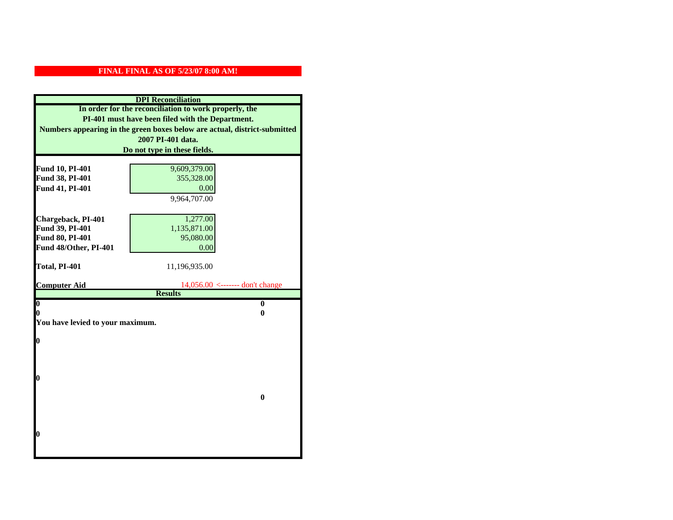|                                  | <b>DPI</b> Reconciliation                                                 |
|----------------------------------|---------------------------------------------------------------------------|
|                                  | In order for the reconciliation to work properly, the                     |
|                                  | PI-401 must have been filed with the Department.                          |
|                                  | Numbers appearing in the green boxes below are actual, district-submitted |
|                                  | 2007 PI-401 data.                                                         |
|                                  | Do not type in these fields.                                              |
|                                  |                                                                           |
| Fund 10, PI-401                  | 9,609,379.00                                                              |
| Fund 38, PI-401                  | 355,328.00                                                                |
| Fund 41, PI-401                  | 0.00<br>9,964,707.00                                                      |
|                                  |                                                                           |
| Chargeback, PI-401               | 1,277.00                                                                  |
| Fund 39, PI-401                  | 1,135,871.00                                                              |
| Fund 80, PI-401                  | 95,080.00                                                                 |
| Fund 48/Other, PI-401            | 0.00                                                                      |
|                                  |                                                                           |
| Total, PI-401                    | 11,196,935.00                                                             |
|                                  |                                                                           |
| <b>Computer Aid</b>              | $14,056.00$ <------- don't change<br><b>Results</b>                       |
| $\overline{\mathbf{0}}$          | $\bf{0}$                                                                  |
| 0                                | 0                                                                         |
| You have levied to your maximum. |                                                                           |
|                                  |                                                                           |
| $\bf{0}$                         |                                                                           |
|                                  |                                                                           |
|                                  |                                                                           |
|                                  |                                                                           |
| l0                               |                                                                           |
|                                  | $\bf{0}$                                                                  |
|                                  |                                                                           |
|                                  |                                                                           |
|                                  |                                                                           |
| $\boldsymbol{0}$                 |                                                                           |
|                                  |                                                                           |
|                                  |                                                                           |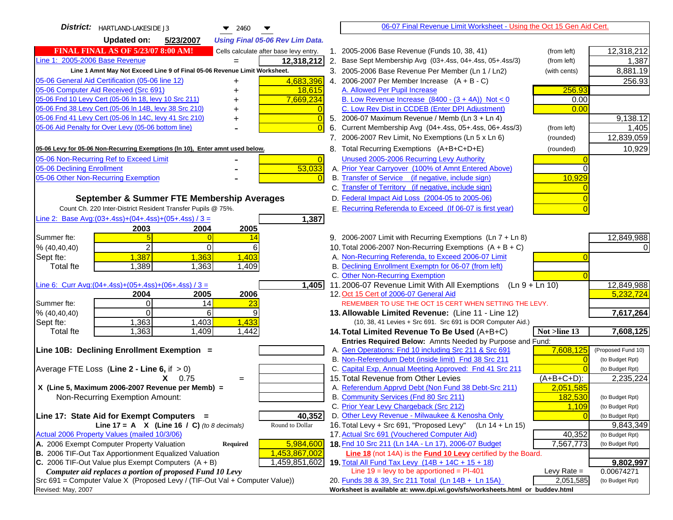| District:   HARTLAND-LAKESIDE J3<br>$\blacktriangledown$ 2460<br>▼                                                              | 06-07 Final Revenue Limit Worksheet - Using the Oct 15 Gen Aid Cert.                                              |                                          |
|---------------------------------------------------------------------------------------------------------------------------------|-------------------------------------------------------------------------------------------------------------------|------------------------------------------|
| <b>Updated on:</b><br>5/23/2007<br><b>Using Final 05-06 Rev Lim Data.</b>                                                       |                                                                                                                   |                                          |
| <b>FINAL FINAL AS OF 5/23/07 8:00 AM!</b><br>Cells calculate after base levy entry.                                             | 1. 2005-2006 Base Revenue (Funds 10, 38, 41)                                                                      | 12,318,212<br>(from left)                |
| Line 1: 2005-2006 Base Revenue<br>12,318,212<br>$=$                                                                             | 2. Base Sept Membership Avg (03+.4ss, 04+.4ss, 05+.4ss/3)                                                         | 1,387<br>(from left)                     |
| Line 1 Amnt May Not Exceed Line 9 of Final 05-06 Revenue Limit Worksheet.                                                       | 3. 2005-2006 Base Revenue Per Member (Ln 1 / Ln2)                                                                 | 8,881.19<br>(with cents)                 |
| 4,683,396<br>05-06 General Aid Certification (05-06 line 12)                                                                    | 4. 2006-2007 Per Member Increase $(A + B - C)$                                                                    | 256.93                                   |
| 05-06 Computer Aid Received (Src 691)<br>18,615                                                                                 | A. Allowed Per Pupil Increase                                                                                     | 256.93                                   |
| 05-06 Fnd 10 Levy Cert (05-06 In 18, levy 10 Src 211)<br>7,669,234                                                              | B. Low Revenue Increase $(8400 - (3 + 4A))$ Not < 0                                                               | 0.00                                     |
| 05-06 Fnd 38 Levy Cert (05-06 In 14B, levy 38 Src 210)                                                                          | C. Low Rev Dist in CCDEB (Enter DPI Adjustment)                                                                   | 0.00                                     |
| 05-06 Fnd 41 Levy Cert (05-06 In 14C, levy 41 Src 210)<br>$\overline{0}$<br>+                                                   | 5. 2006-07 Maximum Revenue / Memb (Ln 3 + Ln 4)                                                                   | 9,138.12                                 |
| 05-06 Aid Penalty for Over Levy (05-06 bottom line)<br>$\Omega$                                                                 | Current Membership Avg (04+.4ss, 05+.4ss, 06+.4ss/3)                                                              | (from left)<br>1,405                     |
|                                                                                                                                 | 7. 2006-2007 Rev Limit, No Exemptions (Ln 5 x Ln 6)                                                               | 12,839,059<br>(rounded)                  |
| 05-06 Levy for 05-06 Non-Recurring Exemptions (In 10), Enter amnt used below.                                                   | 8. Total Recurring Exemptions (A+B+C+D+E)                                                                         | 10,929<br>(rounded)                      |
| 05-06 Non-Recurring Ref to Exceed Limit<br>$\overline{0}$                                                                       | Unused 2005-2006 Recurring Levy Authority                                                                         |                                          |
| 53,033<br>05-06 Declining Enrollment                                                                                            | A. Prior Year Carryover (100% of Amnt Entered Above)                                                              | $\Omega$                                 |
| 05-06 Other Non-Recurring Exemption                                                                                             | B. Transfer of Service (if negative, include sign)                                                                | 10,929                                   |
|                                                                                                                                 | C. Transfer of Territory (if negative, include sign)                                                              |                                          |
| September & Summer FTE Membership Averages                                                                                      | D. Federal Impact Aid Loss (2004-05 to 2005-06)                                                                   |                                          |
| Count Ch. 220 Inter-District Resident Transfer Pupils @ 75%.                                                                    | E. Recurring Referenda to Exceed (If 06-07 is first year)                                                         |                                          |
| Line 2: Base Avg: (03+.4ss) + (04+.4ss) + (05+.4ss) / 3 =<br>1,387                                                              |                                                                                                                   |                                          |
| 2003<br>2004<br>2005                                                                                                            |                                                                                                                   |                                          |
| Summer fte:<br>$\overline{0}$<br>14                                                                                             | 9. 2006-2007 Limit with Recurring Exemptions (Ln 7 + Ln 8)                                                        | 12,849,988                               |
| 2<br>$\Omega$<br>6<br>% (40, 40, 40)                                                                                            | 10. Total 2006-2007 Non-Recurring Exemptions $(A + B + C)$                                                        |                                          |
| 1,387<br>1,403<br>1,363<br>Sept fte:                                                                                            | A. Non-Recurring Referenda, to Exceed 2006-07 Limit                                                               |                                          |
| 1,389<br>1,363<br>Total fte<br>1,409                                                                                            | B. Declining Enrollment Exemptn for 06-07 (from left)                                                             |                                          |
|                                                                                                                                 | C. Other Non-Recurring Exemption                                                                                  |                                          |
| Line 6: Curr Avg: $(04+.4ss)+(05+.4ss)+(06+.4ss)$ / 3 =<br>1,405                                                                | 11.2006-07 Revenue Limit With All Exemptions $(Ln 9 + Ln 10)$                                                     | 12,849,988                               |
| 2006<br>2004<br>2005                                                                                                            | 12. Oct 15 Cert of 2006-07 General Aid                                                                            | 5,232,724                                |
| $\Omega$<br>14<br>Summer fte:<br>23<br>% (40, 40, 40)<br>$\Omega$<br>6<br>9                                                     | REMEMBER TO USE THE OCT 15 CERT WHEN SETTING THE LEVY.                                                            | 7,617,264                                |
| 1,363<br>1,403<br>1,433<br>Sept fte:                                                                                            | 13. Allowable Limited Revenue: (Line 11 - Line 12)<br>(10, 38, 41 Levies + Src 691. Src 691 is DOR Computer Aid.) |                                          |
| 1,363<br>1,442<br>1,409<br><b>Total fte</b>                                                                                     | 14. Total Limited Revenue To Be Used (A+B+C)                                                                      | 7,608,125<br>Not >line 13                |
|                                                                                                                                 | Entries Required Below: Amnts Needed by Purpose and Fund:                                                         |                                          |
| Line 10B: Declining Enrollment Exemption =                                                                                      | A. Gen Operations: Fnd 10 including Src 211 & Src 691                                                             | 7,608,125<br>(Proposed Fund 10)          |
|                                                                                                                                 | B. Non-Referendum Debt (inside limit) Fnd 38 Src 211                                                              | (to Budget Rpt)<br>$\Omega$              |
| Average FTE Loss (Line $2 -$ Line 6, if $> 0$ )                                                                                 | C. Capital Exp, Annual Meeting Approved: Fnd 41 Src 211                                                           | (to Budget Rpt)                          |
| $X = 0.75$<br>$=$                                                                                                               | 15. Total Revenue from Other Levies                                                                               | $(A+B+C+D)$ :<br>2,235,224               |
| X (Line 5, Maximum 2006-2007 Revenue per Memb) =                                                                                | A. Referendum Apprvd Debt (Non Fund 38 Debt-Src 211)                                                              | 2,051,585                                |
| Non-Recurring Exemption Amount:                                                                                                 | B. Community Services (Fnd 80 Src 211)                                                                            | 182,530<br>(to Budget Rpt)               |
|                                                                                                                                 | C. Prior Year Levy Chargeback (Src 212)                                                                           | 1,109<br>(to Budget Rpt)                 |
| 40,352<br>Line 17: State Aid for Exempt Computers =                                                                             | D. Other Levy Revenue - Milwaukee & Kenosha Only                                                                  | (to Budget Rpt)                          |
| Round to Dollar<br>Line 17 = A $X$ (Line 16 / C) (to 8 decimals)                                                                | 16. Total Levy + Src 691, "Proposed Levy"<br>(Ln 14 + Ln 15)                                                      | 9,843,349                                |
| Actual 2006 Property Values (mailed 10/3/06)                                                                                    | 17. Actual Src 691 (Vouchered Computer Aid)                                                                       | 40,352<br>(to Budget Rpt)                |
| A. 2006 Exempt Computer Property Valuation<br>5,984,600<br>Required                                                             | 18. Fnd 10 Src 211 (Ln 14A - Ln 17), 2006-07 Budget                                                               | 7,567,773<br>(to Budget Rpt)             |
| B. 2006 TIF-Out Tax Apportionment Equalized Valuation<br>1,453,867,002<br>C. 2006 TIF-Out Value plus Exempt Computers $(A + B)$ | <b>Line 18</b> (not 14A) is the <b>Fund 10 Levy</b> certified by the Board.                                       |                                          |
| 1,459,851,602<br>Computer aid replaces a portion of proposed Fund 10 Levy                                                       | 19. Total All Fund Tax Levy $(14B + 14C + 15 + 18)$<br>Line $19 = \text{levy}$ to be apportioned = PI-401         | 9,802,997<br>Levy Rate $=$<br>0.00674271 |
| Src 691 = Computer Value X (Proposed Levy / (TIF-Out Val + Computer Value))                                                     | 20. Funds 38 & 39, Src 211 Total (Ln 14B + Ln 15A)                                                                | 2,051,585<br>(to Budget Rpt)             |
| Revised: May, 2007                                                                                                              | Worksheet is available at: www.dpi.wi.gov/sfs/worksheets.html or buddev.html                                      |                                          |
|                                                                                                                                 |                                                                                                                   |                                          |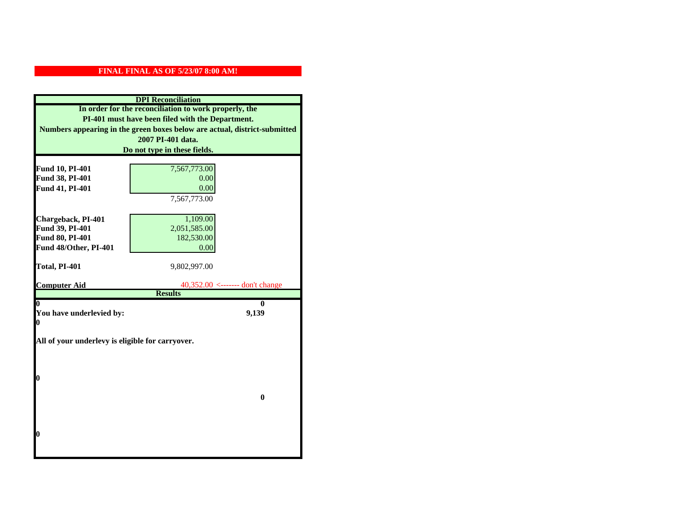|                                                  | <b>DPI</b> Reconciliation                                                 |
|--------------------------------------------------|---------------------------------------------------------------------------|
|                                                  | In order for the reconciliation to work properly, the                     |
|                                                  | PI-401 must have been filed with the Department.                          |
|                                                  | Numbers appearing in the green boxes below are actual, district-submitted |
|                                                  | 2007 PI-401 data.                                                         |
|                                                  | Do not type in these fields.                                              |
|                                                  |                                                                           |
| <b>Fund 10, PI-401</b>                           | 7,567,773.00                                                              |
| Fund 38, PI-401                                  | 0.00                                                                      |
| Fund 41, PI-401                                  | 0.00                                                                      |
|                                                  | 7,567,773.00                                                              |
|                                                  |                                                                           |
| Chargeback, PI-401                               | 1,109.00                                                                  |
| Fund 39, PI-401                                  | 2,051,585.00                                                              |
| Fund 80, PI-401                                  | 182,530.00                                                                |
| Fund 48/Other, PI-401                            | 0.00                                                                      |
|                                                  |                                                                           |
| Total, PI-401                                    | 9,802,997.00                                                              |
| <b>Computer Aid</b>                              | $40,352.00 \le$ ------- don't change                                      |
|                                                  | <b>Results</b>                                                            |
| 0                                                | 0                                                                         |
| You have underlevied by:                         | 9,139                                                                     |
| 0                                                |                                                                           |
|                                                  |                                                                           |
| All of your underlevy is eligible for carryover. |                                                                           |
|                                                  |                                                                           |
|                                                  |                                                                           |
| 0                                                |                                                                           |
|                                                  |                                                                           |
|                                                  | $\bf{0}$                                                                  |
|                                                  |                                                                           |
|                                                  |                                                                           |
|                                                  |                                                                           |
| 0                                                |                                                                           |
|                                                  |                                                                           |
|                                                  |                                                                           |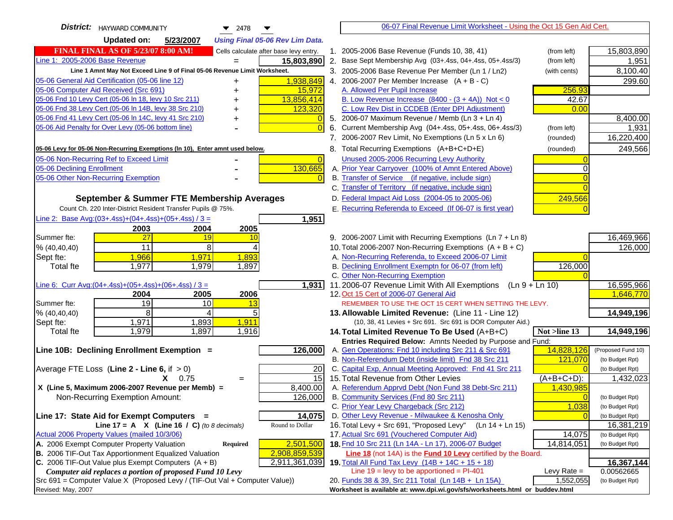| <b>District:</b>   HAYWARD COMMUNITY<br>$\blacktriangledown$ 2478<br>▼                                                              |                      | 06-07 Final Revenue Limit Worksheet - Using the Oct 15 Gen Aid Cert.                                               |               |                    |
|-------------------------------------------------------------------------------------------------------------------------------------|----------------------|--------------------------------------------------------------------------------------------------------------------|---------------|--------------------|
| Updated on:<br>5/23/2007<br><b>Using Final 05-06 Rev Lim Data.</b>                                                                  |                      |                                                                                                                    |               |                    |
| <b>FINAL FINAL AS OF 5/23/07 8:00 AM!</b><br>Cells calculate after base levy entry.                                                 |                      | 1. 2005-2006 Base Revenue (Funds 10, 38, 41)                                                                       | (from left)   | 15,803,890         |
| Line 1: 2005-2006 Base Revenue<br>15,803,890                                                                                        |                      | 2. Base Sept Membership Avg (03+.4ss, 04+.4ss, 05+.4ss/3)                                                          | (from left)   | 1,951              |
| Line 1 Amnt May Not Exceed Line 9 of Final 05-06 Revenue Limit Worksheet.                                                           |                      | 3. 2005-2006 Base Revenue Per Member (Ln 1 / Ln2)                                                                  | (with cents)  | 8,100.40           |
| 1,938,849<br>05-06 General Aid Certification (05-06 line 12)<br>+                                                                   |                      | 4. 2006-2007 Per Member Increase $(A + B - C)$                                                                     |               | 299.60             |
| 05-06 Computer Aid Received (Src 691)<br>15,972                                                                                     |                      | A. Allowed Per Pupil Increase                                                                                      | 256.93        |                    |
| 05-06 Fnd 10 Levy Cert (05-06 In 18, levy 10 Src 211)<br>13,856,414                                                                 |                      | B. Low Revenue Increase $(8400 - (3 + 4A))$ Not < 0                                                                | 42.67         |                    |
| 05-06 Fnd 38 Levy Cert (05-06 In 14B, levy 38 Src 210)<br>123,320                                                                   |                      | C. Low Rev Dist in CCDEB (Enter DPI Adjustment)                                                                    | 0.00          |                    |
| 05-06 Fnd 41 Levy Cert (05-06 In 14C, levy 41 Src 210)<br>+                                                                         | 0                    | 5. 2006-07 Maximum Revenue / Memb (Ln $3 + \text{Ln } 4$ )                                                         |               | 8,400.00           |
| 05-06 Aid Penalty for Over Levy (05-06 bottom line)                                                                                 | $\overline{0}$<br>6. | Current Membership Avg (04+.4ss, 05+.4ss, 06+.4ss/3)                                                               | (from left)   | 1,931              |
|                                                                                                                                     |                      | 7. 2006-2007 Rev Limit, No Exemptions (Ln 5 x Ln 6)                                                                | (rounded)     | 16,220,400         |
| 05-06 Levy for 05-06 Non-Recurring Exemptions (In 10), Enter amnt used below.                                                       |                      | 8. Total Recurring Exemptions (A+B+C+D+E)                                                                          | (rounded)     | 249,566            |
| 05-06 Non-Recurring Ref to Exceed Limit                                                                                             | $\overline{0}$       | Unused 2005-2006 Recurring Levy Authority                                                                          |               |                    |
| 05-06 Declining Enrollment<br>130,665                                                                                               |                      | A. Prior Year Carryover (100% of Amnt Entered Above)                                                               | O             |                    |
| 05-06 Other Non-Recurring Exemption                                                                                                 |                      | B. Transfer of Service (if negative, include sign)                                                                 |               |                    |
|                                                                                                                                     |                      | C. Transfer of Territory (if negative, include sign)                                                               |               |                    |
| September & Summer FTE Membership Averages                                                                                          |                      | D. Federal Impact Aid Loss (2004-05 to 2005-06)                                                                    | 249,566       |                    |
| Count Ch. 220 Inter-District Resident Transfer Pupils @ 75%.                                                                        |                      | E. Recurring Referenda to Exceed (If 06-07 is first year)                                                          |               |                    |
| Line 2: Base Avg: (03+.4ss) + (04+.4ss) + (05+.4ss) / 3 =<br>1,951                                                                  |                      |                                                                                                                    |               |                    |
| 2004<br>2003<br>2005                                                                                                                |                      |                                                                                                                    |               |                    |
| 27<br>Summer fte:<br>19<br>10                                                                                                       |                      | 9. 2006-2007 Limit with Recurring Exemptions (Ln 7 + Ln 8)                                                         |               | 16,469,966         |
| 8<br>11<br>% (40, 40, 40)<br>4                                                                                                      |                      | 10. Total 2006-2007 Non-Recurring Exemptions (A + B + C)                                                           |               | 126,000            |
| 1,893<br>Sept fte:<br>1,966<br>1,971                                                                                                |                      | A. Non-Recurring Referenda, to Exceed 2006-07 Limit                                                                |               |                    |
| 1,977<br>1,897<br>Total fte<br>1,979                                                                                                |                      | B. Declining Enrollment Exemptn for 06-07 (from left)                                                              | 126,000       |                    |
|                                                                                                                                     |                      | C. Other Non-Recurring Exemption                                                                                   |               |                    |
| <u>Line 6: Curr Avg: (04+.4ss)+ (05+.4ss)+ (06+.4ss) / 3 =</u><br>1,931                                                             |                      | 11.2006-07 Revenue Limit With All Exemptions<br>$(Ln 9 + Ln 10)$                                                   |               | 16,595,966         |
| 2005<br>2006<br>2004<br>19<br>10<br>Summer fte:                                                                                     |                      | 12. Oct 15 Cert of 2006-07 General Aid<br>REMEMBER TO USE THE OCT 15 CERT WHEN SETTING THE LEVY.                   |               | 1,646,770          |
| 13<br>8<br>5 <sub>l</sub><br>% (40, 40, 40)<br>4                                                                                    |                      | 13. Allowable Limited Revenue: (Line 11 - Line 12)                                                                 |               | 14,949,196         |
| 1,971<br>1,911<br>1,893<br>Sept fte:                                                                                                |                      | (10, 38, 41 Levies + Src 691. Src 691 is DOR Computer Aid.)                                                        |               |                    |
| 1,979<br>1,897<br>1,916<br>Total fte                                                                                                |                      | 14. Total Limited Revenue To Be Used (A+B+C)                                                                       | Not >line 13  | 14,949,196         |
|                                                                                                                                     |                      | Entries Required Below: Amnts Needed by Purpose and Fund:                                                          |               |                    |
| Line 10B: Declining Enrollment Exemption =<br>126,000                                                                               |                      | A. Gen Operations: Fnd 10 including Src 211 & Src 691                                                              | 14,828,126    | (Proposed Fund 10) |
|                                                                                                                                     |                      | B. Non-Referendum Debt (inside limit) Fnd 38 Src 211                                                               | 121,070       | (to Budget Rpt)    |
| Average FTE Loss (Line $2 -$ Line 6, if $> 0$ )                                                                                     | 20                   | C. Capital Exp, Annual Meeting Approved: Fnd 41 Src 211                                                            |               | (to Budget Rpt)    |
| $X = 0.75$<br>$=$                                                                                                                   | 15                   | 15. Total Revenue from Other Levies                                                                                | $(A+B+C+D)$ : | 1,432,023          |
| X (Line 5, Maximum 2006-2007 Revenue per Memb) =<br>8,400.00                                                                        |                      | A. Referendum Apprvd Debt (Non Fund 38 Debt-Src 211)                                                               | 1,430,985     |                    |
| 126,000<br>Non-Recurring Exemption Amount:                                                                                          |                      | B. Community Services (Fnd 80 Src 211)                                                                             | $\Omega$      | (to Budget Rpt)    |
|                                                                                                                                     |                      | C. Prior Year Levy Chargeback (Src 212)                                                                            | 1,038         | (to Budget Rpt)    |
| 14,075<br>Line 17: State Aid for Exempt Computers =                                                                                 |                      | D. Other Levy Revenue - Milwaukee & Kenosha Only                                                                   |               | (to Budget Rpt)    |
| Round to Dollar<br>Line 17 = A $X$ (Line 16 / C) (to 8 decimals)                                                                    |                      | 16. Total Levy + Src 691, "Proposed Levy"<br>$(Ln 14 + Ln 15)$                                                     |               | 16,381,219         |
| Actual 2006 Property Values (mailed 10/3/06)                                                                                        |                      | 17. Actual Src 691 (Vouchered Computer Aid)                                                                        | 14,075        | (to Budget Rpt)    |
| A. 2006 Exempt Computer Property Valuation<br>2,501,500<br><b>Required</b><br>B. 2006 TIF-Out Tax Apportionment Equalized Valuation |                      | 18. Fnd 10 Src 211 (Ln 14A - Ln 17), 2006-07 Budget                                                                | 14,814,051    | (to Budget Rpt)    |
| 2,908,859,539<br>2,911,361,039<br>C. 2006 TIF-Out Value plus Exempt Computers $(A + B)$                                             |                      | Line 18 (not 14A) is the Fund 10 Levy certified by the Board.<br>19. Total All Fund Tax Levy (14B + 14C + 15 + 18) |               | 16,367,144         |
| Computer aid replaces a portion of proposed Fund 10 Levy                                                                            |                      | Line $19 = \text{levy}$ to be apportioned = PI-401                                                                 | Levy Rate $=$ | 0.00562665         |
| Src 691 = Computer Value X (Proposed Levy / (TIF-Out Val + Computer Value))                                                         |                      | 20. Funds 38 & 39, Src 211 Total (Ln 14B + Ln 15A)                                                                 | 1,552,055     | (to Budget Rpt)    |
| Revised: May, 2007                                                                                                                  |                      | Worksheet is available at: www.dpi.wi.gov/sfs/worksheets.html or buddev.html                                       |               |                    |
|                                                                                                                                     |                      |                                                                                                                    |               |                    |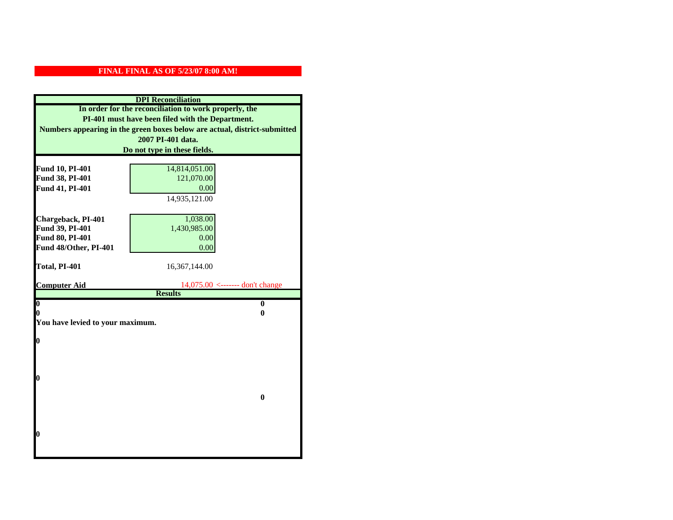|                                  | <b>DPI</b> Reconciliation                                                 |
|----------------------------------|---------------------------------------------------------------------------|
|                                  | In order for the reconciliation to work properly, the                     |
|                                  | PI-401 must have been filed with the Department.                          |
|                                  | Numbers appearing in the green boxes below are actual, district-submitted |
|                                  | 2007 PI-401 data.                                                         |
|                                  | Do not type in these fields.                                              |
|                                  |                                                                           |
| Fund 10, PI-401                  | 14,814,051.00                                                             |
| Fund 38, PI-401                  | 121,070.00                                                                |
| Fund 41, PI-401                  | 0.00                                                                      |
|                                  | 14,935,121.00                                                             |
|                                  |                                                                           |
| Chargeback, PI-401               | 1,038.00                                                                  |
| Fund 39, PI-401                  | 1,430,985.00                                                              |
| Fund 80, PI-401                  | 0.00                                                                      |
| Fund 48/Other, PI-401            | 0.00                                                                      |
| Total, PI-401                    |                                                                           |
|                                  | 16,367,144.00                                                             |
| <b>Computer Aid</b>              | $14,075.00$ <------- don't change                                         |
|                                  | <b>Results</b>                                                            |
| $\overline{\mathbf{0}}$          | $\bf{0}$                                                                  |
| 0                                | 0                                                                         |
| You have levied to your maximum. |                                                                           |
| $\bf{0}$                         |                                                                           |
|                                  |                                                                           |
|                                  |                                                                           |
|                                  |                                                                           |
| l0                               |                                                                           |
|                                  |                                                                           |
|                                  | $\bf{0}$                                                                  |
|                                  |                                                                           |
|                                  |                                                                           |
|                                  |                                                                           |
| l0                               |                                                                           |
|                                  |                                                                           |
|                                  |                                                                           |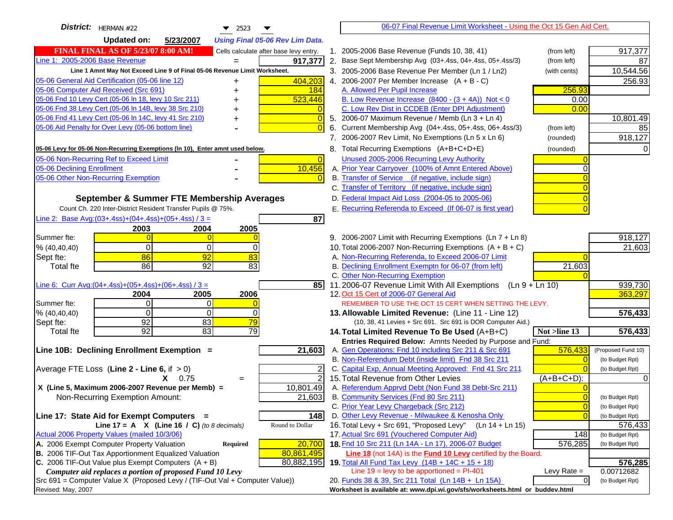| District:   HERMAN #22<br>$\blacktriangledown$ 2523                                                        |                | 06-07 Final Revenue Limit Worksheet - Using the Oct 15 Gen Aid Cert.                           |                |                    |
|------------------------------------------------------------------------------------------------------------|----------------|------------------------------------------------------------------------------------------------|----------------|--------------------|
| <b>Updated on:</b><br>5/23/2007<br><b>Using Final 05-06 Rev Lim Data.</b>                                  |                |                                                                                                |                |                    |
| <b>FINAL FINAL AS OF 5/23/07 8:00 AM!</b><br>Cells calculate after base levy entry.                        |                | 1. 2005-2006 Base Revenue (Funds 10, 38, 41)                                                   | (from left)    | 917,377            |
| Line 1: 2005-2006 Base Revenue<br>917,377                                                                  |                | 2. Base Sept Membership Avg (03+.4ss, 04+.4ss, 05+.4ss/3)                                      | (from left)    | 87                 |
| Line 1 Amnt May Not Exceed Line 9 of Final 05-06 Revenue Limit Worksheet.                                  |                | 3. 2005-2006 Base Revenue Per Member (Ln 1 / Ln2)                                              | (with cents)   | 10,544.56          |
| 404,203<br>05-06 General Aid Certification (05-06 line 12)                                                 |                | 4. 2006-2007 Per Member Increase $(A + B - C)$                                                 |                | 256.93             |
| 05-06 Computer Aid Received (Src 691)<br>184                                                               |                | A. Allowed Per Pupil Increase                                                                  | 256.93         |                    |
| 05-06 Fnd 10 Levy Cert (05-06 In 18, levy 10 Src 211)<br>523,446                                           |                | B. Low Revenue Increase $(8400 - (3 + 4A))$ Not < 0                                            | 0.00           |                    |
| 05-06 Fnd 38 Levy Cert (05-06 In 14B, levy 38 Src 210)                                                     |                | C. Low Rev Dist in CCDEB (Enter DPI Adjustment)                                                | 0.00           |                    |
| 05-06 Fnd 41 Levy Cert (05-06 In 14C, levy 41 Src 210)<br>+                                                | 0              | 5. 2006-07 Maximum Revenue / Memb (Ln 3 + Ln 4)                                                |                | 10,801.49          |
| 05-06 Aid Penalty for Over Levy (05-06 bottom line)                                                        |                | 6. Current Membership Avg (04+.4ss, 05+.4ss, 06+.4ss/3)                                        | (from left)    | 85                 |
|                                                                                                            |                | 7. 2006-2007 Rev Limit, No Exemptions (Ln 5 x Ln 6)                                            | (rounded)      | 918,127            |
| 05-06 Levy for 05-06 Non-Recurring Exemptions (In 10), Enter amnt used below.                              |                | 8. Total Recurring Exemptions (A+B+C+D+E)                                                      | (rounded)      |                    |
| 05-06 Non-Recurring Ref to Exceed Limit                                                                    | $\overline{0}$ | Unused 2005-2006 Recurring Levy Authority                                                      |                |                    |
| 10,456<br>05-06 Declining Enrollment                                                                       |                | A. Prior Year Carryover (100% of Amnt Entered Above)                                           |                |                    |
| 05-06 Other Non-Recurring Exemption                                                                        |                | B. Transfer of Service (if negative, include sign)                                             |                |                    |
|                                                                                                            |                | C. Transfer of Territory (if negative, include sign)                                           |                |                    |
| September & Summer FTE Membership Averages                                                                 |                | D. Federal Impact Aid Loss (2004-05 to 2005-06)                                                |                |                    |
| Count Ch. 220 Inter-District Resident Transfer Pupils @ 75%.                                               |                | E. Recurring Referenda to Exceed (If 06-07 is first year)                                      |                |                    |
| Line 2: Base Avg: $(03+.4ss)+(04+.4ss)+(05+.4ss)/3 =$<br>87                                                |                |                                                                                                |                |                    |
| 2003<br>2004<br>2005                                                                                       |                |                                                                                                |                |                    |
| Summer fte:                                                                                                |                | 9. 2006-2007 Limit with Recurring Exemptions (Ln 7 + Ln 8)                                     |                | 918,127            |
| $\Omega$<br>0<br>$\Omega$<br>% (40, 40, 40)                                                                |                | 10. Total 2006-2007 Non-Recurring Exemptions $(A + B + C)$                                     |                | 21,603             |
| 86<br>83<br>92<br>Sept fte:                                                                                |                | A. Non-Recurring Referenda, to Exceed 2006-07 Limit                                            |                |                    |
| 86<br>92<br>83<br><b>Total fte</b>                                                                         |                | B. Declining Enrollment Exemptn for 06-07 (from left)<br>C. Other Non-Recurring Exemption      | 21,603         |                    |
| Line 6: Curr Avg: $(04+.4ss)+(05+.4ss)+(06+.4ss)/3 =$                                                      | 85 I           | 11.2006-07 Revenue Limit With All Exemptions (Ln 9 + Ln 10)                                    |                | 939,730            |
| 2006<br>2004<br>2005                                                                                       |                | 12. Oct 15 Cert of 2006-07 General Aid                                                         |                | 363,297            |
| $\Omega$<br>Summer fte:<br>0                                                                               |                | REMEMBER TO USE THE OCT 15 CERT WHEN SETTING THE LEVY.                                         |                |                    |
| % (40, 40, 40)<br>$\Omega$<br>$\Omega$<br>0                                                                |                | 13. Allowable Limited Revenue: (Line 11 - Line 12)                                             |                | 576,433            |
| 79<br>83<br>92<br>Sept fte:                                                                                |                | (10, 38, 41 Levies + Src 691. Src 691 is DOR Computer Aid.)                                    |                |                    |
| 92<br>83<br>79<br><b>Total fte</b>                                                                         |                | 14. Total Limited Revenue To Be Used (A+B+C)                                                   | Not >line 13   | 576,433            |
|                                                                                                            |                | Entries Required Below: Amnts Needed by Purpose and Fund:                                      |                |                    |
| 21,603<br>Line 10B: Declining Enrollment Exemption =                                                       |                | A. Gen Operations: Fnd 10 including Src 211 & Src 691                                          | 576,433        | (Proposed Fund 10) |
|                                                                                                            |                | B. Non-Referendum Debt (inside limit) Fnd 38 Src 211                                           |                | (to Budget Rpt)    |
| Average FTE Loss (Line $2 -$ Line 6, if $> 0$ )                                                            |                | C. Capital Exp, Annual Meeting Approved: Fnd 41 Src 211                                        |                | (to Budget Rpt)    |
| $X = 0.75$<br>$=$                                                                                          | $\overline{2}$ | 15. Total Revenue from Other Levies                                                            | (A+B+C+D):     |                    |
| X (Line 5, Maximum 2006-2007 Revenue per Memb) =<br>10,801.49<br>21,603<br>Non-Recurring Exemption Amount: |                | A. Referendum Apprvd Debt (Non Fund 38 Debt-Src 211)<br>B. Community Services (Fnd 80 Src 211) |                | (to Budget Rpt)    |
|                                                                                                            |                | C. Prior Year Levy Chargeback (Src 212)                                                        | $\overline{0}$ | (to Budget Rpt)    |
| Line 17: State Aid for Exempt Computers =<br>148                                                           |                | D. Other Levy Revenue - Milwaukee & Kenosha Only                                               |                | (to Budget Rpt)    |
| Round to Dollar<br>Line 17 = A $X$ (Line 16 / C) (to 8 decimals)                                           |                | 16. Total Levy + Src 691, "Proposed Levy"<br>(Ln 14 + Ln 15)                                   |                | 576,433            |
| Actual 2006 Property Values (mailed 10/3/06)                                                               |                | 17. Actual Src 691 (Vouchered Computer Aid)                                                    | 148            | (to Budget Rpt)    |
| A. 2006 Exempt Computer Property Valuation<br>20,700<br>Required                                           |                | 18. Fnd 10 Src 211 (Ln 14A - Ln 17), 2006-07 Budget                                            | 576,285        | (to Budget Rpt)    |
| B. 2006 TIF-Out Tax Apportionment Equalized Valuation<br>80,861,495                                        |                | <b>Line 18</b> (not 14A) is the <b>Fund 10 Levy</b> certified by the Board.                    |                |                    |
| C. 2006 TIF-Out Value plus Exempt Computers $(A + B)$<br>80,882,195                                        |                | 19. Total All Fund Tax Levy $(14B + 14C + 15 + 18)$                                            |                | 576,285            |
| Computer aid replaces a portion of proposed Fund 10 Levy                                                   |                | Line $19 = \text{levy}$ to be apportioned = PI-401                                             | Levy Rate $=$  | 0.00712682         |
| Src 691 = Computer Value X (Proposed Levy / (TIF-Out Val + Computer Value))                                |                | 20. Funds 38 & 39, Src 211 Total (Ln 14B + Ln 15A)                                             | $\overline{0}$ | (to Budget Rpt)    |
| Revised: May, 2007                                                                                         |                | Worksheet is available at: www.dpi.wi.gov/sfs/worksheets.html or buddev.html                   |                |                    |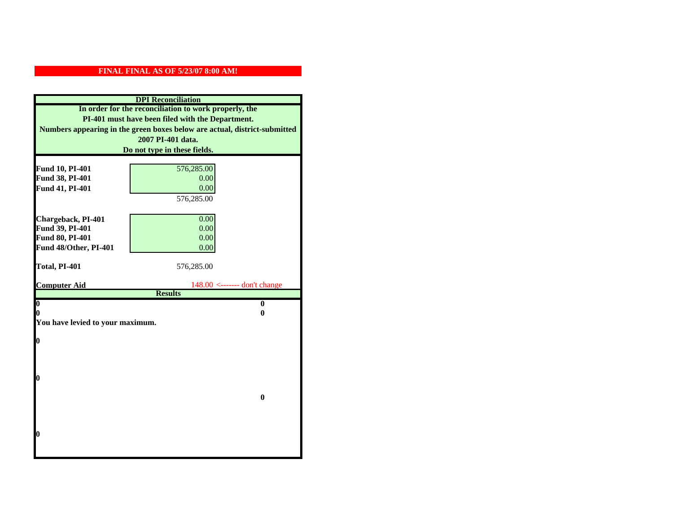|                                  | <b>DPI</b> Reconciliation                                                 |
|----------------------------------|---------------------------------------------------------------------------|
|                                  | In order for the reconciliation to work properly, the                     |
|                                  | PI-401 must have been filed with the Department.                          |
|                                  | Numbers appearing in the green boxes below are actual, district-submitted |
|                                  | 2007 PI-401 data.                                                         |
|                                  | Do not type in these fields.                                              |
|                                  |                                                                           |
| Fund 10, PI-401                  | 576,285.00                                                                |
| Fund 38, PI-401                  | 0.00                                                                      |
| Fund 41, PI-401                  | 0.00                                                                      |
|                                  | 576,285.00                                                                |
|                                  |                                                                           |
| Chargeback, PI-401               | 0.00                                                                      |
| Fund 39, PI-401                  | 0.00                                                                      |
| Fund 80, PI-401                  | 0.00                                                                      |
| Fund 48/Other, PI-401            | 0.00                                                                      |
| Total, PI-401                    | 576,285.00                                                                |
|                                  |                                                                           |
|                                  |                                                                           |
| <b>Computer Aid</b>              | $148.00$ <------- don't change                                            |
|                                  | <b>Results</b>                                                            |
| $\boldsymbol{0}$                 | $\bf{0}$                                                                  |
| 0                                | 0                                                                         |
| You have levied to your maximum. |                                                                           |
|                                  |                                                                           |
| $\bf{0}$                         |                                                                           |
|                                  |                                                                           |
|                                  |                                                                           |
| 0                                |                                                                           |
|                                  |                                                                           |
|                                  | $\bf{0}$                                                                  |
|                                  |                                                                           |
|                                  |                                                                           |
|                                  |                                                                           |
| 0                                |                                                                           |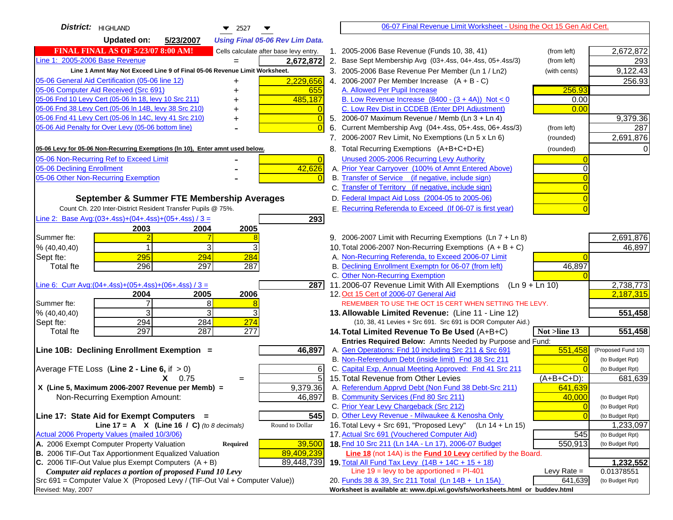| District:   HIGHLAND<br>$\blacktriangledown$ 2527                                                                                       |                | 06-07 Final Revenue Limit Worksheet - Using the Oct 15 Gen Aid Cert.                                          |                       |                                    |
|-----------------------------------------------------------------------------------------------------------------------------------------|----------------|---------------------------------------------------------------------------------------------------------------|-----------------------|------------------------------------|
| <b>Updated on:</b><br>5/23/2007<br><b>Using Final 05-06 Rev Lim Data.</b>                                                               |                |                                                                                                               |                       |                                    |
| <b>FINAL FINAL AS OF 5/23/07 8:00 AM!</b><br>Cells calculate after base levy entry.                                                     |                | 1. 2005-2006 Base Revenue (Funds 10, 38, 41)<br>(from left)                                                   |                       | 2,672,872                          |
| Line 1: 2005-2006 Base Revenue<br>2,672,872                                                                                             |                | 2. Base Sept Membership Avg (03+.4ss, 04+.4ss, 05+.4ss/3)<br>(from left)                                      |                       | 293                                |
| Line 1 Amnt May Not Exceed Line 9 of Final 05-06 Revenue Limit Worksheet.                                                               |                | 3. 2005-2006 Base Revenue Per Member (Ln 1 / Ln2)<br>(with cents)                                             |                       | 9,122.43                           |
| 2,229,656<br>05-06 General Aid Certification (05-06 line 12)<br>+                                                                       |                | 4. 2006-2007 Per Member Increase $(A + B - C)$                                                                |                       | 256.93                             |
| 05-06 Computer Aid Received (Src 691)<br>655                                                                                            |                | A. Allowed Per Pupil Increase                                                                                 | 256.93                |                                    |
| 05-06 Fnd 10 Levy Cert (05-06 In 18, levy 10 Src 211)<br>485,187                                                                        |                | B. Low Revenue Increase $(8400 - (3 + 4A))$ Not < 0                                                           | 0.00                  |                                    |
| 05-06 Fnd 38 Levy Cert (05-06 In 14B, levy 38 Src 210)                                                                                  |                | C. Low Rev Dist in CCDEB (Enter DPI Adjustment)                                                               | 0.00                  |                                    |
| 05-06 Fnd 41 Levy Cert (05-06 In 14C, levy 41 Src 210)<br>+                                                                             |                | 5. 2006-07 Maximum Revenue / Memb (Ln 3 + Ln 4)                                                               |                       | 9,379.36                           |
| 05-06 Aid Penalty for Over Levy (05-06 bottom line)                                                                                     |                | 6. Current Membership Avg (04+.4ss, 05+.4ss, 06+.4ss/3)<br>(from left)                                        |                       | 287                                |
|                                                                                                                                         |                | 7. 2006-2007 Rev Limit, No Exemptions (Ln 5 x Ln 6)<br>(rounded)                                              |                       | 2,691,876                          |
| 05-06 Levy for 05-06 Non-Recurring Exemptions (In 10), Enter amnt used below.                                                           |                | 8. Total Recurring Exemptions (A+B+C+D+E)<br>(rounded)                                                        |                       |                                    |
| 05-06 Non-Recurring Ref to Exceed Limit                                                                                                 | $\overline{0}$ | Unused 2005-2006 Recurring Levy Authority                                                                     |                       |                                    |
| 42,626<br>05-06 Declining Enrollment                                                                                                    |                | A. Prior Year Carryover (100% of Amnt Entered Above)                                                          |                       |                                    |
| 05-06 Other Non-Recurring Exemption                                                                                                     |                | B. Transfer of Service (if negative, include sign)                                                            |                       |                                    |
|                                                                                                                                         |                | C. Transfer of Territory (if negative, include sign)                                                          |                       |                                    |
| September & Summer FTE Membership Averages                                                                                              |                | D. Federal Impact Aid Loss (2004-05 to 2005-06)                                                               |                       |                                    |
| Count Ch. 220 Inter-District Resident Transfer Pupils @ 75%.                                                                            |                | E. Recurring Referenda to Exceed (If 06-07 is first year)                                                     |                       |                                    |
| Line 2: Base Avg: $(03+.4ss)+(04+.4ss)+(05+.4ss)/3 =$<br>293                                                                            |                |                                                                                                               |                       |                                    |
| 2004<br>2005<br>2003                                                                                                                    |                |                                                                                                               |                       |                                    |
| Summer fte:                                                                                                                             |                | 9. 2006-2007 Limit with Recurring Exemptions (Ln 7 + Ln 8)                                                    |                       | 2,691,876                          |
| % (40, 40, 40)<br>3                                                                                                                     |                | 10. Total 2006-2007 Non-Recurring Exemptions $(A + B + C)$                                                    |                       | 46,897                             |
| 295<br>284<br>294<br>Sept fte:<br>287                                                                                                   |                | A. Non-Recurring Referenda, to Exceed 2006-07 Limit<br>B. Declining Enrollment Exemptn for 06-07 (from left)  |                       |                                    |
| 297<br>296<br><b>Total fte</b>                                                                                                          |                | C. Other Non-Recurring Exemption                                                                              | 46,897                |                                    |
| Line 6: Curr Avg: $(04+.4ss)+(05+.4ss)+(06+.4ss)/3 =$<br>287 I                                                                          |                | 11.2006-07 Revenue Limit With All Exemptions (Ln 9 + Ln 10)                                                   |                       | 2,738,773                          |
| 2004<br>2005<br>2006                                                                                                                    |                | 12. Oct 15 Cert of 2006-07 General Aid                                                                        |                       | 2,187,315                          |
| 8<br>Summer fte:<br>7                                                                                                                   |                | REMEMBER TO USE THE OCT 15 CERT WHEN SETTING THE LEVY.                                                        |                       |                                    |
| 3<br>3<br>% (40, 40, 40)                                                                                                                |                | 13. Allowable Limited Revenue: (Line 11 - Line 12)                                                            |                       | 551,458                            |
| 294<br>284<br>274<br>Sept fte:                                                                                                          |                | (10, 38, 41 Levies + Src 691. Src 691 is DOR Computer Aid.)                                                   |                       |                                    |
| 297<br>287<br>$\overline{277}$<br><b>Total fte</b>                                                                                      |                | Not >line 13<br>14. Total Limited Revenue To Be Used (A+B+C)                                                  |                       | 551,458                            |
|                                                                                                                                         |                | Entries Required Below: Amnts Needed by Purpose and Fund:                                                     |                       |                                    |
| Line 10B: Declining Enrollment Exemption =<br>46,897                                                                                    |                | A. Gen Operations: Fnd 10 including Src 211 & Src 691<br>B. Non-Referendum Debt (inside limit) Fnd 38 Src 211 | 551,458<br>$\sqrt{ }$ | (Proposed Fund 10)                 |
| Average FTE Loss (Line $2 -$ Line 6, if $> 0$ )                                                                                         | 6              | C. Capital Exp, Annual Meeting Approved: Fnd 41 Src 211                                                       |                       | (to Budget Rpt)<br>(to Budget Rpt) |
| $X = 0.75$<br>$=$                                                                                                                       | 5              | 15. Total Revenue from Other Levies<br>(A+B+C+D):                                                             |                       | 681,639                            |
| X (Line 5, Maximum 2006-2007 Revenue per Memb) =<br>9,379.36                                                                            |                | A. Referendum Apprvd Debt (Non Fund 38 Debt-Src 211)                                                          | 641,639               |                                    |
| Non-Recurring Exemption Amount:<br>46,897                                                                                               |                | B. Community Services (Fnd 80 Src 211)                                                                        | 40,000                | (to Budget Rpt)                    |
|                                                                                                                                         |                | C. Prior Year Levy Chargeback (Src 212)                                                                       | $\overline{0}$        | (to Budget Rpt)                    |
| 545<br>Line 17: State Aid for Exempt Computers =                                                                                        |                | D. Other Levy Revenue - Milwaukee & Kenosha Only                                                              | $\sqrt{ }$            | (to Budget Rpt)                    |
| Line 17 = A $X$ (Line 16 / C) (to 8 decimals)<br>Round to Dollar                                                                        |                | 16. Total Levy + Src 691, "Proposed Levy"<br>$(Ln 14 + Ln 15)$                                                |                       | 1,233,097                          |
| Actual 2006 Property Values (mailed 10/3/06)                                                                                            |                | 17. Actual Src 691 (Vouchered Computer Aid)                                                                   | 545                   | (to Budget Rpt)                    |
| A. 2006 Exempt Computer Property Valuation<br>Required<br>39,500                                                                        |                | 18. Fnd 10 Src 211 (Ln 14A - Ln 17), 2006-07 Budget                                                           | 550,913               | (to Budget Rpt)                    |
| B. 2006 TIF-Out Tax Apportionment Equalized Valuation<br>89,409,239                                                                     |                | Line 18 (not 14A) is the <b>Fund 10 Levy</b> certified by the Board.                                          |                       |                                    |
| C. 2006 TIF-Out Value plus Exempt Computers $(A + B)$<br>89,448,739                                                                     |                | 19. Total All Fund Tax Levy (14B + 14C + 15 + 18)                                                             |                       | 1,232,552                          |
| Computer aid replaces a portion of proposed Fund 10 Levy<br>Src 691 = Computer Value X (Proposed Levy / (TIF-Out Val + Computer Value)) |                | Line $19 = \text{levy}$ to be apportioned = PI-401<br>20. Funds 38 & 39, Src 211 Total (Ln 14B + Ln 15A)      | Levy Rate $=$         | 0.01378551                         |
| Revised: May, 2007                                                                                                                      |                | Worksheet is available at: www.dpi.wi.gov/sfs/worksheets.html or buddev.html                                  | 641,639               | (to Budget Rpt)                    |
|                                                                                                                                         |                |                                                                                                               |                       |                                    |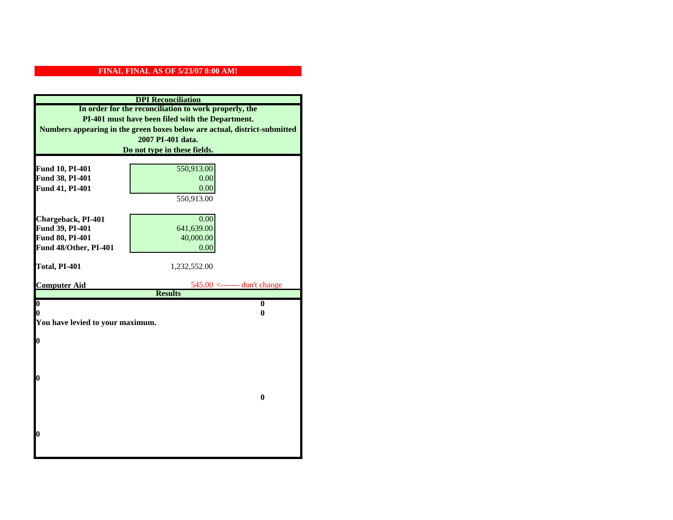|                                    | <b>DPI</b> Reconciliation                                                 |
|------------------------------------|---------------------------------------------------------------------------|
|                                    | In order for the reconciliation to work properly, the                     |
|                                    | PI-401 must have been filed with the Department.                          |
|                                    | Numbers appearing in the green boxes below are actual, district-submitted |
|                                    | 2007 PI-401 data.                                                         |
|                                    | Do not type in these fields.                                              |
|                                    |                                                                           |
| Fund 10, PI-401<br>Fund 38, PI-401 | 550,913.00                                                                |
| Fund 41, PI-401                    | 0.00<br>0.00                                                              |
|                                    | 550,913.00                                                                |
|                                    |                                                                           |
| Chargeback, PI-401                 | 0.00                                                                      |
| Fund 39, PI-401                    | 641,639.00                                                                |
| Fund 80, PI-401                    | 40,000.00                                                                 |
| Fund 48/Other, PI-401              | 0.00                                                                      |
|                                    |                                                                           |
| Total, PI-401                      | 1,232,552.00                                                              |
|                                    |                                                                           |
| <b>Computer Aid</b>                | $545.00$ <------- don't change<br><b>Results</b>                          |
| $\boldsymbol{0}$                   | $\bf{0}$                                                                  |
| 0                                  | 0                                                                         |
| You have levied to your maximum.   |                                                                           |
|                                    |                                                                           |
| $\bf{0}$                           |                                                                           |
|                                    |                                                                           |
|                                    |                                                                           |
| 0                                  |                                                                           |
|                                    |                                                                           |
|                                    | $\bf{0}$                                                                  |
|                                    |                                                                           |
|                                    |                                                                           |
|                                    |                                                                           |
| 0                                  |                                                                           |
|                                    |                                                                           |
|                                    |                                                                           |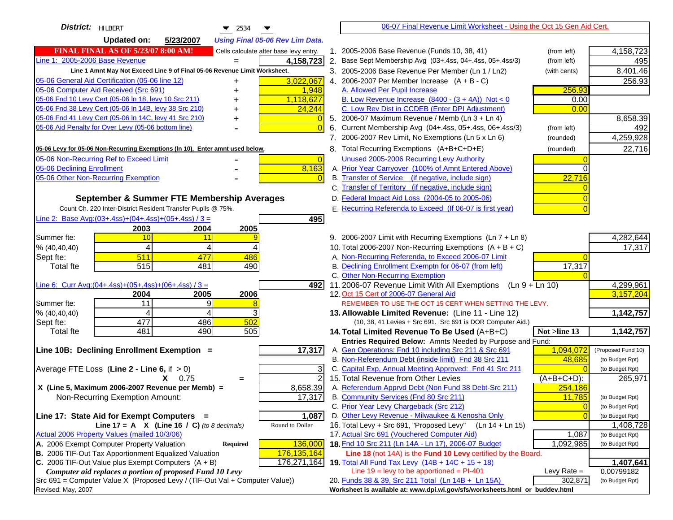| District:   HILBERT<br>$\blacktriangledown$ 2534                                    |                | 06-07 Final Revenue Limit Worksheet - Using the Oct 15 Gen Aid Cert.                                                     |                |                                    |
|-------------------------------------------------------------------------------------|----------------|--------------------------------------------------------------------------------------------------------------------------|----------------|------------------------------------|
| <b>Updated on:</b><br>5/23/2007<br><b>Using Final 05-06 Rev Lim Data.</b>           |                |                                                                                                                          |                |                                    |
| <b>FINAL FINAL AS OF 5/23/07 8:00 AM!</b><br>Cells calculate after base levy entry. |                | 1. 2005-2006 Base Revenue (Funds 10, 38, 41)<br>(from left)                                                              |                | 4,158,723                          |
| Line 1: 2005-2006 Base Revenue<br>4,158,723<br>$=$                                  |                | 2. Base Sept Membership Avg (03+.4ss, 04+.4ss, 05+.4ss/3)<br>(from left)                                                 |                | 495                                |
| Line 1 Amnt May Not Exceed Line 9 of Final 05-06 Revenue Limit Worksheet.           |                | 3. 2005-2006 Base Revenue Per Member (Ln 1 / Ln2)<br>(with cents)                                                        |                | 8,401.46                           |
| 3,022,067<br>05-06 General Aid Certification (05-06 line 12)<br>+                   |                | 4. 2006-2007 Per Member Increase $(A + B - C)$                                                                           |                | 256.93                             |
| 05-06 Computer Aid Received (Src 691)<br>1,948                                      |                | A. Allowed Per Pupil Increase                                                                                            | 256.93         |                                    |
| 05-06 Fnd 10 Levy Cert (05-06 In 18, levy 10 Src 211)<br>1,118,627                  |                | B. Low Revenue Increase $(8400 - (3 + 4A))$ Not < 0                                                                      | 0.00           |                                    |
| 05-06 Fnd 38 Levy Cert (05-06 In 14B, levy 38 Src 210)<br>24,244                    |                | C. Low Rev Dist in CCDEB (Enter DPI Adjustment)                                                                          | 0.00           |                                    |
| 05-06 Fnd 41 Levy Cert (05-06 In 14C, levy 41 Src 210)<br>┿                         |                | 5. 2006-07 Maximum Revenue / Memb (Ln 3 + Ln 4)                                                                          |                | 8,658.39                           |
| 05-06 Aid Penalty for Over Levy (05-06 bottom line)                                 | $\Omega$       | Current Membership Avg (04+.4ss, 05+.4ss, 06+.4ss/3)<br>6.<br>(from left)                                                |                | 492                                |
|                                                                                     |                | 7. 2006-2007 Rev Limit, No Exemptions (Ln 5 x Ln 6)<br>(rounded)                                                         |                | 4,259,928                          |
| 05-06 Levy for 05-06 Non-Recurring Exemptions (In 10), Enter amnt used below.       |                | 8. Total Recurring Exemptions (A+B+C+D+E)<br>(rounded)                                                                   |                | 22,716                             |
| 05-06 Non-Recurring Ref to Exceed Limit                                             | $\overline{0}$ | Unused 2005-2006 Recurring Levy Authority                                                                                |                |                                    |
| 8,163<br>05-06 Declining Enrollment                                                 |                | A. Prior Year Carryover (100% of Amnt Entered Above)                                                                     | $\Omega$       |                                    |
| 05-06 Other Non-Recurring Exemption                                                 |                | B. Transfer of Service (if negative, include sign)                                                                       | 22,716         |                                    |
|                                                                                     |                | C. Transfer of Territory (if negative, include sign)                                                                     |                |                                    |
| September & Summer FTE Membership Averages                                          |                | D. Federal Impact Aid Loss (2004-05 to 2005-06)                                                                          |                |                                    |
| Count Ch. 220 Inter-District Resident Transfer Pupils @ 75%.                        |                | E. Recurring Referenda to Exceed (If 06-07 is first year)                                                                |                |                                    |
| Line 2: Base Avg: $(03+.4ss)+(04+.4ss)+(05+.4ss)/3 =$<br>495                        |                |                                                                                                                          |                |                                    |
| 2003<br>2004<br>2005                                                                |                |                                                                                                                          |                |                                    |
| Summer fte:<br>10 <sup>1</sup><br>11<br>4                                           |                | 9. 2006-2007 Limit with Recurring Exemptions (Ln 7 + Ln 8)<br>10. Total 2006-2007 Non-Recurring Exemptions $(A + B + C)$ |                | 4,282,644                          |
| 4<br>% (40, 40, 40)<br>511<br>477<br>486<br>Sept fte:                               |                | A. Non-Recurring Referenda, to Exceed 2006-07 Limit                                                                      |                | 17,317                             |
| 515<br>481<br>490<br>Total fte                                                      |                | B. Declining Enrollment Exemptn for 06-07 (from left)                                                                    | 17,317         |                                    |
|                                                                                     |                | C. Other Non-Recurring Exemption                                                                                         |                |                                    |
| Line 6: Curr Avg: $(04+.4ss)+(05+.4ss)+(06+.4ss)/3 =$<br>4921                       |                | 11.2006-07 Revenue Limit With All Exemptions $(Ln 9 + Ln 10)$                                                            |                | 4,299,961                          |
| 2005<br>2006<br>2004                                                                |                | 12. Oct 15 Cert of 2006-07 General Aid                                                                                   |                | 3,157,204                          |
| $\overline{11}$<br>Summer fte:<br>9                                                 |                | REMEMBER TO USE THE OCT 15 CERT WHEN SETTING THE LEVY.                                                                   |                |                                    |
| 3<br>% (40, 40, 40)<br>4<br>4                                                       |                | 13. Allowable Limited Revenue: (Line 11 - Line 12)                                                                       |                | 1,142,757                          |
| 502<br>477<br>486<br>Sept fte:                                                      |                | (10, 38, 41 Levies + Src 691. Src 691 is DOR Computer Aid.)                                                              |                |                                    |
| 481<br>490<br>505<br>Total fte                                                      |                | 14. Total Limited Revenue To Be Used (A+B+C)<br>Not >line 13                                                             |                | 1,142,757                          |
|                                                                                     |                | Entries Required Below: Amnts Needed by Purpose and Fund:                                                                |                |                                    |
| 17,317<br>Line 10B: Declining Enrollment Exemption =                                |                | A. Gen Operations: Fnd 10 including Src 211 & Src 691<br>B. Non-Referendum Debt (inside limit) Fnd 38 Src 211            | 1,094,072      | (Proposed Fund 10)                 |
| Average FTE Loss (Line $2 -$ Line 6, if $> 0$ )                                     | 3              | C. Capital Exp, Annual Meeting Approved: Fnd 41 Src 211                                                                  | 48,685         | (to Budget Rpt)<br>(to Budget Rpt) |
| $X = 0.75$<br>$\qquad \qquad =$                                                     | $\overline{2}$ | 15. Total Revenue from Other Levies                                                                                      | $(A+B+C+D)$ :  | 265,971                            |
| X (Line 5, Maximum 2006-2007 Revenue per Memb) =<br>8,658.39                        |                | A. Referendum Apprvd Debt (Non Fund 38 Debt-Src 211)                                                                     | 254,186        |                                    |
| 17,317<br>Non-Recurring Exemption Amount:                                           |                | B. Community Services (Fnd 80 Src 211)                                                                                   | 11,785         | (to Budget Rpt)                    |
|                                                                                     |                | C. Prior Year Levy Chargeback (Src 212)                                                                                  | $\overline{0}$ | (to Budget Rpt)                    |
| Line 17: State Aid for Exempt Computers =<br>1,087                                  |                | D. Other Levy Revenue - Milwaukee & Kenosha Only                                                                         | $\Omega$       | (to Budget Rpt)                    |
| Line 17 = A $X$ (Line 16 / C) (to 8 decimals)<br>Round to Dollar                    |                | 16. Total Levy + Src 691, "Proposed Levy"<br>(Ln 14 + Ln 15)                                                             |                | 1,408,728                          |
| Actual 2006 Property Values (mailed 10/3/06)                                        |                | 17. Actual Src 691 (Vouchered Computer Aid)                                                                              | 1,087          | (to Budget Rpt)                    |
| A. 2006 Exempt Computer Property Valuation<br>136,000<br><b>Required</b>            |                | 18. Fnd 10 Src 211 (Ln 14A - Ln 17), 2006-07 Budget                                                                      | 1,092,985      | (to Budget Rpt)                    |
| B. 2006 TIF-Out Tax Apportionment Equalized Valuation<br>176, 135, 164              |                | Line 18 (not 14A) is the Fund 10 Levy certified by the Board.                                                            |                |                                    |
| C. 2006 TIF-Out Value plus Exempt Computers $(A + B)$<br>176,271,164                |                | 19. Total All Fund Tax Levy (14B + 14C + 15 + 18)                                                                        |                | 1,407,641                          |
| Computer aid replaces a portion of proposed Fund 10 Levy                            |                | Line $19 = \text{levy}$ to be apportioned = PI-401                                                                       | Levy Rate $=$  | 0.00799182                         |
| Src 691 = Computer Value X (Proposed Levy / (TIF-Out Val + Computer Value))         |                | 20. Funds 38 & 39, Src 211 Total (Ln 14B + Ln 15A)                                                                       | 302,871        | (to Budget Rpt)                    |
| Revised: May, 2007                                                                  |                | Worksheet is available at: www.dpi.wi.gov/sfs/worksheets.html or buddev.html                                             |                |                                    |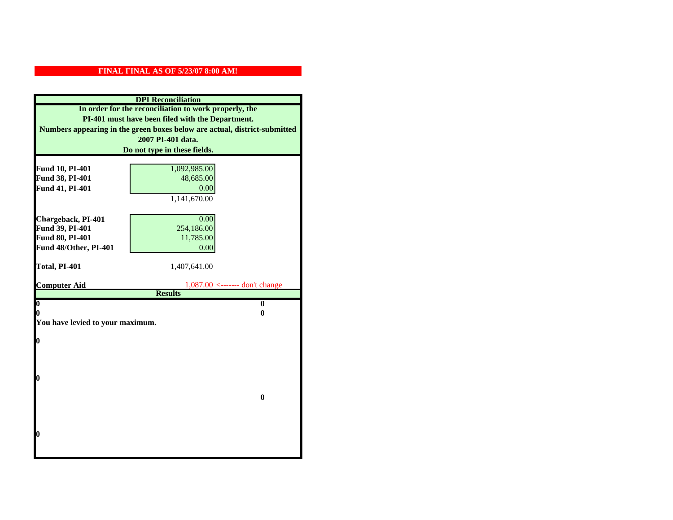|                                    | <b>DPI</b> Reconciliation                                                 |
|------------------------------------|---------------------------------------------------------------------------|
|                                    | In order for the reconciliation to work properly, the                     |
|                                    | PI-401 must have been filed with the Department.                          |
|                                    | Numbers appearing in the green boxes below are actual, district-submitted |
|                                    | 2007 PI-401 data.                                                         |
|                                    | Do not type in these fields.                                              |
|                                    |                                                                           |
| Fund 10, PI-401<br>Fund 38, PI-401 | 1,092,985.00<br>48,685.00                                                 |
| Fund 41, PI-401                    | 0.00                                                                      |
|                                    | 1,141,670.00                                                              |
|                                    |                                                                           |
| Chargeback, PI-401                 | 0.00                                                                      |
| Fund 39, PI-401                    | 254,186.00                                                                |
| Fund 80, PI-401                    | 11,785.00                                                                 |
| Fund 48/Other, PI-401              | 0.00                                                                      |
|                                    |                                                                           |
| Total, PI-401                      | 1,407,641.00                                                              |
|                                    |                                                                           |
| <b>Computer Aid</b>                | $1,087.00$ <------- don't change<br><b>Results</b>                        |
| $\boldsymbol{0}$                   | $\bf{0}$                                                                  |
| 0                                  | 0                                                                         |
| You have levied to your maximum.   |                                                                           |
|                                    |                                                                           |
| 0                                  |                                                                           |
|                                    |                                                                           |
|                                    |                                                                           |
| 0                                  |                                                                           |
|                                    |                                                                           |
|                                    | $\bf{0}$                                                                  |
|                                    |                                                                           |
|                                    |                                                                           |
|                                    |                                                                           |
| 0                                  |                                                                           |
|                                    |                                                                           |
|                                    |                                                                           |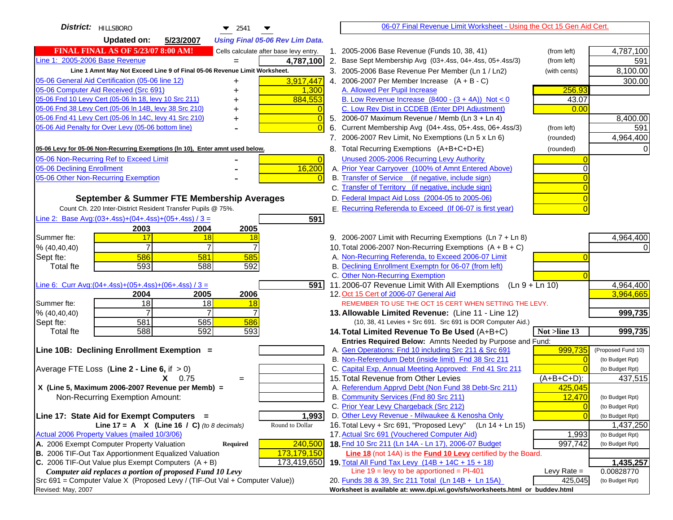| District:   HILLSBORO<br>$\blacktriangledown$ 2541                                                                                           |    | 06-07 Final Revenue Limit Worksheet - Using the Oct 15 Gen Aid Cert.                                         |                |                         |
|----------------------------------------------------------------------------------------------------------------------------------------------|----|--------------------------------------------------------------------------------------------------------------|----------------|-------------------------|
| <b>Updated on:</b><br>5/23/2007<br><b>Using Final 05-06 Rev Lim Data.</b>                                                                    |    |                                                                                                              |                |                         |
| <b>FINAL FINAL AS OF 5/23/07 8:00 AM!</b><br>Cells calculate after base levy entry.                                                          |    | 1. 2005-2006 Base Revenue (Funds 10, 38, 41)                                                                 | (from left)    | 4,787,100               |
| Line 1: 2005-2006 Base Revenue<br>4,787,100<br>$=$                                                                                           |    | 2. Base Sept Membership Avg (03+.4ss, 04+.4ss, 05+.4ss/3)                                                    | (from left)    | 591                     |
| Line 1 Amnt May Not Exceed Line 9 of Final 05-06 Revenue Limit Worksheet.                                                                    |    | 3. 2005-2006 Base Revenue Per Member (Ln 1 / Ln2)                                                            | (with cents)   | 8,100.00                |
| 05-06 General Aid Certification (05-06 line 12)<br>3,917,447                                                                                 |    | 4. 2006-2007 Per Member Increase $(A + B - C)$                                                               |                | 300.00                  |
| 05-06 Computer Aid Received (Src 691)<br>1,300                                                                                               |    | A. Allowed Per Pupil Increase                                                                                | 256.93         |                         |
| 05-06 Fnd 10 Levy Cert (05-06 In 18, levy 10 Src 211)<br>884,553                                                                             |    | B. Low Revenue Increase $(8400 - (3 + 4A))$ Not < 0                                                          | 43.07          |                         |
| 05-06 Fnd 38 Levy Cert (05-06 In 14B, levy 38 Src 210)                                                                                       |    | C. Low Rev Dist in CCDEB (Enter DPI Adjustment)                                                              | 0.00           |                         |
| 05-06 Fnd 41 Levy Cert (05-06 In 14C, levy 41 Src 210)<br>$\Omega$<br>+                                                                      |    | 5. 2006-07 Maximum Revenue / Memb (Ln 3 + Ln 4)                                                              |                | 8,400.00                |
| 05-06 Aid Penalty for Over Levy (05-06 bottom line)<br>$\Omega$                                                                              | 6. | Current Membership Avg (04+.4ss, 05+.4ss, 06+.4ss/3)                                                         | (from left)    | 591                     |
|                                                                                                                                              |    | 7. 2006-2007 Rev Limit, No Exemptions (Ln 5 x Ln 6)                                                          | (rounded)      | 4,964,400               |
| 05-06 Levy for 05-06 Non-Recurring Exemptions (In 10), Enter amnt used below.                                                                |    | 8. Total Recurring Exemptions (A+B+C+D+E)                                                                    | (rounded)      |                         |
| 05-06 Non-Recurring Ref to Exceed Limit<br>$\overline{0}$                                                                                    |    | Unused 2005-2006 Recurring Levy Authority                                                                    |                |                         |
| 16,200<br>05-06 Declining Enrollment                                                                                                         |    | A. Prior Year Carryover (100% of Amnt Entered Above)                                                         | 0              |                         |
| 05-06 Other Non-Recurring Exemption                                                                                                          |    | B. Transfer of Service (if negative, include sign)                                                           |                |                         |
|                                                                                                                                              |    | C. Transfer of Territory (if negative, include sign)                                                         |                |                         |
| September & Summer FTE Membership Averages                                                                                                   |    | D. Federal Impact Aid Loss (2004-05 to 2005-06)                                                              |                |                         |
| Count Ch. 220 Inter-District Resident Transfer Pupils @ 75%.                                                                                 |    | E. Recurring Referenda to Exceed (If 06-07 is first year)                                                    |                |                         |
| Line 2: Base Avg: (03+.4ss) + (04+.4ss) + (05+.4ss) / 3 =<br>591                                                                             |    |                                                                                                              |                |                         |
| 2003<br>2004<br>2005                                                                                                                         |    |                                                                                                              |                |                         |
| 17<br>Summer fte:<br>18<br>18                                                                                                                |    | 9. 2006-2007 Limit with Recurring Exemptions (Ln 7 + Ln 8)                                                   |                | 4,964,400               |
| 7<br>7<br>$\overline{7}$<br>% (40, 40, 40)                                                                                                   |    | 10. Total 2006-2007 Non-Recurring Exemptions $(A + B + C)$                                                   |                |                         |
| 586<br>581<br>585<br>Sept fte:                                                                                                               |    | A. Non-Recurring Referenda, to Exceed 2006-07 Limit                                                          |                |                         |
| 593<br>588<br>592<br>Total fte                                                                                                               |    | B. Declining Enrollment Exemptn for 06-07 (from left)                                                        |                |                         |
|                                                                                                                                              |    | C. Other Non-Recurring Exemption                                                                             |                |                         |
| Line 6: Curr Avg: $(04+.4ss)+(05+.4ss)+(06+.4ss)$ / 3 =<br>5911                                                                              |    | 11.2006-07 Revenue Limit With All Exemptions (Ln $9 + \overline{\text{Ln }10}$ )                             |                | 4,964,400               |
| 2006<br>2004<br>2005                                                                                                                         |    | 12. Oct 15 Cert of 2006-07 General Aid                                                                       |                | 3,964,665               |
| 18<br>18<br>Summer fte:<br>18<br>% (40, 40, 40)                                                                                              |    | REMEMBER TO USE THE OCT 15 CERT WHEN SETTING THE LEVY.<br>13. Allowable Limited Revenue: (Line 11 - Line 12) |                | 999,735                 |
| 581<br>585<br>586<br>Sept fte:                                                                                                               |    | (10, 38, 41 Levies + Src 691. Src 691 is DOR Computer Aid.)                                                  |                |                         |
| 588<br>592<br>593<br><b>Total fte</b>                                                                                                        |    | 14. Total Limited Revenue To Be Used (A+B+C)                                                                 | Not >line 13   | 999,735                 |
|                                                                                                                                              |    | Entries Required Below: Amnts Needed by Purpose and Fund:                                                    |                |                         |
| Line 10B: Declining Enrollment Exemption =                                                                                                   |    | A. Gen Operations: Fnd 10 including Src 211 & Src 691                                                        | 999,735        | (Proposed Fund 10)      |
|                                                                                                                                              |    | B. Non-Referendum Debt (inside limit) Fnd 38 Src 211                                                         | $\Omega$       | (to Budget Rpt)         |
| Average FTE Loss (Line $2 -$ Line 6, if $> 0$ )                                                                                              |    | C. Capital Exp, Annual Meeting Approved: Fnd 41 Src 211                                                      |                | (to Budget Rpt)         |
| $X = 0.75$<br>$=$                                                                                                                            |    | 15. Total Revenue from Other Levies                                                                          | (A+B+C+D):     | 437,515                 |
| X (Line 5, Maximum 2006-2007 Revenue per Memb) =                                                                                             |    | A. Referendum Apprvd Debt (Non Fund 38 Debt-Src 211)                                                         | 425,045        |                         |
| Non-Recurring Exemption Amount:                                                                                                              |    | B. Community Services (Fnd 80 Src 211)                                                                       | 12,470         | (to Budget Rpt)         |
|                                                                                                                                              |    | C. Prior Year Levy Chargeback (Src 212)                                                                      | $\overline{0}$ | (to Budget Rpt)         |
| Line 17: State Aid for Exempt Computers =<br>1,993                                                                                           |    | D. Other Levy Revenue - Milwaukee & Kenosha Only                                                             | $\Omega$       | (to Budget Rpt)         |
| Round to Dollar<br>Line 17 = A $X$ (Line 16 / C) (to 8 decimals)                                                                             |    | 16. Total Levy + Src 691, "Proposed Levy"<br>(Ln 14 + Ln 15)                                                 |                | 1,437,250               |
| Actual 2006 Property Values (mailed 10/3/06)                                                                                                 |    | 17. Actual Src 691 (Vouchered Computer Aid)                                                                  | 1,993          | (to Budget Rpt)         |
| A. 2006 Exempt Computer Property Valuation<br>240,500<br>Required                                                                            |    | 18. Fnd 10 Src 211 (Ln 14A - Ln 17), 2006-07 Budget                                                          | 997,742        | (to Budget Rpt)         |
| B. 2006 TIF-Out Tax Apportionment Equalized Valuation<br>173,179,150<br>C. 2006 TIF-Out Value plus Exempt Computers $(A + B)$<br>173,419,650 |    | Line 18 (not 14A) is the Fund 10 Levy certified by the Board.                                                |                |                         |
| Computer aid replaces a portion of proposed Fund 10 Levy                                                                                     |    | 19. Total All Fund Tax Levy $(14B + 14C + 15 + 18)$<br>Line $19 = \text{levy}$ to be apportioned = PI-401    | Levy Rate $=$  | 1,435,257<br>0.00828770 |
| Src 691 = Computer Value X (Proposed Levy / (TIF-Out Val + Computer Value))                                                                  |    | 20. Funds 38 & 39, Src 211 Total (Ln 14B + Ln 15A)                                                           | 425,045        | (to Budget Rpt)         |
| Revised: May, 2007                                                                                                                           |    | Worksheet is available at: www.dpi.wi.gov/sfs/worksheets.html or buddev.html                                 |                |                         |
|                                                                                                                                              |    |                                                                                                              |                |                         |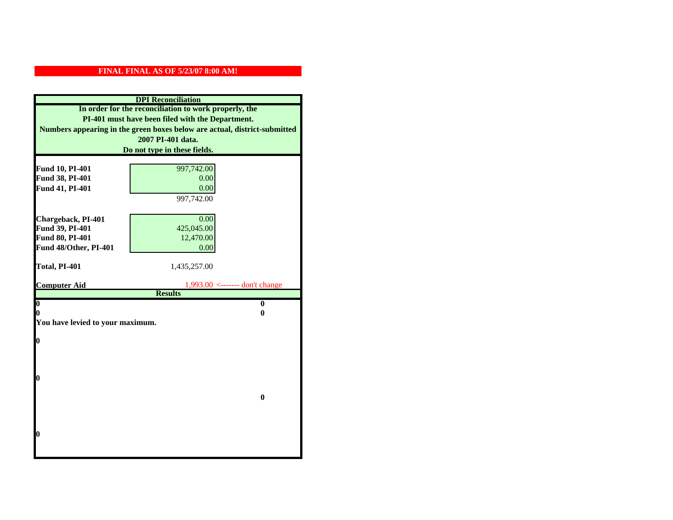|                                  | <b>DPI</b> Reconciliation                                                 |
|----------------------------------|---------------------------------------------------------------------------|
|                                  | In order for the reconciliation to work properly, the                     |
|                                  | PI-401 must have been filed with the Department.                          |
|                                  | Numbers appearing in the green boxes below are actual, district-submitted |
|                                  | 2007 PI-401 data.                                                         |
|                                  | Do not type in these fields.                                              |
|                                  |                                                                           |
| Fund 10, PI-401                  | 997,742.00                                                                |
| Fund 38, PI-401                  | 0.00                                                                      |
| Fund 41, PI-401                  | 0.00                                                                      |
|                                  | 997,742.00                                                                |
|                                  |                                                                           |
| Chargeback, PI-401               | 0.00                                                                      |
| Fund 39, PI-401                  | 425,045.00                                                                |
| Fund 80, PI-401                  | 12,470.00                                                                 |
| Fund 48/Other, PI-401            | 0.00                                                                      |
| Total, PI-401                    | 1,435,257.00                                                              |
|                                  |                                                                           |
| <b>Computer Aid</b>              | $1,993.00$ <------- don't change                                          |
|                                  | <b>Results</b>                                                            |
| $\boldsymbol{0}$                 | $\bf{0}$                                                                  |
| 0                                | 0                                                                         |
| You have levied to your maximum. |                                                                           |
| $\bf{0}$                         |                                                                           |
|                                  |                                                                           |
|                                  |                                                                           |
|                                  |                                                                           |
| 0                                |                                                                           |
|                                  |                                                                           |
|                                  | $\bf{0}$                                                                  |
|                                  |                                                                           |
|                                  |                                                                           |
|                                  |                                                                           |
| 0                                |                                                                           |
|                                  |                                                                           |
|                                  |                                                                           |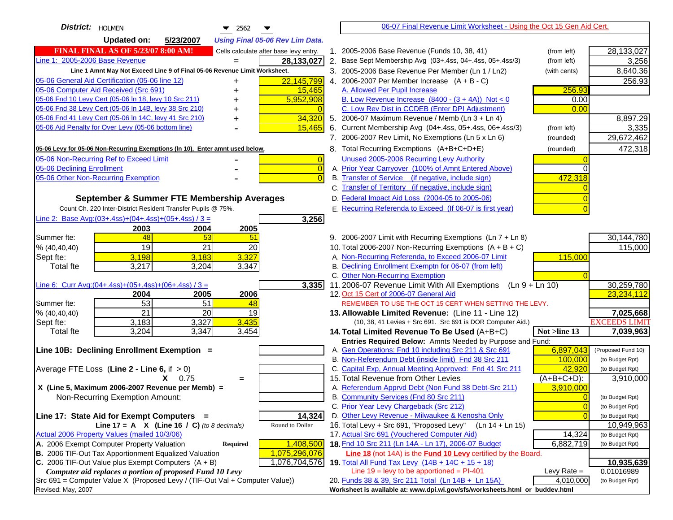| District:   HOLMEN<br>$\blacktriangledown$ 2562<br>▼                                                                                          | 06-07 Final Revenue Limit Worksheet - Using the Oct 15 Gen Aid Cert.                                                              |                          |
|-----------------------------------------------------------------------------------------------------------------------------------------------|-----------------------------------------------------------------------------------------------------------------------------------|--------------------------|
| <b>Updated on:</b><br>5/23/2007<br><b>Using Final 05-06 Rev Lim Data.</b>                                                                     |                                                                                                                                   |                          |
| <b>FINAL FINAL AS OF 5/23/07 8:00 AM!</b><br>Cells calculate after base levy entry.                                                           | 1. 2005-2006 Base Revenue (Funds 10, 38, 41)<br>(from left)                                                                       | 28,133,027               |
| Line 1: 2005-2006 Base Revenue<br>28,133,027<br>$=$                                                                                           | 2. Base Sept Membership Avg (03+.4ss, 04+.4ss, 05+.4ss/3)<br>(from left)                                                          | 3,256                    |
| Line 1 Amnt May Not Exceed Line 9 of Final 05-06 Revenue Limit Worksheet.                                                                     | 3. 2005-2006 Base Revenue Per Member (Ln 1 / Ln2)<br>(with cents)                                                                 | 8,640.36                 |
| 22,145,799<br>05-06 General Aid Certification (05-06 line 12)                                                                                 | 4. 2006-2007 Per Member Increase $(A + B - C)$                                                                                    | 256.93                   |
| 05-06 Computer Aid Received (Src 691)<br>15,465                                                                                               | A. Allowed Per Pupil Increase<br>256.93                                                                                           |                          |
| 05-06 Fnd 10 Levy Cert (05-06 ln 18, levy 10 Src 211)<br>5,952,908                                                                            | B. Low Revenue Increase $(8400 - (3 + 4A))$ Not < 0<br>0.00                                                                       |                          |
| 05-06 Fnd 38 Levy Cert (05-06 In 14B, levy 38 Src 210)                                                                                        | C. Low Rev Dist in CCDEB (Enter DPI Adjustment)<br>0.00                                                                           |                          |
| 05-06 Fnd 41 Levy Cert (05-06 In 14C, levy 41 Src 210)<br>34,320<br>+                                                                         | 5. 2006-07 Maximum Revenue / Memb (Ln 3 + Ln 4)                                                                                   | 8,897.29                 |
| 05-06 Aid Penalty for Over Levy (05-06 bottom line)<br>15,465                                                                                 | 6. Current Membership Avg (04+.4ss, 05+.4ss, 06+.4ss/3)<br>(from left)                                                            | 3,335                    |
|                                                                                                                                               | 7. 2006-2007 Rev Limit, No Exemptions (Ln 5 x Ln 6)<br>(rounded)                                                                  | 29,672,462               |
| 05-06 Levy for 05-06 Non-Recurring Exemptions (In 10), Enter amnt used below.                                                                 | 8. Total Recurring Exemptions (A+B+C+D+E)<br>(rounded)                                                                            | 472,318                  |
| 05-06 Non-Recurring Ref to Exceed Limit<br>$\overline{0}$                                                                                     | Unused 2005-2006 Recurring Levy Authority                                                                                         |                          |
| 05-06 Declining Enrollment<br>$\overline{0}$                                                                                                  | A. Prior Year Carryover (100% of Amnt Entered Above)                                                                              |                          |
| 05-06 Other Non-Recurring Exemption<br>$\Omega$                                                                                               | B. Transfer of Service (if negative, include sign)<br>472,318                                                                     |                          |
|                                                                                                                                               | C. Transfer of Territory (if negative, include sign)                                                                              |                          |
| September & Summer FTE Membership Averages                                                                                                    | D. Federal Impact Aid Loss (2004-05 to 2005-06)                                                                                   |                          |
| Count Ch. 220 Inter-District Resident Transfer Pupils @ 75%.                                                                                  | E. Recurring Referenda to Exceed (If 06-07 is first year)                                                                         |                          |
| Line 2: Base Avg: $(03+.4ss)+(04+.4ss)+(05+.4ss)/3 =$<br>3,256                                                                                |                                                                                                                                   |                          |
| 2003<br>2004<br>2005                                                                                                                          |                                                                                                                                   |                          |
| 48<br>53<br>Summer fte:<br>51                                                                                                                 | 9. 2006-2007 Limit with Recurring Exemptions (Ln 7 + Ln 8)                                                                        | 30,144,780               |
| 19<br>21<br>20<br>% (40, 40, 40)                                                                                                              | 10. Total 2006-2007 Non-Recurring Exemptions $(A + B + C)$                                                                        | 115,000                  |
| 3,198<br>3,327<br>3,183<br>Sept fte:                                                                                                          | A. Non-Recurring Referenda, to Exceed 2006-07 Limit<br>115,000                                                                    |                          |
| <b>Total fte</b><br>3,217<br>3,204<br>3,347                                                                                                   | B. Declining Enrollment Exemptn for 06-07 (from left)                                                                             |                          |
|                                                                                                                                               | C. Other Non-Recurring Exemption                                                                                                  |                          |
| Line 6: Curr Avg: $(04+.4ss)+(05+.4ss)+(06+.4ss)/3 =$<br>3,335                                                                                | 11.2006-07 Revenue Limit With All Exemptions<br>$(Ln 9 + Ln 10)$                                                                  | 30,259,780<br>23,234,112 |
| 2006<br>2004<br>2005<br>53<br>51<br>Summer fte:<br>48                                                                                         | 12. Oct 15 Cert of 2006-07 General Aid<br>REMEMBER TO USE THE OCT 15 CERT WHEN SETTING THE LEVY.                                  |                          |
| $\overline{21}$<br>20<br>19<br>% (40, 40, 40)                                                                                                 | 13. Allowable Limited Revenue: (Line 11 - Line 12)                                                                                | 7,025,668                |
| 3,435<br>3,183<br>3,327<br>Sept fte:                                                                                                          | (10, 38, 41 Levies + Src 691. Src 691 is DOR Computer Aid.)                                                                       | <b>EXCEEDS LIMIT</b>     |
| 3,347<br>3,204<br>3,454<br><b>Total fte</b>                                                                                                   | Not >line 13<br>14. Total Limited Revenue To Be Used (A+B+C)                                                                      | 7,039,963                |
|                                                                                                                                               | Entries Required Below: Amnts Needed by Purpose and Fund:                                                                         |                          |
| Line 10B: Declining Enrollment Exemption =                                                                                                    | A. Gen Operations: Fnd 10 including Src 211 & Src 691<br>6,897,043                                                                | (Proposed Fund 10)       |
|                                                                                                                                               | B. Non-Referendum Debt (inside limit) Fnd 38 Src 211<br>100,000                                                                   | (to Budget Rpt)          |
| Average FTE Loss (Line $2 -$ Line 6, if $> 0$ )                                                                                               | C. Capital Exp, Annual Meeting Approved: Fnd 41 Src 211<br>42,920                                                                 | (to Budget Rpt)          |
| $X = 0.75$<br>$=$                                                                                                                             | 15. Total Revenue from Other Levies<br>$(A+B+C+D)$ :                                                                              | 3,910,000                |
| X (Line 5, Maximum 2006-2007 Revenue per Memb) =                                                                                              | A. Referendum Apprvd Debt (Non Fund 38 Debt-Src 211)<br>3,910,000                                                                 |                          |
| Non-Recurring Exemption Amount:                                                                                                               | B. Community Services (Fnd 80 Src 211)<br>$\overline{0}$                                                                          | (to Budget Rpt)          |
|                                                                                                                                               | C. Prior Year Levy Chargeback (Src 212)<br>$\overline{0}$                                                                         | (to Budget Rpt)          |
| 14,324<br>Line 17: State Aid for Exempt Computers =                                                                                           | D. Other Levy Revenue - Milwaukee & Kenosha Only<br>$\Omega$                                                                      | (to Budget Rpt)          |
| Line 17 = A $X$ (Line 16 / C) (to 8 decimals)<br>Round to Dollar                                                                              | 16. Total Levy + Src 691, "Proposed Levy"<br>(Ln 14 + Ln 15)                                                                      | 10,949,963               |
| Actual 2006 Property Values (mailed 10/3/06)                                                                                                  | 17. Actual Src 691 (Vouchered Computer Aid)<br>14,324                                                                             | (to Budget Rpt)          |
| A. 2006 Exempt Computer Property Valuation<br>1,408,500<br>Required<br>B. 2006 TIF-Out Tax Apportionment Equalized Valuation<br>1,075,296,076 | 18. Fnd 10 Src 211 (Ln 14A - Ln 17), 2006-07 Budget<br>6,882,719<br>Line 18 (not 14A) is the Fund 10 Levy certified by the Board. | (to Budget Rpt)          |
| C. 2006 TIF-Out Value plus Exempt Computers $(A + B)$<br>1,076,704,576                                                                        | 19. Total All Fund Tax Levy (14B + 14C + 15 + 18)                                                                                 | 10,935,639               |
| Computer aid replaces a portion of proposed Fund 10 Levy                                                                                      | Line $19 = \text{levy}$ to be apportioned = PI-401<br>Levy Rate $=$                                                               | 0.01016989               |
| Src 691 = Computer Value X (Proposed Levy / (TIF-Out Val + Computer Value))                                                                   | 4,010,000<br>20. Funds 38 & 39, Src 211 Total (Ln 14B + Ln 15A)                                                                   | (to Budget Rpt)          |
| Revised: May, 2007                                                                                                                            | Worksheet is available at: www.dpi.wi.gov/sfs/worksheets.html or buddev.html                                                      |                          |
|                                                                                                                                               |                                                                                                                                   |                          |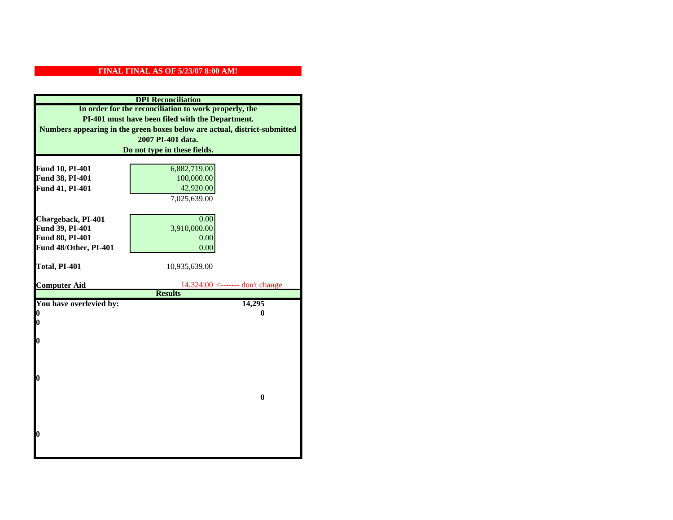|                                    | <b>DPI</b> Reconciliation                                                 |
|------------------------------------|---------------------------------------------------------------------------|
|                                    | In order for the reconciliation to work properly, the                     |
|                                    | PI-401 must have been filed with the Department.                          |
|                                    | Numbers appearing in the green boxes below are actual, district-submitted |
|                                    | 2007 PI-401 data.                                                         |
|                                    | Do not type in these fields.                                              |
|                                    |                                                                           |
| Fund 10, PI-401                    | 6,882,719.00                                                              |
| Fund 38, PI-401                    | 100,000.00                                                                |
| Fund 41, PI-401                    | 42,920.00                                                                 |
|                                    | 7,025,639.00                                                              |
|                                    |                                                                           |
| Chargeback, PI-401                 | 0.00                                                                      |
| Fund 39, PI-401<br>Fund 80, PI-401 | 3,910,000.00                                                              |
| Fund 48/Other, PI-401              | 0.00<br>0.00                                                              |
|                                    |                                                                           |
| Total, PI-401                      | 10,935,639.00                                                             |
|                                    |                                                                           |
| <b>Computer Aid</b>                | $14,324.00$ <------- don't change                                         |
|                                    | <b>Results</b>                                                            |
| You have overlevied by:<br>0       | 14,295<br>0                                                               |
| 0                                  |                                                                           |
|                                    |                                                                           |
|                                    |                                                                           |
|                                    |                                                                           |
| $\boldsymbol{0}$                   |                                                                           |
|                                    |                                                                           |
|                                    |                                                                           |
| 0                                  |                                                                           |
|                                    |                                                                           |
|                                    | $\bf{0}$                                                                  |
|                                    |                                                                           |
|                                    |                                                                           |
|                                    |                                                                           |
| 0                                  |                                                                           |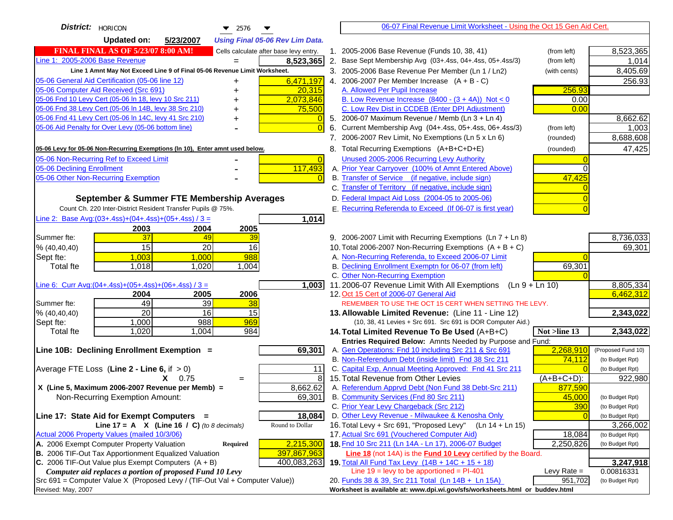| District:   HORICON<br>$\blacktriangledown$ 2576                                    |                | 06-07 Final Revenue Limit Worksheet - Using the Oct 15 Gen Aid Cert.                                        |               |                    |
|-------------------------------------------------------------------------------------|----------------|-------------------------------------------------------------------------------------------------------------|---------------|--------------------|
| <b>Updated on:</b><br>5/23/2007<br><b>Using Final 05-06 Rev Lim Data.</b>           |                |                                                                                                             |               |                    |
| <b>FINAL FINAL AS OF 5/23/07 8:00 AM!</b><br>Cells calculate after base levy entry. |                | 1. 2005-2006 Base Revenue (Funds 10, 38, 41)                                                                | (from left)   | 8,523,365          |
| Line 1: 2005-2006 Base Revenue<br>8,523,365                                         |                | 2. Base Sept Membership Avg (03+.4ss, 04+.4ss, 05+.4ss/3)                                                   | (from left)   | 1,014              |
| Line 1 Amnt May Not Exceed Line 9 of Final 05-06 Revenue Limit Worksheet.           |                | 3. 2005-2006 Base Revenue Per Member (Ln 1 / Ln2)                                                           | (with cents)  | 8,405.69           |
| 05-06 General Aid Certification (05-06 line 12)<br>6,471,197<br>+                   |                | 4. 2006-2007 Per Member Increase $(A + B - C)$                                                              |               | 256.93             |
| 05-06 Computer Aid Received (Src 691)<br>20,315                                     |                | A. Allowed Per Pupil Increase                                                                               | 256.93        |                    |
| 05-06 Fnd 10 Levy Cert (05-06 ln 18, levy 10 Src 211)<br>2,073,846                  |                | B. Low Revenue Increase $(8400 - (3 + 4A))$ Not < 0                                                         | 0.00          |                    |
| 05-06 Fnd 38 Levy Cert (05-06 In 14B, levy 38 Src 210)<br>75,500                    |                | C. Low Rev Dist in CCDEB (Enter DPI Adjustment)                                                             | 0.00          |                    |
| 05-06 Fnd 41 Levy Cert (05-06 In 14C, levy 41 Src 210)                              |                | 5. 2006-07 Maximum Revenue / Memb (Ln $3 + \text{Ln } 4$ )                                                  |               | 8,662.62           |
| 05-06 Aid Penalty for Over Levy (05-06 bottom line)                                 |                | 6. Current Membership Avg (04+.4ss, 05+.4ss, 06+.4ss/3)                                                     | (from left)   | 1,003              |
|                                                                                     |                | 7. 2006-2007 Rev Limit, No Exemptions (Ln 5 x Ln 6)                                                         | (rounded)     | 8,688,608          |
| 05-06 Levy for 05-06 Non-Recurring Exemptions (In 10), Enter amnt used below.       |                | 8. Total Recurring Exemptions (A+B+C+D+E)                                                                   | (rounded)     | 47,425             |
| 05-06 Non-Recurring Ref to Exceed Limit                                             | $\overline{0}$ | Unused 2005-2006 Recurring Levy Authority                                                                   |               |                    |
| 117,493<br>05-06 Declining Enrollment                                               |                | A. Prior Year Carryover (100% of Amnt Entered Above)                                                        | $\Omega$      |                    |
| 05-06 Other Non-Recurring Exemption                                                 |                | B. Transfer of Service (if negative, include sign)                                                          | 47,425        |                    |
|                                                                                     |                | C. Transfer of Territory (if negative, include sign)                                                        |               |                    |
| September & Summer FTE Membership Averages                                          |                | D. Federal Impact Aid Loss (2004-05 to 2005-06)                                                             |               |                    |
| Count Ch. 220 Inter-District Resident Transfer Pupils @ 75%.                        |                | E. Recurring Referenda to Exceed (If 06-07 is first year)                                                   |               |                    |
| Line 2: Base Avg:(03+.4ss)+(04+.4ss)+(05+.4ss) / 3 =<br>1,014                       |                |                                                                                                             |               |                    |
| 2003<br>2004<br>2005                                                                |                |                                                                                                             |               |                    |
| 37<br>Summer fte:<br>49<br>39                                                       |                | 9. 2006-2007 Limit with Recurring Exemptions (Ln 7 + Ln 8)                                                  |               | 8,736,033          |
| 15<br>20<br>% (40, 40, 40)<br>16                                                    |                | 10. Total 2006-2007 Non-Recurring Exemptions $(A + B + C)$                                                  |               | 69,301             |
| 1,003<br>1,000<br>988<br>Sept fte:                                                  |                | A. Non-Recurring Referenda, to Exceed 2006-07 Limit                                                         |               |                    |
| 1,018<br>1,020<br>1,004<br><b>Total fte</b>                                         |                | B. Declining Enrollment Exemptn for 06-07 (from left)                                                       | 69,301        |                    |
|                                                                                     |                | C. Other Non-Recurring Exemption                                                                            |               |                    |
| <u>Line 6: Curr Avg: (04+.4ss)+ (05+.4ss)+ (06+.4ss) / 3 =</u><br>1,003             |                | 11.2006-07 Revenue Limit With All Exemptions<br>(Ln 9 + Ln 10)                                              |               | 8,805,334          |
| 2005<br>2006<br>2004                                                                |                | 12. Oct 15 Cert of 2006-07 General Aid                                                                      |               | 6,462,312          |
| 49<br>$\overline{39}$<br>38<br>Summer fte:                                          |                | REMEMBER TO USE THE OCT 15 CERT WHEN SETTING THE LEVY.                                                      |               |                    |
| $\overline{20}$<br>16<br>% (40, 40, 40)<br>15                                       |                | 13. Allowable Limited Revenue: (Line 11 - Line 12)                                                          |               | 2,343,022          |
| 988<br>1,000<br>969<br>Sept fte:<br>1,004<br>984<br>1,020                           |                | (10, 38, 41 Levies + Src 691. Src 691 is DOR Computer Aid.)                                                 |               | 2,343,022          |
| <b>Total fte</b>                                                                    |                | 14. Total Limited Revenue To Be Used $(A+B+C)$<br>Entries Required Below: Amnts Needed by Purpose and Fund: | Not >line 13  |                    |
| Line 10B: Declining Enrollment Exemption =<br>69,301                                |                | A. Gen Operations: Fnd 10 including Src 211 & Src 691                                                       | 2,268,910     | (Proposed Fund 10) |
|                                                                                     |                | B. Non-Referendum Debt (inside limit) Fnd 38 Src 211                                                        | 74,112        | (to Budget Rpt)    |
| Average FTE Loss (Line $2 -$ Line 6, if $> 0$ )                                     | 11             | C. Capital Exp, Annual Meeting Approved: Fnd 41 Src 211                                                     |               | (to Budget Rpt)    |
| $X = 0.75$<br>$=$                                                                   | 8              | 15. Total Revenue from Other Levies                                                                         | $(A+B+C+D)$ : | 922,980            |
| 8,662.62<br>X (Line 5, Maximum 2006-2007 Revenue per Memb) =                        |                | A. Referendum Apprvd Debt (Non Fund 38 Debt-Src 211)                                                        | 877,590       |                    |
| 69,301<br>Non-Recurring Exemption Amount:                                           |                | B. Community Services (Fnd 80 Src 211)                                                                      | 45,000        | (to Budget Rpt)    |
|                                                                                     |                | C. Prior Year Levy Chargeback (Src 212)                                                                     | 390           | (to Budget Rpt)    |
| 18,084<br>Line 17: State Aid for Exempt Computers =                                 |                | D. Other Levy Revenue - Milwaukee & Kenosha Only                                                            |               | (to Budget Rpt)    |
| Round to Dollar<br>Line 17 = A $X$ (Line 16 / C) (to 8 decimals)                    |                | 16. Total Levy + Src 691, "Proposed Levy"<br>(Ln 14 + Ln 15)                                                |               | 3,266,002          |
| Actual 2006 Property Values (mailed 10/3/06)                                        |                | 17. Actual Src 691 (Vouchered Computer Aid)                                                                 | 18,084        | (to Budget Rpt)    |
| A. 2006 Exempt Computer Property Valuation<br>2,215,300<br><b>Required</b>          |                | 18. Fnd 10 Src 211 (Ln 14A - Ln 17), 2006-07 Budget                                                         | 2,250,826     | (to Budget Rpt)    |
| B. 2006 TIF-Out Tax Apportionment Equalized Valuation<br>397,867,963                |                | Line 18 (not 14A) is the Fund 10 Levy certified by the Board.                                               |               |                    |
| C. 2006 TIF-Out Value plus Exempt Computers $(A + B)$<br>400,083,263                |                | 19. Total All Fund Tax Levy (14B + 14C + 15 + 18)                                                           |               | 3,247,918          |
| Computer aid replaces a portion of proposed Fund 10 Levy                            |                | Line $19 = \text{levy}$ to be apportioned = PI-401                                                          | Levy Rate $=$ | 0.00816331         |
| Src 691 = Computer Value X (Proposed Levy / (TIF-Out Val + Computer Value))         |                | 20. Funds 38 & 39, Src 211 Total (Ln 14B + Ln 15A)                                                          | 951,702       | (to Budget Rpt)    |
| Revised: May, 2007                                                                  |                | Worksheet is available at: www.dpi.wi.gov/sfs/worksheets.html or buddev.html                                |               |                    |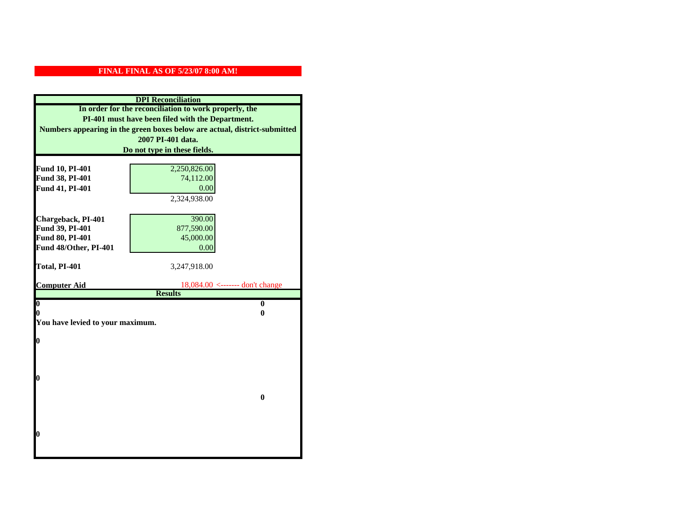|                                  | <b>DPI</b> Reconciliation                                                 |
|----------------------------------|---------------------------------------------------------------------------|
|                                  | In order for the reconciliation to work properly, the                     |
|                                  | PI-401 must have been filed with the Department.                          |
|                                  | Numbers appearing in the green boxes below are actual, district-submitted |
|                                  | 2007 PI-401 data.                                                         |
|                                  | Do not type in these fields.                                              |
|                                  |                                                                           |
| Fund 10, PI-401                  | 2,250,826.00                                                              |
| Fund 38, PI-401                  | 74,112.00                                                                 |
| Fund 41, PI-401                  | 0.00                                                                      |
|                                  | 2,324,938.00                                                              |
|                                  |                                                                           |
| Chargeback, PI-401               | 390.00                                                                    |
| Fund 39, PI-401                  | 877,590.00                                                                |
| Fund 80, PI-401                  | 45,000.00                                                                 |
| Fund 48/Other, PI-401            | 0.00                                                                      |
|                                  |                                                                           |
| Total, PI-401                    | 3,247,918.00                                                              |
| <b>Computer Aid</b>              | $18,084.00 \le$ ------- don't change                                      |
|                                  | <b>Results</b>                                                            |
| $\boldsymbol{0}$                 | $\bf{0}$                                                                  |
| 0                                | 0                                                                         |
| You have levied to your maximum. |                                                                           |
|                                  |                                                                           |
| 0                                |                                                                           |
|                                  |                                                                           |
|                                  |                                                                           |
|                                  |                                                                           |
| 0                                |                                                                           |
|                                  | $\bf{0}$                                                                  |
|                                  |                                                                           |
|                                  |                                                                           |
|                                  |                                                                           |
| 0                                |                                                                           |
|                                  |                                                                           |
|                                  |                                                                           |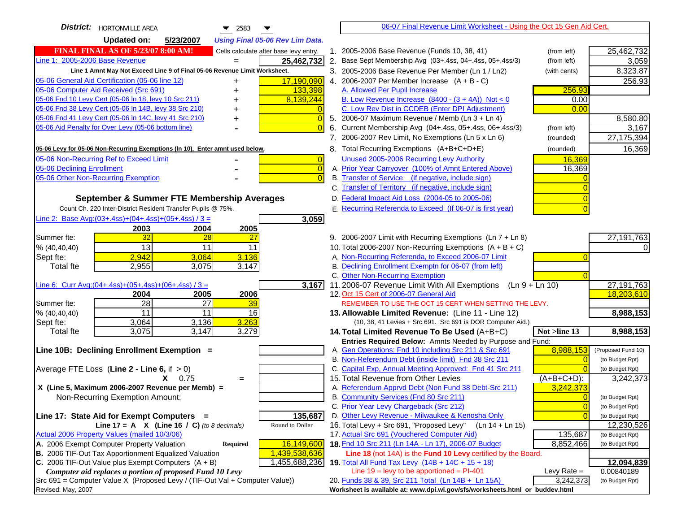| <b>District:</b>   HORTONVILLE AREA<br>$\blacktriangledown$ 2583<br>▼               | 06-07 Final Revenue Limit Worksheet - Using the Oct 15 Gen Aid Cert.                                         |                    |
|-------------------------------------------------------------------------------------|--------------------------------------------------------------------------------------------------------------|--------------------|
| <b>Updated on:</b><br>5/23/2007<br><b>Using Final 05-06 Rev Lim Data.</b>           |                                                                                                              |                    |
| <b>FINAL FINAL AS OF 5/23/07 8:00 AM!</b><br>Cells calculate after base levy entry. | 1. 2005-2006 Base Revenue (Funds 10, 38, 41)<br>(from left)                                                  | 25,462,732         |
| Line 1: 2005-2006 Base Revenue<br>25,462,732                                        | 2. Base Sept Membership Avg (03+.4ss, 04+.4ss, 05+.4ss/3)<br>(from left)                                     | 3,059              |
| Line 1 Amnt May Not Exceed Line 9 of Final 05-06 Revenue Limit Worksheet.           | 3. 2005-2006 Base Revenue Per Member (Ln 1 / Ln2)<br>(with cents)                                            | 8,323.87           |
| 17,190,090<br>05-06 General Aid Certification (05-06 line 12)                       | 4. 2006-2007 Per Member Increase $(A + B - C)$                                                               | 256.93             |
| 05-06 Computer Aid Received (Src 691)<br>133,398                                    | A. Allowed Per Pupil Increase<br>256.93                                                                      |                    |
| 05-06 Fnd 10 Levy Cert (05-06 ln 18, levy 10 Src 211)<br>8,139,244                  | B. Low Revenue Increase $(8400 - (3 + 4A))$ Not < 0<br>0.00                                                  |                    |
| 05-06 Fnd 38 Levy Cert (05-06 In 14B, levy 38 Src 210)                              | C. Low Rev Dist in CCDEB (Enter DPI Adjustment)<br>0.00                                                      |                    |
| 05-06 Fnd 41 Levy Cert (05-06 In 14C, levy 41 Src 210)<br>$\overline{0}$<br>+       | 5. 2006-07 Maximum Revenue / Memb (Ln 3 + Ln 4)                                                              | 8,580.80           |
| 05-06 Aid Penalty for Over Levy (05-06 bottom line)<br>$\Omega$                     | Current Membership Avg (04+.4ss, 05+.4ss, 06+.4ss/3)<br>6.<br>(from left)                                    | 3,167              |
|                                                                                     | 7. 2006-2007 Rev Limit, No Exemptions (Ln 5 x Ln 6)<br>(rounded)                                             | 27, 175, 394       |
| 05-06 Levy for 05-06 Non-Recurring Exemptions (In 10), Enter amnt used below.       | 8. Total Recurring Exemptions (A+B+C+D+E)<br>(rounded)                                                       | 16,369             |
| 05-06 Non-Recurring Ref to Exceed Limit<br>$\overline{0}$                           | Unused 2005-2006 Recurring Levy Authority<br>16,369                                                          |                    |
| 05-06 Declining Enrollment<br>$\overline{0}$                                        | A. Prior Year Carryover (100% of Amnt Entered Above)<br>16,369                                               |                    |
| 05-06 Other Non-Recurring Exemption<br>$\Omega$                                     | B. Transfer of Service (if negative, include sign)                                                           |                    |
|                                                                                     | C. Transfer of Territory (if negative, include sign)                                                         |                    |
| September & Summer FTE Membership Averages                                          | D. Federal Impact Aid Loss (2004-05 to 2005-06)                                                              |                    |
| Count Ch. 220 Inter-District Resident Transfer Pupils @ 75%.                        | E. Recurring Referenda to Exceed (If 06-07 is first year)                                                    |                    |
| Line 2: Base Avg: $(03+.4ss)+(04+.4ss)+(05+.4ss)/3 =$<br>3,059                      |                                                                                                              |                    |
| 2003<br>2004<br>2005                                                                |                                                                                                              |                    |
| 32<br>28<br>Summer fte:<br>27                                                       | 9. 2006-2007 Limit with Recurring Exemptions (Ln 7 + Ln 8)                                                   | 27, 191, 763       |
| 13<br>11<br>11<br>% (40, 40, 40)                                                    | 10. Total 2006-2007 Non-Recurring Exemptions $(A + B + C)$                                                   |                    |
| 2,942<br>3,136<br>3,064<br>Sept fte:                                                | A. Non-Recurring Referenda, to Exceed 2006-07 Limit<br>B. Declining Enrollment Exemptn for 06-07 (from left) |                    |
| <b>Total fte</b><br>2,955<br>3,075<br>3,147                                         | C. Other Non-Recurring Exemption                                                                             |                    |
| Line 6: Curr Avg: $(04+.4ss)+(05+.4ss)+(06+.4ss)/3 =$<br>3,167                      | 11.2006-07 Revenue Limit With All Exemptions<br>$(Ln 9 + Ln 10)$                                             | 27, 191, 763       |
| 2006<br>2004<br>2005                                                                | 12. Oct 15 Cert of 2006-07 General Aid                                                                       | 18,203,610         |
| 28<br>27<br>Summer fte:<br>39                                                       | REMEMBER TO USE THE OCT 15 CERT WHEN SETTING THE LEVY.                                                       |                    |
| 11<br>11<br>16<br>% (40, 40, 40)                                                    | 13. Allowable Limited Revenue: (Line 11 - Line 12)                                                           | 8,988,153          |
| 3,136<br>3,263<br>3,064<br>Sept fte:                                                | (10, 38, 41 Levies + Src 691. Src 691 is DOR Computer Aid.)                                                  |                    |
| 3,075<br>3,147<br>3,279<br><b>Total fte</b>                                         | Not >line 13<br>14. Total Limited Revenue To Be Used (A+B+C)                                                 | 8,988,153          |
|                                                                                     | Entries Required Below: Amnts Needed by Purpose and Fund:                                                    |                    |
| Line 10B: Declining Enrollment Exemption =                                          | 8,988,153<br>A. Gen Operations: Fnd 10 including Src 211 & Src 691                                           | (Proposed Fund 10) |
|                                                                                     | B. Non-Referendum Debt (inside limit) Fnd 38 Src 211<br>$\Omega$                                             | (to Budget Rpt)    |
| Average FTE Loss (Line $2 -$ Line 6, if $> 0$ )                                     | C. Capital Exp, Annual Meeting Approved: Fnd 41 Src 211                                                      | (to Budget Rpt)    |
| $X = 0.75$<br>$=$<br>X (Line 5, Maximum 2006-2007 Revenue per Memb) =               | 15. Total Revenue from Other Levies<br>$(A+B+C+D)$ :<br>A. Referendum Apprvd Debt (Non Fund 38 Debt-Src 211) | 3,242,373          |
| Non-Recurring Exemption Amount:                                                     | 3,242,373<br>B. Community Services (Fnd 80 Src 211)<br>$\overline{0}$                                        | (to Budget Rpt)    |
|                                                                                     | C. Prior Year Levy Chargeback (Src 212)<br>$\overline{0}$                                                    | (to Budget Rpt)    |
| 135,687<br>Line 17: State Aid for Exempt Computers =                                | D. Other Levy Revenue - Milwaukee & Kenosha Only<br>$\Omega$                                                 | (to Budget Rpt)    |
| Round to Dollar<br>Line 17 = A $X$ (Line 16 / C) (to 8 decimals)                    | 16. Total Levy + Src 691, "Proposed Levy"<br>(Ln 14 + Ln 15)                                                 | 12,230,526         |
| Actual 2006 Property Values (mailed 10/3/06)                                        | 17. Actual Src 691 (Vouchered Computer Aid)<br>135,687                                                       | (to Budget Rpt)    |
| A. 2006 Exempt Computer Property Valuation<br>16,149,600<br>Required                | 18. Fnd 10 Src 211 (Ln 14A - Ln 17), 2006-07 Budget<br>8,852,466                                             | (to Budget Rpt)    |
| B. 2006 TIF-Out Tax Apportionment Equalized Valuation<br>1,439,538,636              | Line 18 (not 14A) is the Fund 10 Levy certified by the Board.                                                |                    |
| C. 2006 TIF-Out Value plus Exempt Computers $(A + B)$<br>1,455,688,236              | 19. Total All Fund Tax Levy (14B + 14C + 15 + 18)                                                            | 12,094,839         |
| Computer aid replaces a portion of proposed Fund 10 Levy                            | Line $19 = \text{levy}$ to be apportioned = PI-401<br>Levy Rate $=$                                          | 0.00840189         |
| Src 691 = Computer Value X (Proposed Levy / (TIF-Out Val + Computer Value))         | 20. Funds 38 & 39, Src 211 Total (Ln 14B + Ln 15A)<br>3,242,373                                              | (to Budget Rpt)    |
| Revised: May, 2007                                                                  | Worksheet is available at: www.dpi.wi.gov/sfs/worksheets.html or buddev.html                                 |                    |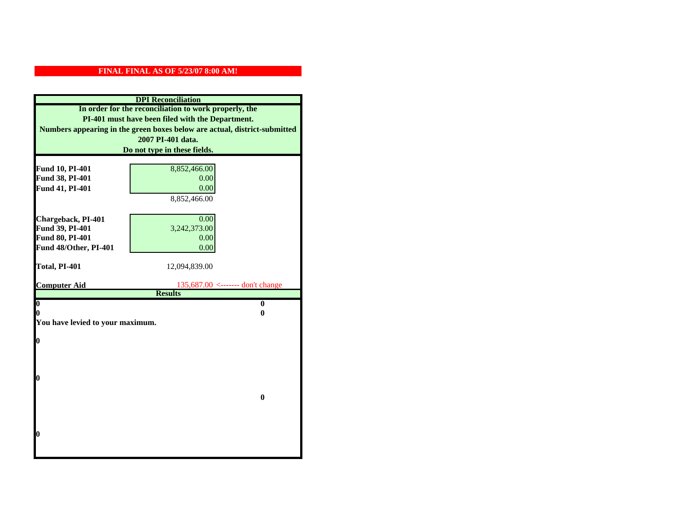|                                    | <b>DPI</b> Reconciliation                                                 |
|------------------------------------|---------------------------------------------------------------------------|
|                                    | In order for the reconciliation to work properly, the                     |
|                                    | PI-401 must have been filed with the Department.                          |
|                                    | Numbers appearing in the green boxes below are actual, district-submitted |
|                                    | 2007 PI-401 data.                                                         |
|                                    | Do not type in these fields.                                              |
|                                    |                                                                           |
| Fund 10, PI-401                    | 8,852,466.00<br>0.00                                                      |
| Fund 38, PI-401<br>Fund 41, PI-401 | 0.00                                                                      |
|                                    | 8,852,466.00                                                              |
|                                    |                                                                           |
| Chargeback, PI-401                 | 0.00                                                                      |
| Fund 39, PI-401                    | 3,242,373.00                                                              |
| Fund 80, PI-401                    | 0.00                                                                      |
| Fund 48/Other, PI-401              | 0.00                                                                      |
|                                    |                                                                           |
| Total, PI-401                      | 12,094,839.00                                                             |
|                                    |                                                                           |
|                                    |                                                                           |
| <b>Computer Aid</b>                | $135,687.00 \le$ ------- don't change                                     |
|                                    | <b>Results</b>                                                            |
| $\boldsymbol{0}$<br>0              | $\bf{0}$<br>0                                                             |
| You have levied to your maximum.   |                                                                           |
|                                    |                                                                           |
| $\bf{0}$                           |                                                                           |
|                                    |                                                                           |
|                                    |                                                                           |
|                                    |                                                                           |
| 0                                  |                                                                           |
|                                    | $\bf{0}$                                                                  |
|                                    |                                                                           |
|                                    |                                                                           |
|                                    |                                                                           |
| 0                                  |                                                                           |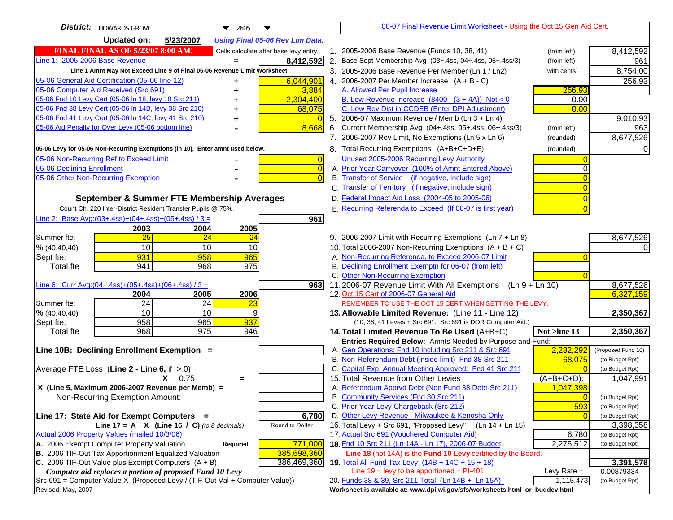| <b>District:</b>   HOWARDS GROVE<br>$\blacktriangledown$ 2605                                     | 06-07 Final Revenue Limit Worksheet - Using the Oct 15 Gen Aid Cert.                                                               |                                              |
|---------------------------------------------------------------------------------------------------|------------------------------------------------------------------------------------------------------------------------------------|----------------------------------------------|
| <b>Updated on:</b><br>5/23/2007<br><b>Using Final 05-06 Rev Lim Data.</b>                         |                                                                                                                                    |                                              |
| <b>FINAL FINAL AS OF 5/23/07 8:00 AM!</b><br>Cells calculate after base levy entry.               | 1. 2005-2006 Base Revenue (Funds 10, 38, 41)                                                                                       | 8,412,592<br>(from left)                     |
| Line 1: 2005-2006 Base Revenue<br>8,412,592                                                       | 2. Base Sept Membership Avg (03+.4ss, 04+.4ss, 05+.4ss/3)                                                                          | (from left)<br>961                           |
| Line 1 Amnt May Not Exceed Line 9 of Final 05-06 Revenue Limit Worksheet.                         | 3. 2005-2006 Base Revenue Per Member (Ln 1 / Ln2)                                                                                  | 8,754.00<br>(with cents)                     |
| 6,044,901<br>05-06 General Aid Certification (05-06 line 12)<br>+                                 | 4. 2006-2007 Per Member Increase $(A + B - C)$                                                                                     | 256.93                                       |
| 05-06 Computer Aid Received (Src 691)<br>3,884                                                    | A. Allowed Per Pupil Increase                                                                                                      | 256.93                                       |
| 05-06 Fnd 10 Levy Cert (05-06 In 18, levy 10 Src 211)<br>2,304,400                                | B. Low Revenue Increase $(8400 - (3 + 4A))$ Not < 0                                                                                | 0.00                                         |
| 05-06 Fnd 38 Levy Cert (05-06 In 14B, levy 38 Src 210)<br>68,075<br>+                             | C. Low Rev Dist in CCDEB (Enter DPI Adjustment)                                                                                    | 0.00                                         |
| 05-06 Fnd 41 Levy Cert (05-06 In 14C, levy 41 Src 210)<br>+                                       | 5. 2006-07 Maximum Revenue / Memb (Ln 3 + Ln 4)                                                                                    | 9,010.93                                     |
| 05-06 Aid Penalty for Over Levy (05-06 bottom line)<br>8,668                                      | 6. Current Membership Avg (04+.4ss, 05+.4ss, 06+.4ss/3)                                                                            | 963<br>(from left)                           |
|                                                                                                   | 7. 2006-2007 Rev Limit, No Exemptions (Ln 5 x Ln 6)                                                                                | 8,677,526<br>(rounded)                       |
| 05-06 Levy for 05-06 Non-Recurring Exemptions (In 10), Enter amnt used below.                     | 8. Total Recurring Exemptions (A+B+C+D+E)                                                                                          | (rounded)                                    |
| 05-06 Non-Recurring Ref to Exceed Limit<br>$\overline{0}$                                         | Unused 2005-2006 Recurring Levy Authority                                                                                          |                                              |
| 05-06 Declining Enrollment<br>$\overline{0}$                                                      | A. Prior Year Carryover (100% of Amnt Entered Above)                                                                               |                                              |
| 05-06 Other Non-Recurring Exemption<br>$\Omega$                                                   | B. Transfer of Service (if negative, include sign)                                                                                 |                                              |
|                                                                                                   | C. Transfer of Territory (if negative, include sign)                                                                               |                                              |
| September & Summer FTE Membership Averages                                                        | D. Federal Impact Aid Loss (2004-05 to 2005-06)                                                                                    |                                              |
| Count Ch. 220 Inter-District Resident Transfer Pupils @ 75%.                                      | E. Recurring Referenda to Exceed (If 06-07 is first year)                                                                          |                                              |
| Line 2: Base Avg: $(03+.4ss)+(04+.4ss)+(05+.4ss)/3 =$<br>961                                      |                                                                                                                                    |                                              |
| 2003<br>2004<br>2005                                                                              |                                                                                                                                    |                                              |
| 25<br>Summer fte:<br>24<br>24                                                                     | 9. 2006-2007 Limit with Recurring Exemptions (Ln 7 + Ln 8)                                                                         | 8,677,526                                    |
| 10<br>10<br>10<br>% (40, 40, 40)<br>931<br>958<br>965                                             | 10. Total 2006-2007 Non-Recurring Exemptions $(A + B + C)$<br>A. Non-Recurring Referenda, to Exceed 2006-07 Limit                  | 0                                            |
| Sept fte:<br>941<br>968<br>975<br><b>Total fte</b>                                                | B. Declining Enrollment Exemptn for 06-07 (from left)                                                                              |                                              |
|                                                                                                   | C. Other Non-Recurring Exemption                                                                                                   |                                              |
| Line 6: Curr Avg: $(04+.4ss)+(05+.4ss)+(06+.4ss)/3 =$<br>9631                                     | 11.2006-07 Revenue Limit With All Exemptions (Ln 9 + Ln 10)                                                                        | 8,677,526                                    |
| 2004<br>2005<br>2006                                                                              | 12. Oct 15 Cert of 2006-07 General Aid                                                                                             | 6,327,159                                    |
| 24<br>24<br>Summer fte:<br><u>23</u>                                                              | REMEMBER TO USE THE OCT 15 CERT WHEN SETTING THE LEVY.                                                                             |                                              |
| 10<br>10<br>9<br>% (40, 40, 40)                                                                   | 13. Allowable Limited Revenue: (Line 11 - Line 12)                                                                                 | 2,350,367                                    |
| 958<br>965<br>937<br>Sept fte:                                                                    | (10, 38, 41 Levies + Src 691. Src 691 is DOR Computer Aid.)                                                                        |                                              |
| $\overline{975}$<br><b>Total fte</b><br>968<br>946                                                | 14. Total Limited Revenue To Be Used (A+B+C)                                                                                       | 2,350,367<br>Not >line 13                    |
|                                                                                                   | Entries Required Below: Amnts Needed by Purpose and Fund:                                                                          |                                              |
| Line 10B: Declining Enrollment Exemption =                                                        | A. Gen Operations: Fnd 10 including Src 211 & Src 691<br>B. Non-Referendum Debt (inside limit) Fnd 38 Src 211                      | 2,282,292<br>(Proposed Fund 10)              |
| Average FTE Loss (Line $2 -$ Line 6, if $> 0$ )                                                   | C. Capital Exp, Annual Meeting Approved: Fnd 41 Src 211                                                                            | 68,075<br>(to Budget Rpt)<br>(to Budget Rpt) |
| $X = 0.75$<br>$=$                                                                                 | 15. Total Revenue from Other Levies                                                                                                | $(A+B+C+D)$ :<br>1,047,991                   |
| X (Line 5, Maximum 2006-2007 Revenue per Memb) =                                                  | A. Referendum Apprvd Debt (Non Fund 38 Debt-Src 211)                                                                               | 1,047,398                                    |
| Non-Recurring Exemption Amount:                                                                   | B. Community Services (Fnd 80 Src 211)                                                                                             | (to Budget Rpt)                              |
|                                                                                                   | C. Prior Year Levy Chargeback (Src 212)                                                                                            | 593<br>(to Budget Rpt)                       |
| Line 17: State Aid for Exempt Computers =<br>6,780                                                | D. Other Levy Revenue - Milwaukee & Kenosha Only                                                                                   | (to Budget Rpt)                              |
| Line 17 = A $X$ (Line 16 / C) (to 8 decimals)<br>Round to Dollar                                  | 16. Total Levy + Src 691, "Proposed Levy"<br>(Ln 14 + Ln 15)                                                                       | 3,398,358                                    |
| Actual 2006 Property Values (mailed 10/3/06)                                                      | 17. Actual Src 691 (Vouchered Computer Aid)                                                                                        | 6,780<br>(to Budget Rpt)                     |
| A. 2006 Exempt Computer Property Valuation<br>Required<br>771,000                                 | 18. Fnd 10 Src 211 (Ln 14A - Ln 17), 2006-07 Budget                                                                                | 2,275,512<br>(to Budget Rpt)                 |
| B. 2006 TIF-Out Tax Apportionment Equalized Valuation<br>385,698,360                              | Line 18 (not 14A) is the <b>Fund 10 Levy</b> certified by the Board.                                                               |                                              |
| C. 2006 TIF-Out Value plus Exempt Computers $(A + B)$<br>386,469,360                              | 19. Total All Fund Tax Levy (14B + 14C + 15 + 18)                                                                                  | 3,391,578                                    |
| Computer aid replaces a portion of proposed Fund 10 Levy                                          | Line $19$ = levy to be apportioned = PI-401                                                                                        | Levy Rate $=$<br>0.00879334                  |
| Src 691 = Computer Value X (Proposed Levy / (TIF-Out Val + Computer Value))<br>Revised: May, 2007 | 20. Funds 38 & 39, Src 211 Total (Ln 14B + Ln 15A)<br>Worksheet is available at: www.dpi.wi.gov/sfs/worksheets.html or buddev.html | 1,115,473<br>(to Budget Rpt)                 |
|                                                                                                   |                                                                                                                                    |                                              |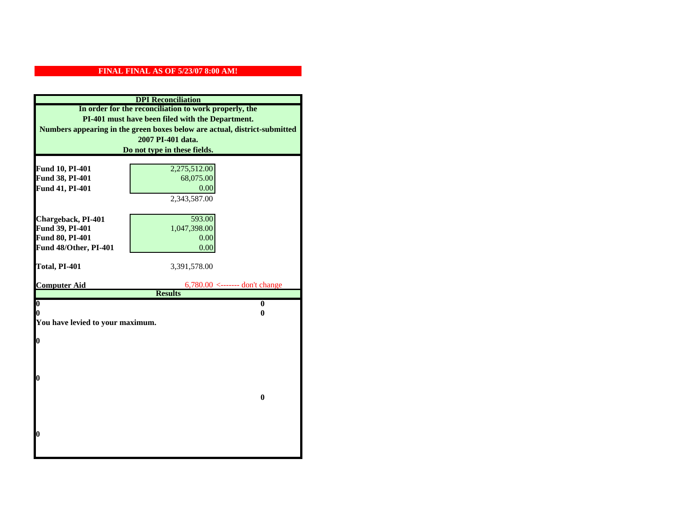|                                  | <b>DPI</b> Reconciliation                                                 |
|----------------------------------|---------------------------------------------------------------------------|
|                                  | In order for the reconciliation to work properly, the                     |
|                                  | PI-401 must have been filed with the Department.                          |
|                                  | Numbers appearing in the green boxes below are actual, district-submitted |
|                                  | 2007 PI-401 data.                                                         |
|                                  | Do not type in these fields.                                              |
|                                  |                                                                           |
| Fund 10, PI-401                  | 2,275,512.00                                                              |
| Fund 38, PI-401                  | 68,075.00                                                                 |
| Fund 41, PI-401                  | 0.00                                                                      |
|                                  | 2,343,587.00                                                              |
|                                  |                                                                           |
| Chargeback, PI-401               | 593.00                                                                    |
| Fund 39, PI-401                  | 1,047,398.00                                                              |
| Fund 80, PI-401                  | 0.00                                                                      |
| Fund 48/Other, PI-401            | 0.00                                                                      |
| Total, PI-401                    | 3,391,578.00                                                              |
|                                  |                                                                           |
|                                  |                                                                           |
| <b>Computer Aid</b>              | $6,780.00 \le$ ------- don't change                                       |
|                                  | <b>Results</b>                                                            |
| $\overline{\mathbf{0}}$          | $\mathbf{0}$                                                              |
| 0                                | 0                                                                         |
| You have levied to your maximum. |                                                                           |
|                                  |                                                                           |
| $\bf{0}$                         |                                                                           |
|                                  |                                                                           |
|                                  |                                                                           |
| 0                                |                                                                           |
|                                  |                                                                           |
|                                  | $\bf{0}$                                                                  |
|                                  |                                                                           |
|                                  |                                                                           |
|                                  |                                                                           |
| 0                                |                                                                           |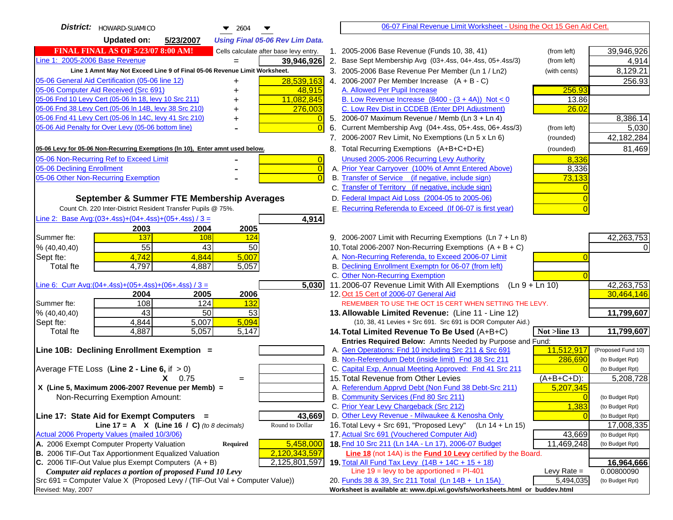| District:   HOWARD-SUAMICO<br>$\blacktriangledown$ 2604                                                                                 | 06-07 Final Revenue Limit Worksheet - Using the Oct 15 Gen Aid Cert.                                                                   |                                    |
|-----------------------------------------------------------------------------------------------------------------------------------------|----------------------------------------------------------------------------------------------------------------------------------------|------------------------------------|
| <b>Updated on:</b><br>5/23/2007<br><b>Using Final 05-06 Rev Lim Data.</b>                                                               |                                                                                                                                        |                                    |
| <b>FINAL FINAL AS OF 5/23/07 8:00 AM!</b><br>Cells calculate after base levy entry.                                                     | 1. 2005-2006 Base Revenue (Funds 10, 38, 41)<br>(from left)                                                                            | 39,946,926                         |
| Line 1: 2005-2006 Base Revenue<br>39,946,926<br>$=$                                                                                     | 2. Base Sept Membership Avg (03+.4ss, 04+.4ss, 05+.4ss/3)<br>(from left)                                                               | 4,914                              |
| Line 1 Amnt May Not Exceed Line 9 of Final 05-06 Revenue Limit Worksheet.                                                               | 3. 2005-2006 Base Revenue Per Member (Ln 1 / Ln2)<br>(with cents)                                                                      | 8,129.21                           |
| 28,539,163<br>05-06 General Aid Certification (05-06 line 12)                                                                           | 4. 2006-2007 Per Member Increase $(A + B - C)$                                                                                         | 256.93                             |
| 05-06 Computer Aid Received (Src 691)<br>48,915                                                                                         | A. Allowed Per Pupil Increase<br>256.93                                                                                                |                                    |
| 05-06 Fnd 10 Levy Cert (05-06 ln 18, levy 10 Src 211)<br>11,082,845                                                                     | B. Low Revenue Increase $(8400 - (3 + 4A))$ Not < 0<br>13.86                                                                           |                                    |
| 05-06 Fnd 38 Levy Cert (05-06 In 14B, levy 38 Src 210)<br>276,003                                                                       | C. Low Rev Dist in CCDEB (Enter DPI Adjustment)<br>26.02                                                                               |                                    |
| 05-06 Fnd 41 Levy Cert (05-06 In 14C, levy 41 Src 210)<br>$\Omega$<br>+                                                                 | 5. 2006-07 Maximum Revenue / Memb (Ln 3 + Ln 4)                                                                                        | 8,386.14                           |
| 05-06 Aid Penalty for Over Levy (05-06 bottom line)<br>$\Omega$                                                                         | Current Membership Avg (04+.4ss, 05+.4ss, 06+.4ss/3)<br>(from left)<br>6.                                                              | 5,030                              |
|                                                                                                                                         | 7. 2006-2007 Rev Limit, No Exemptions (Ln 5 x Ln 6)<br>(rounded)                                                                       | 42,182,284                         |
| 05-06 Levy for 05-06 Non-Recurring Exemptions (In 10), Enter amnt used below.                                                           | 8. Total Recurring Exemptions (A+B+C+D+E)<br>(rounded)                                                                                 | 81,469                             |
| 05-06 Non-Recurring Ref to Exceed Limit<br>$\overline{0}$                                                                               | Unused 2005-2006 Recurring Levy Authority<br>8,336                                                                                     |                                    |
| 05-06 Declining Enrollment<br>$\overline{0}$                                                                                            | A. Prior Year Carryover (100% of Amnt Entered Above)<br>8,336                                                                          |                                    |
| 05-06 Other Non-Recurring Exemption<br>$\Omega$                                                                                         | B. Transfer of Service (if negative, include sign)<br>73,133                                                                           |                                    |
|                                                                                                                                         | C. Transfer of Territory (if negative, include sign)                                                                                   |                                    |
| September & Summer FTE Membership Averages                                                                                              | D. Federal Impact Aid Loss (2004-05 to 2005-06)                                                                                        |                                    |
| Count Ch. 220 Inter-District Resident Transfer Pupils @ 75%.                                                                            | E. Recurring Referenda to Exceed (If 06-07 is first year)                                                                              |                                    |
| Line 2: Base Avg: $(03+.4ss)+(04+.4ss)+(05+.4ss)/3 =$<br>4,914                                                                          |                                                                                                                                        |                                    |
| 2003<br>2004<br>2005                                                                                                                    |                                                                                                                                        |                                    |
| 137<br>108<br>Summer fte:<br>124<br>55<br>43                                                                                            | 9. 2006-2007 Limit with Recurring Exemptions (Ln 7 + Ln 8)                                                                             | 42,263,753                         |
| 50<br>% (40, 40, 40)<br>4,742<br>5,007<br>4,844                                                                                         | 10. Total 2006-2007 Non-Recurring Exemptions (A + B + C)<br>A. Non-Recurring Referenda, to Exceed 2006-07 Limit                        |                                    |
| Sept fte:<br><b>Total fte</b><br>4,797<br>4,887<br>5,057                                                                                | B. Declining Enrollment Exemptn for 06-07 (from left)                                                                                  |                                    |
|                                                                                                                                         | C. Other Non-Recurring Exemption                                                                                                       |                                    |
| Line 6: Curr Avg: $(04+.4ss)+(05+.4ss)+(06+.4ss)/3 =$<br>5,030                                                                          | 11.2006-07 Revenue Limit With All Exemptions<br>$(Ln 9 + Ln 10)$                                                                       | 42,263,753                         |
| 2006<br>2004<br>2005                                                                                                                    | 12. Oct 15 Cert of 2006-07 General Aid                                                                                                 | 30,464,146                         |
| 108<br>124<br>Summer fte:<br><b>132</b>                                                                                                 | REMEMBER TO USE THE OCT 15 CERT WHEN SETTING THE LEVY.                                                                                 |                                    |
| 50<br>% (40, 40, 40)<br>43<br>53                                                                                                        | 13. Allowable Limited Revenue: (Line 11 - Line 12)                                                                                     | 11,799,607                         |
| 4,844<br>5,007<br>5,094<br>Sept fte:                                                                                                    | (10, 38, 41 Levies + Src 691. Src 691 is DOR Computer Aid.)                                                                            |                                    |
| 4,887<br>5,057<br>5,147<br><b>Total fte</b>                                                                                             | Not >line 13<br>14. Total Limited Revenue To Be Used (A+B+C)                                                                           | 11,799,607                         |
|                                                                                                                                         | Entries Required Below: Amnts Needed by Purpose and Fund:                                                                              |                                    |
| Line 10B: Declining Enrollment Exemption =                                                                                              | 11,512,917<br>A. Gen Operations: Fnd 10 including Src 211 & Src 691                                                                    | (Proposed Fund 10)                 |
| Average FTE Loss (Line $2 -$ Line 6, if $> 0$ )                                                                                         | B. Non-Referendum Debt (inside limit) Fnd 38 Src 211<br>286,690<br>C. Capital Exp, Annual Meeting Approved: Fnd 41 Src 211             | (to Budget Rpt)<br>(to Budget Rpt) |
| $X = 0.75$<br>$=$                                                                                                                       | 15. Total Revenue from Other Levies<br>$(A+B+C+D)$ :                                                                                   | 5,208,728                          |
| X (Line 5, Maximum 2006-2007 Revenue per Memb) =                                                                                        | A. Referendum Apprvd Debt (Non Fund 38 Debt-Src 211)<br>5,207,345                                                                      |                                    |
| Non-Recurring Exemption Amount:                                                                                                         | B. Community Services (Fnd 80 Src 211)<br>$\overline{0}$                                                                               | (to Budget Rpt)                    |
|                                                                                                                                         | 1,383<br>C. Prior Year Levy Chargeback (Src 212)                                                                                       | (to Budget Rpt)                    |
| 43,669<br>Line 17: State Aid for Exempt Computers =                                                                                     | D. Other Levy Revenue - Milwaukee & Kenosha Only                                                                                       | (to Budget Rpt)                    |
| Line 17 = A $X$ (Line 16 / C) (to 8 decimals)<br>Round to Dollar                                                                        | 16. Total Levy + Src 691, "Proposed Levy"<br>(Ln 14 + Ln 15)                                                                           | 17,008,335                         |
| Actual 2006 Property Values (mailed 10/3/06)                                                                                            | 17. Actual Src 691 (Vouchered Computer Aid)<br>43,669                                                                                  | (to Budget Rpt)                    |
| A. 2006 Exempt Computer Property Valuation<br>5,458,000<br>Required                                                                     | 18. Fnd 10 Src 211 (Ln 14A - Ln 17), 2006-07 Budget<br>11,469,248                                                                      | (to Budget Rpt)                    |
| B. 2006 TIF-Out Tax Apportionment Equalized Valuation<br>2,120,343,597                                                                  | Line 18 (not 14A) is the Fund 10 Levy certified by the Board.                                                                          |                                    |
| C. 2006 TIF-Out Value plus Exempt Computers $(A + B)$<br>2, 125, 801, 597                                                               | 19. Total All Fund Tax Levy $(14B + 14C + 15 + 18)$                                                                                    | 16,964,666                         |
| Computer aid replaces a portion of proposed Fund 10 Levy<br>Src 691 = Computer Value X (Proposed Levy / (TIF-Out Val + Computer Value)) | Line $19 = \text{levy}$ to be apportioned = PI-401<br>Levy Rate $=$<br>20. Funds 38 & 39, Src 211 Total (Ln 14B + Ln 15A)<br>5,494,035 | 0.00800090<br>(to Budget Rpt)      |
| Revised: May, 2007                                                                                                                      | Worksheet is available at: www.dpi.wi.gov/sfs/worksheets.html or buddev.html                                                           |                                    |
|                                                                                                                                         |                                                                                                                                        |                                    |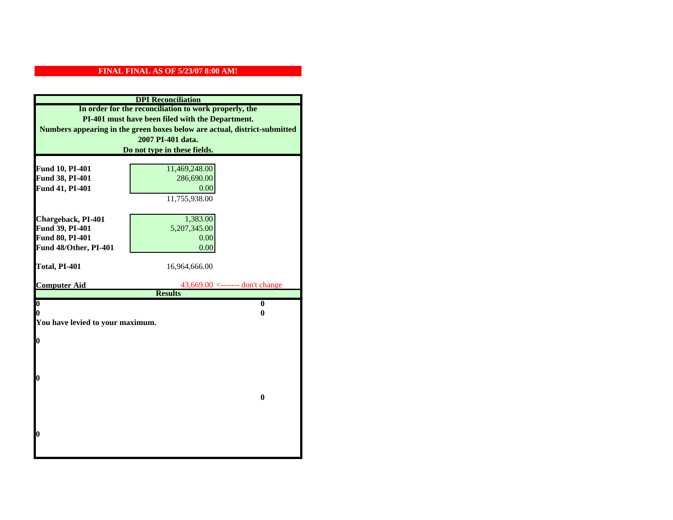|                                  | <b>DPI</b> Reconciliation                                                 |  |
|----------------------------------|---------------------------------------------------------------------------|--|
|                                  | In order for the reconciliation to work properly, the                     |  |
|                                  | PI-401 must have been filed with the Department.                          |  |
|                                  | Numbers appearing in the green boxes below are actual, district-submitted |  |
|                                  | 2007 PI-401 data.                                                         |  |
|                                  | Do not type in these fields.                                              |  |
|                                  |                                                                           |  |
| Fund 10, PI-401                  | 11,469,248.00                                                             |  |
| Fund 38, PI-401                  | 286,690.00                                                                |  |
| Fund 41, PI-401                  | 0.00                                                                      |  |
|                                  | 11,755,938.00                                                             |  |
|                                  |                                                                           |  |
| Chargeback, PI-401               | 1,383.00                                                                  |  |
| Fund 39, PI-401                  | 5,207,345.00                                                              |  |
| Fund 80, PI-401                  | 0.00                                                                      |  |
| Fund 48/Other, PI-401            | 0.00                                                                      |  |
| Total, PI-401                    | 16,964,666.00                                                             |  |
|                                  |                                                                           |  |
| <b>Computer Aid</b>              | $43,669.00 \leftarrow \text{---}$ don't change                            |  |
|                                  | <b>Results</b>                                                            |  |
| $\overline{\mathbf{0}}$          | $\bf{0}$                                                                  |  |
| 0                                | 0                                                                         |  |
| You have levied to your maximum. |                                                                           |  |
| $\bf{0}$                         |                                                                           |  |
|                                  |                                                                           |  |
|                                  |                                                                           |  |
|                                  |                                                                           |  |
| l0                               |                                                                           |  |
|                                  |                                                                           |  |
|                                  | $\bf{0}$                                                                  |  |
|                                  |                                                                           |  |
|                                  |                                                                           |  |
| $\boldsymbol{0}$                 |                                                                           |  |
|                                  |                                                                           |  |
|                                  |                                                                           |  |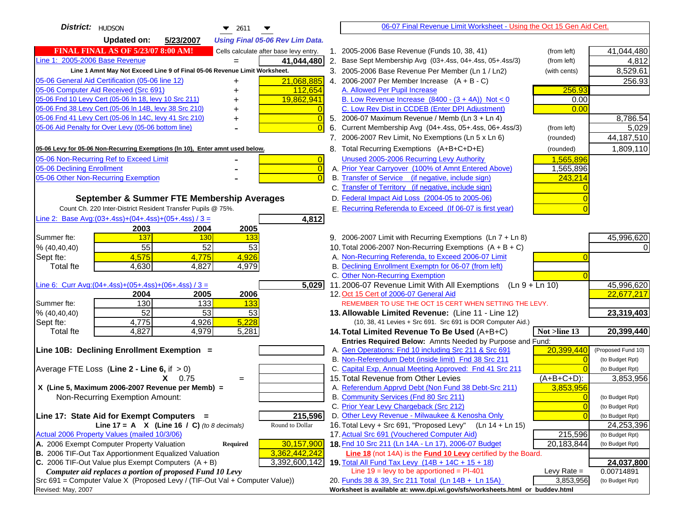| District:   HUDSON<br>$\blacktriangledown$ 2611                                                                                      | 06-07 Final Revenue Limit Worksheet - Using the Oct 15 Gen Aid Cert.                                               |                    |
|--------------------------------------------------------------------------------------------------------------------------------------|--------------------------------------------------------------------------------------------------------------------|--------------------|
| <b>Updated on:</b><br>5/23/2007<br><b>Using Final 05-06 Rev Lim Data.</b>                                                            |                                                                                                                    |                    |
| <b>FINAL FINAL AS OF 5/23/07 8:00 AM!</b><br>Cells calculate after base levy entry.                                                  | 1. 2005-2006 Base Revenue (Funds 10, 38, 41)<br>(from left)                                                        | 41,044,480         |
| Line 1: 2005-2006 Base Revenue<br>41,044,480                                                                                         | 2. Base Sept Membership Avg (03+.4ss, 04+.4ss, 05+.4ss/3)<br>(from left)                                           | 4,812              |
| Line 1 Amnt May Not Exceed Line 9 of Final 05-06 Revenue Limit Worksheet.                                                            | 3. 2005-2006 Base Revenue Per Member (Ln 1 / Ln2)<br>(with cents)                                                  | 8,529.61           |
| 21,068,885<br>05-06 General Aid Certification (05-06 line 12)<br>+                                                                   | 4. 2006-2007 Per Member Increase $(A + B - C)$                                                                     | 256.93             |
| 05-06 Computer Aid Received (Src 691)<br>112,654                                                                                     | 256.93<br>A. Allowed Per Pupil Increase                                                                            |                    |
| 05-06 Fnd 10 Levy Cert (05-06 ln 18, levy 10 Src 211)<br>19,862,941                                                                  | B. Low Revenue Increase $(8400 - (3 + 4A))$ Not < 0<br>0.00                                                        |                    |
| 05-06 Fnd 38 Levy Cert (05-06 In 14B, levy 38 Src 210)                                                                               | C. Low Rev Dist in CCDEB (Enter DPI Adjustment)<br>0.00                                                            |                    |
| 05-06 Fnd 41 Levy Cert (05-06 In 14C, levy 41 Src 210)<br>$\overline{0}$<br>+                                                        | 5. 2006-07 Maximum Revenue / Memb (Ln $3 + \text{Ln } 4$ )                                                         | 8,786.54           |
| 05-06 Aid Penalty for Over Levy (05-06 bottom line)<br>$\Omega$                                                                      | Current Membership Avg (04+.4ss, 05+.4ss, 06+.4ss/3)<br>6.<br>(from left)                                          | 5,029              |
|                                                                                                                                      | 7. 2006-2007 Rev Limit, No Exemptions (Ln 5 x Ln 6)<br>(rounded)                                                   | 44, 187, 510       |
| 05-06 Levy for 05-06 Non-Recurring Exemptions (In 10), Enter amnt used below.                                                        | 8. Total Recurring Exemptions (A+B+C+D+E)<br>(rounded)                                                             | 1,809,110          |
| 05-06 Non-Recurring Ref to Exceed Limit<br>$\overline{0}$                                                                            | Unused 2005-2006 Recurring Levy Authority<br>1,565,896                                                             |                    |
| $\overline{0}$<br>05-06 Declining Enrollment                                                                                         | A. Prior Year Carryover (100% of Amnt Entered Above)<br>1,565,896                                                  |                    |
| 05-06 Other Non-Recurring Exemption<br>$\Omega$                                                                                      | B. Transfer of Service (if negative, include sign)<br>243,214                                                      |                    |
|                                                                                                                                      | C. Transfer of Territory (if negative, include sign)                                                               |                    |
| September & Summer FTE Membership Averages                                                                                           | D. Federal Impact Aid Loss (2004-05 to 2005-06)                                                                    |                    |
| Count Ch. 220 Inter-District Resident Transfer Pupils @ 75%.                                                                         | E. Recurring Referenda to Exceed (If 06-07 is first year)                                                          |                    |
| 4,812<br>Line 2: Base Avg: $(03+.4ss)+(04+.4ss)+(05+.4ss)/3 =$                                                                       |                                                                                                                    |                    |
| 2003<br>2004<br>2005                                                                                                                 |                                                                                                                    |                    |
| 137<br>Summer fte:<br>130<br><b>133</b>                                                                                              | 9. 2006-2007 Limit with Recurring Exemptions (Ln 7 + Ln 8)                                                         | 45,996,620         |
| 55<br>52<br>53<br>% (40, 40, 40)                                                                                                     | 10. Total 2006-2007 Non-Recurring Exemptions $(A + B + C)$                                                         |                    |
| Sept fte:<br>4,575<br>4,926<br>4,775                                                                                                 | A. Non-Recurring Referenda, to Exceed 2006-07 Limit                                                                |                    |
| <b>Total fte</b><br>4,630<br>4,827<br>4,979                                                                                          | B. Declining Enrollment Exemptn for 06-07 (from left)                                                              |                    |
|                                                                                                                                      | C. Other Non-Recurring Exemption                                                                                   |                    |
| Line 6: Curr Avg: $(04+.4ss)+(05+.4ss)+(06+.4ss)/3 =$<br>5,029                                                                       | 11.2006-07 Revenue Limit With All Exemptions (Ln $9 + \overline{\text{Ln }10}$ )                                   | 45,996,620         |
| 2005<br>2006<br>2004                                                                                                                 | 12. Oct 15 Cert of 2006-07 General Aid                                                                             | 22,677,217         |
| 130<br>Summer fte:<br>133<br>133<br>$\overline{52}$<br>53<br>53<br>% (40, 40, 40)                                                    | REMEMBER TO USE THE OCT 15 CERT WHEN SETTING THE LEVY.                                                             | 23,319,403         |
| 4,775<br>4,926<br>5,228<br>Sept fte:                                                                                                 | 13. Allowable Limited Revenue: (Line 11 - Line 12)<br>(10, 38, 41 Levies + Src 691. Src 691 is DOR Computer Aid.)  |                    |
| 4,827<br>4,979<br>$\overline{5,281}$<br><b>Total fte</b>                                                                             | Not >line 13<br>14. Total Limited Revenue To Be Used (A+B+C)                                                       | 20,399,440         |
|                                                                                                                                      | Entries Required Below: Amnts Needed by Purpose and Fund:                                                          |                    |
| Line 10B: Declining Enrollment Exemption =                                                                                           | 20,399,440<br>A. Gen Operations: Fnd 10 including Src 211 & Src 691                                                | (Proposed Fund 10) |
|                                                                                                                                      | B. Non-Referendum Debt (inside limit) Fnd 38 Src 211                                                               | (to Budget Rpt)    |
| Average FTE Loss (Line $2 -$ Line 6, if $> 0$ )                                                                                      | C. Capital Exp, Annual Meeting Approved: Fnd 41 Src 211                                                            | (to Budget Rpt)    |
| $X = 0.75$<br>$=$                                                                                                                    | 15. Total Revenue from Other Levies<br>$(A+B+C+D)$ :                                                               | 3,853,956          |
| X (Line 5, Maximum 2006-2007 Revenue per Memb) =                                                                                     | A. Referendum Apprvd Debt (Non Fund 38 Debt-Src 211)<br>3,853,956                                                  |                    |
| Non-Recurring Exemption Amount:                                                                                                      | B. Community Services (Fnd 80 Src 211)                                                                             | (to Budget Rpt)    |
|                                                                                                                                      | C. Prior Year Levy Chargeback (Src 212)<br>$\overline{0}$                                                          | (to Budget Rpt)    |
| 215,596<br>Line 17: State Aid for Exempt Computers =                                                                                 | D. Other Levy Revenue - Milwaukee & Kenosha Only                                                                   | (to Budget Rpt)    |
| Round to Dollar<br>Line 17 = A $X$ (Line 16 / C) (to 8 decimals)                                                                     | 16. Total Levy + Src 691, "Proposed Levy" (Ln 14 + Ln 15)                                                          | 24,253,396         |
| Actual 2006 Property Values (mailed 10/3/06)                                                                                         | 17. Actual Src 691 (Vouchered Computer Aid)<br>215,596                                                             | (to Budget Rpt)    |
| 30,157,900<br>A. 2006 Exempt Computer Property Valuation<br><b>Required</b><br>B. 2006 TIF-Out Tax Apportionment Equalized Valuation | 18. Fnd 10 Src 211 (Ln 14A - Ln 17), 2006-07 Budget<br>20,183,844                                                  | (to Budget Rpt)    |
| 3,362,442,242<br>C. 2006 TIF-Out Value plus Exempt Computers $(A + B)$<br>3,392,600,142                                              | Line 18 (not 14A) is the Fund 10 Levy certified by the Board.<br>19. Total All Fund Tax Levy (14B + 14C + 15 + 18) | 24,037,800         |
| Computer aid replaces a portion of proposed Fund 10 Levy                                                                             | Line $19 = \text{levy}$ to be apportioned = PI-401<br>Levy Rate $=$                                                | 0.00714891         |
| Src 691 = Computer Value X (Proposed Levy / (TIF-Out Val + Computer Value))                                                          | 20. Funds 38 & 39, Src 211 Total (Ln 14B + Ln 15A)<br>3,853,956                                                    | (to Budget Rpt)    |
| Revised: May, 2007                                                                                                                   | Worksheet is available at: www.dpi.wi.gov/sfs/worksheets.html or buddev.html                                       |                    |
|                                                                                                                                      |                                                                                                                    |                    |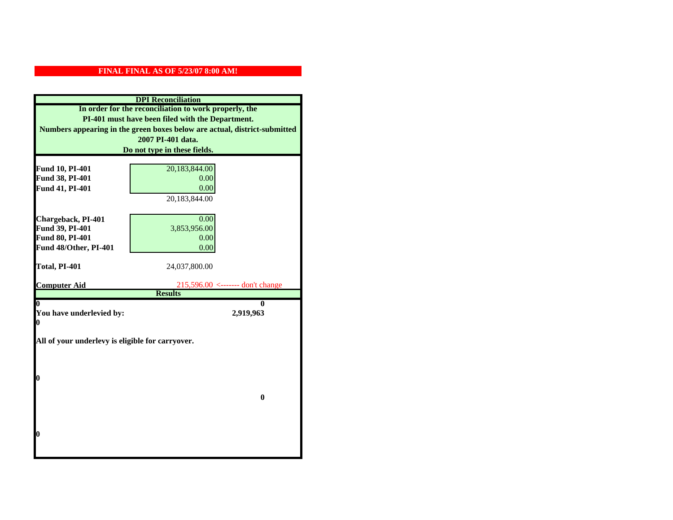|                                                  | <b>DPI</b> Reconciliation                                                 |
|--------------------------------------------------|---------------------------------------------------------------------------|
|                                                  | In order for the reconciliation to work properly, the                     |
|                                                  | PI-401 must have been filed with the Department.                          |
|                                                  | Numbers appearing in the green boxes below are actual, district-submitted |
|                                                  | 2007 PI-401 data.                                                         |
|                                                  | Do not type in these fields.                                              |
|                                                  |                                                                           |
| Fund 10, PI-401                                  | 20,183,844.00                                                             |
| Fund 38, PI-401                                  | 0.00                                                                      |
| Fund 41, PI-401                                  | 0.00                                                                      |
|                                                  | 20,183,844.00                                                             |
|                                                  |                                                                           |
| Chargeback, PI-401<br>Fund 39, PI-401            | 0.00<br>3,853,956.00                                                      |
| <b>Fund 80, PI-401</b>                           | 0.00                                                                      |
| Fund 48/Other, PI-401                            | 0.00                                                                      |
|                                                  |                                                                           |
| Total, PI-401                                    | 24,037,800.00                                                             |
|                                                  |                                                                           |
| <b>Computer Aid</b>                              | $215,596.00 \leftarrow \leftarrow \text{don't change}$                    |
|                                                  | <b>Results</b>                                                            |
| 0<br>You have underlevied by:                    | 0<br>2,919,963                                                            |
| 0                                                |                                                                           |
|                                                  |                                                                           |
| All of your underlevy is eligible for carryover. |                                                                           |
|                                                  |                                                                           |
|                                                  |                                                                           |
|                                                  |                                                                           |
| 0                                                |                                                                           |
|                                                  |                                                                           |
|                                                  | $\bf{0}$                                                                  |
|                                                  |                                                                           |
|                                                  |                                                                           |
| 0                                                |                                                                           |
|                                                  |                                                                           |
|                                                  |                                                                           |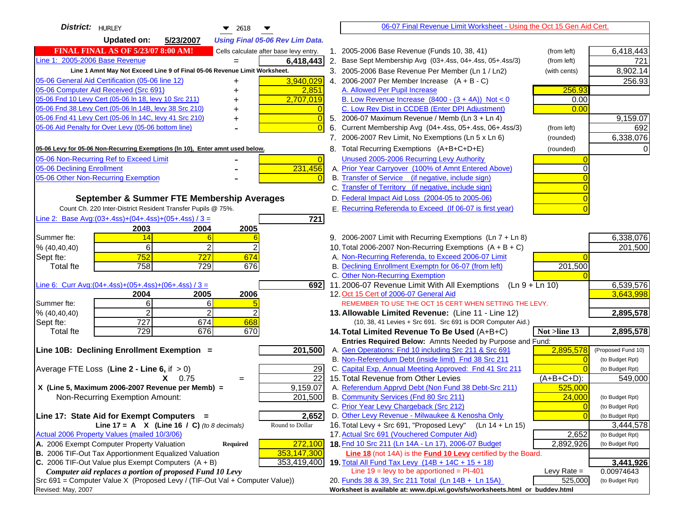| District:   HURLEY<br>$\blacktriangledown$ 2618                                                                                              |                | 06-07 Final Revenue Limit Worksheet - Using the Oct 15 Gen Aid Cert.                                               |                |                         |
|----------------------------------------------------------------------------------------------------------------------------------------------|----------------|--------------------------------------------------------------------------------------------------------------------|----------------|-------------------------|
| <b>Updated on:</b><br>5/23/2007<br><b>Using Final 05-06 Rev Lim Data.</b>                                                                    |                |                                                                                                                    |                |                         |
| <b>FINAL FINAL AS OF 5/23/07 8:00 AM!</b><br>Cells calculate after base levy entry.                                                          |                | 1. 2005-2006 Base Revenue (Funds 10, 38, 41)                                                                       | (from left)    | 6,418,443               |
| Line 1: 2005-2006 Base Revenue<br>6,418,443                                                                                                  |                | 2. Base Sept Membership Avg (03+.4ss, 04+.4ss, 05+.4ss/3)                                                          | (from left)    | 721                     |
| Line 1 Amnt May Not Exceed Line 9 of Final 05-06 Revenue Limit Worksheet.                                                                    |                | 3. 2005-2006 Base Revenue Per Member (Ln 1 / Ln2)                                                                  | (with cents)   | 8,902.14                |
| 3,940,029<br>05-06 General Aid Certification (05-06 line 12)                                                                                 |                | 4. 2006-2007 Per Member Increase $(A + B - C)$                                                                     |                | 256.93                  |
| 05-06 Computer Aid Received (Src 691)<br>2,851                                                                                               |                | A. Allowed Per Pupil Increase                                                                                      | 256.93         |                         |
| 05-06 Fnd 10 Levy Cert (05-06 In 18, levy 10 Src 211)<br>2,707,019                                                                           |                | B. Low Revenue Increase $(8400 - (3 + 4A))$ Not < 0                                                                | 0.00           |                         |
| 05-06 Fnd 38 Levy Cert (05-06 In 14B, levy 38 Src 210)                                                                                       |                | C. Low Rev Dist in CCDEB (Enter DPI Adjustment)                                                                    | 0.00           |                         |
| 05-06 Fnd 41 Levy Cert (05-06 In 14C, levy 41 Src 210)<br>٠                                                                                  | $\overline{0}$ | 5. 2006-07 Maximum Revenue / Memb (Ln 3 + Ln 4)                                                                    |                | 9,159.07                |
| 05-06 Aid Penalty for Over Levy (05-06 bottom line)                                                                                          | 6.             | Current Membership Avg (04+.4ss, 05+.4ss, 06+.4ss/3)                                                               | (from left)    | 692                     |
|                                                                                                                                              |                | 7. 2006-2007 Rev Limit, No Exemptions (Ln 5 x Ln 6)                                                                | (rounded)      | 6,338,076               |
| 05-06 Levy for 05-06 Non-Recurring Exemptions (In 10), Enter amnt used below.                                                                |                | 8. Total Recurring Exemptions (A+B+C+D+E)                                                                          | (rounded)      |                         |
| 05-06 Non-Recurring Ref to Exceed Limit                                                                                                      | $\overline{0}$ | Unused 2005-2006 Recurring Levy Authority                                                                          |                |                         |
| 231,456<br>05-06 Declining Enrollment                                                                                                        |                | A. Prior Year Carryover (100% of Amnt Entered Above)                                                               | ∩              |                         |
| 05-06 Other Non-Recurring Exemption                                                                                                          |                | B. Transfer of Service (if negative, include sign)                                                                 |                |                         |
|                                                                                                                                              |                | C. Transfer of Territory (if negative, include sign)                                                               |                |                         |
| September & Summer FTE Membership Averages                                                                                                   |                | D. Federal Impact Aid Loss (2004-05 to 2005-06)                                                                    |                |                         |
| Count Ch. 220 Inter-District Resident Transfer Pupils @ 75%.                                                                                 |                | E. Recurring Referenda to Exceed (If 06-07 is first year)                                                          |                |                         |
| Line 2: Base Avg: (03+.4ss) + (04+.4ss) + (05+.4ss) / 3 =<br>721                                                                             |                |                                                                                                                    |                |                         |
| 2003<br>2004<br>2005                                                                                                                         |                |                                                                                                                    |                |                         |
| Summer fte:<br>14<br>6                                                                                                                       |                | 9. 2006-2007 Limit with Recurring Exemptions (Ln 7 + Ln 8)                                                         |                | 6,338,076               |
| 6<br>$\overline{2}$<br>$\overline{2}$<br>% (40, 40, 40)                                                                                      |                | 10. Total 2006-2007 Non-Recurring Exemptions $(A + B + C)$                                                         |                | 201,500                 |
| 752<br>727<br>674<br>Sept fte:                                                                                                               |                | A. Non-Recurring Referenda, to Exceed 2006-07 Limit                                                                |                |                         |
| 758<br>729<br>676<br>Total fte                                                                                                               |                | B. Declining Enrollment Exemptn for 06-07 (from left)                                                              | 201,500        |                         |
|                                                                                                                                              |                | C. Other Non-Recurring Exemption                                                                                   |                |                         |
| Line 6: Curr Avg: $(04+.4ss)+(05+.4ss)+(06+.4ss)/3 =$                                                                                        | 6921           | 11.2006-07 Revenue Limit With All Exemptions $(Ln 9 + Ln 10)$                                                      |                | 6,539,576               |
| 2006<br>2005<br>2004                                                                                                                         |                | 12. Oct 15 Cert of 2006-07 General Aid                                                                             |                | 3,643,998               |
| Summer fte:<br>61<br>6<br>2<br>2<br>% (40, 40, 40)                                                                                           |                | REMEMBER TO USE THE OCT 15 CERT WHEN SETTING THE LEVY.                                                             |                | 2,895,578               |
| 727<br>674<br>668<br>Sept fte:                                                                                                               |                | 13. Allowable Limited Revenue: (Line 11 - Line 12)<br>(10, 38, 41 Levies + Src 691. Src 691 is DOR Computer Aid.)  |                |                         |
| 729<br>676<br>670<br><b>Total fte</b>                                                                                                        |                | 14. Total Limited Revenue To Be Used (A+B+C)                                                                       | Not >line 13   | 2,895,578               |
|                                                                                                                                              |                | Entries Required Below: Amnts Needed by Purpose and Fund:                                                          |                |                         |
| 201,500<br>Line 10B: Declining Enrollment Exemption =                                                                                        |                | A. Gen Operations: Fnd 10 including Src 211 & Src 691                                                              | 2,895,578      | (Proposed Fund 10)      |
|                                                                                                                                              |                | B. Non-Referendum Debt (inside limit) Fnd 38 Src 211                                                               | $\Omega$       | (to Budget Rpt)         |
| Average FTE Loss (Line $2 -$ Line 6, if $> 0$ )                                                                                              | 29             | C. Capital Exp, Annual Meeting Approved: Fnd 41 Src 211                                                            |                | (to Budget Rpt)         |
| $X = 0.75$<br>$=$                                                                                                                            | 22             | 15. Total Revenue from Other Levies                                                                                | $(A+B+C+D)$ :  | 549,000                 |
| X (Line 5, Maximum 2006-2007 Revenue per Memb) =<br>9,159.07                                                                                 |                | A. Referendum Apprvd Debt (Non Fund 38 Debt-Src 211)                                                               | 525,000        |                         |
| 201,500<br>Non-Recurring Exemption Amount:                                                                                                   |                | B. Community Services (Fnd 80 Src 211)                                                                             | 24,000         | (to Budget Rpt)         |
|                                                                                                                                              |                | C. Prior Year Levy Chargeback (Src 212)                                                                            | $\overline{0}$ | (to Budget Rpt)         |
| 2,652<br>Line 17: State Aid for Exempt Computers =                                                                                           |                | D. Other Levy Revenue - Milwaukee & Kenosha Only                                                                   | $\Omega$       | (to Budget Rpt)         |
| Line 17 = A $X$ (Line 16 / C) (to 8 decimals)<br>Round to Dollar                                                                             |                | 16. Total Levy + Src 691, "Proposed Levy"<br>$(Ln 14 + Ln 15)$                                                     |                | 3,444,578               |
| Actual 2006 Property Values (mailed 10/3/06)                                                                                                 |                | 17. Actual Src 691 (Vouchered Computer Aid)                                                                        | 2,652          | (to Budget Rpt)         |
| A. 2006 Exempt Computer Property Valuation<br>272,100<br><b>Required</b>                                                                     |                | 18. Fnd 10 Src 211 (Ln 14A - Ln 17), 2006-07 Budget                                                                | 2,892,926      | (to Budget Rpt)         |
| B. 2006 TIF-Out Tax Apportionment Equalized Valuation<br>353,147,300<br>C. 2006 TIF-Out Value plus Exempt Computers $(A + B)$<br>353,419,400 |                | Line 18 (not 14A) is the Fund 10 Levy certified by the Board.<br>19. Total All Fund Tax Levy (14B + 14C + 15 + 18) |                |                         |
| Computer aid replaces a portion of proposed Fund 10 Levy                                                                                     |                | Line $19$ = levy to be apportioned = PI-401                                                                        | Levy Rate $=$  | 3,441,926<br>0.00974643 |
| Src 691 = Computer Value X (Proposed Levy / (TIF-Out Val + Computer Value))                                                                  |                | 20. Funds 38 & 39, Src 211 Total (Ln 14B + Ln 15A)                                                                 | 525,000        | (to Budget Rpt)         |
| Revised: May, 2007                                                                                                                           |                | Worksheet is available at: www.dpi.wi.gov/sfs/worksheets.html or buddev.html                                       |                |                         |
|                                                                                                                                              |                |                                                                                                                    |                |                         |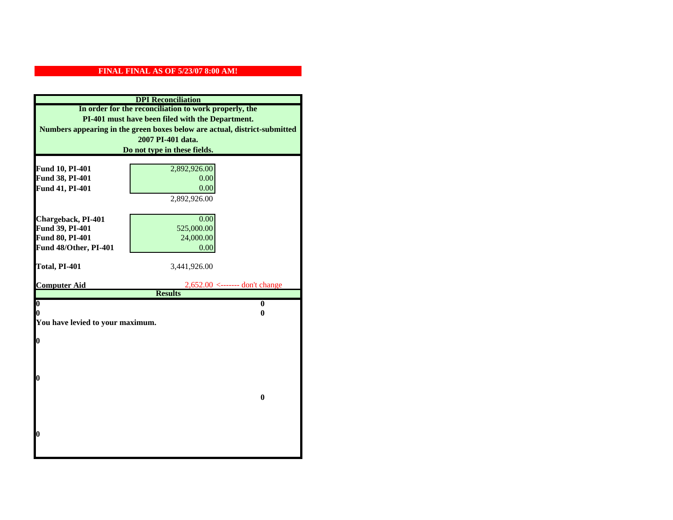|                                  | <b>DPI</b> Reconciliation                                                 |
|----------------------------------|---------------------------------------------------------------------------|
|                                  | In order for the reconciliation to work properly, the                     |
|                                  | PI-401 must have been filed with the Department.                          |
|                                  | Numbers appearing in the green boxes below are actual, district-submitted |
|                                  | 2007 PI-401 data.                                                         |
|                                  | Do not type in these fields.                                              |
|                                  |                                                                           |
| Fund 10, PI-401                  | 2,892,926.00                                                              |
| Fund 38, PI-401                  | 0.00                                                                      |
| Fund 41, PI-401                  | 0.00                                                                      |
|                                  | 2,892,926.00                                                              |
| Chargeback, PI-401               | 0.00                                                                      |
| Fund 39, PI-401                  | 525,000.00                                                                |
| Fund 80, PI-401                  | 24,000.00                                                                 |
| Fund 48/Other, PI-401            | 0.00                                                                      |
|                                  |                                                                           |
| Total, PI-401                    | 3,441,926.00                                                              |
|                                  |                                                                           |
| <b>Computer Aid</b>              | $2,652.00 \leftarrow \text{---}$ don't change                             |
|                                  | <b>Results</b>                                                            |
| $\boldsymbol{0}$<br>0            | $\bf{0}$<br>0                                                             |
| You have levied to your maximum. |                                                                           |
|                                  |                                                                           |
| 0                                |                                                                           |
|                                  |                                                                           |
|                                  |                                                                           |
|                                  |                                                                           |
| 0                                |                                                                           |
|                                  |                                                                           |
|                                  | $\bf{0}$                                                                  |
|                                  |                                                                           |
|                                  |                                                                           |
| 0                                |                                                                           |
|                                  |                                                                           |
|                                  |                                                                           |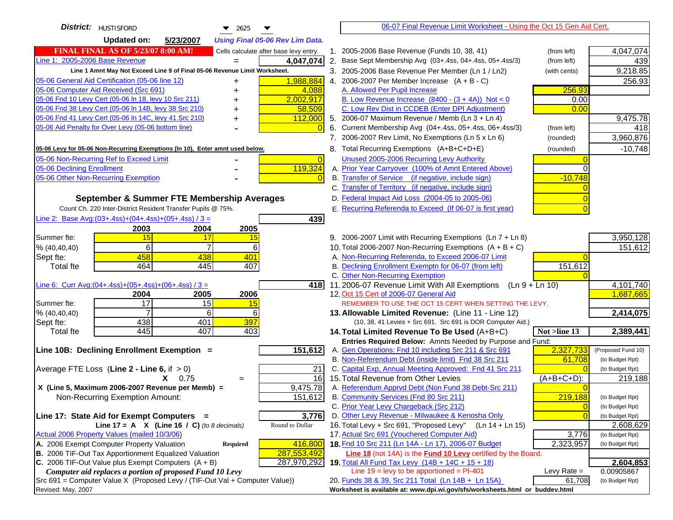| District:   HUSTISFORD<br>$\blacktriangledown$ 2625                                               |                | 06-07 Final Revenue Limit Worksheet - Using the Oct 15 Gen Aid Cert.                                                               |                     |                                       |
|---------------------------------------------------------------------------------------------------|----------------|------------------------------------------------------------------------------------------------------------------------------------|---------------------|---------------------------------------|
| <b>Updated on:</b><br>5/23/2007<br><b>Using Final 05-06 Rev Lim Data.</b>                         |                |                                                                                                                                    |                     |                                       |
| <b>FINAL FINAL AS OF 5/23/07 8:00 AM!</b><br>Cells calculate after base levy entry.               |                | 1. 2005-2006 Base Revenue (Funds 10, 38, 41)                                                                                       | (from left)         | 4,047,074                             |
| Line 1: 2005-2006 Base Revenue<br>4,047,074<br>$=$                                                |                | 2. Base Sept Membership Avg (03+.4ss, 04+.4ss, 05+.4ss/3)                                                                          | (from left)         | 439                                   |
| Line 1 Amnt May Not Exceed Line 9 of Final 05-06 Revenue Limit Worksheet.                         |                | 3. 2005-2006 Base Revenue Per Member (Ln 1 / Ln2)                                                                                  | (with cents)        | 9,218.85                              |
| 1,988,884<br>05-06 General Aid Certification (05-06 line 12)<br>+                                 |                | 4. 2006-2007 Per Member Increase $(A + B - C)$                                                                                     |                     | 256.93                                |
| 05-06 Computer Aid Received (Src 691)<br>4,088                                                    |                | A. Allowed Per Pupil Increase                                                                                                      | 256.93              |                                       |
| 05-06 Fnd 10 Levy Cert (05-06 In 18, levy 10 Src 211)<br>2,002,917                                |                | B. Low Revenue Increase $(8400 - (3 + 4A))$ Not < 0                                                                                | 0.00                |                                       |
| 05-06 Fnd 38 Levy Cert (05-06 In 14B, levy 38 Src 210)<br>58,509                                  |                | C. Low Rev Dist in CCDEB (Enter DPI Adjustment)                                                                                    | 0.00                |                                       |
| 05-06 Fnd 41 Levy Cert (05-06 In 14C, levy 41 Src 210)<br>112,000<br>+                            |                | 5. 2006-07 Maximum Revenue / Memb (Ln 3 + Ln 4)                                                                                    |                     | 9,475.78                              |
| 05-06 Aid Penalty for Over Levy (05-06 bottom line)                                               |                | 6. Current Membership Avg (04+.4ss, 05+.4ss, 06+.4ss/3)                                                                            | (from left)         | 418                                   |
|                                                                                                   |                | 7. 2006-2007 Rev Limit, No Exemptions (Ln 5 x Ln 6)                                                                                | (rounded)           | 3,960,876                             |
| 05-06 Levy for 05-06 Non-Recurring Exemptions (In 10), Enter amnt used below.                     |                | 8. Total Recurring Exemptions (A+B+C+D+E)                                                                                          | (rounded)           | $-10,748$                             |
| 05-06 Non-Recurring Ref to Exceed Limit                                                           | $\overline{0}$ | Unused 2005-2006 Recurring Levy Authority                                                                                          |                     |                                       |
| 119,324<br>05-06 Declining Enrollment                                                             |                | A. Prior Year Carryover (100% of Amnt Entered Above)                                                                               |                     |                                       |
| 05-06 Other Non-Recurring Exemption                                                               |                | B. Transfer of Service (if negative, include sign)                                                                                 | $-10,748$           |                                       |
|                                                                                                   |                | C. Transfer of Territory (if negative, include sign)                                                                               |                     |                                       |
| September & Summer FTE Membership Averages                                                        |                | D. Federal Impact Aid Loss (2004-05 to 2005-06)                                                                                    |                     |                                       |
| Count Ch. 220 Inter-District Resident Transfer Pupils @ 75%.                                      |                | E. Recurring Referenda to Exceed (If 06-07 is first year)                                                                          |                     |                                       |
| Line 2: Base Avg: $(03+.4ss)+(04+.4ss)+(05+.4ss)/3 =$<br>439                                      |                |                                                                                                                                    |                     |                                       |
| 2003<br>2004<br>2005                                                                              |                |                                                                                                                                    |                     |                                       |
| 15<br>Summer fte:<br>17<br>15                                                                     |                | 9. 2006-2007 Limit with Recurring Exemptions (Ln 7 + Ln 8)                                                                         |                     | 3,950,128                             |
| 6<br>$\overline{7}$<br>6<br>% (40, 40, 40)<br>458<br>438<br>401<br>Sept fte:                      |                | 10. Total 2006-2007 Non-Recurring Exemptions $(A + B + C)$<br>A. Non-Recurring Referenda, to Exceed 2006-07 Limit                  |                     | 151,612                               |
| 464<br><b>Total fte</b><br>445<br>407                                                             |                | B. Declining Enrollment Exemptn for 06-07 (from left)                                                                              | 151,612             |                                       |
|                                                                                                   |                | C. Other Non-Recurring Exemption                                                                                                   |                     |                                       |
| Line 6: Curr Avg: $(04+.4ss)+(05+.4ss)+(06+.4ss)/3 =$                                             | 418I           | 11.2006-07 Revenue Limit With All Exemptions (Ln 9 + Ln 10)                                                                        |                     | 4,101,740                             |
| 2006<br>2004<br>2005                                                                              |                | 12. Oct 15 Cert of 2006-07 General Aid                                                                                             |                     | 1,687,665                             |
| $\overline{17}$<br>15<br>Summer fte:<br>15                                                        |                | REMEMBER TO USE THE OCT 15 CERT WHEN SETTING THE LEVY.                                                                             |                     |                                       |
| % (40, 40, 40)<br>6<br>6                                                                          |                | 13. Allowable Limited Revenue: (Line 11 - Line 12)                                                                                 |                     | 2,414,075                             |
| 397<br>438<br>401<br>Sept fte:                                                                    |                | (10, 38, 41 Levies + Src 691. Src 691 is DOR Computer Aid.)                                                                        |                     |                                       |
| 445<br>407<br>403<br><b>Total fte</b>                                                             |                | 14. Total Limited Revenue To Be Used (A+B+C)                                                                                       | Not >line 13        | 2,389,441                             |
|                                                                                                   |                | Entries Required Below: Amnts Needed by Purpose and Fund:                                                                          |                     |                                       |
| 151,612<br>Line 10B: Declining Enrollment Exemption =                                             |                | A. Gen Operations: Fnd 10 including Src 211 & Src 691<br>B. Non-Referendum Debt (inside limit) Fnd 38 Src 211                      | 2,327,733<br>61,708 | (Proposed Fund 10)<br>(to Budget Rpt) |
| Average FTE Loss (Line $2 -$ Line 6, if $> 0$ )                                                   | 21             | C. Capital Exp, Annual Meeting Approved: Fnd 41 Src 211                                                                            |                     | (to Budget Rpt)                       |
| $X = 0.75$<br>$=$                                                                                 | 16             | 15. Total Revenue from Other Levies                                                                                                | $(A+B+C+D)$ :       | 219,188                               |
| X (Line 5, Maximum 2006-2007 Revenue per Memb) =<br>9,475.78                                      |                | A. Referendum Apprvd Debt (Non Fund 38 Debt-Src 211)                                                                               |                     |                                       |
| 151,612<br>Non-Recurring Exemption Amount:                                                        |                | B. Community Services (Fnd 80 Src 211)                                                                                             | 219,188             | (to Budget Rpt)                       |
|                                                                                                   |                | C. Prior Year Levy Chargeback (Src 212)                                                                                            | $\overline{0}$      | (to Budget Rpt)                       |
| 3,776<br>Line 17: State Aid for Exempt Computers =                                                |                | D. Other Levy Revenue - Milwaukee & Kenosha Only                                                                                   |                     | (to Budget Rpt)                       |
| Round to Dollar<br>Line 17 = A $X$ (Line 16 / C) (to 8 decimals)                                  |                | 16. Total Levy + Src 691, "Proposed Levy"<br>(Ln 14 + Ln 15)                                                                       |                     | 2,608,629                             |
| Actual 2006 Property Values (mailed 10/3/06)                                                      |                | 17. Actual Src 691 (Vouchered Computer Aid)                                                                                        | 3,776               | (to Budget Rpt)                       |
| A. 2006 Exempt Computer Property Valuation<br>416,800<br>Required                                 |                | 18. Fnd 10 Src 211 (Ln 14A - Ln 17), 2006-07 Budget                                                                                | 2,323,957           | (to Budget Rpt)                       |
| B. 2006 TIF-Out Tax Apportionment Equalized Valuation<br>287,553,492                              |                | <b>Line 18</b> (not 14A) is the <b>Fund 10 Levy</b> certified by the Board.                                                        |                     |                                       |
| C. 2006 TIF-Out Value plus Exempt Computers $(A + B)$<br>287,970,292                              |                | 19. Total All Fund Tax Levy $(14B + 14C + 15 + 18)$                                                                                |                     | 2,604,853                             |
| Computer aid replaces a portion of proposed Fund 10 Levy                                          |                | Line $19 = \text{levy}$ to be apportioned = PI-401                                                                                 | Levy Rate $=$       | 0.00905867                            |
| Src 691 = Computer Value X (Proposed Levy / (TIF-Out Val + Computer Value))<br>Revised: May, 2007 |                | 20. Funds 38 & 39, Src 211 Total (Ln 14B + Ln 15A)<br>Worksheet is available at: www.dpi.wi.gov/sfs/worksheets.html or buddev.html | 61,708              | (to Budget Rpt)                       |
|                                                                                                   |                |                                                                                                                                    |                     |                                       |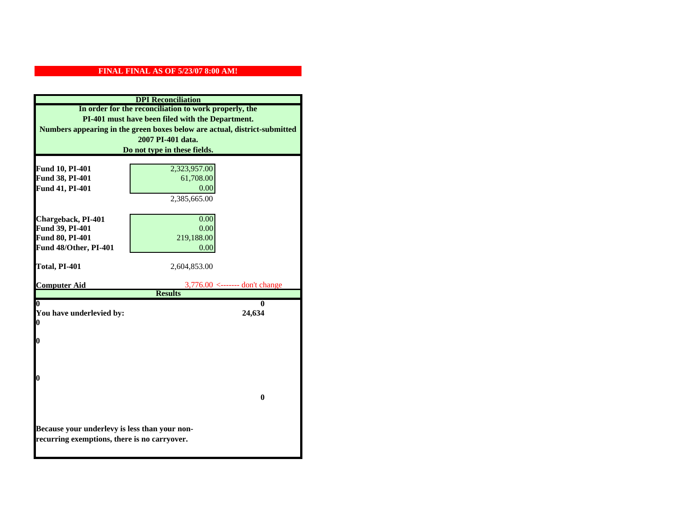|                                               | <b>DPI</b> Reconciliation                                                                                 |
|-----------------------------------------------|-----------------------------------------------------------------------------------------------------------|
|                                               | In order for the reconciliation to work properly, the<br>PI-401 must have been filed with the Department. |
|                                               | Numbers appearing in the green boxes below are actual, district-submitted                                 |
|                                               | 2007 PI-401 data.<br>Do not type in these fields.                                                         |
|                                               |                                                                                                           |
| Fund 10, PI-401                               | 2,323,957.00                                                                                              |
| Fund 38, PI-401                               | 61,708.00                                                                                                 |
| Fund 41, PI-401                               | 0.00<br>2,385,665.00                                                                                      |
|                                               |                                                                                                           |
| Chargeback, PI-401                            | 0.00                                                                                                      |
| Fund 39, PI-401<br>Fund 80, PI-401            | 0.00                                                                                                      |
| Fund 48/Other, PI-401                         | 219,188.00<br>0.00                                                                                        |
|                                               |                                                                                                           |
| Total, PI-401                                 | 2,604,853.00                                                                                              |
| <b>Computer Aid</b>                           | $3,776.00 \le$ ------- don't change                                                                       |
|                                               | <b>Results</b>                                                                                            |
| You have underlevied by:                      | 0<br>24,634                                                                                               |
| 0                                             |                                                                                                           |
|                                               |                                                                                                           |
| 0                                             |                                                                                                           |
|                                               |                                                                                                           |
| 0                                             |                                                                                                           |
|                                               |                                                                                                           |
|                                               | $\bf{0}$                                                                                                  |
|                                               |                                                                                                           |
| Because your underlevy is less than your non- |                                                                                                           |
| recurring exemptions, there is no carryover.  |                                                                                                           |
|                                               |                                                                                                           |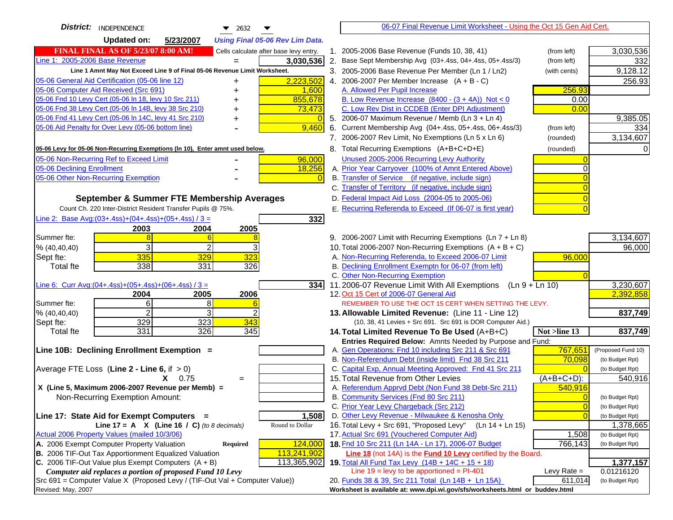| District:<br>INDEPENDENCE<br>$\blacktriangledown$ 2632                                        | 06-07 Final Revenue Limit Worksheet - Using the Oct 15 Gen Aid Cert.                                                       |                              |
|-----------------------------------------------------------------------------------------------|----------------------------------------------------------------------------------------------------------------------------|------------------------------|
| <b>Updated on:</b><br>5/23/2007<br><b>Using Final 05-06 Rev Lim Data.</b>                     |                                                                                                                            |                              |
| <b>FINAL FINAL AS OF 5/23/07 8:00 AM!</b><br>Cells calculate after base levy entry.           | 1. 2005-2006 Base Revenue (Funds 10, 38, 41)<br>(from left)                                                                | 3,030,536                    |
| Line 1: 2005-2006 Base Revenue<br>3,030,536<br>$=$                                            | 2. Base Sept Membership Avg (03+.4ss, 04+.4ss, 05+.4ss/3)<br>(from left)                                                   | 332                          |
| Line 1 Amnt May Not Exceed Line 9 of Final 05-06 Revenue Limit Worksheet.                     | 3. 2005-2006 Base Revenue Per Member (Ln 1 / Ln2)<br>(with cents)                                                          | 9,128.12                     |
| 2,223,502<br>05-06 General Aid Certification (05-06 line 12)<br>+                             | 4. 2006-2007 Per Member Increase $(A + B - C)$                                                                             | 256.93                       |
| 05-06 Computer Aid Received (Src 691)<br>1,600                                                | A. Allowed Per Pupil Increase<br>256.93                                                                                    |                              |
| 05-06 Fnd 10 Levy Cert (05-06 In 18, levy 10 Src 211)<br>855,678                              | B. Low Revenue Increase $(8400 - (3 + 4A))$ Not < 0<br>0.00                                                                |                              |
| 05-06 Fnd 38 Levy Cert (05-06 In 14B, levy 38 Src 210)<br>73,473                              | C. Low Rev Dist in CCDEB (Enter DPI Adjustment)<br>0.00                                                                    |                              |
| 05-06 Fnd 41 Levy Cert (05-06 In 14C, levy 41 Src 210)<br>+                                   | 5. 2006-07 Maximum Revenue / Memb (Ln 3 + Ln 4)                                                                            | 9,385.05                     |
| 05-06 Aid Penalty for Over Levy (05-06 bottom line)<br>9,460                                  | 6. Current Membership Avg (04+.4ss, 05+.4ss, 06+.4ss/3)<br>(from left)                                                     | 334                          |
|                                                                                               | 7. 2006-2007 Rev Limit, No Exemptions (Ln 5 x Ln 6)<br>(rounded)                                                           | 3,134,607                    |
| 05-06 Levy for 05-06 Non-Recurring Exemptions (In 10), Enter amnt used below.                 | 8. Total Recurring Exemptions (A+B+C+D+E)<br>(rounded)                                                                     |                              |
| 05-06 Non-Recurring Ref to Exceed Limit<br>96,000                                             | Unused 2005-2006 Recurring Levy Authority                                                                                  |                              |
| 05-06 Declining Enrollment<br>18,256                                                          | A. Prior Year Carryover (100% of Amnt Entered Above)                                                                       |                              |
| 05-06 Other Non-Recurring Exemption                                                           | B. Transfer of Service (if negative, include sign)                                                                         |                              |
|                                                                                               | C. Transfer of Territory (if negative, include sign)                                                                       |                              |
| September & Summer FTE Membership Averages                                                    | D. Federal Impact Aid Loss (2004-05 to 2005-06)                                                                            |                              |
| Count Ch. 220 Inter-District Resident Transfer Pupils @ 75%.                                  | E. Recurring Referenda to Exceed (If 06-07 is first year)                                                                  |                              |
| Line 2: Base Avg: $(03+.4ss)+(04+.4ss)+(05+.4ss)/3 =$<br>332                                  |                                                                                                                            |                              |
| 2003<br>2004<br>2005                                                                          |                                                                                                                            |                              |
| Summer fte:                                                                                   | 9. 2006-2007 Limit with Recurring Exemptions (Ln 7 + Ln 8)                                                                 | 3,134,607                    |
| 3<br>$\overline{2}$<br>% (40, 40, 40)                                                         | 10. Total 2006-2007 Non-Recurring Exemptions $(A + B + C)$                                                                 | 96,000                       |
| 335<br>323<br>329<br>Sept fte:                                                                | A. Non-Recurring Referenda, to Exceed 2006-07 Limit<br>96,000                                                              |                              |
| 338<br>326<br>331<br><b>Total fte</b>                                                         | B. Declining Enrollment Exemptn for 06-07 (from left)                                                                      |                              |
|                                                                                               | C. Other Non-Recurring Exemption                                                                                           |                              |
| Line 6: Curr Avg: $(04+.4ss)+(05+.4ss)+(06+.4ss)/3 =$<br>334<br>2005<br>2006<br>2004          | 11.2006-07 Revenue Limit With All Exemptions (Ln $9 + \overline{\text{Ln }10}$ )<br>12. Oct 15 Cert of 2006-07 General Aid | 3,230,607<br>2,392,858       |
| 6<br>8<br>Summer fte:                                                                         | REMEMBER TO USE THE OCT 15 CERT WHEN SETTING THE LEVY.                                                                     |                              |
| $\overline{2}$<br>3<br>% (40, 40, 40)                                                         | 13. Allowable Limited Revenue: (Line 11 - Line 12)                                                                         | 837,749                      |
| 329<br>323<br>343<br>Sept fte:                                                                | (10, 38, 41 Levies + Src 691. Src 691 is DOR Computer Aid.)                                                                |                              |
| 331<br>326<br>$\overline{345}$<br><b>Total fte</b>                                            | Not >line 13<br>14. Total Limited Revenue To Be Used (A+B+C)                                                               | 837,749                      |
|                                                                                               | Entries Required Below: Amnts Needed by Purpose and Fund:                                                                  |                              |
| Line 10B: Declining Enrollment Exemption =                                                    | A. Gen Operations: Fnd 10 including Src 211 & Src 691<br>767,651                                                           | (Proposed Fund 10)           |
|                                                                                               | B. Non-Referendum Debt (inside limit) Fnd 38 Src 211<br>70,098                                                             | (to Budget Rpt)              |
| Average FTE Loss (Line $2 -$ Line 6, if $> 0$ )                                               | C. Capital Exp, Annual Meeting Approved: Fnd 41 Src 211                                                                    | (to Budget Rpt)              |
| $X = 0.75$<br>$=$                                                                             | 15. Total Revenue from Other Levies<br>(A+B+C+D):                                                                          | 540,916                      |
| X (Line 5, Maximum 2006-2007 Revenue per Memb) =                                              | A. Referendum Apprvd Debt (Non Fund 38 Debt-Src 211)<br>540,916                                                            |                              |
| Non-Recurring Exemption Amount:                                                               | B. Community Services (Fnd 80 Src 211)                                                                                     | (to Budget Rpt)              |
|                                                                                               | C. Prior Year Levy Chargeback (Src 212)<br>$\overline{0}$                                                                  | (to Budget Rpt)              |
| 1,508<br>Line 17: State Aid for Exempt Computers =<br>Round to Dollar                         | D. Other Levy Revenue - Milwaukee & Kenosha Only<br>16. Total Levy + Src 691, "Proposed Levy"<br>(Ln 14 + Ln 15)           | (to Budget Rpt)              |
| Line 17 = A $X$ (Line 16 / C) (to 8 decimals)<br>Actual 2006 Property Values (mailed 10/3/06) | 17. Actual Src 691 (Vouchered Computer Aid)<br>1,508                                                                       | 1,378,665<br>(to Budget Rpt) |
| A. 2006 Exempt Computer Property Valuation<br>124,000<br>Required                             | 18. Fnd 10 Src 211 (Ln 14A - Ln 17), 2006-07 Budget<br>766,143                                                             | (to Budget Rpt)              |
| B. 2006 TIF-Out Tax Apportionment Equalized Valuation<br>113,241,902                          | Line 18 (not 14A) is the <b>Fund 10 Levy</b> certified by the Board.                                                       |                              |
| C. 2006 TIF-Out Value plus Exempt Computers $(A + B)$<br>113,365,902                          | 19. Total All Fund Tax Levy $(14B + 14C + 15 + 18)$                                                                        | 1,377,157                    |
| Computer aid replaces a portion of proposed Fund 10 Levy                                      | Line $19 = \text{levy}$ to be apportioned = PI-401<br>Levy Rate $=$                                                        | 0.01216120                   |
| Src 691 = Computer Value X (Proposed Levy / (TIF-Out Val + Computer Value))                   | 20. Funds 38 & 39, Src 211 Total (Ln 14B + Ln 15A)<br>611,014                                                              | (to Budget Rpt)              |
| Revised: May, 2007                                                                            | Worksheet is available at: www.dpi.wi.gov/sfs/worksheets.html or buddev.html                                               |                              |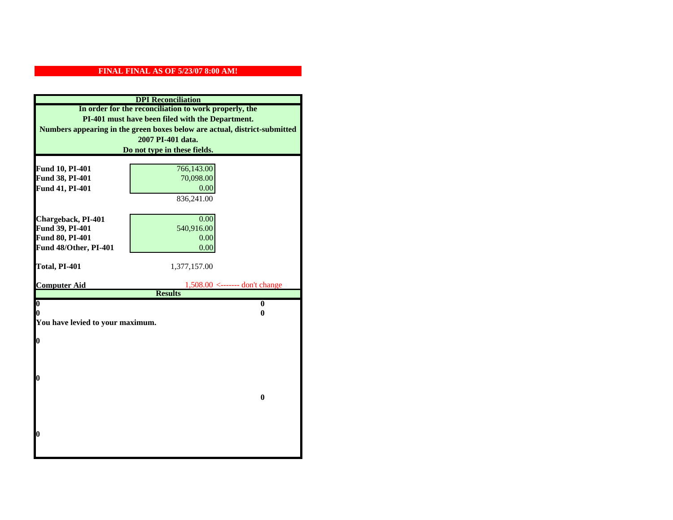|                                  | <b>DPI</b> Reconciliation                                                 |
|----------------------------------|---------------------------------------------------------------------------|
|                                  | In order for the reconciliation to work properly, the                     |
|                                  | PI-401 must have been filed with the Department.                          |
|                                  | Numbers appearing in the green boxes below are actual, district-submitted |
|                                  | 2007 PI-401 data.                                                         |
|                                  | Do not type in these fields.                                              |
|                                  |                                                                           |
| Fund 10, PI-401                  | 766,143.00                                                                |
| Fund 38, PI-401                  | 70,098.00                                                                 |
| Fund 41, PI-401                  | 0.00                                                                      |
|                                  | 836,241.00                                                                |
|                                  |                                                                           |
| Chargeback, PI-401               | 0.00                                                                      |
| Fund 39, PI-401                  | 540,916.00                                                                |
| Fund 80, PI-401                  | 0.00                                                                      |
| Fund 48/Other, PI-401            | 0.00                                                                      |
|                                  |                                                                           |
|                                  |                                                                           |
| Total, PI-401                    | 1,377,157.00                                                              |
| <b>Computer Aid</b>              | $1,508.00 \le$ ------- don't change                                       |
|                                  | <b>Results</b>                                                            |
| $\overline{\mathbf{0}}$          | $\mathbf{0}$                                                              |
| 0                                | 0                                                                         |
| You have levied to your maximum. |                                                                           |
|                                  |                                                                           |
| $\bf{0}$                         |                                                                           |
|                                  |                                                                           |
|                                  |                                                                           |
| 0                                |                                                                           |
|                                  |                                                                           |
|                                  | $\bf{0}$                                                                  |
|                                  |                                                                           |
|                                  |                                                                           |
|                                  |                                                                           |
| 0                                |                                                                           |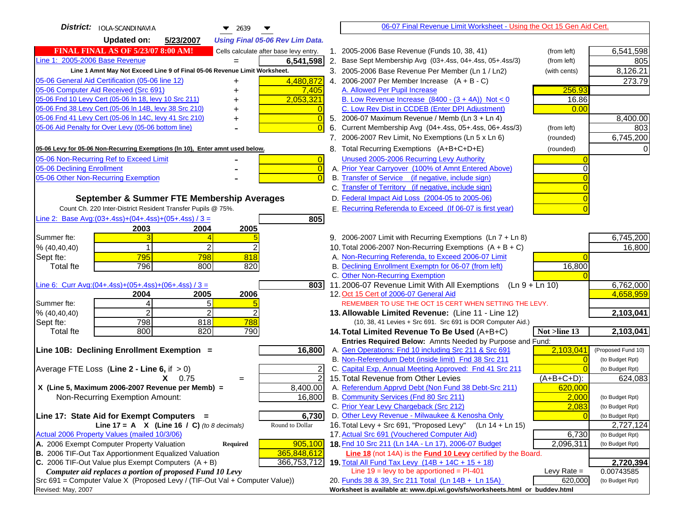| District:   IOLA-SCANDINAVIA<br>$\blacktriangledown$ 2639                                                             | 06-07 Final Revenue Limit Worksheet - Using the Oct 15 Gen Aid Cert.                                      |                                    |
|-----------------------------------------------------------------------------------------------------------------------|-----------------------------------------------------------------------------------------------------------|------------------------------------|
| <b>Updated on:</b><br>5/23/2007<br><b>Using Final 05-06 Rev Lim Data.</b>                                             |                                                                                                           |                                    |
| <b>FINAL FINAL AS OF 5/23/07 8:00 AM!</b><br>Cells calculate after base levy entry.                                   | 1. 2005-2006 Base Revenue (Funds 10, 38, 41)<br>(from left)                                               | 6,541,598                          |
| Line 1: 2005-2006 Base Revenue<br>6,541,598                                                                           | 2. Base Sept Membership Avg (03+.4ss, 04+.4ss, 05+.4ss/3)<br>(from left)                                  | 805                                |
| Line 1 Amnt May Not Exceed Line 9 of Final 05-06 Revenue Limit Worksheet.                                             | 3. 2005-2006 Base Revenue Per Member (Ln 1 / Ln2)<br>(with cents)                                         | 8,126.21                           |
| 4,480,872<br>05-06 General Aid Certification (05-06 line 12)<br>+                                                     | 4. 2006-2007 Per Member Increase $(A + B - C)$                                                            | 273.79                             |
| 05-06 Computer Aid Received (Src 691)<br>7,405                                                                        | 256.93<br>A. Allowed Per Pupil Increase                                                                   |                                    |
| 05-06 Fnd 10 Levy Cert (05-06 In 18, levy 10 Src 211)<br>2,053,321                                                    | B. Low Revenue Increase $(8400 - (3 + 4A))$ Not < 0<br>16.86                                              |                                    |
| 05-06 Fnd 38 Levy Cert (05-06 In 14B, levy 38 Src 210)                                                                | C. Low Rev Dist in CCDEB (Enter DPI Adjustment)<br>0.00                                                   |                                    |
| 05-06 Fnd 41 Levy Cert (05-06 In 14C, levy 41 Src 210)<br>$\Omega$<br>+                                               | 5. 2006-07 Maximum Revenue / Memb (Ln 3 + Ln 4)                                                           | 8,400.00                           |
| 05-06 Aid Penalty for Over Levy (05-06 bottom line)                                                                   | 6. Current Membership Avg (04+.4ss, 05+.4ss, 06+.4ss/3)<br>(from left)                                    | 803                                |
|                                                                                                                       | 7. 2006-2007 Rev Limit, No Exemptions (Ln 5 x Ln 6)<br>(rounded)                                          | 6,745,200                          |
| 05-06 Levy for 05-06 Non-Recurring Exemptions (In 10), Enter amnt used below.                                         | 8. Total Recurring Exemptions (A+B+C+D+E)<br>(rounded)                                                    |                                    |
| 05-06 Non-Recurring Ref to Exceed Limit<br>$\overline{0}$                                                             | Unused 2005-2006 Recurring Levy Authority                                                                 |                                    |
| 05-06 Declining Enrollment<br>$\Omega$                                                                                | A. Prior Year Carryover (100% of Amnt Entered Above)                                                      |                                    |
| 05-06 Other Non-Recurring Exemption                                                                                   | B. Transfer of Service (if negative, include sign)                                                        |                                    |
|                                                                                                                       | C. Transfer of Territory (if negative, include sign)                                                      |                                    |
| September & Summer FTE Membership Averages                                                                            | D. Federal Impact Aid Loss (2004-05 to 2005-06)                                                           |                                    |
| Count Ch. 220 Inter-District Resident Transfer Pupils @ 75%.                                                          | E. Recurring Referenda to Exceed (If 06-07 is first year)                                                 |                                    |
| Line 2: Base Avg:(03+.4ss)+(04+.4ss)+(05+.4ss) / 3 =<br>805                                                           |                                                                                                           |                                    |
| 2004<br>2005<br>2003                                                                                                  |                                                                                                           |                                    |
| Summer fte:                                                                                                           | 9. 2006-2007 Limit with Recurring Exemptions (Ln 7 + Ln 8)                                                | 6,745,200                          |
| % (40, 40, 40)<br>2                                                                                                   | 10. Total 2006-2007 Non-Recurring Exemptions $(A + B + C)$                                                | 16,800                             |
| 795<br>818<br>798<br>Sept fte:                                                                                        | A. Non-Recurring Referenda, to Exceed 2006-07 Limit                                                       |                                    |
| 796<br>820<br>800<br>Total fte                                                                                        | B. Declining Enrollment Exemptn for 06-07 (from left)<br>16,800                                           |                                    |
|                                                                                                                       | C. Other Non-Recurring Exemption                                                                          | 6,762,000                          |
| Line 6: Curr Avg: $(04+.4ss)+(05+.4ss)+(06+.4ss)/3 =$<br>8031<br>2004<br>2005<br>2006                                 | 11.2006-07 Revenue Limit With All Exemptions (Ln 9 + Ln 10)<br>12. Oct 15 Cert of 2006-07 General Aid     | 4,658,959                          |
| 5<br>Summer fte:                                                                                                      | REMEMBER TO USE THE OCT 15 CERT WHEN SETTING THE LEVY.                                                    |                                    |
| $\overline{2}$<br>$\overline{2}$<br>% (40, 40, 40)                                                                    | 13. Allowable Limited Revenue: (Line 11 - Line 12)                                                        | 2,103,041                          |
| 798<br>788<br>818<br>Sept fte:                                                                                        | (10, 38, 41 Levies + Src 691. Src 691 is DOR Computer Aid.)                                               |                                    |
| 800<br>820<br>790<br><b>Total fte</b>                                                                                 | 14. Total Limited Revenue To Be Used (A+B+C)<br>Not >line 13                                              | 2,103,041                          |
|                                                                                                                       | Entries Required Below: Amnts Needed by Purpose and Fund:                                                 |                                    |
| Line 10B: Declining Enrollment Exemption =<br>16,800                                                                  | A. Gen Operations: Fnd 10 including Src 211 & Src 691<br>2,103,041                                        | (Proposed Fund 10)                 |
|                                                                                                                       | B. Non-Referendum Debt (inside limit) Fnd 38 Src 211<br>$\Omega$                                          | (to Budget Rpt)                    |
| Average FTE Loss (Line $2 -$ Line 6, if $> 0$ )                                                                       | C. Capital Exp, Annual Meeting Approved: Fnd 41 Src 211                                                   | (to Budget Rpt)                    |
| $\overline{2}$<br>$X = 0.75$<br>$=$                                                                                   | 15. Total Revenue from Other Levies<br>$(A+B+C+D)$ :                                                      | 624,083                            |
| X (Line 5, Maximum 2006-2007 Revenue per Memb) =<br>8,400.00                                                          | A. Referendum Apprvd Debt (Non Fund 38 Debt-Src 211)<br>620,000                                           |                                    |
| Non-Recurring Exemption Amount:<br>16,800                                                                             | B. Community Services (Fnd 80 Src 211)<br>2,000                                                           | (to Budget Rpt)                    |
|                                                                                                                       | C. Prior Year Levy Chargeback (Src 212)<br>2,083                                                          | (to Budget Rpt)                    |
| 6,730<br>Line 17: State Aid for Exempt Computers =                                                                    | D. Other Levy Revenue - Milwaukee & Kenosha Only<br>$\Omega$<br>16. Total Levy + Src 691, "Proposed Levy" | (to Budget Rpt)                    |
| Line $17 = A \times (Line 16 / C)$ (to 8 decimals)<br>Round to Dollar<br>Actual 2006 Property Values (mailed 10/3/06) | (Ln 14 + Ln 15)<br>17. Actual Src 691 (Vouchered Computer Aid)<br>6,730                                   | 2,727,124                          |
| A. 2006 Exempt Computer Property Valuation<br>Required<br>905,100                                                     | 18. Fnd 10 Src 211 (Ln 14A - Ln 17), 2006-07 Budget<br>2,096,311                                          | (to Budget Rpt)<br>(to Budget Rpt) |
| B. 2006 TIF-Out Tax Apportionment Equalized Valuation<br>365,848,612                                                  | Line 18 (not 14A) is the Fund 10 Levy certified by the Board.                                             |                                    |
| C. 2006 TIF-Out Value plus Exempt Computers $(A + B)$<br>366,753,712                                                  | 19. Total All Fund Tax Levy (14B + 14C + 15 + 18)                                                         | 2,720,394                          |
| Computer aid replaces a portion of proposed Fund 10 Levy                                                              | Line $19 = \text{levy}$ to be apportioned = PI-401<br>Levy Rate $=$                                       | 0.00743585                         |
| Src 691 = Computer Value X (Proposed Levy / (TIF-Out Val + Computer Value))                                           | 20. Funds 38 & 39, Src 211 Total (Ln 14B + Ln 15A)<br>620,000                                             | (to Budget Rpt)                    |
| Revised: May, 2007                                                                                                    | Worksheet is available at: www.dpi.wi.gov/sfs/worksheets.html or buddev.html                              |                                    |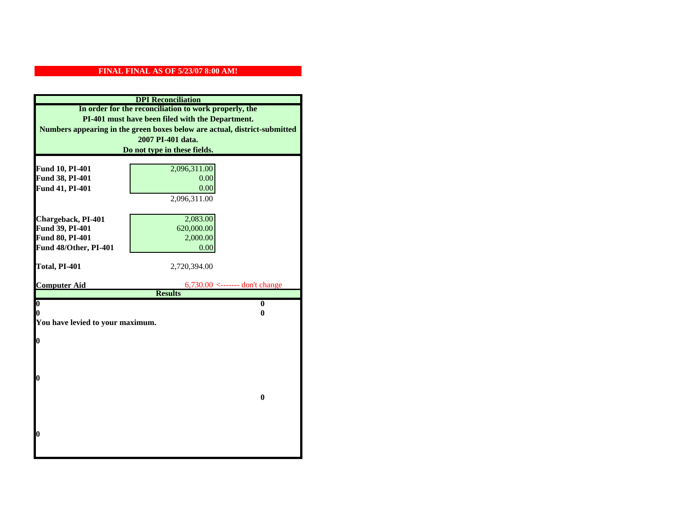| <b>DPI</b> Reconciliation<br>In order for the reconciliation to work properly, the<br>PI-401 must have been filed with the Department. |                                |                                                                           |                   |
|----------------------------------------------------------------------------------------------------------------------------------------|--------------------------------|---------------------------------------------------------------------------|-------------------|
|                                                                                                                                        |                                | Numbers appearing in the green boxes below are actual, district-submitted |                   |
|                                                                                                                                        |                                |                                                                           | 2007 PI-401 data. |
|                                                                                                                                        | Do not type in these fields.   |                                                                           |                   |
|                                                                                                                                        |                                |                                                                           |                   |
| Fund 10, PI-401                                                                                                                        | 2,096,311.00                   |                                                                           |                   |
| Fund 38, PI-401                                                                                                                        | 0.00                           |                                                                           |                   |
| Fund 41, PI-401                                                                                                                        | 0.00                           |                                                                           |                   |
|                                                                                                                                        | 2,096,311.00                   |                                                                           |                   |
|                                                                                                                                        |                                |                                                                           |                   |
| Chargeback, PI-401                                                                                                                     | 2,083.00                       |                                                                           |                   |
| Fund 39, PI-401                                                                                                                        | 620,000.00                     |                                                                           |                   |
| Fund 80, PI-401                                                                                                                        | 2,000.00                       |                                                                           |                   |
| Fund 48/Other, PI-401                                                                                                                  | 0.00                           |                                                                           |                   |
| Total, PI-401                                                                                                                          | 2,720,394.00                   |                                                                           |                   |
|                                                                                                                                        |                                |                                                                           |                   |
| <b>Computer Aid</b>                                                                                                                    | 6,730.00 <------- don't change |                                                                           |                   |
|                                                                                                                                        | <b>Results</b>                 |                                                                           |                   |
| $\overline{\mathbf{0}}$                                                                                                                | $\bf{0}$                       |                                                                           |                   |
| 0<br>0                                                                                                                                 |                                |                                                                           |                   |
| You have levied to your maximum.                                                                                                       |                                |                                                                           |                   |
| $\bf{0}$                                                                                                                               |                                |                                                                           |                   |
|                                                                                                                                        |                                |                                                                           |                   |
|                                                                                                                                        |                                |                                                                           |                   |
|                                                                                                                                        |                                |                                                                           |                   |
| l0                                                                                                                                     |                                |                                                                           |                   |
|                                                                                                                                        |                                |                                                                           |                   |
|                                                                                                                                        | $\bf{0}$                       |                                                                           |                   |
|                                                                                                                                        |                                |                                                                           |                   |
|                                                                                                                                        |                                |                                                                           |                   |
|                                                                                                                                        |                                |                                                                           |                   |
| $\boldsymbol{0}$                                                                                                                       |                                |                                                                           |                   |
|                                                                                                                                        |                                |                                                                           |                   |
|                                                                                                                                        |                                |                                                                           |                   |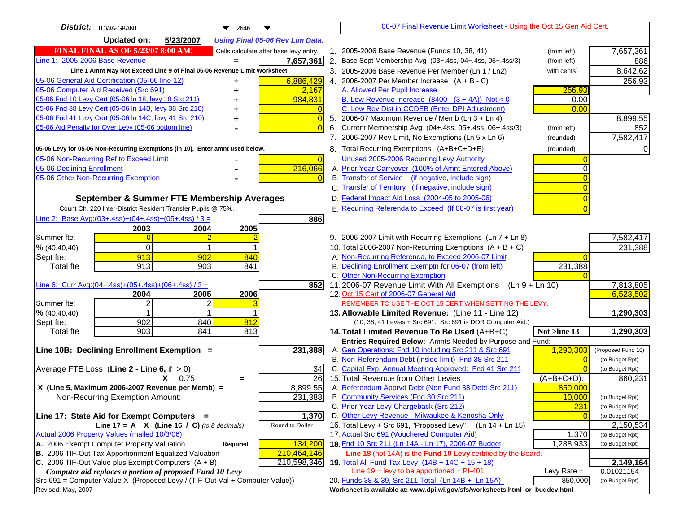| District:<br><b>IOWA-GRANT</b><br>▼<br>2646                                                                                             |    | 06-07 Final Revenue Limit Worksheet - Using the Oct 15 Gen Aid Cert.                                                     |                          |                         |
|-----------------------------------------------------------------------------------------------------------------------------------------|----|--------------------------------------------------------------------------------------------------------------------------|--------------------------|-------------------------|
| <b>Updated on:</b><br>5/23/2007<br><b>Using Final 05-06 Rev Lim Data.</b>                                                               |    |                                                                                                                          |                          |                         |
| <b>FINAL FINAL AS OF 5/23/07 8:00 AM!</b><br>Cells calculate after base levy entry.                                                     |    | 1. 2005-2006 Base Revenue (Funds 10, 38, 41)                                                                             | (from left)              | 7,657,361               |
| Line 1: 2005-2006 Base Revenue<br>7,657,361                                                                                             | 2. | Base Sept Membership Avg (03+.4ss, 04+.4ss, 05+.4ss/3)                                                                   | (from left)              | 886                     |
| Line 1 Amnt May Not Exceed Line 9 of Final 05-06 Revenue Limit Worksheet.                                                               |    | 3. 2005-2006 Base Revenue Per Member (Ln 1 / Ln2)                                                                        | (with cents)             | 8,642.62                |
| 6,886,429<br>05-06 General Aid Certification (05-06 line 12)<br>+                                                                       |    | 4. 2006-2007 Per Member Increase $(A + B - C)$                                                                           |                          | 256.93                  |
| 05-06 Computer Aid Received (Src 691)<br>2,167                                                                                          |    | A. Allowed Per Pupil Increase                                                                                            | 256.93                   |                         |
| 05-06 Fnd 10 Levy Cert (05-06 In 18, levy 10 Src 211)<br>984,831                                                                        |    | B. Low Revenue Increase $(8400 - (3 + 4A))$ Not < 0                                                                      | 0.00                     |                         |
| 05-06 Fnd 38 Levy Cert (05-06 In 14B, levy 38 Src 210)<br>+                                                                             |    | C. Low Rev Dist in CCDEB (Enter DPI Adjustment)                                                                          | 0.00                     |                         |
| 05-06 Fnd 41 Levy Cert (05-06 In 14C, levy 41 Src 210)<br>$\overline{0}$<br>$\pmb{+}$                                                   |    | 5. 2006-07 Maximum Revenue / Memb (Ln 3 + Ln 4)                                                                          |                          | 8,899.55                |
| 05-06 Aid Penalty for Over Levy (05-06 bottom line)                                                                                     |    | 6. Current Membership Avg (04+.4ss, 05+.4ss, 06+.4ss/3)                                                                  | (from left)              | 852                     |
|                                                                                                                                         |    | 7. 2006-2007 Rev Limit, No Exemptions (Ln 5 x Ln 6)                                                                      | (rounded)                | 7,582,417               |
| 05-06 Levy for 05-06 Non-Recurring Exemptions (In 10), Enter amnt used below.                                                           |    | 8. Total Recurring Exemptions (A+B+C+D+E)                                                                                | (rounded)                |                         |
| 05-06 Non-Recurring Ref to Exceed Limit<br>$\overline{0}$                                                                               |    | Unused 2005-2006 Recurring Levy Authority                                                                                |                          |                         |
| 216,066<br>05-06 Declining Enrollment                                                                                                   |    | A. Prior Year Carryover (100% of Amnt Entered Above)                                                                     |                          |                         |
| 05-06 Other Non-Recurring Exemption                                                                                                     |    | B. Transfer of Service (if negative, include sign)                                                                       |                          |                         |
|                                                                                                                                         |    | C. Transfer of Territory (if negative, include sign)                                                                     |                          |                         |
| September & Summer FTE Membership Averages                                                                                              |    | D. Federal Impact Aid Loss (2004-05 to 2005-06)                                                                          |                          |                         |
| Count Ch. 220 Inter-District Resident Transfer Pupils @ 75%.                                                                            |    | E. Recurring Referenda to Exceed (If 06-07 is first year)                                                                |                          |                         |
| Line 2: Base Avg: $(03+.4ss)+(04+.4ss)+(05+.4ss)/3 =$<br>886                                                                            |    |                                                                                                                          |                          |                         |
| 2004<br>2005<br>2003                                                                                                                    |    |                                                                                                                          |                          |                         |
| Summer fte:<br>$\Omega$                                                                                                                 |    | 9. 2006-2007 Limit with Recurring Exemptions (Ln 7 + Ln 8)<br>10. Total 2006-2007 Non-Recurring Exemptions $(A + B + C)$ |                          | 7,582,417               |
| % (40, 40, 40)<br>913<br>902<br>840<br>Sept fte:                                                                                        |    | A. Non-Recurring Referenda, to Exceed 2006-07 Limit                                                                      |                          | 231,388                 |
| 913<br>841<br>903<br><b>Total fte</b>                                                                                                   |    | B. Declining Enrollment Exemptn for 06-07 (from left)                                                                    | 231,388                  |                         |
|                                                                                                                                         |    | C. Other Non-Recurring Exemption                                                                                         |                          |                         |
| Line 6: Curr Avg: $(04+.4ss)+(05+.4ss)+(06+.4ss)/3 =$<br>852                                                                            |    | 11.2006-07 Revenue Limit With All Exemptions<br>$(Ln 9 + Ln 10)$                                                         |                          | 7,813,805               |
| 2004<br>2005<br>2006                                                                                                                    |    | 12. Oct 15 Cert of 2006-07 General Aid                                                                                   |                          | 6,523,502               |
| Summer fte:<br>2<br>21                                                                                                                  |    | REMEMBER TO USE THE OCT 15 CERT WHEN SETTING THE LEVY.                                                                   |                          |                         |
| % (40, 40, 40)                                                                                                                          |    | 13. Allowable Limited Revenue: (Line 11 - Line 12)                                                                       |                          | 1,290,303               |
| 902<br>840<br>812<br>Sept fte:                                                                                                          |    | (10, 38, 41 Levies + Src 691. Src 691 is DOR Computer Aid.)                                                              |                          |                         |
| 903<br>841<br>813<br><b>Total fte</b>                                                                                                   |    | 14. Total Limited Revenue To Be Used (A+B+C)                                                                             | Not >line 13             | 1,290,303               |
| 231,388                                                                                                                                 |    | Entries Required Below: Amnts Needed by Purpose and Fund:<br>A. Gen Operations: Fnd 10 including Src 211 & Src 691       | 1,290,303                | (Proposed Fund 10)      |
| Line 10B: Declining Enrollment Exemption =                                                                                              |    | B. Non-Referendum Debt (inside limit) Fnd 38 Src 211                                                                     |                          | (to Budget Rpt)         |
| Average FTE Loss (Line $2 -$ Line 6, if $> 0$ )<br>34                                                                                   |    | C. Capital Exp, Annual Meeting Approved: Fnd 41 Src 211                                                                  |                          | (to Budget Rpt)         |
| $\overline{26}$<br>0.75<br>X.<br>$=$                                                                                                    |    | 15. Total Revenue from Other Levies                                                                                      | $(A+B+C+D)$ :            | 860,231                 |
| 8,899.55<br>X (Line 5, Maximum 2006-2007 Revenue per Memb) =                                                                            |    | A. Referendum Apprvd Debt (Non Fund 38 Debt-Src 211)                                                                     | 850,000                  |                         |
| 231,388<br>Non-Recurring Exemption Amount:                                                                                              |    | B. Community Services (Fnd 80 Src 211)                                                                                   | 10,000                   | (to Budget Rpt)         |
|                                                                                                                                         |    | C. Prior Year Levy Chargeback (Src 212)                                                                                  | 231                      | (to Budget Rpt)         |
| Line 17: State Aid for Exempt Computers =<br>1,370                                                                                      |    | D. Other Levy Revenue - Milwaukee & Kenosha Only                                                                         |                          | (to Budget Rpt)         |
| Line 17 = A $X$ (Line 16 / C) (to 8 decimals)<br>Round to Dollar                                                                        |    | 16. Total Levy + Src 691, "Proposed Levy"<br>(Ln 14 + Ln 15)                                                             |                          | 2,150,534               |
| Actual 2006 Property Values (mailed 10/3/06)                                                                                            |    | 17. Actual Src 691 (Vouchered Computer Aid)                                                                              | 1,370                    | (to Budget Rpt)         |
| A. 2006 Exempt Computer Property Valuation<br>134,200<br>Required                                                                       |    | 18. Fnd 10 Src 211 (Ln 14A - Ln 17), 2006-07 Budget                                                                      | 1,288,933                | (to Budget Rpt)         |
| B. 2006 TIF-Out Tax Apportionment Equalized Valuation<br>210,464,146                                                                    |    | Line 18 (not 14A) is the <b>Fund 10 Levy</b> certified by the Board.                                                     |                          |                         |
| C. 2006 TIF-Out Value plus Exempt Computers $(A + B)$<br>210,598,346                                                                    |    | 19. Total All Fund Tax Levy (14B + 14C + 15 + 18)<br>Line $19$ = levy to be apportioned = PI-401                         |                          | 2,149,164<br>0.01021154 |
| Computer aid replaces a portion of proposed Fund 10 Levy<br>Src 691 = Computer Value X (Proposed Levy / (TIF-Out Val + Computer Value)) |    | 20. Funds 38 & 39, Src 211 Total (Ln 14B + Ln 15A)                                                                       | Levy Rate $=$<br>850,000 | (to Budget Rpt)         |
| Revised: May, 2007                                                                                                                      |    | Worksheet is available at: www.dpi.wi.gov/sfs/worksheets.html or buddev.html                                             |                          |                         |
|                                                                                                                                         |    |                                                                                                                          |                          |                         |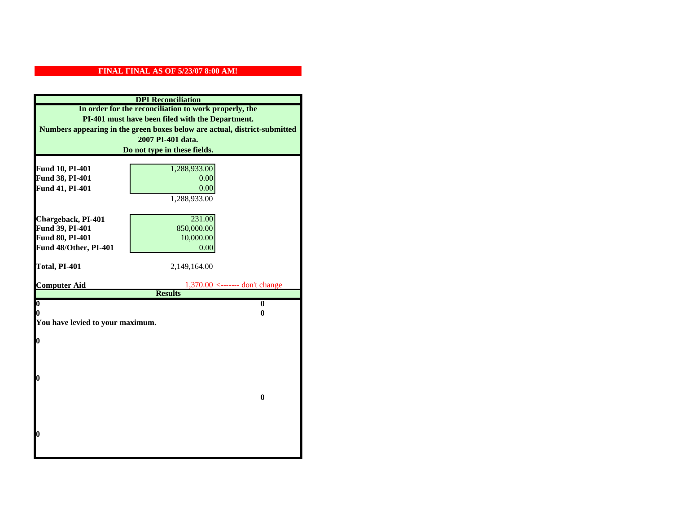| <b>DPI</b> Reconciliation                                                 |                                  |  |
|---------------------------------------------------------------------------|----------------------------------|--|
| In order for the reconciliation to work properly, the                     |                                  |  |
| PI-401 must have been filed with the Department.                          |                                  |  |
| Numbers appearing in the green boxes below are actual, district-submitted |                                  |  |
|                                                                           | 2007 PI-401 data.                |  |
|                                                                           | Do not type in these fields.     |  |
|                                                                           |                                  |  |
| Fund 10, PI-401                                                           | 1,288,933.00                     |  |
| Fund 38, PI-401                                                           | 0.00                             |  |
| Fund 41, PI-401                                                           | 0.00                             |  |
|                                                                           | 1,288,933.00                     |  |
|                                                                           |                                  |  |
| Chargeback, PI-401                                                        | 231.00                           |  |
| Fund 39, PI-401                                                           | 850,000.00                       |  |
| Fund 80, PI-401                                                           | 10,000.00                        |  |
| Fund 48/Other, PI-401                                                     | 0.00                             |  |
| Total, PI-401                                                             | 2,149,164.00                     |  |
|                                                                           |                                  |  |
| <b>Computer Aid</b>                                                       | $1,370.00$ <------- don't change |  |
|                                                                           | <b>Results</b>                   |  |
| $\boldsymbol{0}$                                                          | $\mathbf{0}$                     |  |
| 0<br>0<br>You have levied to your maximum.                                |                                  |  |
|                                                                           |                                  |  |
| $\bf{0}$                                                                  |                                  |  |
|                                                                           |                                  |  |
|                                                                           |                                  |  |
|                                                                           |                                  |  |
| 0                                                                         |                                  |  |
|                                                                           |                                  |  |
|                                                                           | $\bf{0}$                         |  |
|                                                                           |                                  |  |
|                                                                           |                                  |  |
|                                                                           |                                  |  |
|                                                                           |                                  |  |
| 0                                                                         |                                  |  |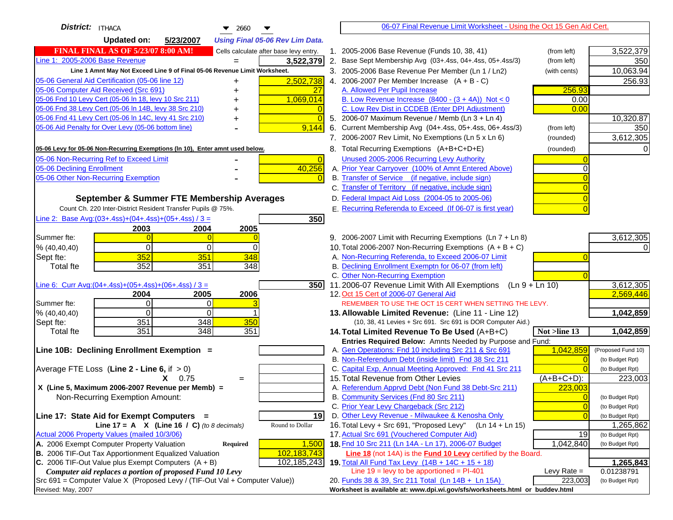| District:   ITHACA<br>$\blacktriangledown$ 2660                                               | 06-07 Final Revenue Limit Worksheet - Using the Oct 15 Gen Aid Cert.                                                |                                    |
|-----------------------------------------------------------------------------------------------|---------------------------------------------------------------------------------------------------------------------|------------------------------------|
| <b>Updated on:</b><br>5/23/2007<br><b>Using Final 05-06 Rev Lim Data.</b>                     |                                                                                                                     |                                    |
| <b>FINAL FINAL AS OF 5/23/07 8:00 AM!</b><br>Cells calculate after base levy entry.           | 1. 2005-2006 Base Revenue (Funds 10, 38, 41)<br>(from left)                                                         | 3,522,379                          |
| Line 1: 2005-2006 Base Revenue<br>3,522,379                                                   | 2. Base Sept Membership Avg (03+.4ss, 04+.4ss, 05+.4ss/3)<br>(from left)                                            | 350                                |
| Line 1 Amnt May Not Exceed Line 9 of Final 05-06 Revenue Limit Worksheet.                     | 3. 2005-2006 Base Revenue Per Member (Ln 1 / Ln2)<br>(with cents)                                                   | 10,063.94                          |
| 2,502,738<br>05-06 General Aid Certification (05-06 line 12)<br>+                             | 4. 2006-2007 Per Member Increase $(A + B - C)$                                                                      | 256.93                             |
| 05-06 Computer Aid Received (Src 691)<br>27                                                   | 256.93<br>A. Allowed Per Pupil Increase                                                                             |                                    |
| 05-06 Fnd 10 Levy Cert (05-06 In 18, levy 10 Src 211)<br>1,069,014                            | B. Low Revenue Increase $(8400 - (3 + 4A))$ Not < 0<br>0.00                                                         |                                    |
| 05-06 Fnd 38 Levy Cert (05-06 In 14B, levy 38 Src 210)                                        | C. Low Rev Dist in CCDEB (Enter DPI Adjustment)<br>0.00                                                             |                                    |
| 05-06 Fnd 41 Levy Cert (05-06 In 14C, levy 41 Src 210)<br>+                                   | 5. 2006-07 Maximum Revenue / Memb (Ln 3 + Ln 4)                                                                     | 10,320.87                          |
| 05-06 Aid Penalty for Over Levy (05-06 bottom line)<br>9,144                                  | 6. Current Membership Avg (04+.4ss, 05+.4ss, 06+.4ss/3)<br>(from left)                                              | 350                                |
|                                                                                               | 7. 2006-2007 Rev Limit, No Exemptions (Ln 5 x Ln 6)<br>(rounded)                                                    | 3,612,305                          |
| 05-06 Levy for 05-06 Non-Recurring Exemptions (In 10), Enter amnt used below.                 | 8. Total Recurring Exemptions (A+B+C+D+E)<br>(rounded)                                                              |                                    |
| 05-06 Non-Recurring Ref to Exceed Limit<br>$\overline{0}$                                     | Unused 2005-2006 Recurring Levy Authority                                                                           |                                    |
| 40,256<br>05-06 Declining Enrollment                                                          | A. Prior Year Carryover (100% of Amnt Entered Above)                                                                |                                    |
| 05-06 Other Non-Recurring Exemption                                                           | B. Transfer of Service (if negative, include sign)                                                                  |                                    |
|                                                                                               | C. Transfer of Territory (if negative, include sign)                                                                |                                    |
| September & Summer FTE Membership Averages                                                    | D. Federal Impact Aid Loss (2004-05 to 2005-06)                                                                     |                                    |
| Count Ch. 220 Inter-District Resident Transfer Pupils @ 75%.                                  | E. Recurring Referenda to Exceed (If 06-07 is first year)                                                           |                                    |
| Line 2: Base Avg: $(03+.4ss)+(04+.4ss)+(05+.4ss)/3 =$<br>350                                  |                                                                                                                     |                                    |
| 2004<br>2005<br>2003                                                                          |                                                                                                                     |                                    |
| Summer fte:                                                                                   | 9. 2006-2007 Limit with Recurring Exemptions (Ln 7 + Ln 8)                                                          | 3,612,305                          |
| % (40, 40, 40)<br>0<br>0<br><sup>0</sup>                                                      | 10. Total 2006-2007 Non-Recurring Exemptions $(A + B + C)$                                                          |                                    |
| 352<br>348<br>351<br>Sept fte:                                                                | A. Non-Recurring Referenda, to Exceed 2006-07 Limit                                                                 |                                    |
| 352<br>351<br>348<br><b>Total fte</b>                                                         | B. Declining Enrollment Exemptn for 06-07 (from left)                                                               |                                    |
|                                                                                               | C. Other Non-Recurring Exemption                                                                                    |                                    |
| Line 6: Curr Avg: $(04+.4ss)+(05+.4ss)+(06+.4ss)/3 =$<br><b>350</b>                           | 11.2006-07 Revenue Limit With All Exemptions (Ln $9 + \overline{\text{Ln }10}$ )                                    | 3,612,305                          |
| 2004<br>2005<br>2006<br>Summer fte:<br>$\Omega$<br>$\Omega$                                   | 12. Oct 15 Cert of 2006-07 General Aid<br>REMEMBER TO USE THE OCT 15 CERT WHEN SETTING THE LEVY.                    | 2,569,446                          |
| 0<br>$\Omega$<br>% (40, 40, 40)                                                               | 13. Allowable Limited Revenue: (Line 11 - Line 12)                                                                  | 1,042,859                          |
| 351<br>348<br>350<br>Sept fte:                                                                | (10, 38, 41 Levies + Src 691. Src 691 is DOR Computer Aid.)                                                         |                                    |
| 351<br>$\overline{348}$<br><b>Total fte</b><br>351                                            | 14. Total Limited Revenue To Be Used (A+B+C)<br>Not >line 13                                                        | 1,042,859                          |
|                                                                                               | Entries Required Below: Amnts Needed by Purpose and Fund:                                                           |                                    |
| Line 10B: Declining Enrollment Exemption =                                                    | A. Gen Operations: Fnd 10 including Src 211 & Src 691<br>1,042,859                                                  | (Proposed Fund 10)                 |
|                                                                                               | B. Non-Referendum Debt (inside limit) Fnd 38 Src 211<br>$\sqrt{ }$                                                  | (to Budget Rpt)                    |
| Average FTE Loss (Line $2 -$ Line 6, if $> 0$ )                                               | C. Capital Exp, Annual Meeting Approved: Fnd 41 Src 211                                                             | (to Budget Rpt)                    |
| $X = 0.75$<br>$=$                                                                             | 15. Total Revenue from Other Levies<br>(A+B+C+D):                                                                   | 223,003                            |
| X (Line 5, Maximum 2006-2007 Revenue per Memb) =                                              | A. Referendum Apprvd Debt (Non Fund 38 Debt-Src 211)<br>223,003                                                     |                                    |
| Non-Recurring Exemption Amount:                                                               | B. Community Services (Fnd 80 Src 211)                                                                              | (to Budget Rpt)                    |
|                                                                                               | C. Prior Year Levy Chargeback (Src 212)<br>$\overline{0}$                                                           | (to Budget Rpt)                    |
| 19<br>Line 17: State Aid for Exempt Computers =<br>Round to Dollar                            | D. Other Levy Revenue - Milwaukee & Kenosha Only<br>$\sqrt{ }$                                                      | (to Budget Rpt)                    |
| Line 17 = A $X$ (Line 16 / C) (to 8 decimals)<br>Actual 2006 Property Values (mailed 10/3/06) | 16. Total Levy + Src 691, "Proposed Levy"<br>$(Ln 14 + Ln 15)$<br>17. Actual Src 691 (Vouchered Computer Aid)<br>19 | 1,265,862                          |
| A. 2006 Exempt Computer Property Valuation<br>Required<br>1,500                               | 18. Fnd 10 Src 211 (Ln 14A - Ln 17), 2006-07 Budget<br>1,042,840                                                    | (to Budget Rpt)<br>(to Budget Rpt) |
| B. 2006 TIF-Out Tax Apportionment Equalized Valuation<br>102,183,743                          | Line 18 (not 14A) is the <b>Fund 10 Levy</b> certified by the Board.                                                |                                    |
| C. 2006 TIF-Out Value plus Exempt Computers $(A + B)$<br>102,185,243                          | 19. Total All Fund Tax Levy (14B + 14C + 15 + 18)                                                                   | 1,265,843                          |
| Computer aid replaces a portion of proposed Fund 10 Levy                                      | Line $19 = \text{levy}$ to be apportioned = PI-401<br>Levy Rate $=$                                                 | 0.01238791                         |
| Src 691 = Computer Value X (Proposed Levy / (TIF-Out Val + Computer Value))                   | 20. Funds 38 & 39, Src 211 Total (Ln 14B + Ln 15A)<br>223,003                                                       | (to Budget Rpt)                    |
| Revised: May, 2007                                                                            | Worksheet is available at: www.dpi.wi.gov/sfs/worksheets.html or buddev.html                                        |                                    |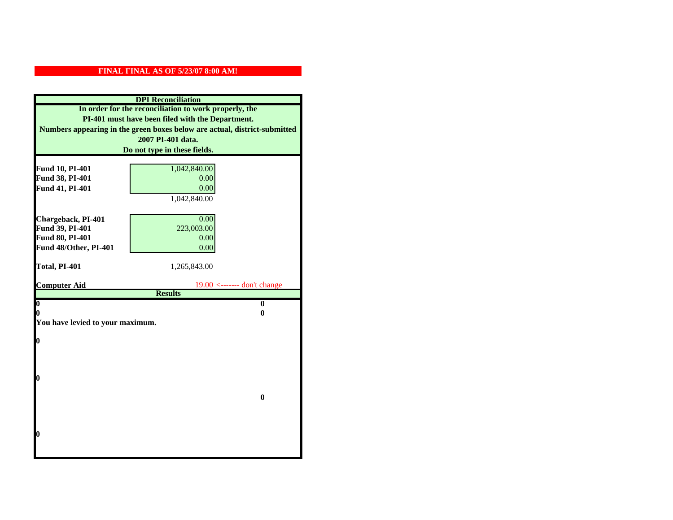| <b>DPI</b> Reconciliation                                                 |                                         |
|---------------------------------------------------------------------------|-----------------------------------------|
| In order for the reconciliation to work properly, the                     |                                         |
| PI-401 must have been filed with the Department.                          |                                         |
| Numbers appearing in the green boxes below are actual, district-submitted |                                         |
|                                                                           | 2007 PI-401 data.                       |
|                                                                           | Do not type in these fields.            |
|                                                                           |                                         |
| Fund 10, PI-401                                                           | 1,042,840.00                            |
| Fund 38, PI-401                                                           | 0.00                                    |
| Fund 41, PI-401                                                           | 0.00                                    |
|                                                                           | 1,042,840.00                            |
|                                                                           |                                         |
| Chargeback, PI-401                                                        | 0.00                                    |
| Fund 39, PI-401                                                           | 223,003.00                              |
| Fund 80, PI-401                                                           | 0.00                                    |
| Fund 48/Other, PI-401                                                     | 0.00                                    |
| Total, PI-401                                                             | 1,265,843.00                            |
|                                                                           |                                         |
|                                                                           |                                         |
| <b>Computer Aid</b>                                                       | $19.00 \leftarrow$ ------- don't change |
|                                                                           | <b>Results</b>                          |
| $\boldsymbol{0}$                                                          | $\mathbf{0}$                            |
| 0                                                                         | 0                                       |
| You have levied to your maximum.                                          |                                         |
|                                                                           |                                         |
| $\bf{0}$                                                                  |                                         |
|                                                                           |                                         |
|                                                                           |                                         |
| 0                                                                         |                                         |
|                                                                           |                                         |
|                                                                           | $\bf{0}$                                |
|                                                                           |                                         |
|                                                                           |                                         |
|                                                                           |                                         |
| 0                                                                         |                                         |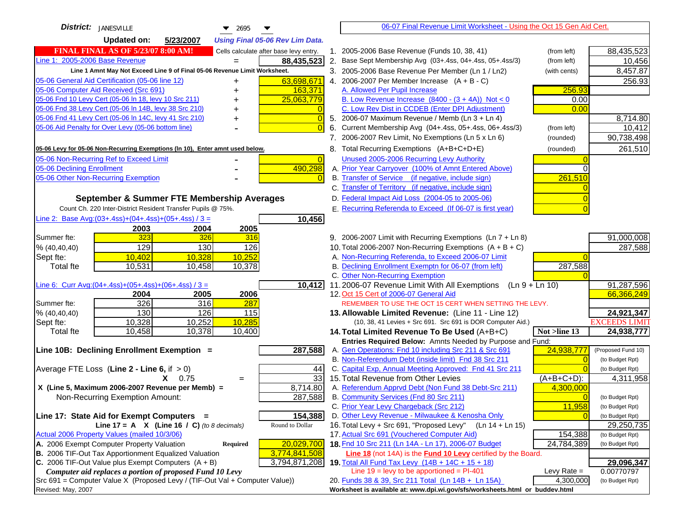| District:<br>JANESVILLE<br>$\blacktriangledown$ 2695                                                                               | 06-07 Final Revenue Limit Worksheet - Using the Oct 15 Gen Aid Cert.                                                     |                                    |
|------------------------------------------------------------------------------------------------------------------------------------|--------------------------------------------------------------------------------------------------------------------------|------------------------------------|
| <b>Updated on:</b><br>5/23/2007<br><b>Using Final 05-06 Rev Lim Data.</b>                                                          |                                                                                                                          |                                    |
| <b>FINAL FINAL AS OF 5/23/07 8:00 AM!</b><br>Cells calculate after base levy entry.                                                | 1. 2005-2006 Base Revenue (Funds 10, 38, 41)<br>(from left)                                                              | 88,435,523                         |
| Line 1: 2005-2006 Base Revenue<br>88,435,523                                                                                       | 2.<br>Base Sept Membership Avg (03+.4ss, 04+.4ss, 05+.4ss/3)<br>(from left)                                              | 10,456                             |
| Line 1 Amnt May Not Exceed Line 9 of Final 05-06 Revenue Limit Worksheet.                                                          | 3. 2005-2006 Base Revenue Per Member (Ln 1 / Ln2)<br>(with cents)                                                        | 8,457.87                           |
| 63,698,671<br>05-06 General Aid Certification (05-06 line 12)                                                                      | 4. 2006-2007 Per Member Increase $(A + B - C)$                                                                           | 256.93                             |
| +<br>05-06 Computer Aid Received (Src 691)<br>163,371<br>+                                                                         | 256.93<br>A. Allowed Per Pupil Increase                                                                                  |                                    |
| 05-06 Fnd 10 Levy Cert (05-06 ln 18, levy 10 Src 211)<br>25,063,779                                                                | B. Low Revenue Increase $(8400 - (3 + 4A))$ Not < 0<br>0.00                                                              |                                    |
| 05-06 Fnd 38 Levy Cert (05-06 In 14B, levy 38 Src 210)<br>+                                                                        | C. Low Rev Dist in CCDEB (Enter DPI Adjustment)<br>0.00                                                                  |                                    |
| 05-06 Fnd 41 Levy Cert (05-06 In 14C, levy 41 Src 210)<br>$\overline{0}$<br>+                                                      | 5. 2006-07 Maximum Revenue / Memb (Ln 3 + Ln 4)                                                                          | 8,714.80                           |
| 05-06 Aid Penalty for Over Levy (05-06 bottom line)<br>$\Omega$                                                                    | Current Membership Avg (04+.4ss, 05+.4ss, 06+.4ss/3)<br>6.<br>(from left)                                                | 10,412                             |
|                                                                                                                                    | 7. 2006-2007 Rev Limit, No Exemptions (Ln 5 x Ln 6)<br>(rounded)                                                         | 90,738,498                         |
| 05-06 Levy for 05-06 Non-Recurring Exemptions (In 10), Enter amnt used below.                                                      | 8. Total Recurring Exemptions (A+B+C+D+E)<br>(rounded)                                                                   | 261,510                            |
| 05-06 Non-Recurring Ref to Exceed Limit<br>$\overline{0}$                                                                          | Unused 2005-2006 Recurring Levy Authority                                                                                |                                    |
| 05-06 Declining Enrollment<br>490,298                                                                                              | A. Prior Year Carryover (100% of Amnt Entered Above)                                                                     |                                    |
| 05-06 Other Non-Recurring Exemption                                                                                                | B. Transfer of Service (if negative, include sign)<br>261,510                                                            |                                    |
|                                                                                                                                    | C. Transfer of Territory (if negative, include sign)                                                                     |                                    |
| September & Summer FTE Membership Averages                                                                                         | D. Federal Impact Aid Loss (2004-05 to 2005-06)                                                                          |                                    |
| Count Ch. 220 Inter-District Resident Transfer Pupils @ 75%.                                                                       | E. Recurring Referenda to Exceed (If 06-07 is first year)                                                                |                                    |
| Line 2: Base Avg: $(03+.4ss)+(04+.4ss)+(05+.4ss)/3 =$<br>10,456                                                                    |                                                                                                                          |                                    |
| 2003<br>2004<br>2005                                                                                                               |                                                                                                                          |                                    |
| 323<br>Summer fte:<br>326<br>316                                                                                                   | 9. 2006-2007 Limit with Recurring Exemptions (Ln 7 + Ln 8)                                                               | 91,000,008                         |
| 129<br>130<br>126<br>% (40, 40, 40)                                                                                                | 10. Total 2006-2007 Non-Recurring Exemptions $(A + B + C)$                                                               | 287,588                            |
| 10,252<br>10,402<br>10,328<br>Sept fte:                                                                                            | A. Non-Recurring Referenda, to Exceed 2006-07 Limit                                                                      |                                    |
| <b>Total</b> fte<br>10,531<br>10,458<br>10,378                                                                                     | B. Declining Enrollment Exemptn for 06-07 (from left)<br>287,588                                                         |                                    |
|                                                                                                                                    | C. Other Non-Recurring Exemption                                                                                         |                                    |
| Line 6: Curr Avg: $(04+.4ss)+(05+.4ss)+(06+.4ss)/3 =$<br>10,412                                                                    | 11.2006-07 Revenue Limit With All Exemptions (Ln $9 + \overline{\text{Ln }10}$ )                                         | 91,287,596                         |
| 2004<br>2005<br>2006                                                                                                               | 12. Oct 15 Cert of 2006-07 General Aid                                                                                   | 66,366,249                         |
| 326<br>316<br>Summer fte:<br><b>287</b>                                                                                            | REMEMBER TO USE THE OCT 15 CERT WHEN SETTING THE LEVY.                                                                   |                                    |
| 130<br>126<br>115<br>% (40, 40, 40)<br>$\overline{10,285}$<br>10,328<br>10,252<br>Sept fte:                                        | 13. Allowable Limited Revenue: (Line 11 - Line 12)<br>(10, 38, 41 Levies + Src 691. Src 691 is DOR Computer Aid.)        | 24,921,347<br><b>EXCEEDS LIMIT</b> |
| 10,378<br>10,458<br><b>Total fte</b><br>10,400                                                                                     | 14. Total Limited Revenue To Be Used (A+B+C)<br>Not >line 13                                                             | 24,938,777                         |
|                                                                                                                                    | Entries Required Below: Amnts Needed by Purpose and Fund:                                                                |                                    |
| 287,588<br>Line 10B: Declining Enrollment Exemption =                                                                              | 24,938,777<br>A. Gen Operations: Fnd 10 including Src 211 & Src 691                                                      | (Proposed Fund 10)                 |
|                                                                                                                                    | B. Non-Referendum Debt (inside limit) Fnd 38 Src 211                                                                     | (to Budget Rpt)                    |
| Average FTE Loss (Line $2 -$ Line 6, if $> 0$ )<br>44                                                                              | C. Capital Exp, Annual Meeting Approved: Fnd 41 Src 211                                                                  | (to Budget Rpt)                    |
| $\overline{33}$<br>0.75<br>X.<br>$=$                                                                                               | 15. Total Revenue from Other Levies<br>$(A+B+C+D)$ :                                                                     | 4,311,958                          |
| X (Line 5, Maximum 2006-2007 Revenue per Memb) =<br>8,714.80                                                                       | A. Referendum Apprvd Debt (Non Fund 38 Debt-Src 211)<br>4,300,000                                                        |                                    |
| Non-Recurring Exemption Amount:<br>287,588                                                                                         | B. Community Services (Fnd 80 Src 211)                                                                                   | (to Budget Rpt)                    |
|                                                                                                                                    | C. Prior Year Levy Chargeback (Src 212)<br>11,958                                                                        | (to Budget Rpt)                    |
| Line 17: State Aid for Exempt Computers =<br>154,388                                                                               | D. Other Levy Revenue - Milwaukee & Kenosha Only                                                                         | (to Budget Rpt)                    |
| Line 17 = A $X$ (Line 16 / C) (to 8 decimals)<br>Round to Dollar                                                                   | 16. Total Levy + Src 691, "Proposed Levy"<br>(Ln 14 + Ln 15)                                                             | 29,250,735                         |
| Actual 2006 Property Values (mailed 10/3/06)                                                                                       | 17. Actual Src 691 (Vouchered Computer Aid)<br>154,388                                                                   | (to Budget Rpt)                    |
| A. 2006 Exempt Computer Property Valuation<br>20,029,700<br><b>Required</b>                                                        | 18. Fnd 10 Src 211 (Ln 14A - Ln 17), 2006-07 Budget<br>24,784,389                                                        | (to Budget Rpt)                    |
| B. 2006 TIF-Out Tax Apportionment Equalized Valuation<br>3,774,841,508                                                             | <b>Line 18</b> (not 14A) is the <b>Fund 10 Levy</b> certified by the Board.                                              |                                    |
| C. 2006 TIF-Out Value plus Exempt Computers $(A + B)$<br>3,794,871,208<br>Computer aid replaces a portion of proposed Fund 10 Levy | 19. Total All Fund Tax Levy (14B + 14C + 15 + 18)<br>Line $19 = \text{levy}$ to be apportioned = PI-401<br>Levy Rate $=$ | 29,096,347<br>0.00770797           |
| Src 691 = Computer Value X (Proposed Levy / (TIF-Out Val + Computer Value))                                                        | 4,300,000<br>20. Funds 38 & 39, Src 211 Total (Ln 14B + Ln 15A)                                                          | (to Budget Rpt)                    |
| Revised: May, 2007                                                                                                                 | Worksheet is available at: www.dpi.wi.gov/sfs/worksheets.html or buddev.html                                             |                                    |
|                                                                                                                                    |                                                                                                                          |                                    |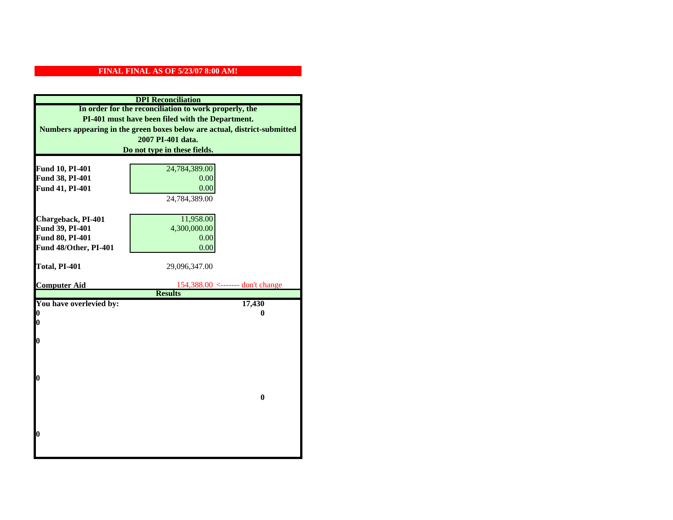| <b>DPI</b> Reconciliation                                                 |                                  |
|---------------------------------------------------------------------------|----------------------------------|
| In order for the reconciliation to work properly, the                     |                                  |
| PI-401 must have been filed with the Department.                          |                                  |
| Numbers appearing in the green boxes below are actual, district-submitted |                                  |
|                                                                           | 2007 PI-401 data.                |
|                                                                           | Do not type in these fields.     |
|                                                                           |                                  |
| Fund 10, PI-401                                                           | 24,784,389.00                    |
| Fund 38, PI-401                                                           | 0.00                             |
| Fund 41, PI-401                                                           | 0.00                             |
|                                                                           | 24,784,389.00                    |
|                                                                           |                                  |
| Chargeback, PI-401                                                        | 11,958.00                        |
| Fund 39, PI-401                                                           | 4,300,000.00                     |
| Fund 80, PI-401                                                           | 0.00                             |
| Fund 48/Other, PI-401                                                     | 0.00                             |
|                                                                           |                                  |
| Total, PI-401                                                             | 29,096,347.00                    |
| <b>Computer Aid</b>                                                       | 154,388.00 <------- don't change |
|                                                                           | <b>Results</b>                   |
| You have overlevied by:                                                   | 17,430                           |
| N                                                                         | 0                                |
| 0                                                                         |                                  |
|                                                                           |                                  |
| 0                                                                         |                                  |
|                                                                           |                                  |
|                                                                           |                                  |
| 0                                                                         |                                  |
|                                                                           |                                  |
|                                                                           | $\bf{0}$                         |
|                                                                           |                                  |
|                                                                           |                                  |
|                                                                           |                                  |
| 0                                                                         |                                  |
|                                                                           |                                  |
|                                                                           |                                  |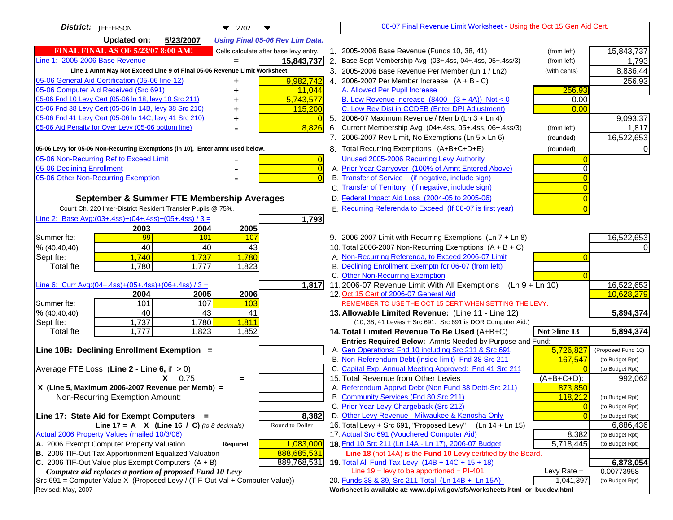| <b>District:</b> JEFFERSON<br>$\blacktriangledown$ 2702                             | 06-07 Final Revenue Limit Worksheet - Using the Oct 15 Gen Aid Cert.                                                            |                                       |
|-------------------------------------------------------------------------------------|---------------------------------------------------------------------------------------------------------------------------------|---------------------------------------|
| <b>Updated on:</b><br>5/23/2007<br><b>Using Final 05-06 Rev Lim Data.</b>           |                                                                                                                                 |                                       |
| <b>FINAL FINAL AS OF 5/23/07 8:00 AM!</b><br>Cells calculate after base levy entry. | 1. 2005-2006 Base Revenue (Funds 10, 38, 41)<br>(from left)                                                                     | 15,843,737                            |
| Line 1: 2005-2006 Base Revenue<br>15,843,737                                        | 2. Base Sept Membership Avg (03+.4ss, 04+.4ss, 05+.4ss/3)<br>(from left)                                                        | 1,793                                 |
| Line 1 Amnt May Not Exceed Line 9 of Final 05-06 Revenue Limit Worksheet.           | 3. 2005-2006 Base Revenue Per Member (Ln 1 / Ln2)<br>(with cents)                                                               | 8,836.44                              |
| 9,982,742<br>05-06 General Aid Certification (05-06 line 12)                        | 4. 2006-2007 Per Member Increase $(A + B - C)$                                                                                  | 256.93                                |
| 05-06 Computer Aid Received (Src 691)<br>11,044                                     | 256.93<br>A. Allowed Per Pupil Increase                                                                                         |                                       |
| 05-06 Fnd 10 Levy Cert (05-06 In 18, levy 10 Src 211)<br>5,743,577                  | B. Low Revenue Increase $(8400 - (3 + 4A))$ Not < 0<br>0.00                                                                     |                                       |
| 05-06 Fnd 38 Levy Cert (05-06 In 14B, levy 38 Src 210)<br>115,200                   | C. Low Rev Dist in CCDEB (Enter DPI Adjustment)<br>0.00                                                                         |                                       |
| 05-06 Fnd 41 Levy Cert (05-06 In 14C, levy 41 Src 210)<br>٠                         | 5. 2006-07 Maximum Revenue / Memb (Ln $3 + \text{Ln } 4$ )                                                                      | 9,093.37                              |
| 8,826<br>05-06 Aid Penalty for Over Levy (05-06 bottom line)                        | 6. Current Membership Avg (04+.4ss, 05+.4ss, 06+.4ss/3)<br>(from left)                                                          | 1,817                                 |
|                                                                                     | 7. 2006-2007 Rev Limit, No Exemptions (Ln 5 x Ln 6)<br>(rounded)                                                                | 16,522,653                            |
| 05-06 Levy for 05-06 Non-Recurring Exemptions (In 10), Enter amnt used below.       | 8. Total Recurring Exemptions (A+B+C+D+E)<br>(rounded)                                                                          |                                       |
| 05-06 Non-Recurring Ref to Exceed Limit<br>$\overline{0}$                           | Unused 2005-2006 Recurring Levy Authority                                                                                       |                                       |
| $\overline{0}$<br>05-06 Declining Enrollment                                        | A. Prior Year Carryover (100% of Amnt Entered Above)<br>∩                                                                       |                                       |
| 05-06 Other Non-Recurring Exemption<br>$\Omega$                                     | B. Transfer of Service (if negative, include sign)                                                                              |                                       |
|                                                                                     | C. Transfer of Territory (if negative, include sign)                                                                            |                                       |
| September & Summer FTE Membership Averages                                          | D. Federal Impact Aid Loss (2004-05 to 2005-06)                                                                                 |                                       |
| Count Ch. 220 Inter-District Resident Transfer Pupils @ 75%.                        | E. Recurring Referenda to Exceed (If 06-07 is first year)                                                                       |                                       |
| Line 2: Base Avg: (03+.4ss) + (04+.4ss) + (05+.4ss) / 3 =<br>1,793                  |                                                                                                                                 |                                       |
| 2003<br>2004<br>2005                                                                |                                                                                                                                 |                                       |
| 99<br>Summer fte:<br>101<br>107                                                     | 9. 2006-2007 Limit with Recurring Exemptions (Ln 7 + Ln 8)                                                                      | 16,522,653                            |
| 40<br>43<br>40<br>% (40, 40, 40)                                                    | 10. Total 2006-2007 Non-Recurring Exemptions $(A + B + C)$                                                                      |                                       |
| 1,740<br>1,737<br>1,780<br>Sept fte:                                                | A. Non-Recurring Referenda, to Exceed 2006-07 Limit                                                                             |                                       |
| <b>Total fte</b><br>1,780<br>1,777<br>1,823                                         | B. Declining Enrollment Exemptn for 06-07 (from left)                                                                           |                                       |
|                                                                                     | C. Other Non-Recurring Exemption                                                                                                |                                       |
| Line 6: Curr Avg: $(04+.4ss)+(05+.4ss)+(06+.4ss)/3 =$<br>1,817                      | 11.2006-07 Revenue Limit With All Exemptions<br>(Ln 9 + Ln 10)                                                                  | 16,522,653                            |
| 2005<br>2006<br>2004                                                                | 12. Oct 15 Cert of 2006-07 General Aid                                                                                          | 10,628,279                            |
| 101<br>107<br>Summer fte:<br>103                                                    | REMEMBER TO USE THE OCT 15 CERT WHEN SETTING THE LEVY.                                                                          |                                       |
| 40<br>43<br>% (40, 40, 40)<br>41                                                    | 13. Allowable Limited Revenue: (Line 11 - Line 12)                                                                              | 5,894,374                             |
| 1,737<br>1,780<br>1,811<br>Sept fte:                                                | (10, 38, 41 Levies + Src 691. Src 691 is DOR Computer Aid.)                                                                     |                                       |
| 1,777<br>1,823<br>1,852<br><b>Total fte</b>                                         | 14. Total Limited Revenue To Be Used (A+B+C)<br>Not >line 13                                                                    | 5,894,374                             |
| Line 10B: Declining Enrollment Exemption =                                          | Entries Required Below: Amnts Needed by Purpose and Fund:<br>5,726,827<br>A. Gen Operations: Fnd 10 including Src 211 & Src 691 |                                       |
|                                                                                     | B. Non-Referendum Debt (inside limit) Fnd 38 Src 211<br>167,547                                                                 | (Proposed Fund 10)<br>(to Budget Rpt) |
| Average FTE Loss (Line $2 -$ Line 6, if $> 0$ )                                     | C. Capital Exp, Annual Meeting Approved: Fnd 41 Src 211                                                                         | (to Budget Rpt)                       |
| $X = 0.75$<br>$=$                                                                   | 15. Total Revenue from Other Levies<br>$(A+B+C+D)$ :                                                                            | 992,062                               |
| X (Line 5, Maximum 2006-2007 Revenue per Memb) =                                    | A. Referendum Apprvd Debt (Non Fund 38 Debt-Src 211)<br>873,850                                                                 |                                       |
| Non-Recurring Exemption Amount:                                                     | B. Community Services (Fnd 80 Src 211)<br>118,212                                                                               | (to Budget Rpt)                       |
|                                                                                     | C. Prior Year Levy Chargeback (Src 212)<br>$\overline{0}$                                                                       | (to Budget Rpt)                       |
| 8,382<br>Line 17: State Aid for Exempt Computers =                                  | D. Other Levy Revenue - Milwaukee & Kenosha Only<br>$\Omega$                                                                    | (to Budget Rpt)                       |
| Round to Dollar<br>Line 17 = A $X$ (Line 16 / C) (to 8 decimals)                    | 16. Total Levy + Src 691, "Proposed Levy"<br>$(Ln 14 + Ln 15)$                                                                  | 6,886,436                             |
| Actual 2006 Property Values (mailed 10/3/06)                                        | 17. Actual Src 691 (Vouchered Computer Aid)<br>8,382                                                                            | (to Budget Rpt)                       |
| 1,083,000<br>A. 2006 Exempt Computer Property Valuation<br><b>Required</b>          | 18. Fnd 10 Src 211 (Ln 14A - Ln 17), 2006-07 Budget<br>5,718,445                                                                | (to Budget Rpt)                       |
| B. 2006 TIF-Out Tax Apportionment Equalized Valuation<br>888,685,531                | Line 18 (not 14A) is the Fund 10 Levy certified by the Board.                                                                   |                                       |
| C. 2006 TIF-Out Value plus Exempt Computers $(A + B)$<br>889,768,531                | 19. Total All Fund Tax Levy (14B + 14C + 15 + 18)                                                                               | 6,878,054                             |
| Computer aid replaces a portion of proposed Fund 10 Levy                            | Line $19$ = levy to be apportioned = PI-401<br>Levy Rate $=$                                                                    | 0.00773958                            |
| Src 691 = Computer Value X (Proposed Levy / (TIF-Out Val + Computer Value))         | 20. Funds 38 & 39, Src 211 Total (Ln 14B + Ln 15A)<br>1,041,397                                                                 | (to Budget Rpt)                       |
| Revised: May, 2007                                                                  | Worksheet is available at: www.dpi.wi.gov/sfs/worksheets.html or buddev.html                                                    |                                       |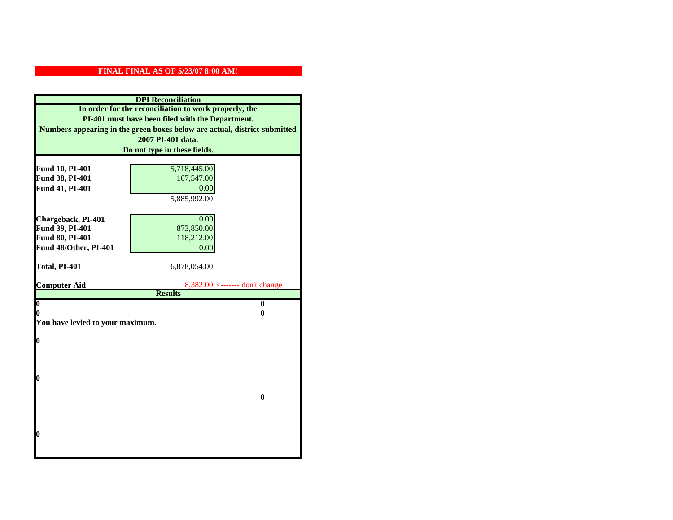| <b>DPI</b> Reconciliation                                                                                 |                                               |                                                                           |
|-----------------------------------------------------------------------------------------------------------|-----------------------------------------------|---------------------------------------------------------------------------|
| In order for the reconciliation to work properly, the<br>PI-401 must have been filed with the Department. |                                               |                                                                           |
|                                                                                                           |                                               | Numbers appearing in the green boxes below are actual, district-submitted |
|                                                                                                           | 2007 PI-401 data.                             |                                                                           |
|                                                                                                           | Do not type in these fields.                  |                                                                           |
|                                                                                                           |                                               |                                                                           |
| Fund 10, PI-401                                                                                           | 5,718,445.00                                  |                                                                           |
| Fund 38, PI-401                                                                                           | 167,547.00                                    |                                                                           |
| Fund 41, PI-401                                                                                           | 0.00                                          |                                                                           |
|                                                                                                           | 5,885,992.00                                  |                                                                           |
|                                                                                                           |                                               |                                                                           |
| Chargeback, PI-401                                                                                        | 0.00                                          |                                                                           |
| Fund 39, PI-401                                                                                           | 873,850.00                                    |                                                                           |
| Fund 80, PI-401                                                                                           | 118,212.00                                    |                                                                           |
| Fund 48/Other, PI-401                                                                                     | 0.00                                          |                                                                           |
|                                                                                                           |                                               |                                                                           |
| Total, PI-401                                                                                             | 6,878,054.00                                  |                                                                           |
| <b>Computer Aid</b>                                                                                       | $8,382.00 \leftarrow \text{---}$ don't change |                                                                           |
|                                                                                                           | <b>Results</b>                                |                                                                           |
| $\overline{\mathbf{0}}$                                                                                   | $\bf{0}$                                      |                                                                           |
| 0<br>0                                                                                                    |                                               |                                                                           |
| You have levied to your maximum.                                                                          |                                               |                                                                           |
|                                                                                                           |                                               |                                                                           |
| $\bf{0}$                                                                                                  |                                               |                                                                           |
|                                                                                                           |                                               |                                                                           |
|                                                                                                           |                                               |                                                                           |
| l0                                                                                                        |                                               |                                                                           |
|                                                                                                           |                                               |                                                                           |
|                                                                                                           | $\mathbf{0}$                                  |                                                                           |
|                                                                                                           |                                               |                                                                           |
|                                                                                                           |                                               |                                                                           |
|                                                                                                           |                                               |                                                                           |
| l0                                                                                                        |                                               |                                                                           |
|                                                                                                           |                                               |                                                                           |
|                                                                                                           |                                               |                                                                           |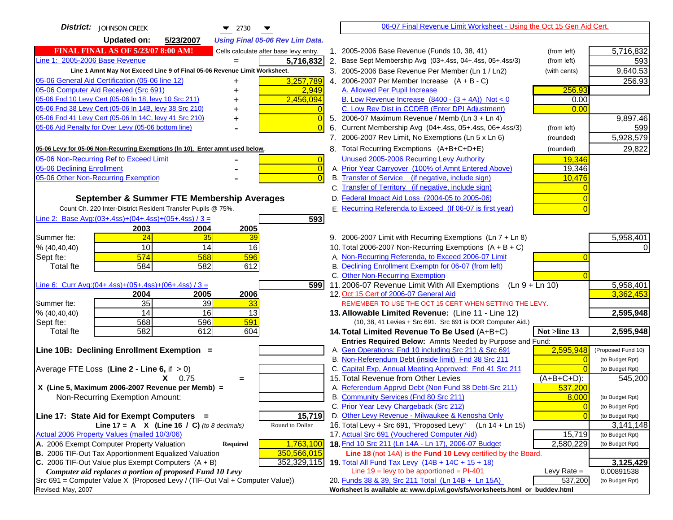| <b>District:</b><br>JOHNSON CREEK<br>$\blacktriangledown$ 2730                                                | 06-07 Final Revenue Limit Worksheet - Using the Oct 15 Gen Aid Cert.                                          |                                    |
|---------------------------------------------------------------------------------------------------------------|---------------------------------------------------------------------------------------------------------------|------------------------------------|
| <b>Updated on:</b><br>5/23/2007<br><b>Using Final 05-06 Rev Lim Data.</b>                                     |                                                                                                               |                                    |
| <b>FINAL FINAL AS OF 5/23/07 8:00 AM!</b><br>Cells calculate after base levy entry.                           | 1. 2005-2006 Base Revenue (Funds 10, 38, 41)<br>(from left)                                                   | 5,716,832                          |
| Line 1: 2005-2006 Base Revenue<br>5,716,832                                                                   | 2. Base Sept Membership Avg (03+.4ss, 04+.4ss, 05+.4ss/3)<br>(from left)                                      | 593                                |
| Line 1 Amnt May Not Exceed Line 9 of Final 05-06 Revenue Limit Worksheet.                                     | 3. 2005-2006 Base Revenue Per Member (Ln 1 / Ln2)<br>(with cents)                                             | 9,640.53                           |
| 3,257,789<br>05-06 General Aid Certification (05-06 line 12)<br>+                                             | 4. 2006-2007 Per Member Increase $(A + B - C)$                                                                | 256.93                             |
| 05-06 Computer Aid Received (Src 691)<br>2,949                                                                | 256.93<br>A. Allowed Per Pupil Increase                                                                       |                                    |
| 05-06 Fnd 10 Levy Cert (05-06 In 18, levy 10 Src 211)<br>2,456,094                                            | B. Low Revenue Increase $(8400 - (3 + 4A))$ Not < 0<br>0.00                                                   |                                    |
| 05-06 Fnd 38 Levy Cert (05-06 In 14B, levy 38 Src 210)<br>+                                                   | C. Low Rev Dist in CCDEB (Enter DPI Adjustment)<br>0.00                                                       |                                    |
| 05-06 Fnd 41 Levy Cert (05-06 In 14C, levy 41 Src 210)<br>$\Omega$<br>+                                       | 5. 2006-07 Maximum Revenue / Memb (Ln 3 + Ln 4)                                                               | 9,897.46                           |
| 05-06 Aid Penalty for Over Levy (05-06 bottom line)                                                           | 6. Current Membership Avg (04+.4ss, 05+.4ss, 06+.4ss/3)<br>(from left)                                        | 599                                |
|                                                                                                               | 7. 2006-2007 Rev Limit, No Exemptions (Ln 5 x Ln 6)<br>(rounded)                                              | 5,928,579                          |
| 05-06 Levy for 05-06 Non-Recurring Exemptions (In 10), Enter amnt used below.                                 | 8. Total Recurring Exemptions (A+B+C+D+E)<br>(rounded)                                                        | 29,822                             |
| 05-06 Non-Recurring Ref to Exceed Limit<br>$\overline{0}$                                                     | Unused 2005-2006 Recurring Levy Authority<br>19,346                                                           |                                    |
| 05-06 Declining Enrollment<br>$\overline{0}$                                                                  | A. Prior Year Carryover (100% of Amnt Entered Above)<br>19,346                                                |                                    |
| 05-06 Other Non-Recurring Exemption                                                                           | B. Transfer of Service (if negative, include sign)<br>10,476                                                  |                                    |
|                                                                                                               | C. Transfer of Territory (if negative, include sign)                                                          |                                    |
| September & Summer FTE Membership Averages                                                                    | D. Federal Impact Aid Loss (2004-05 to 2005-06)                                                               |                                    |
| Count Ch. 220 Inter-District Resident Transfer Pupils @ 75%.                                                  | E. Recurring Referenda to Exceed (If 06-07 is first year)                                                     |                                    |
| Line 2: Base Avg: $(03+.4ss)+(04+.4ss)+(05+.4ss)/3 =$<br>593                                                  |                                                                                                               |                                    |
| 2004<br>2005<br>2003                                                                                          |                                                                                                               |                                    |
| 24<br>Summer fte:<br>35<br>39                                                                                 | 9. 2006-2007 Limit with Recurring Exemptions (Ln 7 + Ln 8)                                                    | 5,958,401                          |
| 10<br>14<br>16<br>% (40, 40, 40)                                                                              | 10. Total 2006-2007 Non-Recurring Exemptions $(A + B + C)$                                                    | $\Omega$                           |
| 574<br>596<br>Sept fte:<br>568                                                                                | A. Non-Recurring Referenda, to Exceed 2006-07 Limit                                                           |                                    |
| 584<br>612<br>582<br><b>Total fte</b>                                                                         | B. Declining Enrollment Exemptn for 06-07 (from left)                                                         |                                    |
| Line 6: Curr Avg: $(04+.4ss)+(05+.4ss)+(06+.4ss)/3 =$<br>5991                                                 | C. Other Non-Recurring Exemption                                                                              | 5,958,401                          |
| 2004<br>2005<br>2006                                                                                          | 11.2006-07 Revenue Limit With All Exemptions (Ln 9 + Ln 10)<br>12. Oct 15 Cert of 2006-07 General Aid         | 3,362,453                          |
| 35<br>39<br>Summer fte:<br>33                                                                                 | REMEMBER TO USE THE OCT 15 CERT WHEN SETTING THE LEVY.                                                        |                                    |
| 14<br>16<br>13<br>% (40, 40, 40)                                                                              | 13. Allowable Limited Revenue: (Line 11 - Line 12)                                                            | 2,595,948                          |
| 568<br>596<br>591<br>Sept fte:                                                                                | (10, 38, 41 Levies + Src 691. Src 691 is DOR Computer Aid.)                                                   |                                    |
| 582<br>612<br><b>Total fte</b><br>604                                                                         | 14. Total Limited Revenue To Be Used (A+B+C)<br>Not >line 13                                                  | 2,595,948                          |
|                                                                                                               | Entries Required Below: Amnts Needed by Purpose and Fund:                                                     |                                    |
| Line 10B: Declining Enrollment Exemption =                                                                    | 2,595,948<br>A. Gen Operations: Fnd 10 including Src 211 & Src 691                                            | (Proposed Fund 10)                 |
|                                                                                                               | B. Non-Referendum Debt (inside limit) Fnd 38 Src 211<br>$\sqrt{ }$                                            | (to Budget Rpt)                    |
| Average FTE Loss (Line $2 -$ Line 6, if $> 0$ )                                                               | C. Capital Exp, Annual Meeting Approved: Fnd 41 Src 211                                                       | (to Budget Rpt)                    |
| $X = 0.75$<br>$=$                                                                                             | 15. Total Revenue from Other Levies<br>$(A+B+C+D)$ :                                                          | 545,200                            |
| X (Line 5, Maximum 2006-2007 Revenue per Memb) =                                                              | A. Referendum Apprvd Debt (Non Fund 38 Debt-Src 211)<br>537,200                                               |                                    |
| Non-Recurring Exemption Amount:                                                                               | B. Community Services (Fnd 80 Src 211)<br>8,000                                                               | (to Budget Rpt)                    |
| 15,719                                                                                                        | C. Prior Year Levy Chargeback (Src 212)<br>$\overline{0}$<br>D. Other Levy Revenue - Milwaukee & Kenosha Only | (to Budget Rpt)<br>(to Budget Rpt) |
| Line 17: State Aid for Exempt Computers =<br>Line 17 = A $X$ (Line 16 / C) (to 8 decimals)<br>Round to Dollar | 16. Total Levy + Src 691, "Proposed Levy"<br>$(Ln 14 + Ln 15)$                                                | 3,141,148                          |
| Actual 2006 Property Values (mailed 10/3/06)                                                                  | 17. Actual Src 691 (Vouchered Computer Aid)<br>15,719                                                         | (to Budget Rpt)                    |
| A. 2006 Exempt Computer Property Valuation<br>Required<br>1,763,100                                           | 18. Fnd 10 Src 211 (Ln 14A - Ln 17), 2006-07 Budget<br>2,580,229                                              | (to Budget Rpt)                    |
| B. 2006 TIF-Out Tax Apportionment Equalized Valuation<br>350,566,015                                          | <b>Line 18</b> (not 14A) is the <b>Fund 10 Levy</b> certified by the Board.                                   |                                    |
| C. 2006 TIF-Out Value plus Exempt Computers $(A + B)$<br>352,329,115                                          | 19. Total All Fund Tax Levy (14B + 14C + 15 + 18)                                                             | 3,125,429                          |
| Computer aid replaces a portion of proposed Fund 10 Levy                                                      | Line $19 = \text{levy}$ to be apportioned = PI-401<br>Levy Rate $=$                                           | 0.00891538                         |
| Src 691 = Computer Value X (Proposed Levy / (TIF-Out Val + Computer Value))                                   | 20. Funds 38 & 39, Src 211 Total (Ln 14B + Ln 15A)<br>537,200                                                 | (to Budget Rpt)                    |
| Revised: May, 2007                                                                                            | Worksheet is available at: www.dpi.wi.gov/sfs/worksheets.html or buddev.html                                  |                                    |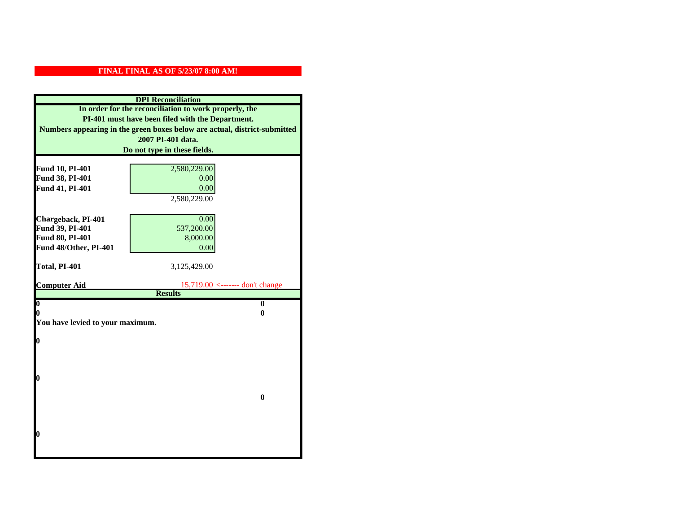| <b>DPI</b> Reconciliation<br>In order for the reconciliation to work properly, the<br>PI-401 must have been filed with the Department. |                                                     |                                                                           |                   |
|----------------------------------------------------------------------------------------------------------------------------------------|-----------------------------------------------------|---------------------------------------------------------------------------|-------------------|
|                                                                                                                                        |                                                     | Numbers appearing in the green boxes below are actual, district-submitted |                   |
|                                                                                                                                        |                                                     |                                                                           | 2007 PI-401 data. |
|                                                                                                                                        | Do not type in these fields.                        |                                                                           |                   |
|                                                                                                                                        |                                                     |                                                                           |                   |
| Fund 10, PI-401                                                                                                                        | 2,580,229.00                                        |                                                                           |                   |
| Fund 38, PI-401                                                                                                                        | 0.00                                                |                                                                           |                   |
| Fund 41, PI-401                                                                                                                        | 0.00<br>2,580,229.00                                |                                                                           |                   |
|                                                                                                                                        |                                                     |                                                                           |                   |
| Chargeback, PI-401                                                                                                                     | 0.00                                                |                                                                           |                   |
| Fund 39, PI-401                                                                                                                        | 537,200.00                                          |                                                                           |                   |
| Fund 80, PI-401                                                                                                                        | 8,000.00                                            |                                                                           |                   |
| Fund 48/Other, PI-401                                                                                                                  | 0.00                                                |                                                                           |                   |
|                                                                                                                                        |                                                     |                                                                           |                   |
| Total, PI-401                                                                                                                          | 3,125,429.00                                        |                                                                           |                   |
|                                                                                                                                        |                                                     |                                                                           |                   |
| <b>Computer Aid</b>                                                                                                                    | $15,719.00$ <------- don't change<br><b>Results</b> |                                                                           |                   |
| $\boldsymbol{0}$                                                                                                                       | $\bf{0}$                                            |                                                                           |                   |
| 0                                                                                                                                      | 0                                                   |                                                                           |                   |
| You have levied to your maximum.                                                                                                       |                                                     |                                                                           |                   |
|                                                                                                                                        |                                                     |                                                                           |                   |
| 0                                                                                                                                      |                                                     |                                                                           |                   |
|                                                                                                                                        |                                                     |                                                                           |                   |
|                                                                                                                                        |                                                     |                                                                           |                   |
| 0                                                                                                                                      |                                                     |                                                                           |                   |
|                                                                                                                                        |                                                     |                                                                           |                   |
|                                                                                                                                        | $\bf{0}$                                            |                                                                           |                   |
|                                                                                                                                        |                                                     |                                                                           |                   |
|                                                                                                                                        |                                                     |                                                                           |                   |
|                                                                                                                                        |                                                     |                                                                           |                   |
| 0                                                                                                                                      |                                                     |                                                                           |                   |
|                                                                                                                                        |                                                     |                                                                           |                   |
|                                                                                                                                        |                                                     |                                                                           |                   |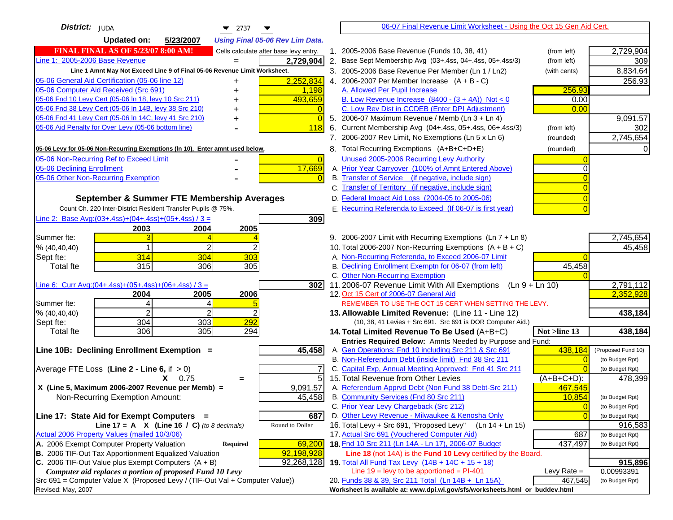| District: JUDA<br>$\blacktriangledown$ 2737                                                                                                | 06-07 Final Revenue Limit Worksheet - Using the Oct 15 Gen Aid Cert.                                                      |                                   |
|--------------------------------------------------------------------------------------------------------------------------------------------|---------------------------------------------------------------------------------------------------------------------------|-----------------------------------|
| <b>Updated on:</b><br>5/23/2007<br><b>Using Final 05-06 Rev Lim Data.</b>                                                                  |                                                                                                                           |                                   |
| FINAL FINAL AS OF 5/23/07 8:00 AM!<br>Cells calculate after base levy entry.                                                               | 1. 2005-2006 Base Revenue (Funds 10, 38, 41)                                                                              | 2,729,904<br>(from left)          |
| Line 1: 2005-2006 Base Revenue<br>2,729,904<br>$=$                                                                                         | 2. Base Sept Membership Avg (03+.4ss, 04+.4ss, 05+.4ss/3)                                                                 | (from left)<br>309                |
| Line 1 Amnt May Not Exceed Line 9 of Final 05-06 Revenue Limit Worksheet.                                                                  | 3. 2005-2006 Base Revenue Per Member (Ln 1 / Ln2)                                                                         | 8,834.64<br>(with cents)          |
| 05-06 General Aid Certification (05-06 line 12)<br>2,252,834<br>+                                                                          | 4. 2006-2007 Per Member Increase $(A + B - C)$                                                                            | 256.93                            |
| 05-06 Computer Aid Received (Src 691)<br>1,198                                                                                             | A. Allowed Per Pupil Increase                                                                                             | 256.93                            |
| 05-06 Fnd 10 Levy Cert (05-06 In 18, levy 10 Src 211)<br>493,659                                                                           | B. Low Revenue Increase $(8400 - (3 + 4A))$ Not < 0                                                                       | 0.00                              |
| 05-06 Fnd 38 Levy Cert (05-06 In 14B, levy 38 Src 210)                                                                                     | C. Low Rev Dist in CCDEB (Enter DPI Adjustment)                                                                           | 0.00                              |
| 05-06 Fnd 41 Levy Cert (05-06 In 14C, levy 41 Src 210)                                                                                     | 5. 2006-07 Maximum Revenue / Memb (Ln $3 + \text{Ln } 4$ )                                                                | 9,091.57                          |
| 05-06 Aid Penalty for Over Levy (05-06 bottom line)<br>118                                                                                 | 6. Current Membership Avg (04+.4ss, 05+.4ss, 06+.4ss/3)                                                                   | 302<br>(from left)                |
|                                                                                                                                            | 7. 2006-2007 Rev Limit, No Exemptions (Ln 5 x Ln 6)                                                                       | 2,745,654<br>(rounded)            |
| 05-06 Levy for 05-06 Non-Recurring Exemptions (In 10), Enter amnt used below.                                                              | 8. Total Recurring Exemptions (A+B+C+D+E)                                                                                 | (rounded)                         |
| 05-06 Non-Recurring Ref to Exceed Limit<br>$\overline{0}$                                                                                  | Unused 2005-2006 Recurring Levy Authority                                                                                 |                                   |
| 17,669<br>05-06 Declining Enrollment                                                                                                       | A. Prior Year Carryover (100% of Amnt Entered Above)                                                                      |                                   |
| 05-06 Other Non-Recurring Exemption                                                                                                        | B. Transfer of Service (if negative, include sign)                                                                        |                                   |
|                                                                                                                                            | C. Transfer of Territory (if negative, include sign)                                                                      |                                   |
| September & Summer FTE Membership Averages                                                                                                 | D. Federal Impact Aid Loss (2004-05 to 2005-06)                                                                           |                                   |
| Count Ch. 220 Inter-District Resident Transfer Pupils @ 75%.                                                                               | E. Recurring Referenda to Exceed (If 06-07 is first year)                                                                 |                                   |
| Line 2: Base Avg:(03+.4ss)+(04+.4ss)+(05+.4ss) / 3 =<br>309                                                                                |                                                                                                                           |                                   |
| 2003<br>2004<br>2005                                                                                                                       |                                                                                                                           |                                   |
| Summer fte:                                                                                                                                | 9. 2006-2007 Limit with Recurring Exemptions (Ln 7 + Ln 8)                                                                | 2,745,654                         |
| 2<br>% (40, 40, 40)                                                                                                                        | 10. Total 2006-2007 Non-Recurring Exemptions $(A + B + C)$                                                                | 45,458                            |
| 314<br>303<br>304<br>Sept fte:                                                                                                             | A. Non-Recurring Referenda, to Exceed 2006-07 Limit                                                                       |                                   |
| 315<br>306<br>305<br><b>Total fte</b>                                                                                                      | B. Declining Enrollment Exemptn for 06-07 (from left)                                                                     | 45,458                            |
|                                                                                                                                            | C. Other Non-Recurring Exemption                                                                                          |                                   |
| <u>Line 6: Curr Avg: (04+.4ss)+ (05+.4ss)+ (06+.4ss) / 3 =</u><br>302I                                                                     | 11.2006-07 Revenue Limit With All Exemptions (Ln 9 + Ln 10)                                                               | 2,791,112                         |
| 2005<br>2006<br>2004<br>4<br>4                                                                                                             | 12. Oct 15 Cert of 2006-07 General Aid<br>REMEMBER TO USE THE OCT 15 CERT WHEN SETTING THE LEVY.                          | 2,352,928                         |
| Summer fte:<br>2<br>2<br>% (40, 40, 40)                                                                                                    | 13. Allowable Limited Revenue: (Line 11 - Line 12)                                                                        | 438,184                           |
| 304<br>292<br>303<br>Sept fte:                                                                                                             | (10, 38, 41 Levies + Src 691. Src 691 is DOR Computer Aid.)                                                               |                                   |
| 306<br>305<br>294<br><b>Total fte</b>                                                                                                      | 14. Total Limited Revenue To Be Used (A+B+C)<br>Not >line 13                                                              | 438,184                           |
|                                                                                                                                            | Entries Required Below: Amnts Needed by Purpose and Fund:                                                                 |                                   |
| Line 10B: Declining Enrollment Exemption =<br>45,458                                                                                       | A. Gen Operations: Fnd 10 including Src 211 & Src 691                                                                     | 438,184<br>(Proposed Fund 10)     |
|                                                                                                                                            | B. Non-Referendum Debt (inside limit) Fnd 38 Src 211                                                                      | (to Budget Rpt)                   |
| Average FTE Loss (Line $2 -$ Line 6, if $> 0$ )                                                                                            | C. Capital Exp, Annual Meeting Approved: Fnd 41 Src 211                                                                   | (to Budget Rpt)                   |
| 5<br>$X = 0.75$<br>$=$                                                                                                                     | 15. Total Revenue from Other Levies                                                                                       | (A+B+C+D):<br>478,399             |
| X (Line 5, Maximum 2006-2007 Revenue per Memb) =<br>9,091.57                                                                               | A. Referendum Apprvd Debt (Non Fund 38 Debt-Src 211)                                                                      | 467,545                           |
| 45,458<br>Non-Recurring Exemption Amount:                                                                                                  | B. Community Services (Fnd 80 Src 211)                                                                                    | 10,854<br>(to Budget Rpt)         |
|                                                                                                                                            | C. Prior Year Levy Chargeback (Src 212)                                                                                   | $\overline{0}$<br>(to Budget Rpt) |
| Line 17: State Aid for Exempt Computers =<br>687                                                                                           | D. Other Levy Revenue - Milwaukee & Kenosha Only                                                                          | (to Budget Rpt)                   |
| Line 17 = A $X$ (Line 16 / C) (to 8 decimals)<br>Round to Dollar                                                                           | 16. Total Levy + Src 691, "Proposed Levy"<br>(Ln 14 + Ln 15)                                                              | 916,583                           |
| Actual 2006 Property Values (mailed 10/3/06)                                                                                               | 17. Actual Src 691 (Vouchered Computer Aid)                                                                               | 687<br>(to Budget Rpt)            |
| A. 2006 Exempt Computer Property Valuation<br>69,200<br><b>Required</b>                                                                    | 18. Fnd 10 Src 211 (Ln 14A - Ln 17), 2006-07 Budget                                                                       | 437,497<br>(to Budget Rpt)        |
| B. 2006 TIF-Out Tax Apportionment Equalized Valuation<br>92,198,928<br>C. 2006 TIF-Out Value plus Exempt Computers $(A + B)$<br>92,268,128 | Line 18 (not 14A) is the <b>Fund 10 Levy</b> certified by the Board.<br>19. Total All Fund Tax Levy (14B + 14C + 15 + 18) | $\overline{915,896}$              |
| Computer aid replaces a portion of proposed Fund 10 Levy                                                                                   | Line $19 = \text{levy}$ to be apportioned = PI-401                                                                        | 0.00993391<br>Levy Rate $=$       |
| Src 691 = Computer Value X (Proposed Levy / (TIF-Out Val + Computer Value))                                                                | 20. Funds 38 & 39, Src 211 Total (Ln 14B + Ln 15A)                                                                        | 467,545<br>(to Budget Rpt)        |
| Revised: May, 2007                                                                                                                         | Worksheet is available at: www.dpi.wi.gov/sfs/worksheets.html or buddev.html                                              |                                   |
|                                                                                                                                            |                                                                                                                           |                                   |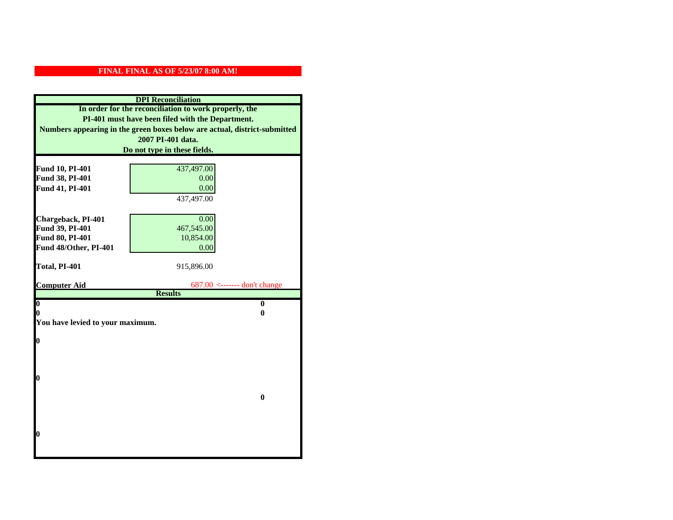| <b>DPI</b> Reconciliation                                                 |                                |
|---------------------------------------------------------------------------|--------------------------------|
| In order for the reconciliation to work properly, the                     |                                |
| PI-401 must have been filed with the Department.                          |                                |
| Numbers appearing in the green boxes below are actual, district-submitted |                                |
|                                                                           | 2007 PI-401 data.              |
|                                                                           | Do not type in these fields.   |
|                                                                           |                                |
| Fund 10, PI-401                                                           | 437,497.00                     |
| Fund 38, PI-401                                                           | 0.00                           |
| Fund 41, PI-401                                                           | 0.00                           |
|                                                                           | 437,497.00                     |
|                                                                           |                                |
| Chargeback, PI-401                                                        | 0.00                           |
| Fund 39, PI-401                                                           | 467,545.00                     |
| Fund 80, PI-401                                                           | 10,854.00                      |
| Fund 48/Other, PI-401                                                     | 0.00                           |
| Total, PI-401                                                             | 915,896.00                     |
|                                                                           |                                |
|                                                                           |                                |
| <b>Computer Aid</b>                                                       | $687.00$ <------- don't change |
|                                                                           | <b>Results</b>                 |
| $\overline{\mathbf{0}}$                                                   | $\mathbf{0}$                   |
| 0                                                                         | 0                              |
| You have levied to your maximum.                                          |                                |
|                                                                           |                                |
| $\bf{0}$                                                                  |                                |
|                                                                           |                                |
|                                                                           |                                |
| 0                                                                         |                                |
|                                                                           |                                |
|                                                                           | $\bf{0}$                       |
|                                                                           |                                |
|                                                                           |                                |
|                                                                           |                                |
| 0                                                                         |                                |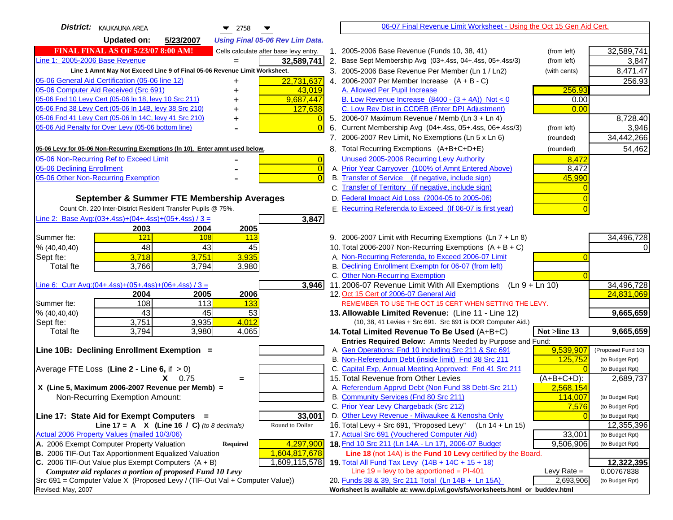| <b>District:</b> KAUKAUNA AREA<br>$\blacktriangledown$ 2758                                                                     | 06-07 Final Revenue Limit Worksheet - Using the Oct 15 Gen Aid Cert.                                              |                          |
|---------------------------------------------------------------------------------------------------------------------------------|-------------------------------------------------------------------------------------------------------------------|--------------------------|
| <b>Updated on:</b><br>5/23/2007<br><b>Using Final 05-06 Rev Lim Data.</b>                                                       |                                                                                                                   |                          |
| FINAL FINAL AS OF 5/23/07 8:00 AM!<br>Cells calculate after base levy entry.                                                    | 1. 2005-2006 Base Revenue (Funds 10, 38, 41)<br>(from left)                                                       | 32,589,741               |
| Line 1: 2005-2006 Base Revenue<br>32,589,741                                                                                    | 2. Base Sept Membership Avg (03+.4ss, 04+.4ss, 05+.4ss/3)<br>(from left)                                          | 3,847                    |
| Line 1 Amnt May Not Exceed Line 9 of Final 05-06 Revenue Limit Worksheet.                                                       | 3. 2005-2006 Base Revenue Per Member (Ln 1 / Ln2)<br>(with cents)                                                 | 8,471.47                 |
| 22,731,637<br>05-06 General Aid Certification (05-06 line 12)                                                                   | 4. 2006-2007 Per Member Increase $(A + B - C)$                                                                    | 256.93                   |
| 05-06 Computer Aid Received (Src 691)<br>43,019                                                                                 | 256.93<br>A. Allowed Per Pupil Increase                                                                           |                          |
| 05-06 Fnd 10 Levy Cert (05-06 ln 18, levy 10 Src 211)<br>9,687,447                                                              | B. Low Revenue Increase $(8400 - (3 + 4A))$ Not < 0<br>0.00                                                       |                          |
| 05-06 Fnd 38 Levy Cert (05-06 In 14B, levy 38 Src 210)<br>127,638                                                               | C. Low Rev Dist in CCDEB (Enter DPI Adjustment)<br>0.00                                                           |                          |
| 05-06 Fnd 41 Levy Cert (05-06 In 14C, levy 41 Src 210)                                                                          | 5. 2006-07 Maximum Revenue / Memb (Ln 3 + Ln 4)                                                                   | 8,728.40                 |
| 05-06 Aid Penalty for Over Levy (05-06 bottom line)<br>$\Omega$                                                                 | Current Membership Avg (04+.4ss, 05+.4ss, 06+.4ss/3)<br>(from left)<br>6.                                         | 3,946                    |
|                                                                                                                                 | 7. 2006-2007 Rev Limit, No Exemptions (Ln 5 x Ln 6)<br>(rounded)                                                  | 34,442,266               |
| 05-06 Levy for 05-06 Non-Recurring Exemptions (In 10), Enter amnt used below.                                                   | 8. Total Recurring Exemptions (A+B+C+D+E)<br>(rounded)                                                            | 54,462                   |
| 05-06 Non-Recurring Ref to Exceed Limit<br>$\overline{0}$                                                                       | Unused 2005-2006 Recurring Levy Authority<br>8,472                                                                |                          |
| $\overline{0}$<br>05-06 Declining Enrollment                                                                                    | A. Prior Year Carryover (100% of Amnt Entered Above)<br>8,472                                                     |                          |
| 05-06 Other Non-Recurring Exemption<br>$\Omega$                                                                                 | B. Transfer of Service (if negative, include sign)<br>45,990                                                      |                          |
|                                                                                                                                 | C. Transfer of Territory (if negative, include sign)                                                              |                          |
| September & Summer FTE Membership Averages                                                                                      | D. Federal Impact Aid Loss (2004-05 to 2005-06)                                                                   |                          |
| Count Ch. 220 Inter-District Resident Transfer Pupils @ 75%.                                                                    | E. Recurring Referenda to Exceed (If 06-07 is first year)                                                         |                          |
| Line 2: Base Avg:(03+.4ss)+(04+.4ss)+(05+.4ss) / 3 =<br>3,847                                                                   |                                                                                                                   |                          |
| 2003<br>2004<br>2005                                                                                                            |                                                                                                                   |                          |
| 121<br>Summer fte:<br><b>108</b><br>113                                                                                         | 9. 2006-2007 Limit with Recurring Exemptions (Ln 7 + Ln 8)                                                        | 34,496,728               |
| 48<br>43<br>45<br>% (40, 40, 40)                                                                                                | 10. Total 2006-2007 Non-Recurring Exemptions $(A + B + C)$                                                        |                          |
| 3,935<br>3,718<br>3,751<br>Sept fte:                                                                                            | A. Non-Recurring Referenda, to Exceed 2006-07 Limit                                                               |                          |
| <b>Total fte</b><br>3,766<br>3,794<br>3,980                                                                                     | B. Declining Enrollment Exemptn for 06-07 (from left)                                                             |                          |
|                                                                                                                                 | C. Other Non-Recurring Exemption                                                                                  |                          |
| Line 6: Curr Avg: $(04+.4ss)+(05+.4ss)+(06+.4ss)/3=$<br>3,946                                                                   | 11.2006-07 Revenue Limit With All Exemptions (Ln $9 + \overline{\text{Ln }10}$ )                                  | 34,496,728               |
| 2006<br>2005<br>2004                                                                                                            | 12. Oct 15 Cert of 2006-07 General Aid                                                                            | 24,831,069               |
| 108<br>Summer fte:<br>113<br>133<br>43<br>45<br>53<br>% (40, 40, 40)                                                            | REMEMBER TO USE THE OCT 15 CERT WHEN SETTING THE LEVY.                                                            | 9,665,659                |
| 3,751<br>3,935<br>4,012<br>Sept fte:                                                                                            | 13. Allowable Limited Revenue: (Line 11 - Line 12)<br>(10, 38, 41 Levies + Src 691. Src 691 is DOR Computer Aid.) |                          |
| 3,794<br>3,980<br>4,065<br><b>Total fte</b>                                                                                     | 14. Total Limited Revenue To Be Used (A+B+C)<br>Not >line 13                                                      | 9,665,659                |
|                                                                                                                                 | Entries Required Below: Amnts Needed by Purpose and Fund:                                                         |                          |
| Line 10B: Declining Enrollment Exemption =                                                                                      | A. Gen Operations: Fnd 10 including Src 211 & Src 691<br>9,539,907                                                | (Proposed Fund 10)       |
|                                                                                                                                 | B. Non-Referendum Debt (inside limit) Fnd 38 Src 211<br>125,752                                                   | (to Budget Rpt)          |
| Average FTE Loss (Line $2 -$ Line 6, if $> 0$ )                                                                                 | C. Capital Exp, Annual Meeting Approved: Fnd 41 Src 211                                                           | (to Budget Rpt)          |
| $X = 0.75$<br>$=$                                                                                                               | 15. Total Revenue from Other Levies<br>$(A+B+C+D)$ :                                                              | 2,689,737                |
| X (Line 5, Maximum 2006-2007 Revenue per Memb) =                                                                                | A. Referendum Apprvd Debt (Non Fund 38 Debt-Src 211)<br>2,568,154                                                 |                          |
| Non-Recurring Exemption Amount:                                                                                                 | B. Community Services (Fnd 80 Src 211)<br>114.007                                                                 | (to Budget Rpt)          |
|                                                                                                                                 | C. Prior Year Levy Chargeback (Src 212)<br>7,576                                                                  | (to Budget Rpt)          |
| 33,001<br>Line 17: State Aid for Exempt Computers =                                                                             | D. Other Levy Revenue - Milwaukee & Kenosha Only                                                                  | (to Budget Rpt)          |
| Line 17 = A $X$ (Line 16 / C) (to 8 decimals)<br>Round to Dollar                                                                | 16. Total Levy + Src 691, "Proposed Levy"<br>(Ln 14 + Ln 15)                                                      | 12,355,396               |
| Actual 2006 Property Values (mailed 10/3/06)                                                                                    | 17. Actual Src 691 (Vouchered Computer Aid)<br>33,001                                                             | (to Budget Rpt)          |
| 4,297,900<br>A. 2006 Exempt Computer Property Valuation<br>Required                                                             | 18. Fnd 10 Src 211 (Ln 14A - Ln 17), 2006-07 Budget<br>9,506,906                                                  | (to Budget Rpt)          |
| B. 2006 TIF-Out Tax Apportionment Equalized Valuation<br>1,604,817,678<br>C. 2006 TIF-Out Value plus Exempt Computers $(A + B)$ | Line 18 (not 14A) is the Fund 10 Levy certified by the Board.                                                     |                          |
| 1,609,115,578<br>Computer aid replaces a portion of proposed Fund 10 Levy                                                       | 19. Total All Fund Tax Levy (14B + 14C + 15 + 18)<br>Line $19$ = levy to be apportioned = PI-401<br>Levy Rate $=$ | 12,322,395<br>0.00767838 |
| Src 691 = Computer Value X (Proposed Levy / (TIF-Out Val + Computer Value))                                                     | 20. Funds 38 & 39, Src 211 Total (Ln 14B + Ln 15A)<br>2,693,906                                                   | (to Budget Rpt)          |
| Revised: May, 2007                                                                                                              | Worksheet is available at: www.dpi.wi.gov/sfs/worksheets.html or buddev.html                                      |                          |
|                                                                                                                                 |                                                                                                                   |                          |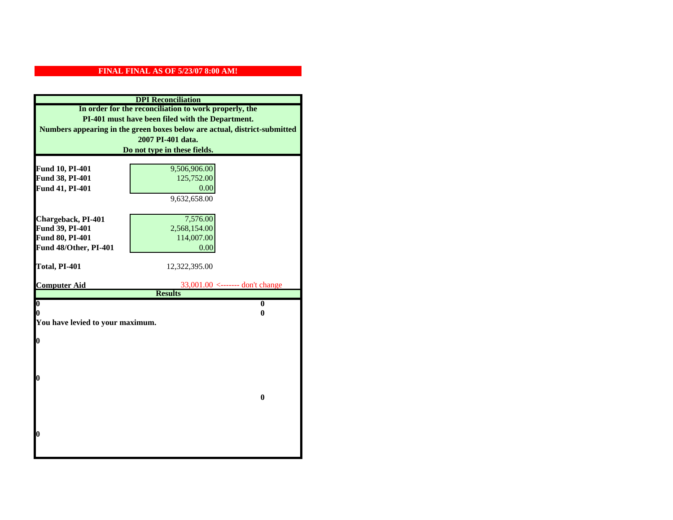| <b>DPI</b> Reconciliation                                                 |                                 |  |
|---------------------------------------------------------------------------|---------------------------------|--|
| In order for the reconciliation to work properly, the                     |                                 |  |
| PI-401 must have been filed with the Department.                          |                                 |  |
| Numbers appearing in the green boxes below are actual, district-submitted |                                 |  |
|                                                                           | 2007 PI-401 data.               |  |
|                                                                           | Do not type in these fields.    |  |
|                                                                           |                                 |  |
| Fund 10, PI-401                                                           | 9,506,906.00                    |  |
| Fund 38, PI-401                                                           | 125,752.00                      |  |
| Fund 41, PI-401                                                           | 0.00                            |  |
|                                                                           | 9,632,658.00                    |  |
|                                                                           |                                 |  |
| Chargeback, PI-401                                                        | 7,576.00                        |  |
| Fund 39, PI-401                                                           | 2,568,154.00                    |  |
| Fund 80, PI-401                                                           | 114,007.00                      |  |
| Fund 48/Other, PI-401                                                     | 0.00                            |  |
|                                                                           |                                 |  |
| Total, PI-401                                                             | 12,322,395.00                   |  |
|                                                                           |                                 |  |
|                                                                           |                                 |  |
| <b>Computer Aid</b>                                                       | 33,001.00 <------- don't change |  |
|                                                                           | <b>Results</b>                  |  |
| $\overline{\mathbf{0}}$<br>0                                              | $\bf{0}$<br>0                   |  |
|                                                                           |                                 |  |
| You have levied to your maximum.                                          |                                 |  |
| $\bf{0}$                                                                  |                                 |  |
|                                                                           |                                 |  |
|                                                                           |                                 |  |
|                                                                           |                                 |  |
| 0                                                                         |                                 |  |
|                                                                           |                                 |  |
|                                                                           | $\bf{0}$                        |  |
|                                                                           |                                 |  |
|                                                                           |                                 |  |
|                                                                           |                                 |  |
| 0                                                                         |                                 |  |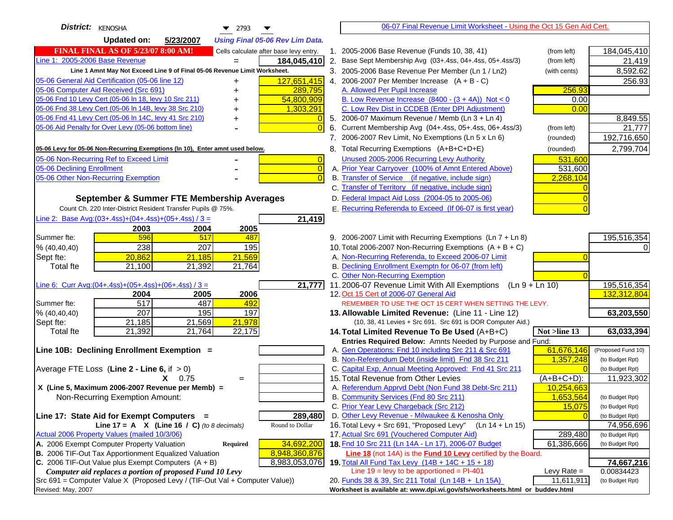| District: KENOSHA<br>$\blacktriangledown$ 2793                                                                                                   | 06-07 Final Revenue Limit Worksheet - Using the Oct 15 Gen Aid Cert.                                               |                    |
|--------------------------------------------------------------------------------------------------------------------------------------------------|--------------------------------------------------------------------------------------------------------------------|--------------------|
| <b>Updated on:</b><br>5/23/2007<br><b>Using Final 05-06 Rev Lim Data.</b>                                                                        |                                                                                                                    |                    |
| <b>FINAL FINAL AS OF 5/23/07 8:00 AM!</b><br>Cells calculate after base levy entry.                                                              | 1. 2005-2006 Base Revenue (Funds 10, 38, 41)<br>(from left)                                                        | 184,045,410        |
| Line 1: 2005-2006 Base Revenue<br>184,045,410                                                                                                    | 2. Base Sept Membership Avg (03+.4ss, 04+.4ss, 05+.4ss/3)<br>(from left)                                           | 21,419             |
| Line 1 Amnt May Not Exceed Line 9 of Final 05-06 Revenue Limit Worksheet.                                                                        | 3. 2005-2006 Base Revenue Per Member (Ln 1 / Ln2)<br>(with cents)                                                  | 8,592.62           |
| 127,651,415<br>05-06 General Aid Certification (05-06 line 12)<br>+                                                                              | 4. 2006-2007 Per Member Increase $(A + B - C)$                                                                     | 256.93             |
| 05-06 Computer Aid Received (Src 691)<br>289,795                                                                                                 | 256.93<br>A. Allowed Per Pupil Increase                                                                            |                    |
| 05-06 Fnd 10 Levy Cert (05-06 ln 18, levy 10 Src 211)<br>54,800,909                                                                              | B. Low Revenue Increase $(8400 - (3 + 4A))$ Not < 0<br>0.00                                                        |                    |
| 05-06 Fnd 38 Levy Cert (05-06 In 14B, levy 38 Src 210)<br>1,303,291                                                                              | C. Low Rev Dist in CCDEB (Enter DPI Adjustment)<br>0.00                                                            |                    |
| 05-06 Fnd 41 Levy Cert (05-06 In 14C, levy 41 Src 210)<br>+                                                                                      | 5. 2006-07 Maximum Revenue / Memb (Ln $3 + \text{Ln } 4$ )                                                         | 8,849.55           |
| 05-06 Aid Penalty for Over Levy (05-06 bottom line)<br>$\Omega$                                                                                  | Current Membership Avg (04+.4ss, 05+.4ss, 06+.4ss/3)<br>6.<br>(from left)                                          | 21,777             |
|                                                                                                                                                  | 7. 2006-2007 Rev Limit, No Exemptions (Ln 5 x Ln 6)<br>(rounded)                                                   | 192,716,650        |
| 05-06 Levy for 05-06 Non-Recurring Exemptions (In 10), Enter amnt used below.                                                                    | 8. Total Recurring Exemptions (A+B+C+D+E)<br>(rounded)                                                             | 2,799,704          |
| 05-06 Non-Recurring Ref to Exceed Limit<br>$\overline{0}$                                                                                        | Unused 2005-2006 Recurring Levy Authority<br>531,600                                                               |                    |
| $\overline{0}$<br>05-06 Declining Enrollment                                                                                                     | A. Prior Year Carryover (100% of Amnt Entered Above)<br>531,600                                                    |                    |
| 05-06 Other Non-Recurring Exemption<br>$\Omega$                                                                                                  | B. Transfer of Service (if negative, include sign)<br>2,268,104                                                    |                    |
|                                                                                                                                                  | C. Transfer of Territory (if negative, include sign)                                                               |                    |
| September & Summer FTE Membership Averages                                                                                                       | D. Federal Impact Aid Loss (2004-05 to 2005-06)                                                                    |                    |
| Count Ch. 220 Inter-District Resident Transfer Pupils @ 75%.                                                                                     | E. Recurring Referenda to Exceed (If 06-07 is first year)                                                          |                    |
| Line 2: Base Avg:(03+.4ss)+(04+.4ss)+(05+.4ss) / 3 =<br>21,419                                                                                   |                                                                                                                    |                    |
| 2003<br>2004<br>2005                                                                                                                             |                                                                                                                    |                    |
| 596<br>Summer fte:<br>517<br>487                                                                                                                 | 9. 2006-2007 Limit with Recurring Exemptions (Ln 7 + Ln 8)                                                         | 195,516,354        |
| 238<br>207<br>195<br>% (40, 40, 40)                                                                                                              | 10. Total 2006-2007 Non-Recurring Exemptions $(A + B + C)$                                                         |                    |
| 21,185<br>Sept fte:<br>20,862<br>21,569                                                                                                          | A. Non-Recurring Referenda, to Exceed 2006-07 Limit                                                                |                    |
| <b>Total fte</b><br>21,100<br>21,392<br>21,764                                                                                                   | B. Declining Enrollment Exemptn for 06-07 (from left)                                                              |                    |
|                                                                                                                                                  | C. Other Non-Recurring Exemption                                                                                   |                    |
| 21,777<br>Line 6: Curr Avg: $(04+.4ss)+(05+.4ss)+(06+.4ss)/3=$                                                                                   | 11.2006-07 Revenue Limit With All Exemptions (Ln $9 + \overline{\text{Ln }10}$ )                                   | 195,516,354        |
| 2006<br>2005<br>2004                                                                                                                             | 12. Oct 15 Cert of 2006-07 General Aid                                                                             | 132,312,804        |
| 517<br>487<br>Summer fte:<br>492<br>207<br>195<br>197<br>% (40, 40, 40)                                                                          | REMEMBER TO USE THE OCT 15 CERT WHEN SETTING THE LEVY.<br>13. Allowable Limited Revenue: (Line 11 - Line 12)       | 63,203,550         |
| 21,569<br>21,978<br>Sept fte:<br>21,185                                                                                                          | (10, 38, 41 Levies + Src 691. Src 691 is DOR Computer Aid.)                                                        |                    |
| 21,392<br>21,764<br><b>Total fte</b><br>22,175                                                                                                   | Not >line 13<br>14. Total Limited Revenue To Be Used (A+B+C)                                                       | 63,033,394         |
|                                                                                                                                                  | Entries Required Below: Amnts Needed by Purpose and Fund:                                                          |                    |
| Line 10B: Declining Enrollment Exemption =                                                                                                       | 61,676,146<br>A. Gen Operations: Fnd 10 including Src 211 & Src 691                                                | (Proposed Fund 10) |
|                                                                                                                                                  | B. Non-Referendum Debt (inside limit) Fnd 38 Src 211<br>1,357,248                                                  | (to Budget Rpt)    |
| Average FTE Loss (Line $2 -$ Line 6, if $> 0$ )                                                                                                  | C. Capital Exp, Annual Meeting Approved: Fnd 41 Src 211                                                            | (to Budget Rpt)    |
| $X = 0.75$<br>$=$                                                                                                                                | 15. Total Revenue from Other Levies<br>$(A+B+C+D)$ :                                                               | 11,923,302         |
| X (Line 5, Maximum 2006-2007 Revenue per Memb) =                                                                                                 | A. Referendum Apprvd Debt (Non Fund 38 Debt-Src 211)<br>10,254,663                                                 |                    |
| Non-Recurring Exemption Amount:                                                                                                                  | B. Community Services (Fnd 80 Src 211)<br>1,653,564                                                                | (to Budget Rpt)    |
|                                                                                                                                                  | C. Prior Year Levy Chargeback (Src 212)<br>15,075                                                                  | (to Budget Rpt)    |
| Line 17: State Aid for Exempt Computers =<br>289,480                                                                                             | D. Other Levy Revenue - Milwaukee & Kenosha Only                                                                   | (to Budget Rpt)    |
| Round to Dollar<br>Line 17 = A $X$ (Line 16 / C) (to 8 decimals)                                                                                 | 16. Total Levy + Src 691, "Proposed Levy" (Ln 14 + Ln 15)                                                          | 74,956,696         |
| Actual 2006 Property Values (mailed 10/3/06)                                                                                                     | 17. Actual Src 691 (Vouchered Computer Aid)<br>289,480                                                             | (to Budget Rpt)    |
| 34,692,200<br>A. 2006 Exempt Computer Property Valuation<br><b>Required</b>                                                                      | 18. Fnd 10 Src 211 (Ln 14A - Ln 17), 2006-07 Budget<br>61,386,666                                                  | (to Budget Rpt)    |
| B. 2006 TIF-Out Tax Apportionment Equalized Valuation<br>8,948,360,876<br>C. 2006 TIF-Out Value plus Exempt Computers $(A + B)$<br>8,983,053,076 | Line 18 (not 14A) is the Fund 10 Levy certified by the Board.<br>19. Total All Fund Tax Levy (14B + 14C + 15 + 18) | 74,667,216         |
| Computer aid replaces a portion of proposed Fund 10 Levy                                                                                         | Line $19 = \text{levy}$ to be apportioned = PI-401<br>Levy Rate $=$                                                | 0.00834423         |
| Src 691 = Computer Value X (Proposed Levy / (TIF-Out Val + Computer Value))                                                                      | 20. Funds 38 & 39, Src 211 Total (Ln 14B + Ln 15A)<br>11,611,911                                                   | (to Budget Rpt)    |
| Revised: May, 2007                                                                                                                               | Worksheet is available at: www.dpi.wi.gov/sfs/worksheets.html or buddev.html                                       |                    |
|                                                                                                                                                  |                                                                                                                    |                    |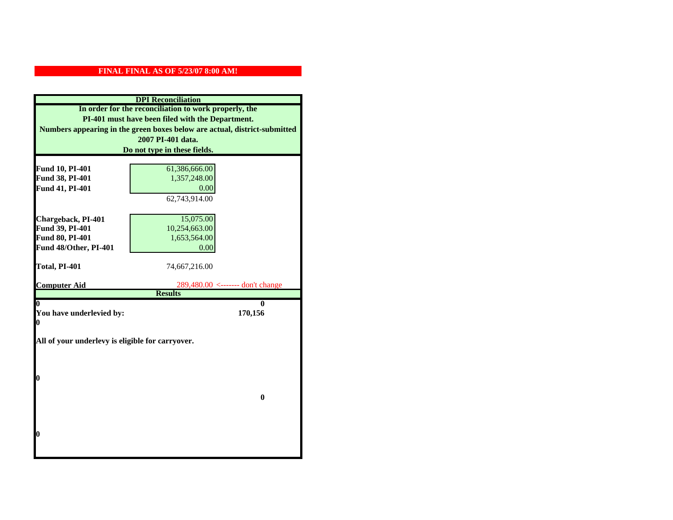| <b>DPI</b> Reconciliation                                                                                                                                                              |                                       |  |                              |
|----------------------------------------------------------------------------------------------------------------------------------------------------------------------------------------|---------------------------------------|--|------------------------------|
| In order for the reconciliation to work properly, the<br>PI-401 must have been filed with the Department.<br>Numbers appearing in the green boxes below are actual, district-submitted |                                       |  |                              |
|                                                                                                                                                                                        |                                       |  | 2007 PI-401 data.            |
|                                                                                                                                                                                        |                                       |  | Do not type in these fields. |
|                                                                                                                                                                                        |                                       |  |                              |
| Fund 10, PI-401                                                                                                                                                                        | 61,386,666.00                         |  |                              |
| Fund 38, PI-401                                                                                                                                                                        | 1,357,248.00                          |  |                              |
| Fund 41, PI-401                                                                                                                                                                        | 0.00                                  |  |                              |
|                                                                                                                                                                                        | 62,743,914.00                         |  |                              |
|                                                                                                                                                                                        |                                       |  |                              |
| Chargeback, PI-401                                                                                                                                                                     | 15,075.00                             |  |                              |
| Fund 39, PI-401<br><b>Fund 80, PI-401</b>                                                                                                                                              | 10,254,663.00                         |  |                              |
| Fund 48/Other, PI-401                                                                                                                                                                  | 1,653,564.00                          |  |                              |
|                                                                                                                                                                                        | 0.00                                  |  |                              |
| Total, PI-401                                                                                                                                                                          | 74,667,216.00                         |  |                              |
|                                                                                                                                                                                        |                                       |  |                              |
| <b>Computer Aid</b>                                                                                                                                                                    | $289,480.00 \le$ ------- don't change |  |                              |
|                                                                                                                                                                                        | <b>Results</b>                        |  |                              |
| 0                                                                                                                                                                                      | 0                                     |  |                              |
| You have underlevied by:<br>0                                                                                                                                                          | 170,156                               |  |                              |
|                                                                                                                                                                                        |                                       |  |                              |
| All of your underlevy is eligible for carryover.                                                                                                                                       |                                       |  |                              |
|                                                                                                                                                                                        |                                       |  |                              |
|                                                                                                                                                                                        |                                       |  |                              |
|                                                                                                                                                                                        |                                       |  |                              |
| 0                                                                                                                                                                                      |                                       |  |                              |
|                                                                                                                                                                                        |                                       |  |                              |
|                                                                                                                                                                                        | $\mathbf{0}$                          |  |                              |
|                                                                                                                                                                                        |                                       |  |                              |
|                                                                                                                                                                                        |                                       |  |                              |
|                                                                                                                                                                                        |                                       |  |                              |
|                                                                                                                                                                                        |                                       |  |                              |
| 0                                                                                                                                                                                      |                                       |  |                              |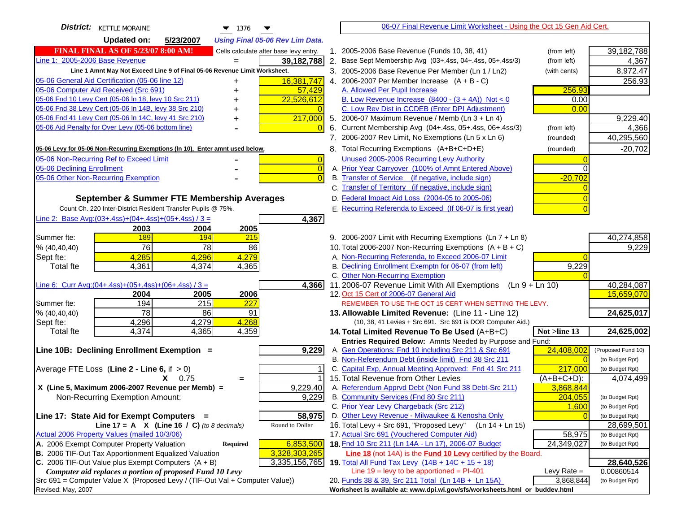| <b>District:</b> KETTLE MORAINE<br>$\blacktriangledown$ 1376                        | 06-07 Final Revenue Limit Worksheet - Using the Oct 15 Gen Aid Cert.                                                        |                    |
|-------------------------------------------------------------------------------------|-----------------------------------------------------------------------------------------------------------------------------|--------------------|
| <b>Updated on:</b><br>5/23/2007<br><b>Using Final 05-06 Rev Lim Data.</b>           |                                                                                                                             |                    |
| <b>FINAL FINAL AS OF 5/23/07 8:00 AM!</b><br>Cells calculate after base levy entry. | 1. 2005-2006 Base Revenue (Funds 10, 38, 41)<br>(from left)                                                                 | 39,182,788         |
| Line 1: 2005-2006 Base Revenue<br>39,182,788                                        | 2. Base Sept Membership Avg (03+.4ss, 04+.4ss, 05+.4ss/3)<br>(from left)                                                    | 4,367              |
| Line 1 Amnt May Not Exceed Line 9 of Final 05-06 Revenue Limit Worksheet.           | 3. 2005-2006 Base Revenue Per Member (Ln 1 / Ln2)<br>(with cents)                                                           | 8,972.47           |
| 05-06 General Aid Certification (05-06 line 12)<br>16,381,747<br>+                  | 4. 2006-2007 Per Member Increase $(A + B - C)$                                                                              | 256.93             |
| 05-06 Computer Aid Received (Src 691)<br>57,429                                     | 256.93<br>A. Allowed Per Pupil Increase                                                                                     |                    |
| 22,526,612<br>05-06 Fnd 10 Levy Cert (05-06 ln 18, levy 10 Src 211)                 | B. Low Revenue Increase $(8400 - (3 + 4A))$ Not < 0<br>0.00                                                                 |                    |
| 05-06 Fnd 38 Levy Cert (05-06 In 14B, levy 38 Src 210)                              | C. Low Rev Dist in CCDEB (Enter DPI Adjustment)<br>0.00                                                                     |                    |
| 05-06 Fnd 41 Levy Cert (05-06 In 14C, levy 41 Src 210)<br>217,000                   | 5. 2006-07 Maximum Revenue / Memb (Ln 3 + Ln 4)                                                                             | 9,229.40           |
| 05-06 Aid Penalty for Over Levy (05-06 bottom line)<br>$\Omega$                     | Current Membership Avg (04+.4ss, 05+.4ss, 06+.4ss/3)<br>6.<br>(from left)                                                   | 4,366              |
|                                                                                     | 7. 2006-2007 Rev Limit, No Exemptions (Ln 5 x Ln 6)<br>(rounded)                                                            | 40,295,560         |
| 05-06 Levy for 05-06 Non-Recurring Exemptions (In 10), Enter amnt used below.       | 8. Total Recurring Exemptions (A+B+C+D+E)<br>(rounded)                                                                      | $-20,702$          |
| 05-06 Non-Recurring Ref to Exceed Limit<br>$\overline{0}$                           | Unused 2005-2006 Recurring Levy Authority                                                                                   |                    |
| 05-06 Declining Enrollment<br>$\overline{0}$                                        | A. Prior Year Carryover (100% of Amnt Entered Above)<br>0                                                                   |                    |
| 05-06 Other Non-Recurring Exemption<br>$\Omega$                                     | B. Transfer of Service (if negative, include sign)<br>$-20,702$                                                             |                    |
|                                                                                     | C. Transfer of Territory (if negative, include sign)                                                                        |                    |
| September & Summer FTE Membership Averages                                          | D. Federal Impact Aid Loss (2004-05 to 2005-06)                                                                             |                    |
| Count Ch. 220 Inter-District Resident Transfer Pupils @ 75%.                        | E. Recurring Referenda to Exceed (If 06-07 is first year)                                                                   |                    |
| Line 2: Base Avg:(03+.4ss)+(04+.4ss)+(05+.4ss) / 3 =<br>4,367                       |                                                                                                                             |                    |
| 2003<br>2004<br>2005                                                                |                                                                                                                             |                    |
| 189<br>194<br>215<br>Summer fte:                                                    | 9. 2006-2007 Limit with Recurring Exemptions (Ln 7 + Ln 8)                                                                  | 40,274,858         |
| 76<br>78<br>86<br>% (40, 40, 40)                                                    | 10. Total 2006-2007 Non-Recurring Exemptions $(A + B + C)$                                                                  | 9,229              |
| 4,285<br>4,279<br>4,296<br>Sept fte:                                                | A. Non-Recurring Referenda, to Exceed 2006-07 Limit                                                                         |                    |
| 4,361<br>4,374<br>4,365<br><b>Total fte</b>                                         | B. Declining Enrollment Exemptn for 06-07 (from left)<br>9,229                                                              |                    |
|                                                                                     | C. Other Non-Recurring Exemption                                                                                            |                    |
| Line 6: Curr Avg: $(04+.4ss)+(05+.4ss)+(06+.4ss)/3=$<br>4,366                       | 11.2006-07 Revenue Limit With All Exemptions<br>$(Ln 9 + Ln 10)$                                                            | 40,284,087         |
| 2005<br>2006<br>2004                                                                | 12. Oct 15 Cert of 2006-07 General Aid                                                                                      | 15,659,070         |
| 194<br>$\overline{215}$<br>227<br>Summer fte:                                       | REMEMBER TO USE THE OCT 15 CERT WHEN SETTING THE LEVY.                                                                      |                    |
| 78<br>86<br>91<br>% (40, 40, 40)<br>4,268                                           | 13. Allowable Limited Revenue: (Line 11 - Line 12)                                                                          | 24,625,017         |
| 4,296<br>4,279<br>Sept fte:<br>4,374<br>4,365<br>4,359<br><b>Total fte</b>          | (10, 38, 41 Levies + Src 691. Src 691 is DOR Computer Aid.)<br>14. Total Limited Revenue To Be Used (A+B+C)<br>Not >line 13 | 24,625,002         |
|                                                                                     | Entries Required Below: Amnts Needed by Purpose and Fund:                                                                   |                    |
| Line 10B: Declining Enrollment Exemption =<br>9,229                                 | 24,408,002<br>A. Gen Operations: Fnd 10 including Src 211 & Src 691                                                         | (Proposed Fund 10) |
|                                                                                     | B. Non-Referendum Debt (inside limit) Fnd 38 Src 211<br>$\Omega$                                                            | (to Budget Rpt)    |
| Average FTE Loss (Line $2 -$ Line 6, if $> 0$ )                                     | C. Capital Exp, Annual Meeting Approved: Fnd 41 Src 211<br>217,000                                                          | (to Budget Rpt)    |
| $X = 0.75$<br>$=$                                                                   | 15. Total Revenue from Other Levies<br>$(A+B+C+D)$ :                                                                        | 4,074,499          |
| 9,229.40<br>X (Line 5, Maximum 2006-2007 Revenue per Memb) =                        | A. Referendum Apprvd Debt (Non Fund 38 Debt-Src 211)<br>3,868,844                                                           |                    |
| 9,229<br>Non-Recurring Exemption Amount:                                            | B. Community Services (Fnd 80 Src 211)<br>204,055                                                                           | (to Budget Rpt)    |
|                                                                                     | C. Prior Year Levy Chargeback (Src 212)<br>1,600                                                                            | (to Budget Rpt)    |
| 58,975<br>Line 17: State Aid for Exempt Computers =                                 | D. Other Levy Revenue - Milwaukee & Kenosha Only                                                                            | (to Budget Rpt)    |
| Round to Dollar<br>Line 17 = A $X$ (Line 16 / C) (to 8 decimals)                    | 16. Total Levy + Src 691, "Proposed Levy"<br>$(Ln 14 + Ln 15)$                                                              | 28,699,501         |
| Actual 2006 Property Values (mailed 10/3/06)                                        | 17. Actual Src 691 (Vouchered Computer Aid)<br>58,975                                                                       | (to Budget Rpt)    |
| A. 2006 Exempt Computer Property Valuation<br>6,853,500<br><b>Required</b>          | 18. Fnd 10 Src 211 (Ln 14A - Ln 17), 2006-07 Budget<br>24,349,027                                                           | (to Budget Rpt)    |
| B. 2006 TIF-Out Tax Apportionment Equalized Valuation<br>3,328,303,265              | Line 18 (not 14A) is the <b>Fund 10 Levy</b> certified by the Board.                                                        |                    |
| C. 2006 TIF-Out Value plus Exempt Computers $(A + B)$<br>3,335,156,765              | 19. Total All Fund Tax Levy (14B + 14C + 15 + 18)                                                                           | 28,640,526         |
| Computer aid replaces a portion of proposed Fund 10 Levy                            | Line $19 = \text{levy}$ to be apportioned = PI-401<br>Levy Rate $=$                                                         | 0.00860514         |
| Src 691 = Computer Value X (Proposed Levy / (TIF-Out Val + Computer Value))         | 20. Funds 38 & 39, Src 211 Total (Ln 14B + Ln 15A)<br>3,868,844                                                             | (to Budget Rpt)    |
| Revised: May, 2007                                                                  | Worksheet is available at: www.dpi.wi.gov/sfs/worksheets.html or buddev.html                                                |                    |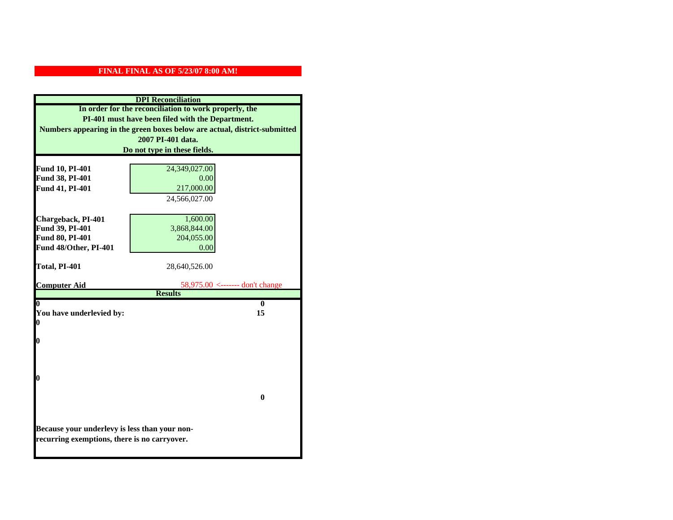| <b>DPI</b> Reconciliation                                                 |                                                        |
|---------------------------------------------------------------------------|--------------------------------------------------------|
| In order for the reconciliation to work properly, the                     |                                                        |
| PI-401 must have been filed with the Department.                          |                                                        |
| Numbers appearing in the green boxes below are actual, district-submitted |                                                        |
|                                                                           | 2007 PI-401 data.                                      |
|                                                                           | Do not type in these fields.                           |
|                                                                           |                                                        |
| Fund 10, PI-401                                                           | 24,349,027.00<br>0.00                                  |
| Fund 38, PI-401<br>Fund 41, PI-401                                        | 217,000.00                                             |
|                                                                           | 24,566,027.00                                          |
|                                                                           |                                                        |
| Chargeback, PI-401                                                        | 1,600.00                                               |
| Fund 39, PI-401                                                           | 3,868,844.00                                           |
| Fund 80, PI-401                                                           | 204,055.00                                             |
| Fund 48/Other, PI-401                                                     | 0.00                                                   |
|                                                                           |                                                        |
| Total, PI-401                                                             | 28,640,526.00                                          |
|                                                                           |                                                        |
| <b>Computer Aid</b>                                                       | $58,975.00 \le$ ------- don't change<br><b>Results</b> |
| $\boldsymbol{0}$                                                          | 0                                                      |
| You have underlevied by:                                                  | 15                                                     |
| $\boldsymbol{0}$                                                          |                                                        |
|                                                                           |                                                        |
| $\boldsymbol{0}$                                                          |                                                        |
|                                                                           |                                                        |
|                                                                           |                                                        |
| 0                                                                         |                                                        |
|                                                                           |                                                        |
|                                                                           | 0                                                      |
|                                                                           |                                                        |
|                                                                           |                                                        |
| Because your underlevy is less than your non-                             |                                                        |
| recurring exemptions, there is no carryover.                              |                                                        |
|                                                                           |                                                        |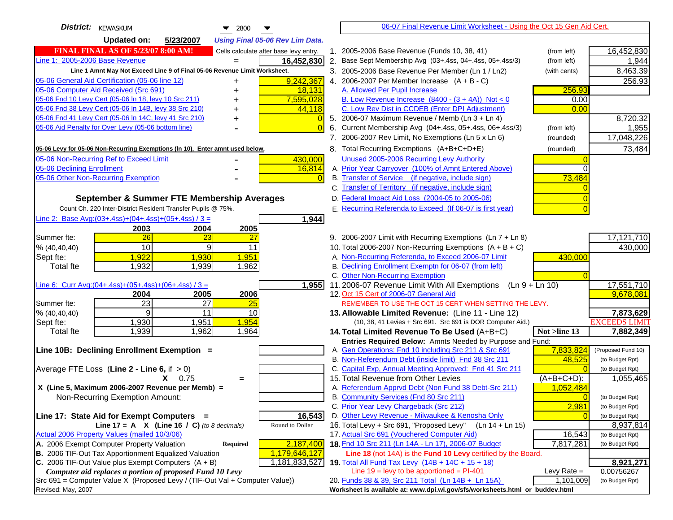| District: <b>KEWASKUM</b><br>$\blacktriangledown$ 2800                                                                                  | 06-07 Final Revenue Limit Worksheet - Using the Oct 15 Gen Aid Cert.                                              |                                   |
|-----------------------------------------------------------------------------------------------------------------------------------------|-------------------------------------------------------------------------------------------------------------------|-----------------------------------|
| <b>Updated on:</b><br>5/23/2007<br><b>Using Final 05-06 Rev Lim Data.</b>                                                               |                                                                                                                   |                                   |
| <b>FINAL FINAL AS OF 5/23/07 8:00 AM!</b><br>Cells calculate after base levy entry.                                                     | 1. 2005-2006 Base Revenue (Funds 10, 38, 41)<br>(from left)                                                       | 16,452,830                        |
| Line 1: 2005-2006 Base Revenue<br>16,452,830                                                                                            | 2. Base Sept Membership Avg (03+.4ss, 04+.4ss, 05+.4ss/3)<br>(from left)                                          | 1,944                             |
| Line 1 Amnt May Not Exceed Line 9 of Final 05-06 Revenue Limit Worksheet.                                                               | 3. 2005-2006 Base Revenue Per Member (Ln 1 / Ln2)<br>(with cents)                                                 | 8,463.39                          |
| 05-06 General Aid Certification (05-06 line 12)<br>9,242,367<br>+                                                                       | 4. 2006-2007 Per Member Increase $(A + B - C)$                                                                    | 256.93                            |
| 05-06 Computer Aid Received (Src 691)<br>18,131                                                                                         | 256.93<br>A. Allowed Per Pupil Increase                                                                           |                                   |
| 05-06 Fnd 10 Levy Cert (05-06 ln 18, levy 10 Src 211)<br>7,595,028                                                                      | B. Low Revenue Increase $(8400 - (3 + 4A))$ Not < 0<br>0.00                                                       |                                   |
| 05-06 Fnd 38 Levy Cert (05-06 In 14B, levy 38 Src 210)<br>44,118                                                                        | C. Low Rev Dist in CCDEB (Enter DPI Adjustment)<br>0.00                                                           |                                   |
| 05-06 Fnd 41 Levy Cert (05-06 In 14C, levy 41 Src 210)                                                                                  | 5. 2006-07 Maximum Revenue / Memb (Ln 3 + Ln 4)                                                                   | 8,720.32                          |
| 05-06 Aid Penalty for Over Levy (05-06 bottom line)<br>$\Omega$                                                                         | Current Membership Avg (04+.4ss, 05+.4ss, 06+.4ss/3)<br>6.<br>(from left)                                         | 1,955                             |
|                                                                                                                                         | 7. 2006-2007 Rev Limit, No Exemptions (Ln 5 x Ln 6)<br>(rounded)                                                  | 17,048,226                        |
| 05-06 Levy for 05-06 Non-Recurring Exemptions (In 10), Enter amnt used below.                                                           | 8. Total Recurring Exemptions (A+B+C+D+E)<br>(rounded)                                                            | 73,484                            |
| 05-06 Non-Recurring Ref to Exceed Limit<br>430,000                                                                                      | Unused 2005-2006 Recurring Levy Authority                                                                         |                                   |
| 05-06 Declining Enrollment<br>16,814                                                                                                    | A. Prior Year Carryover (100% of Amnt Entered Above)<br>0                                                         |                                   |
| 05-06 Other Non-Recurring Exemption<br>$\Omega$                                                                                         | B. Transfer of Service (if negative, include sign)<br>73,484                                                      |                                   |
|                                                                                                                                         | C. Transfer of Territory (if negative, include sign)                                                              |                                   |
| September & Summer FTE Membership Averages                                                                                              | D. Federal Impact Aid Loss (2004-05 to 2005-06)                                                                   |                                   |
| Count Ch. 220 Inter-District Resident Transfer Pupils @ 75%.                                                                            | E. Recurring Referenda to Exceed (If 06-07 is first year)                                                         |                                   |
| Line 2: Base Avg:(03+.4ss)+(04+.4ss)+(05+.4ss) / 3 =<br>1,944                                                                           |                                                                                                                   |                                   |
| 2003<br>2004<br>2005                                                                                                                    |                                                                                                                   |                                   |
| 26<br>23<br>Summer fte:<br>27                                                                                                           | 9. 2006-2007 Limit with Recurring Exemptions (Ln 7 + Ln 8)                                                        | 17,121,710                        |
| 10<br>9<br>11<br>% (40, 40, 40)                                                                                                         | 10. Total 2006-2007 Non-Recurring Exemptions $(A + B + C)$                                                        | 430,000                           |
| 1,922<br>1,930<br>1,951<br>Sept fte:                                                                                                    | A. Non-Recurring Referenda, to Exceed 2006-07 Limit<br>430,000                                                    |                                   |
| 1,932<br>1,939<br>1,962<br><b>Total fte</b>                                                                                             | B. Declining Enrollment Exemptn for 06-07 (from left)                                                             |                                   |
|                                                                                                                                         | C. Other Non-Recurring Exemption                                                                                  |                                   |
| Line 6: Curr Avg: $(04+.4ss)+(05+.4ss)+(06+.4ss)/3 =$<br>$\overline{1,955}$                                                             | 11.2006-07 Revenue Limit With All Exemptions<br>$(Ln 9 + Ln 10)$                                                  | 17,551,710                        |
| 2005<br>2006<br>2004                                                                                                                    | 12. Oct 15 Cert of 2006-07 General Aid                                                                            | 9,678,081                         |
| 23<br>$\overline{27}$<br>25<br>Summer fte:<br>9<br>11                                                                                   | REMEMBER TO USE THE OCT 15 CERT WHEN SETTING THE LEVY.                                                            |                                   |
| % (40, 40, 40)<br>10<br>1,954<br>1,930<br>1,951<br>Sept fte:                                                                            | 13. Allowable Limited Revenue: (Line 11 - Line 12)<br>(10, 38, 41 Levies + Src 691. Src 691 is DOR Computer Aid.) | 7,873,629<br><b>EXCEEDS LIMIT</b> |
| 1,939<br>1,962<br>1,964<br><b>Total fte</b>                                                                                             | 14. Total Limited Revenue To Be Used (A+B+C)<br>Not >line 13                                                      | 7,882,349                         |
|                                                                                                                                         | Entries Required Below: Amnts Needed by Purpose and Fund:                                                         |                                   |
| Line 10B: Declining Enrollment Exemption =                                                                                              | 7,833,824<br>A. Gen Operations: Fnd 10 including Src 211 & Src 691                                                | (Proposed Fund 10)                |
|                                                                                                                                         | B. Non-Referendum Debt (inside limit) Fnd 38 Src 211<br>48,525                                                    | (to Budget Rpt)                   |
| Average FTE Loss (Line $2 -$ Line 6, if $> 0$ )                                                                                         | C. Capital Exp, Annual Meeting Approved: Fnd 41 Src 211                                                           | (to Budget Rpt)                   |
| $X = 0.75$<br>$=$                                                                                                                       | 15. Total Revenue from Other Levies<br>$(A+B+C+D)$ :                                                              | 1,055,465                         |
| X (Line 5, Maximum 2006-2007 Revenue per Memb) =                                                                                        | A. Referendum Apprvd Debt (Non Fund 38 Debt-Src 211)<br>1,052,484                                                 |                                   |
| Non-Recurring Exemption Amount:                                                                                                         | B. Community Services (Fnd 80 Src 211)<br>$\Omega$                                                                | (to Budget Rpt)                   |
|                                                                                                                                         | C. Prior Year Levy Chargeback (Src 212)<br>2,981                                                                  | (to Budget Rpt)                   |
| 16,543<br>Line 17: State Aid for Exempt Computers =                                                                                     | D. Other Levy Revenue - Milwaukee & Kenosha Only                                                                  | (to Budget Rpt)                   |
| Round to Dollar<br>Line 17 = A $X$ (Line 16 / C) (to 8 decimals)                                                                        | 16. Total Levy + Src 691, "Proposed Levy"<br>$(Ln 14 + Ln 15)$                                                    | 8,937,814                         |
| Actual 2006 Property Values (mailed 10/3/06)                                                                                            | 17. Actual Src 691 (Vouchered Computer Aid)<br>16,543                                                             | (to Budget Rpt)                   |
| A. 2006 Exempt Computer Property Valuation<br>2,187,400<br><b>Required</b>                                                              | 18. Fnd 10 Src 211 (Ln 14A - Ln 17), 2006-07 Budget<br>7,817,281                                                  | (to Budget Rpt)                   |
| B. 2006 TIF-Out Tax Apportionment Equalized Valuation<br>1,179,646,127                                                                  | Line 18 (not 14A) is the <b>Fund 10 Levy</b> certified by the Board.                                              |                                   |
| C. 2006 TIF-Out Value plus Exempt Computers $(A + B)$<br>1,181,833,527                                                                  | 19. Total All Fund Tax Levy (14B + 14C + 15 + 18)<br>Line $19 = \text{levy}$ to be apportioned = PI-401           | 8,921,271                         |
| Computer aid replaces a portion of proposed Fund 10 Levy<br>Src 691 = Computer Value X (Proposed Levy / (TIF-Out Val + Computer Value)) | Levy Rate $=$<br>20. Funds 38 & 39, Src 211 Total (Ln 14B + Ln 15A)<br>1,101,009                                  | 0.00756267<br>(to Budget Rpt)     |
| Revised: May, 2007                                                                                                                      | Worksheet is available at: www.dpi.wi.gov/sfs/worksheets.html or buddev.html                                      |                                   |
|                                                                                                                                         |                                                                                                                   |                                   |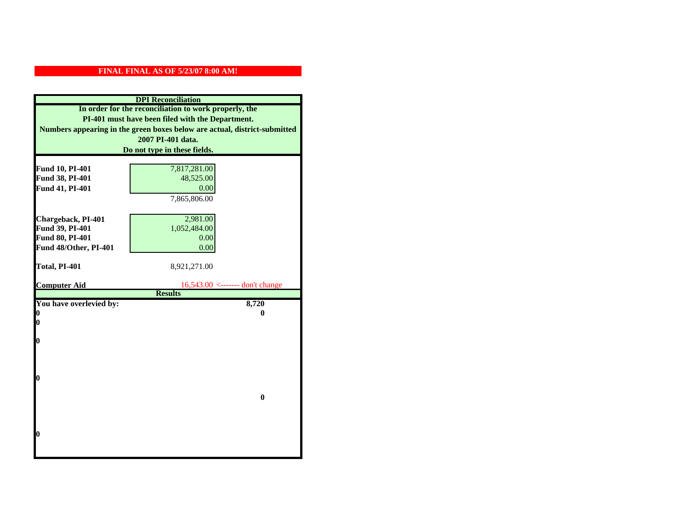| <b>DPI</b> Reconciliation                                                                                                     |                                   |
|-------------------------------------------------------------------------------------------------------------------------------|-----------------------------------|
| In order for the reconciliation to work properly, the                                                                         |                                   |
| PI-401 must have been filed with the Department.<br>Numbers appearing in the green boxes below are actual, district-submitted |                                   |
|                                                                                                                               |                                   |
|                                                                                                                               | Do not type in these fields.      |
|                                                                                                                               |                                   |
| Fund 10, PI-401                                                                                                               | 7,817,281.00                      |
| Fund 38, PI-401                                                                                                               | 48,525.00                         |
| Fund 41, PI-401                                                                                                               | 0.00                              |
|                                                                                                                               | 7,865,806.00                      |
|                                                                                                                               |                                   |
| Chargeback, PI-401                                                                                                            | 2,981.00                          |
| Fund 39, PI-401                                                                                                               | 1,052,484.00                      |
| Fund 80, PI-401                                                                                                               | 0.00                              |
| Fund 48/Other, PI-401                                                                                                         | 0.00                              |
| Total, PI-401                                                                                                                 | 8,921,271.00                      |
|                                                                                                                               |                                   |
| <b>Computer Aid</b>                                                                                                           | $16,543.00$ <------- don't change |
|                                                                                                                               | <b>Results</b>                    |
| You have overlevied by:                                                                                                       | 8,720                             |
| 0                                                                                                                             | 0                                 |
| 0                                                                                                                             |                                   |
|                                                                                                                               |                                   |
| $\boldsymbol{0}$                                                                                                              |                                   |
|                                                                                                                               |                                   |
|                                                                                                                               |                                   |
| $\bf{0}$                                                                                                                      |                                   |
|                                                                                                                               |                                   |
|                                                                                                                               | $\bf{0}$                          |
|                                                                                                                               |                                   |
|                                                                                                                               |                                   |
|                                                                                                                               |                                   |
| 0                                                                                                                             |                                   |
|                                                                                                                               |                                   |
|                                                                                                                               |                                   |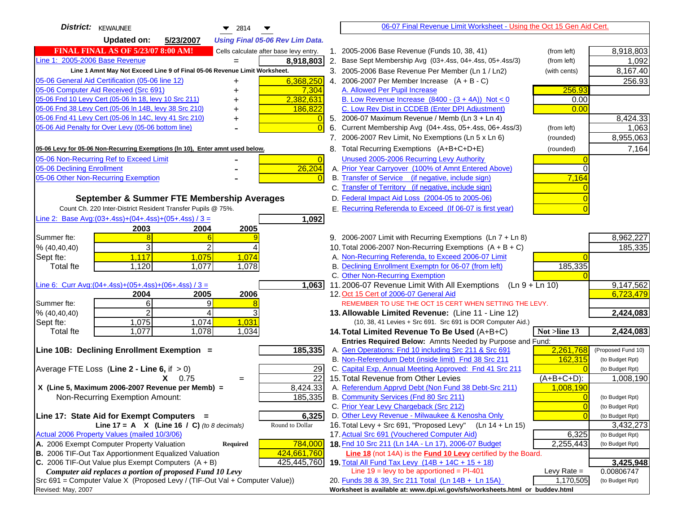| <b>District:</b> KEWAUNEE<br>$\blacktriangledown$ 2814                                        | 06-07 Final Revenue Limit Worksheet - Using the Oct 15 Gen Aid Cert.                                        |                              |
|-----------------------------------------------------------------------------------------------|-------------------------------------------------------------------------------------------------------------|------------------------------|
| <b>Updated on:</b><br>5/23/2007<br><b>Using Final 05-06 Rev Lim Data.</b>                     |                                                                                                             |                              |
| <b>FINAL FINAL AS OF 5/23/07 8:00 AM!</b><br>Cells calculate after base levy entry.           | 1. 2005-2006 Base Revenue (Funds 10, 38, 41)<br>(from left)                                                 | 8,918,803                    |
| Line 1: 2005-2006 Base Revenue<br>8,918,803<br>$=$                                            | 2. Base Sept Membership Avg (03+.4ss, 04+.4ss, 05+.4ss/3)<br>(from left)                                    | 1,092                        |
| Line 1 Amnt May Not Exceed Line 9 of Final 05-06 Revenue Limit Worksheet.                     | 3. 2005-2006 Base Revenue Per Member (Ln 1 / Ln2)<br>(with cents)                                           | 8,167.40                     |
| 6,368,250<br>05-06 General Aid Certification (05-06 line 12)<br>+                             | 4. 2006-2007 Per Member Increase $(A + B - C)$                                                              | 256.93                       |
| 05-06 Computer Aid Received (Src 691)<br>7,304                                                | 256.93<br>A. Allowed Per Pupil Increase                                                                     |                              |
| 2,382,631<br>05-06 Fnd 10 Levy Cert (05-06 In 18, levy 10 Src 211)                            | B. Low Revenue Increase $(8400 - (3 + 4A))$ Not < 0<br>0.00                                                 |                              |
| 05-06 Fnd 38 Levy Cert (05-06 In 14B, levy 38 Src 210)<br>186,822                             | C. Low Rev Dist in CCDEB (Enter DPI Adjustment)<br>0.00                                                     |                              |
| 05-06 Fnd 41 Levy Cert (05-06 In 14C, levy 41 Src 210)                                        | 5. 2006-07 Maximum Revenue / Memb (Ln $3 + \text{Ln } 4$ )                                                  | 8,424.33                     |
| 05-06 Aid Penalty for Over Levy (05-06 bottom line)<br>$\Omega$                               | Current Membership Avg (04+.4ss, 05+.4ss, 06+.4ss/3)<br>6.<br>(from left)                                   | 1,063                        |
|                                                                                               | 7. 2006-2007 Rev Limit, No Exemptions (Ln 5 x Ln 6)<br>(rounded)                                            | 8,955,063                    |
| 05-06 Levy for 05-06 Non-Recurring Exemptions (In 10), Enter amnt used below.                 | 8. Total Recurring Exemptions (A+B+C+D+E)<br>(rounded)                                                      | 7,164                        |
| 05-06 Non-Recurring Ref to Exceed Limit<br>$\overline{0}$                                     | Unused 2005-2006 Recurring Levy Authority                                                                   |                              |
| 26,204<br>05-06 Declining Enrollment                                                          | A. Prior Year Carryover (100% of Amnt Entered Above)<br>$\Omega$                                            |                              |
| 05-06 Other Non-Recurring Exemption                                                           | B. Transfer of Service (if negative, include sign)<br>7,164                                                 |                              |
|                                                                                               | C. Transfer of Territory (if negative, include sign)                                                        |                              |
| September & Summer FTE Membership Averages                                                    | D. Federal Impact Aid Loss (2004-05 to 2005-06)                                                             |                              |
| Count Ch. 220 Inter-District Resident Transfer Pupils @ 75%.                                  | E. Recurring Referenda to Exceed (If 06-07 is first year)                                                   |                              |
| Line 2: Base Avg: $(03+.4ss)+(04+.4ss)+(05+.4ss)/3 =$<br>1,092                                |                                                                                                             |                              |
| 2003<br>2004<br>2005                                                                          |                                                                                                             |                              |
| Summer fte:<br>8<br>6                                                                         | 9. 2006-2007 Limit with Recurring Exemptions (Ln 7 + Ln 8)                                                  | 8,962,227                    |
| $\overline{3}$<br>% (40, 40, 40)<br>2                                                         | 10. Total 2006-2007 Non-Recurring Exemptions $(A + B + C)$                                                  | 185,335                      |
| 1,117<br>1,075<br>1,074<br>Sept fte:                                                          | A. Non-Recurring Referenda, to Exceed 2006-07 Limit                                                         |                              |
| 1,120<br>1,077<br>1,078<br>Total fte                                                          | B. Declining Enrollment Exemptn for 06-07 (from left)<br>185,335                                            |                              |
|                                                                                               | C. Other Non-Recurring Exemption                                                                            |                              |
| Line 6: Curr Avg: $(04+.4ss)+(05+.4ss)+(06+.4ss)/3 =$<br>1,063<br>2006                        | 11.2006-07 Revenue Limit With All Exemptions<br>(Ln 9 + Ln 10)<br>12. Oct 15 Cert of 2006-07 General Aid    | 9,147,562<br>6,723,479       |
| 2005<br>2004<br>Summer fte:<br>6<br>9                                                         | REMEMBER TO USE THE OCT 15 CERT WHEN SETTING THE LEVY.                                                      |                              |
| $\overline{2}$<br>3<br>% (40, 40, 40)<br>4                                                    | 13. Allowable Limited Revenue: (Line 11 - Line 12)                                                          | 2,424,083                    |
| 1,031<br>1,075<br>1,074<br>Sept fte:                                                          | (10, 38, 41 Levies + Src 691. Src 691 is DOR Computer Aid.)                                                 |                              |
| 1,078<br>1,077<br>1,034<br>Total fte                                                          | 14. Total Limited Revenue To Be Used (A+B+C)<br>Not >line 13                                                | 2,424,083                    |
|                                                                                               | Entries Required Below: Amnts Needed by Purpose and Fund:                                                   |                              |
| 185,335<br>Line 10B: Declining Enrollment Exemption =                                         | 2,261,768<br>A. Gen Operations: Fnd 10 including Src 211 & Src 691                                          | (Proposed Fund 10)           |
|                                                                                               | B. Non-Referendum Debt (inside limit) Fnd 38 Src 211<br>162,315                                             | (to Budget Rpt)              |
| Average FTE Loss (Line $2 -$ Line 6, if $> 0$ )<br>29                                         | C. Capital Exp, Annual Meeting Approved: Fnd 41 Src 211                                                     | (to Budget Rpt)              |
| 22<br>$X = 0.75$<br>$\qquad \qquad =$                                                         | 15. Total Revenue from Other Levies<br>$(A+B+C+D)$ :                                                        | 1,008,190                    |
| X (Line 5, Maximum 2006-2007 Revenue per Memb) =<br>8,424.33                                  | A. Referendum Apprvd Debt (Non Fund 38 Debt-Src 211)<br>1,008,190                                           |                              |
| 185,335<br>Non-Recurring Exemption Amount:                                                    | B. Community Services (Fnd 80 Src 211)<br>$\Omega$                                                          | (to Budget Rpt)              |
|                                                                                               | C. Prior Year Levy Chargeback (Src 212)<br>$\overline{0}$                                                   | (to Budget Rpt)              |
| Line 17: State Aid for Exempt Computers =<br>6,325<br>Round to Dollar                         | D. Other Levy Revenue - Milwaukee & Kenosha Only<br>$\Omega$                                                | (to Budget Rpt)              |
| Line 17 = A $X$ (Line 16 / C) (to 8 decimals)<br>Actual 2006 Property Values (mailed 10/3/06) | 16. Total Levy + Src 691, "Proposed Levy"<br>(Ln 14 + Ln 15)<br>17. Actual Src 691 (Vouchered Computer Aid) | 3,432,273<br>(to Budget Rpt) |
| A. 2006 Exempt Computer Property Valuation<br>784,000<br><b>Required</b>                      | 6,325<br>18. Fnd 10 Src 211 (Ln 14A - Ln 17), 2006-07 Budget                                                | (to Budget Rpt)              |
| B. 2006 TIF-Out Tax Apportionment Equalized Valuation<br>424,661,760                          | 2,255,443<br>Line 18 (not 14A) is the Fund 10 Levy certified by the Board.                                  |                              |
| C. 2006 TIF-Out Value plus Exempt Computers $(A + B)$<br>425,445,760                          | 19. Total All Fund Tax Levy (14B + 14C + 15 + 18)                                                           | 3,425,948                    |
| Computer aid replaces a portion of proposed Fund 10 Levy                                      | Line $19 = \text{levy}$ to be apportioned = PI-401<br>Levy Rate $=$                                         | 0.00806747                   |
| Src 691 = Computer Value X (Proposed Levy / (TIF-Out Val + Computer Value))                   | 20. Funds 38 & 39, Src 211 Total (Ln 14B + Ln 15A)<br>1,170,505                                             | (to Budget Rpt)              |
| Revised: May, 2007                                                                            | Worksheet is available at: www.dpi.wi.gov/sfs/worksheets.html or buddev.html                                |                              |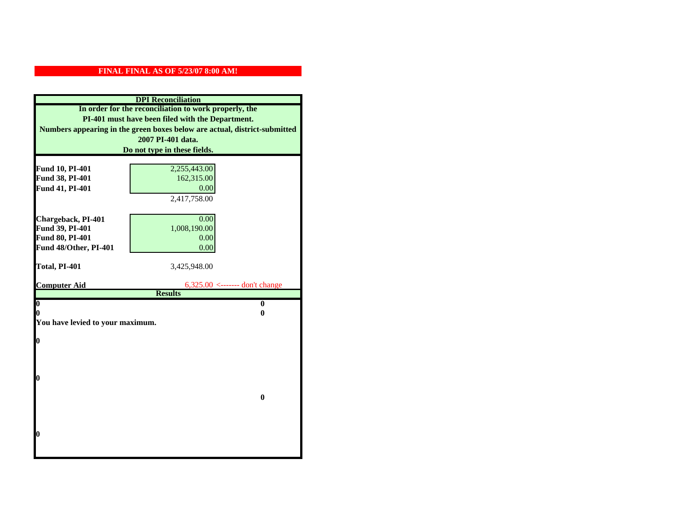| <b>DPI</b> Reconciliation                                                 |                                |  |
|---------------------------------------------------------------------------|--------------------------------|--|
| In order for the reconciliation to work properly, the                     |                                |  |
| PI-401 must have been filed with the Department.                          |                                |  |
| Numbers appearing in the green boxes below are actual, district-submitted |                                |  |
|                                                                           | 2007 PI-401 data.              |  |
|                                                                           | Do not type in these fields.   |  |
|                                                                           |                                |  |
| Fund 10, PI-401                                                           | 2,255,443.00                   |  |
| Fund 38, PI-401                                                           | 162,315.00                     |  |
| Fund 41, PI-401                                                           | 0.00                           |  |
|                                                                           | 2,417,758.00                   |  |
|                                                                           |                                |  |
| Chargeback, PI-401                                                        | 0.00<br>1,008,190.00           |  |
| Fund 39, PI-401<br>Fund 80, PI-401                                        | 0.00                           |  |
| Fund 48/Other, PI-401                                                     | 0.00                           |  |
|                                                                           |                                |  |
| Total, PI-401                                                             | 3,425,948.00                   |  |
|                                                                           |                                |  |
| <b>Computer Aid</b>                                                       | 6,325.00 <------- don't change |  |
|                                                                           | <b>Results</b>                 |  |
| $\overline{\mathbf{0}}$                                                   | $\bf{0}$                       |  |
|                                                                           | 0<br>0                         |  |
| You have levied to your maximum.                                          |                                |  |
| $\bf{0}$                                                                  |                                |  |
|                                                                           |                                |  |
|                                                                           |                                |  |
|                                                                           |                                |  |
| l0                                                                        |                                |  |
|                                                                           |                                |  |
|                                                                           | $\bf{0}$                       |  |
|                                                                           |                                |  |
|                                                                           |                                |  |
| l0                                                                        |                                |  |
|                                                                           |                                |  |
|                                                                           |                                |  |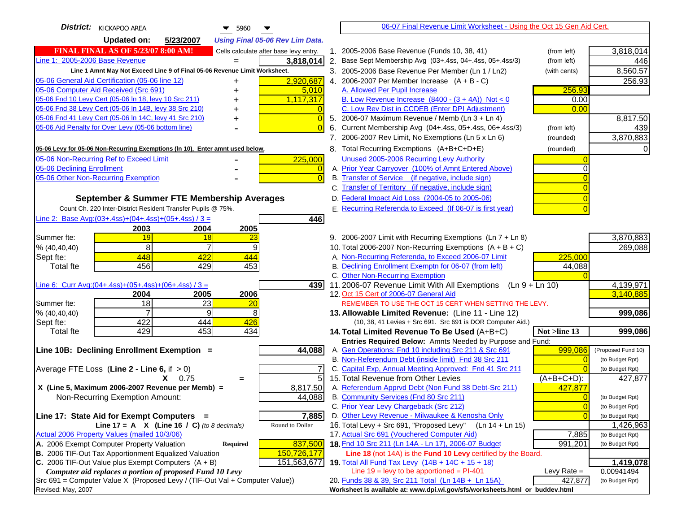| <b>District:</b> KICKAPOO AREA<br>▼<br>5960                                         |                | 06-07 Final Revenue Limit Worksheet - Using the Oct 15 Gen Aid Cert.                                                               |               |                                    |
|-------------------------------------------------------------------------------------|----------------|------------------------------------------------------------------------------------------------------------------------------------|---------------|------------------------------------|
| <b>Updated on:</b><br>5/23/2007<br><b>Using Final 05-06 Rev Lim Data.</b>           |                |                                                                                                                                    |               |                                    |
| <b>FINAL FINAL AS OF 5/23/07 8:00 AM!</b><br>Cells calculate after base levy entry. |                | 1. 2005-2006 Base Revenue (Funds 10, 38, 41)                                                                                       | (from left)   | 3,818,014                          |
| Line 1: 2005-2006 Base Revenue<br>3,818,014                                         | 2.             | Base Sept Membership Avg (03+.4ss, 04+.4ss, 05+.4ss/3)                                                                             | (from left)   | 446                                |
| Line 1 Amnt May Not Exceed Line 9 of Final 05-06 Revenue Limit Worksheet.           |                | 3. 2005-2006 Base Revenue Per Member (Ln 1 / Ln2)                                                                                  | (with cents)  | 8,560.57                           |
| 2,920,687<br>05-06 General Aid Certification (05-06 line 12)<br>+                   |                | 4. 2006-2007 Per Member Increase $(A + B - C)$                                                                                     |               | 256.93                             |
| 05-06 Computer Aid Received (Src 691)<br>5,010                                      |                | A. Allowed Per Pupil Increase                                                                                                      | 256.93        |                                    |
| 05-06 Fnd 10 Levy Cert (05-06 In 18, levy 10 Src 211)<br>1,117,317                  |                | B. Low Revenue Increase $(8400 - (3 + 4A))$ Not < 0                                                                                | 0.00          |                                    |
| 05-06 Fnd 38 Levy Cert (05-06 In 14B, levy 38 Src 210)<br>+                         |                | C. Low Rev Dist in CCDEB (Enter DPI Adjustment)                                                                                    | 0.00          |                                    |
| 05-06 Fnd 41 Levy Cert (05-06 In 14C, levy 41 Src 210)<br>$\pmb{+}$                 | $\overline{0}$ | 5. 2006-07 Maximum Revenue / Memb (Ln 3 + Ln 4)                                                                                    |               | 8,817.50                           |
| 05-06 Aid Penalty for Over Levy (05-06 bottom line)                                 |                | 6. Current Membership Avg (04+.4ss, 05+.4ss, 06+.4ss/3)                                                                            | (from left)   | 439                                |
|                                                                                     |                | 7. 2006-2007 Rev Limit, No Exemptions (Ln 5 x Ln 6)                                                                                | (rounded)     | 3,870,883                          |
| 05-06 Levy for 05-06 Non-Recurring Exemptions (In 10), Enter amnt used below.       |                | 8. Total Recurring Exemptions (A+B+C+D+E)                                                                                          | (rounded)     |                                    |
| 225,000<br>05-06 Non-Recurring Ref to Exceed Limit                                  |                | Unused 2005-2006 Recurring Levy Authority                                                                                          |               |                                    |
| 05-06 Declining Enrollment                                                          |                | A. Prior Year Carryover (100% of Amnt Entered Above)                                                                               |               |                                    |
| 05-06 Other Non-Recurring Exemption                                                 | $\bigcap$      | B. Transfer of Service (if negative, include sign)                                                                                 |               |                                    |
|                                                                                     |                | C. Transfer of Territory (if negative, include sign)                                                                               |               |                                    |
| September & Summer FTE Membership Averages                                          |                | D. Federal Impact Aid Loss (2004-05 to 2005-06)                                                                                    |               |                                    |
| Count Ch. 220 Inter-District Resident Transfer Pupils @ 75%.                        |                | E. Recurring Referenda to Exceed (If 06-07 is first year)                                                                          |               |                                    |
| Line 2: Base Avg: $(03+.4ss)+(04+.4ss)+(05+.4ss)/3 =$<br>446                        |                |                                                                                                                                    |               |                                    |
| 2004<br>2003<br>2005                                                                |                |                                                                                                                                    |               |                                    |
| Summer fte:<br>19<br>18<br>23                                                       |                | 9. 2006-2007 Limit with Recurring Exemptions (Ln 7 + Ln 8)                                                                         |               | 3,870,883                          |
| 8<br>9<br>% (40, 40, 40)<br>444<br>448<br>422                                       |                | 10. Total 2006-2007 Non-Recurring Exemptions $(A + B + C)$<br>A. Non-Recurring Referenda, to Exceed 2006-07 Limit                  | 225,000       | 269,088                            |
| Sept fte:<br>456<br>429<br>453<br><b>Total fte</b>                                  |                | B. Declining Enrollment Exemptn for 06-07 (from left)                                                                              | 44,088        |                                    |
|                                                                                     |                | C. Other Non-Recurring Exemption                                                                                                   |               |                                    |
| Line 6: Curr Avg: $(04+.4ss)+(05+.4ss)+(06+.4ss)/3 =$                               | 4391           | 11.2006-07 Revenue Limit With All Exemptions<br>$(Ln 9 + Ln 10)$                                                                   |               | 4,139,971                          |
| 2004<br>2005<br>2006                                                                |                | 12. Oct 15 Cert of 2006-07 General Aid                                                                                             |               | 3,140,885                          |
| 18<br>23<br>Summer fte:<br>20                                                       |                | REMEMBER TO USE THE OCT 15 CERT WHEN SETTING THE LEVY.                                                                             |               |                                    |
| 9<br>8<br>% (40, 40, 40)                                                            |                | 13. Allowable Limited Revenue: (Line 11 - Line 12)                                                                                 |               | 999,086                            |
| 422<br>444<br>426<br>Sept fte:                                                      |                | (10, 38, 41 Levies + Src 691. Src 691 is DOR Computer Aid.)                                                                        |               |                                    |
| 429<br>453<br>434<br><b>Total fte</b>                                               |                | 14. Total Limited Revenue To Be Used (A+B+C)                                                                                       | Not >line 13  | 999,086                            |
|                                                                                     |                | Entries Required Below: Amnts Needed by Purpose and Fund:                                                                          |               |                                    |
| 44,088<br>Line 10B: Declining Enrollment Exemption =                                |                | A. Gen Operations: Fnd 10 including Src 211 & Src 691<br>B. Non-Referendum Debt (inside limit) Fnd 38 Src 211                      | 999,086       | (Proposed Fund 10)                 |
| Average FTE Loss (Line $2 -$ Line 6, if $> 0$ )                                     |                | C. Capital Exp, Annual Meeting Approved: Fnd 41 Src 211                                                                            |               | (to Budget Rpt)<br>(to Budget Rpt) |
| 0.75<br>X.<br>$=$                                                                   | $\overline{5}$ | 15. Total Revenue from Other Levies                                                                                                | $(A+B+C+D)$ : | 427,877                            |
| 8,817.50<br>X (Line 5, Maximum 2006-2007 Revenue per Memb) =                        |                | A. Referendum Apprvd Debt (Non Fund 38 Debt-Src 211)                                                                               | 427,877       |                                    |
| 44,088<br>Non-Recurring Exemption Amount:                                           |                | B. Community Services (Fnd 80 Src 211)                                                                                             |               | (to Budget Rpt)                    |
|                                                                                     |                | C. Prior Year Levy Chargeback (Src 212)                                                                                            | $\mathbf 0$   | (to Budget Rpt)                    |
| Line 17: State Aid for Exempt Computers =<br>7,885                                  |                | D. Other Levy Revenue - Milwaukee & Kenosha Only                                                                                   |               | (to Budget Rpt)                    |
| Line 17 = A $X$ (Line 16 / C) (to 8 decimals)<br>Round to Dollar                    |                | 16. Total Levy + Src 691, "Proposed Levy"<br>(Ln 14 + Ln 15)                                                                       |               | 1,426,963                          |
| Actual 2006 Property Values (mailed 10/3/06)                                        |                | 17. Actual Src 691 (Vouchered Computer Aid)                                                                                        | 7,885         | (to Budget Rpt)                    |
| A. 2006 Exempt Computer Property Valuation<br>Required<br>837,500                   |                | 18. Fnd 10 Src 211 (Ln 14A - Ln 17), 2006-07 Budget                                                                                | 991,201       | (to Budget Rpt)                    |
| B. 2006 TIF-Out Tax Apportionment Equalized Valuation<br>150,726,177                |                | Line 18 (not 14A) is the <b>Fund 10 Levy</b> certified by the Board.                                                               |               |                                    |
| C. 2006 TIF-Out Value plus Exempt Computers $(A + B)$<br>151,563,677                |                | 19. Total All Fund Tax Levy (14B + 14C + 15 + 18)                                                                                  |               | 1,419,078                          |
| Computer aid replaces a portion of proposed Fund 10 Levy                            |                | Line $19 = \text{levy}$ to be apportioned = PI-401                                                                                 | Levy Rate $=$ | 0.00941494                         |
| Src 691 = Computer Value X (Proposed Levy / (TIF-Out Val + Computer Value))         |                | 20. Funds 38 & 39, Src 211 Total (Ln 14B + Ln 15A)<br>Worksheet is available at: www.dpi.wi.gov/sfs/worksheets.html or buddev.html | 427,877       | (to Budget Rpt)                    |
| Revised: May, 2007                                                                  |                |                                                                                                                                    |               |                                    |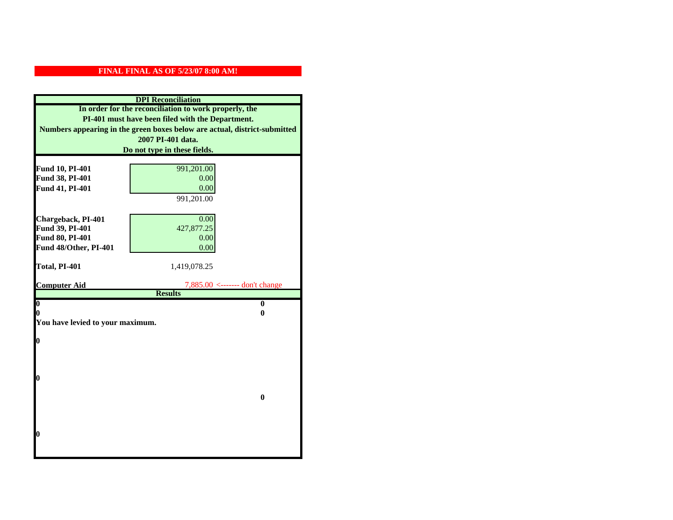| <b>DPI</b> Reconciliation                                                 |                                               |  |
|---------------------------------------------------------------------------|-----------------------------------------------|--|
| In order for the reconciliation to work properly, the                     |                                               |  |
| PI-401 must have been filed with the Department.                          |                                               |  |
| Numbers appearing in the green boxes below are actual, district-submitted |                                               |  |
| 2007 PI-401 data.                                                         |                                               |  |
| Do not type in these fields.                                              |                                               |  |
|                                                                           |                                               |  |
| Fund 10, PI-401                                                           | 991,201.00                                    |  |
| Fund 38, PI-401                                                           | 0.00                                          |  |
| Fund 41, PI-401                                                           | 0.00                                          |  |
|                                                                           | 991,201.00                                    |  |
|                                                                           |                                               |  |
| Chargeback, PI-401                                                        | 0.00                                          |  |
| Fund 39, PI-401                                                           | 427,877.25                                    |  |
| Fund 80, PI-401                                                           | 0.00                                          |  |
| Fund 48/Other, PI-401                                                     | 0.00                                          |  |
|                                                                           |                                               |  |
|                                                                           |                                               |  |
| Total, PI-401                                                             | 1,419,078.25                                  |  |
| <b>Computer Aid</b>                                                       | $7,885.00 \leftarrow \text{---}$ don't change |  |
|                                                                           | <b>Results</b>                                |  |
| $\boldsymbol{0}$                                                          | $\bf{0}$                                      |  |
| 0                                                                         | 0                                             |  |
| You have levied to your maximum.                                          |                                               |  |
|                                                                           |                                               |  |
| $\bf{0}$                                                                  |                                               |  |
|                                                                           |                                               |  |
|                                                                           |                                               |  |
| 0                                                                         |                                               |  |
|                                                                           |                                               |  |
|                                                                           | $\bf{0}$                                      |  |
|                                                                           |                                               |  |
|                                                                           |                                               |  |
|                                                                           |                                               |  |
| 0                                                                         |                                               |  |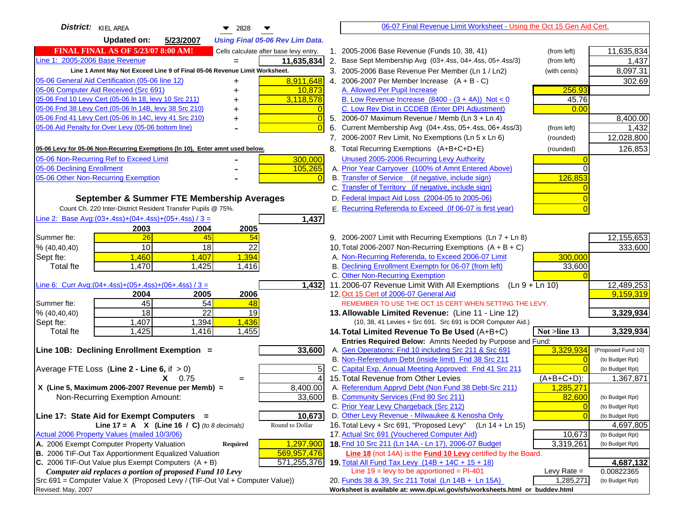| District:   KIEL AREA<br>$\blacktriangledown$ 2828                            | 06-07 Final Revenue Limit Worksheet - Using the Oct 15 Gen Aid Cert.                                                      |                    |
|-------------------------------------------------------------------------------|---------------------------------------------------------------------------------------------------------------------------|--------------------|
| <b>Updated on:</b><br>5/23/2007<br><b>Using Final 05-06 Rev Lim Data.</b>     |                                                                                                                           |                    |
| FINAL FINAL AS OF 5/23/07 8:00 AM!<br>Cells calculate after base levy entry.  | 1. 2005-2006 Base Revenue (Funds 10, 38, 41)<br>(from left)                                                               | 11,635,834         |
| Line 1: 2005-2006 Base Revenue<br>11,635,834                                  | 2. Base Sept Membership Avg (03+.4ss, 04+.4ss, 05+.4ss/3)<br>(from left)                                                  | 1,437              |
| Line 1 Amnt May Not Exceed Line 9 of Final 05-06 Revenue Limit Worksheet.     | 3. 2005-2006 Base Revenue Per Member (Ln 1 / Ln2)<br>(with cents)                                                         | 8,097.31           |
| 8,911,648<br>05-06 General Aid Certification (05-06 line 12)                  | 4. 2006-2007 Per Member Increase $(A + B - C)$                                                                            | 302.69             |
| 05-06 Computer Aid Received (Src 691)<br>10,873                               | 256.93<br>A. Allowed Per Pupil Increase                                                                                   |                    |
| 05-06 Fnd 10 Levy Cert (05-06 ln 18, levy 10 Src 211)<br>3,118,578            | B. Low Revenue Increase $(8400 - (3 + 4A))$ Not < 0<br>45.76                                                              |                    |
| 05-06 Fnd 38 Levy Cert (05-06 In 14B, levy 38 Src 210)                        | C. Low Rev Dist in CCDEB (Enter DPI Adjustment)<br>0.00                                                                   |                    |
| 05-06 Fnd 41 Levy Cert (05-06 In 14C, levy 41 Src 210)<br>$\overline{0}$      | 5. 2006-07 Maximum Revenue / Memb (Ln 3 + Ln 4)                                                                           | 8,400.00           |
| 05-06 Aid Penalty for Over Levy (05-06 bottom line)<br>$\overline{0}$         | Current Membership Avg (04+.4ss, 05+.4ss, 06+.4ss/3)<br>6.<br>(from left)                                                 | 1,432              |
|                                                                               | 7. 2006-2007 Rev Limit, No Exemptions (Ln 5 x Ln 6)<br>(rounded)                                                          | 12,028,800         |
| 05-06 Levy for 05-06 Non-Recurring Exemptions (In 10), Enter amnt used below. | 8. Total Recurring Exemptions (A+B+C+D+E)<br>(rounded)                                                                    | 126,853            |
| 05-06 Non-Recurring Ref to Exceed Limit<br>300,000                            | Unused 2005-2006 Recurring Levy Authority                                                                                 |                    |
| 05-06 Declining Enrollment<br>105,265                                         | A. Prior Year Carryover (100% of Amnt Entered Above)                                                                      |                    |
| 05-06 Other Non-Recurring Exemption<br>$\Omega$                               | B. Transfer of Service (if negative, include sign)<br>126,853                                                             |                    |
|                                                                               | C. Transfer of Territory (if negative, include sign)                                                                      |                    |
| September & Summer FTE Membership Averages                                    | D. Federal Impact Aid Loss (2004-05 to 2005-06)                                                                           |                    |
| Count Ch. 220 Inter-District Resident Transfer Pupils @ 75%.                  | E. Recurring Referenda to Exceed (If 06-07 is first year)                                                                 |                    |
| Line 2: Base Avg:(03+.4ss)+(04+.4ss)+(05+.4ss) / 3 =<br>1,437                 |                                                                                                                           |                    |
| 2003<br>2004<br>2005                                                          |                                                                                                                           |                    |
| 26<br>Summer fte:<br>45<br>54                                                 | 9. 2006-2007 Limit with Recurring Exemptions (Ln 7 + Ln 8)                                                                | 12,155,653         |
| 10<br>18<br>22<br>% (40, 40, 40)                                              | 10. Total 2006-2007 Non-Recurring Exemptions $(A + B + C)$                                                                | 333,600            |
| 1,460<br>1,407<br>1,394<br>Sept fte:                                          | A. Non-Recurring Referenda, to Exceed 2006-07 Limit<br>300,000                                                            |                    |
| <b>Total fte</b><br>1,470<br>1,425<br>1,416                                   | B. Declining Enrollment Exemptn for 06-07 (from left)<br>33,600                                                           |                    |
|                                                                               | C. Other Non-Recurring Exemption                                                                                          |                    |
| Line 6: Curr Avg: $(04+.4ss)+(05+.4ss)+(06+.4ss)/3 =$<br>1,432                | 11.2006-07 Revenue Limit With All Exemptions<br>$(Ln 9 + Ln 10)$                                                          | 12,489,253         |
| 2006<br>2005<br>2004                                                          | 12. Oct 15 Cert of 2006-07 General Aid                                                                                    | 9,159,319          |
| 45<br>54<br>Summer fte:<br>48                                                 | REMEMBER TO USE THE OCT 15 CERT WHEN SETTING THE LEVY.                                                                    |                    |
| $\overline{18}$<br>$\overline{22}$<br>19<br>% (40, 40, 40)                    | 13. Allowable Limited Revenue: (Line 11 - Line 12)                                                                        | 3,329,934          |
| 1,407<br>1,394<br>1,436<br>Sept fte:                                          | (10, 38, 41 Levies + Src 691. Src 691 is DOR Computer Aid.)                                                               |                    |
| 1,425<br>1,416<br><b>Total fte</b><br>1,455                                   | 14. Total Limited Revenue To Be Used (A+B+C)<br>Not >line 13<br>Entries Required Below: Amnts Needed by Purpose and Fund: | 3,329,934          |
| 33,600<br>Line 10B: Declining Enrollment Exemption =                          | 3,329,934<br>A. Gen Operations: Fnd 10 including Src 211 & Src 691                                                        | (Proposed Fund 10) |
|                                                                               | B. Non-Referendum Debt (inside limit) Fnd 38 Src 211<br>$\Omega$                                                          | (to Budget Rpt)    |
| Average FTE Loss (Line $2 -$ Line 6, if $> 0$ )<br>5                          | C. Capital Exp, Annual Meeting Approved: Fnd 41 Src 211                                                                   | (to Budget Rpt)    |
| $\overline{4}$<br>$X = 0.75$<br>$=$                                           | 15. Total Revenue from Other Levies<br>$(A+B+C+D)$ :                                                                      | 1,367,871          |
| X (Line 5, Maximum 2006-2007 Revenue per Memb) =<br>8,400.00                  | A. Referendum Apprvd Debt (Non Fund 38 Debt-Src 211)<br>1,285,271                                                         |                    |
| 33,600<br>Non-Recurring Exemption Amount:                                     | B. Community Services (Fnd 80 Src 211)<br>82.600                                                                          | (to Budget Rpt)    |
|                                                                               | C. Prior Year Levy Chargeback (Src 212)<br>$\overline{0}$                                                                 | (to Budget Rpt)    |
| 10,673<br>Line 17: State Aid for Exempt Computers =                           | D. Other Levy Revenue - Milwaukee & Kenosha Only<br>$\Omega$                                                              | (to Budget Rpt)    |
| Line 17 = A $X$ (Line 16 / C) (to 8 decimals)<br>Round to Dollar              | 16. Total Levy + Src 691, "Proposed Levy"<br>(Ln 14 + Ln 15)                                                              | 4,697,805          |
| Actual 2006 Property Values (mailed 10/3/06)                                  | 17. Actual Src 691 (Vouchered Computer Aid)<br>10,673                                                                     | (to Budget Rpt)    |
| 1,297,900<br>A. 2006 Exempt Computer Property Valuation<br>Required           | 18. Fnd 10 Src 211 (Ln 14A - Ln 17), 2006-07 Budget<br>3,319,261                                                          | (to Budget Rpt)    |
| B. 2006 TIF-Out Tax Apportionment Equalized Valuation<br>569,957,476          | Line 18 (not 14A) is the Fund 10 Levy certified by the Board.                                                             |                    |
| C. 2006 TIF-Out Value plus Exempt Computers $(A + B)$<br>571,255,376          | 19. Total All Fund Tax Levy (14B + 14C + 15 + 18)                                                                         | 4,687,132          |
| Computer aid replaces a portion of proposed Fund 10 Levy                      | Line $19$ = levy to be apportioned = PI-401<br>Levy Rate $=$                                                              | 0.00822365         |
| Src 691 = Computer Value X (Proposed Levy / (TIF-Out Val + Computer Value))   | 20. Funds 38 & 39, Src 211 Total (Ln 14B + Ln 15A)<br>1,285,271                                                           | (to Budget Rpt)    |
| Revised: May, 2007                                                            | Worksheet is available at: www.dpi.wi.gov/sfs/worksheets.html or buddev.html                                              |                    |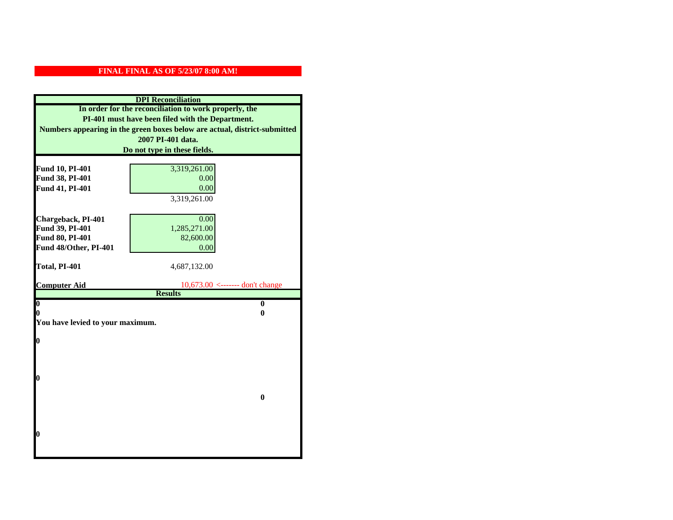| <b>DPI</b> Reconciliation                                                 |                                                     |  |
|---------------------------------------------------------------------------|-----------------------------------------------------|--|
| In order for the reconciliation to work properly, the                     |                                                     |  |
| PI-401 must have been filed with the Department.                          |                                                     |  |
| Numbers appearing in the green boxes below are actual, district-submitted |                                                     |  |
|                                                                           | 2007 PI-401 data.                                   |  |
| Do not type in these fields.                                              |                                                     |  |
|                                                                           |                                                     |  |
| Fund 10, PI-401                                                           | 3,319,261.00                                        |  |
| Fund 38, PI-401                                                           | 0.00                                                |  |
| Fund 41, PI-401                                                           | 0.00<br>3,319,261.00                                |  |
|                                                                           |                                                     |  |
| Chargeback, PI-401                                                        | 0.00                                                |  |
| Fund 39, PI-401                                                           | 1,285,271.00                                        |  |
| Fund 80, PI-401                                                           | 82,600.00                                           |  |
| Fund 48/Other, PI-401                                                     | 0.00                                                |  |
|                                                                           |                                                     |  |
| Total, PI-401                                                             | 4,687,132.00                                        |  |
|                                                                           |                                                     |  |
| <b>Computer Aid</b>                                                       | $10,673.00$ <------- don't change<br><b>Results</b> |  |
| $\overline{\mathbf{0}}$                                                   | $\bf{0}$                                            |  |
| 0                                                                         | 0                                                   |  |
| You have levied to your maximum.                                          |                                                     |  |
|                                                                           |                                                     |  |
| $\bf{0}$                                                                  |                                                     |  |
|                                                                           |                                                     |  |
|                                                                           |                                                     |  |
| l0                                                                        |                                                     |  |
|                                                                           |                                                     |  |
|                                                                           | $\bf{0}$                                            |  |
|                                                                           |                                                     |  |
|                                                                           |                                                     |  |
|                                                                           |                                                     |  |
| $\boldsymbol{0}$                                                          |                                                     |  |
|                                                                           |                                                     |  |
|                                                                           |                                                     |  |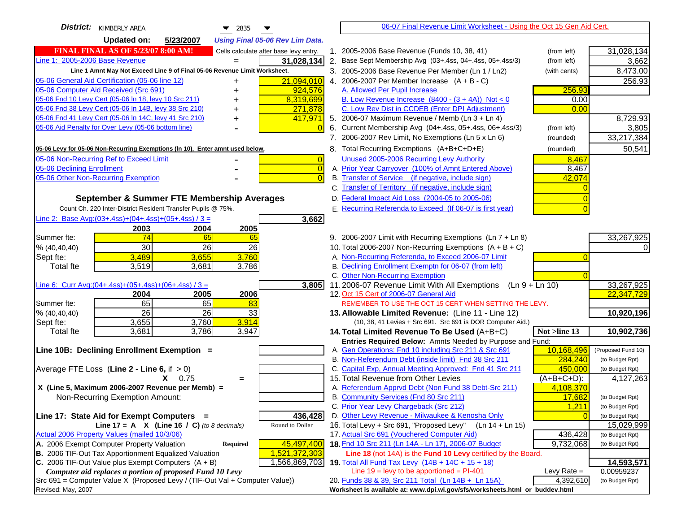| District:   KIMBERLY AREA<br>$\blacktriangledown$ 2835<br>▼                                                                                      | 06-07 Final Revenue Limit Worksheet - Using the Oct 15 Gen Aid Cert.                                                 |                    |
|--------------------------------------------------------------------------------------------------------------------------------------------------|----------------------------------------------------------------------------------------------------------------------|--------------------|
| <b>Updated on:</b><br>5/23/2007<br><b>Using Final 05-06 Rev Lim Data.</b>                                                                        |                                                                                                                      |                    |
| <b>FINAL FINAL AS OF 5/23/07 8:00 AM!</b><br>Cells calculate after base levy entry.                                                              | 1. 2005-2006 Base Revenue (Funds 10, 38, 41)<br>(from left)                                                          | 31,028,134         |
| Line 1: 2005-2006 Base Revenue<br>31,028,134                                                                                                     | 2.<br>Base Sept Membership Avg (03+.4ss, 04+.4ss, 05+.4ss/3)<br>(from left)                                          | 3,662              |
| Line 1 Amnt May Not Exceed Line 9 of Final 05-06 Revenue Limit Worksheet.                                                                        | 3. 2005-2006 Base Revenue Per Member (Ln 1 / Ln2)<br>(with cents)                                                    | 8,473.00           |
| 21,094,010<br>05-06 General Aid Certification (05-06 line 12)                                                                                    | 4. 2006-2007 Per Member Increase $(A + B - C)$                                                                       | 256.93             |
| 05-06 Computer Aid Received (Src 691)<br>924,576                                                                                                 | A. Allowed Per Pupil Increase<br>256.93                                                                              |                    |
| 05-06 Fnd 10 Levy Cert (05-06 ln 18, levy 10 Src 211)<br>8,319,699                                                                               | B. Low Revenue Increase $(8400 - (3 + 4A))$ Not < 0<br>0.00                                                          |                    |
| 05-06 Fnd 38 Levy Cert (05-06 In 14B, levy 38 Src 210)<br>271,878                                                                                | C. Low Rev Dist in CCDEB (Enter DPI Adjustment)<br>0.00                                                              |                    |
| 05-06 Fnd 41 Levy Cert (05-06 In 14C, levy 41 Src 210)<br>417,971<br>+                                                                           | 5. 2006-07 Maximum Revenue / Memb (Ln 3 + Ln 4)                                                                      | 8,729.93           |
| 05-06 Aid Penalty for Over Levy (05-06 bottom line)                                                                                              | 6. Current Membership Avg (04+.4ss, 05+.4ss, 06+.4ss/3)<br>(from left)                                               | 3,805              |
|                                                                                                                                                  | 7. 2006-2007 Rev Limit, No Exemptions (Ln 5 x Ln 6)<br>(rounded)                                                     | 33,217,384         |
| 05-06 Levy for 05-06 Non-Recurring Exemptions (In 10), Enter amnt used below.                                                                    | 8. Total Recurring Exemptions (A+B+C+D+E)<br>(rounded)                                                               | 50,541             |
| 05-06 Non-Recurring Ref to Exceed Limit<br>$\overline{0}$                                                                                        | Unused 2005-2006 Recurring Levy Authority<br>8,467                                                                   |                    |
| 05-06 Declining Enrollment<br>$\overline{0}$                                                                                                     | A. Prior Year Carryover (100% of Amnt Entered Above)<br>8,467                                                        |                    |
| 05-06 Other Non-Recurring Exemption<br>$\Omega$                                                                                                  | B. Transfer of Service (if negative, include sign)<br>42,074                                                         |                    |
|                                                                                                                                                  | C. Transfer of Territory (if negative, include sign)                                                                 |                    |
| September & Summer FTE Membership Averages                                                                                                       | D. Federal Impact Aid Loss (2004-05 to 2005-06)                                                                      |                    |
| Count Ch. 220 Inter-District Resident Transfer Pupils @ 75%.                                                                                     | E. Recurring Referenda to Exceed (If 06-07 is first year)                                                            |                    |
| Line 2: Base Avg: $(03+.4ss)+(04+.4ss)+(05+.4ss)/3 =$<br>3,662                                                                                   |                                                                                                                      |                    |
| 2003<br>2004<br>2005                                                                                                                             |                                                                                                                      |                    |
| 74<br>Summer fte:<br>65<br>65                                                                                                                    | 9. 2006-2007 Limit with Recurring Exemptions (Ln 7 + Ln 8)                                                           | 33,267,925         |
| 30<br>26<br>26<br>% (40, 40, 40)                                                                                                                 | 10. Total 2006-2007 Non-Recurring Exemptions $(A + B + C)$                                                           |                    |
| 3,489<br>3,760<br>3,655<br>Sept fte:                                                                                                             | A. Non-Recurring Referenda, to Exceed 2006-07 Limit                                                                  |                    |
| 3,519<br>3,681<br>3,786<br>Total fte                                                                                                             | B. Declining Enrollment Exemptn for 06-07 (from left)                                                                |                    |
|                                                                                                                                                  | C. Other Non-Recurring Exemption                                                                                     |                    |
| Line 6: Curr Avg: $(04+.4ss)+(05+.4ss)+(06+.4ss)/3 =$<br>3,805                                                                                   | 11.2006-07 Revenue Limit With All Exemptions (Ln $9 + \overline{\text{Ln }10}$ )                                     | 33,267,925         |
| 2006<br>2004<br>2005                                                                                                                             | 12. Oct 15 Cert of 2006-07 General Aid                                                                               | 22,347,729         |
| 65<br>65<br>Summer fte:<br>83<br>$\overline{26}$<br>26<br>33<br>% (40, 40, 40)                                                                   | REMEMBER TO USE THE OCT 15 CERT WHEN SETTING THE LEVY.                                                               | 10,920,196         |
| 3,760<br>3,914<br>3,655<br>Sept fte:                                                                                                             | 13. Allowable Limited Revenue: (Line 11 - Line 12)<br>(10, 38, 41 Levies + Src 691. Src 691 is DOR Computer Aid.)    |                    |
| 3,786<br>3,681<br>3,947<br>Total fte                                                                                                             | 14. Total Limited Revenue To Be Used (A+B+C)<br>Not >line 13                                                         | 10,902,736         |
|                                                                                                                                                  | Entries Required Below: Amnts Needed by Purpose and Fund:                                                            |                    |
| Line 10B: Declining Enrollment Exemption =                                                                                                       | A. Gen Operations: Fnd 10 including Src 211 & Src 691<br>10,168,496                                                  | (Proposed Fund 10) |
|                                                                                                                                                  | B. Non-Referendum Debt (inside limit) Fnd 38 Src 211<br>284,240                                                      | (to Budget Rpt)    |
| Average FTE Loss (Line $2 -$ Line 6, if $> 0$ )                                                                                                  | C. Capital Exp, Annual Meeting Approved: Fnd 41 Src 211<br>450,000                                                   | (to Budget Rpt)    |
| $X = 0.75$<br>$=$                                                                                                                                | 15. Total Revenue from Other Levies<br>$(A+B+C+D)$ :                                                                 | 4,127,263          |
| X (Line 5, Maximum 2006-2007 Revenue per Memb) =                                                                                                 | A. Referendum Apprvd Debt (Non Fund 38 Debt-Src 211)<br>4,108,370                                                    |                    |
| Non-Recurring Exemption Amount:                                                                                                                  | B. Community Services (Fnd 80 Src 211)<br>17,682                                                                     | (to Budget Rpt)    |
|                                                                                                                                                  | C. Prior Year Levy Chargeback (Src 212)<br>1,211                                                                     | (to Budget Rpt)    |
| Line 17: State Aid for Exempt Computers =<br>436,428                                                                                             | D. Other Levy Revenue - Milwaukee & Kenosha Only                                                                     | (to Budget Rpt)    |
| Round to Dollar<br>Line 17 = A $X$ (Line 16 / C) (to 8 decimals)                                                                                 | 16. Total Levy + Src 691, "Proposed Levy" (Ln 14 + Ln 15)                                                            | 15,029,999         |
| Actual 2006 Property Values (mailed 10/3/06)                                                                                                     | 17. Actual Src 691 (Vouchered Computer Aid)<br>436,428                                                               | (to Budget Rpt)    |
| A. 2006 Exempt Computer Property Valuation<br>45,497,400<br><b>Required</b>                                                                      | 18. Fnd 10 Src 211 (Ln 14A - Ln 17), 2006-07 Budget<br>9,732,068                                                     | (to Budget Rpt)    |
| B. 2006 TIF-Out Tax Apportionment Equalized Valuation<br>1,521,372,303<br>C. 2006 TIF-Out Value plus Exempt Computers $(A + B)$<br>1,566,869,703 | Line 18 (not 14A) is the Fund 10 Levy certified by the Board.<br>19. Total All Fund Tax Levy $(14B + 14C + 15 + 18)$ | 14,593,571         |
| Computer aid replaces a portion of proposed Fund 10 Levy                                                                                         | Line $19 = \text{levy}$ to be apportioned = PI-401<br>Levy Rate $=$                                                  | 0.00959237         |
| Src 691 = Computer Value X (Proposed Levy / (TIF-Out Val + Computer Value))                                                                      | 20. Funds 38 & 39, Src 211 Total (Ln 14B + Ln 15A)<br>4,392,610                                                      | (to Budget Rpt)    |
| Revised: May, 2007                                                                                                                               | Worksheet is available at: www.dpi.wi.gov/sfs/worksheets.html or buddev.html                                         |                    |
|                                                                                                                                                  |                                                                                                                      |                    |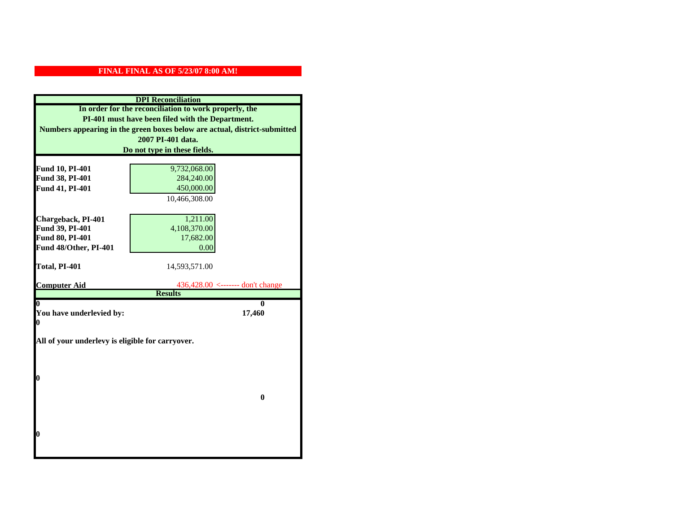| <b>DPI</b> Reconciliation                                                 |                                  |
|---------------------------------------------------------------------------|----------------------------------|
| In order for the reconciliation to work properly, the                     |                                  |
| PI-401 must have been filed with the Department.                          |                                  |
| Numbers appearing in the green boxes below are actual, district-submitted |                                  |
| 2007 PI-401 data.                                                         |                                  |
| Do not type in these fields.                                              |                                  |
|                                                                           |                                  |
| <b>Fund 10, PI-401</b>                                                    | 9,732,068.00                     |
| Fund 38, PI-401                                                           | 284,240.00                       |
| Fund 41, PI-401                                                           | 450,000.00                       |
|                                                                           | 10,466,308.00                    |
|                                                                           |                                  |
| Chargeback, PI-401                                                        | 1,211.00                         |
| Fund 39, PI-401                                                           | 4,108,370.00                     |
| Fund 80, PI-401                                                           | 17,682.00                        |
| Fund 48/Other, PI-401                                                     | 0.00                             |
|                                                                           |                                  |
| Total, PI-401                                                             | 14,593,571.00                    |
| <b>Computer Aid</b>                                                       | 436,428.00 <------- don't change |
|                                                                           | <b>Results</b>                   |
| 0                                                                         | 0                                |
| You have underlevied by:                                                  | 17,460                           |
| 0                                                                         |                                  |
|                                                                           |                                  |
| All of your underlevy is eligible for carryover.                          |                                  |
|                                                                           |                                  |
|                                                                           |                                  |
|                                                                           |                                  |
|                                                                           |                                  |
| 0                                                                         |                                  |
|                                                                           |                                  |
|                                                                           | $\bf{0}$                         |
|                                                                           |                                  |
|                                                                           |                                  |
| 0                                                                         |                                  |
|                                                                           |                                  |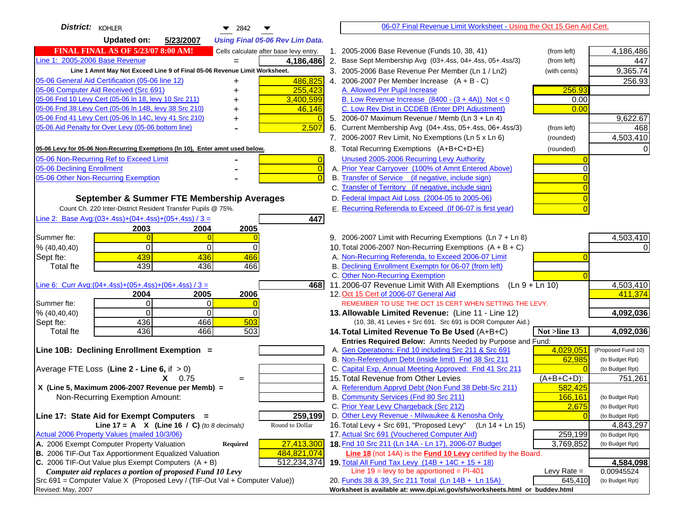| District:   KOHLER<br>$\blacktriangledown$ 2842                                                                                                     | 06-07 Final Revenue Limit Worksheet - Using the Oct 15 Gen Aid Cert.                                                              |                      |
|-----------------------------------------------------------------------------------------------------------------------------------------------------|-----------------------------------------------------------------------------------------------------------------------------------|----------------------|
| <b>Updated on:</b><br>5/23/2007<br><b>Using Final 05-06 Rev Lim Data.</b>                                                                           |                                                                                                                                   |                      |
| <b>FINAL FINAL AS OF 5/23/07 8:00 AM!</b><br>Cells calculate after base levy entry.                                                                 | 1. 2005-2006 Base Revenue (Funds 10, 38, 41)<br>(from left)                                                                       | 4,186,486            |
| Line 1: 2005-2006 Base Revenue<br>4,186,486<br>$=$                                                                                                  | 2. Base Sept Membership Avg (03+.4ss, 04+.4ss, 05+.4ss/3)<br>(from left)                                                          | 447                  |
| Line 1 Amnt May Not Exceed Line 9 of Final 05-06 Revenue Limit Worksheet.                                                                           | 3. 2005-2006 Base Revenue Per Member (Ln 1 / Ln2)<br>(with cents)                                                                 | 9,365.74             |
| 486,825<br>05-06 General Aid Certification (05-06 line 12)                                                                                          | 4. 2006-2007 Per Member Increase $(A + B - C)$                                                                                    | 256.93               |
| 05-06 Computer Aid Received (Src 691)<br>255,423                                                                                                    | A. Allowed Per Pupil Increase<br>256.93                                                                                           |                      |
| 05-06 Fnd 10 Levy Cert (05-06 In 18, levy 10 Src 211)<br>3,400,599                                                                                  | B. Low Revenue Increase $(8400 - (3 + 4A))$ Not < 0<br>0.00                                                                       |                      |
| 05-06 Fnd 38 Levy Cert (05-06 In 14B, levy 38 Src 210)<br>46,146                                                                                    | C. Low Rev Dist in CCDEB (Enter DPI Adjustment)<br>0.00                                                                           |                      |
| 05-06 Fnd 41 Levy Cert (05-06 In 14C, levy 41 Src 210)<br>$\overline{0}$<br>+                                                                       | 5. 2006-07 Maximum Revenue / Memb (Ln 3 + Ln 4)                                                                                   | 9,622.67             |
| 05-06 Aid Penalty for Over Levy (05-06 bottom line)<br>2,507                                                                                        | 6. Current Membership Avg (04+.4ss, 05+.4ss, 06+.4ss/3)<br>(from left)                                                            | 468                  |
|                                                                                                                                                     | 7. 2006-2007 Rev Limit, No Exemptions (Ln 5 x Ln 6)<br>(rounded)                                                                  | 4,503,410            |
| 05-06 Levy for 05-06 Non-Recurring Exemptions (In 10), Enter amnt used below.                                                                       | 8. Total Recurring Exemptions (A+B+C+D+E)<br>(rounded)                                                                            |                      |
| 05-06 Non-Recurring Ref to Exceed Limit<br>$\overline{0}$                                                                                           | Unused 2005-2006 Recurring Levy Authority                                                                                         |                      |
| 05-06 Declining Enrollment<br>$\overline{0}$                                                                                                        | A. Prior Year Carryover (100% of Amnt Entered Above)<br>0                                                                         |                      |
| 05-06 Other Non-Recurring Exemption<br>$\Omega$                                                                                                     | B. Transfer of Service (if negative, include sign)                                                                                |                      |
|                                                                                                                                                     | C. Transfer of Territory (if negative, include sign)                                                                              |                      |
| September & Summer FTE Membership Averages                                                                                                          | D. Federal Impact Aid Loss (2004-05 to 2005-06)                                                                                   |                      |
| Count Ch. 220 Inter-District Resident Transfer Pupils @ 75%.                                                                                        | E. Recurring Referenda to Exceed (If 06-07 is first year)                                                                         |                      |
| Line 2: Base Avg: (03+.4ss) + (04+.4ss) + (05+.4ss) / 3 =<br>447                                                                                    |                                                                                                                                   |                      |
| 2003<br>2004<br>2005                                                                                                                                |                                                                                                                                   |                      |
| Summer fte:<br>$\overline{0}$                                                                                                                       | 9. 2006-2007 Limit with Recurring Exemptions (Ln 7 + Ln 8)                                                                        | 4,503,410            |
| $\overline{0}$<br>0<br>% (40, 40, 40)<br>$\Omega$                                                                                                   | 10. Total 2006-2007 Non-Recurring Exemptions $(A + B + C)$                                                                        |                      |
| 439<br>436<br>466<br>Sept fte:                                                                                                                      | A. Non-Recurring Referenda, to Exceed 2006-07 Limit                                                                               |                      |
| 439<br>436<br>466<br>Total fte                                                                                                                      | B. Declining Enrollment Exemptn for 06-07 (from left)                                                                             |                      |
|                                                                                                                                                     | C. Other Non-Recurring Exemption                                                                                                  |                      |
| Line 6: Curr Avg: $(04+.4ss)+(05+.4ss)+(06+.4ss)$ / 3 =<br>4681<br>2005<br>2006                                                                     | 11.2006-07 Revenue Limit With All Exemptions (Ln $9 + \overline{\text{Ln }10}$ )<br>12. Oct 15 Cert of 2006-07 General Aid        | 4,503,410<br>411,374 |
| 2004<br>$\Omega$<br>$\Omega$<br>Summer fte:                                                                                                         | REMEMBER TO USE THE OCT 15 CERT WHEN SETTING THE LEVY.                                                                            |                      |
| % (40, 40, 40)<br>$\Omega$<br>0<br>$\Omega$                                                                                                         | 13. Allowable Limited Revenue: (Line 11 - Line 12)                                                                                | 4,092,036            |
| 466<br>436<br>503<br>Sept fte:                                                                                                                      | (10, 38, 41 Levies + Src 691. Src 691 is DOR Computer Aid.)                                                                       |                      |
| 436<br>466<br>503<br><b>Total fte</b>                                                                                                               | Not >line 13<br>14. Total Limited Revenue To Be Used (A+B+C)                                                                      | 4,092,036            |
|                                                                                                                                                     | Entries Required Below: Amnts Needed by Purpose and Fund:                                                                         |                      |
| Line 10B: Declining Enrollment Exemption =                                                                                                          | 4,029,051<br>A. Gen Operations: Fnd 10 including Src 211 & Src 691                                                                | (Proposed Fund 10)   |
|                                                                                                                                                     | B. Non-Referendum Debt (inside limit) Fnd 38 Src 211<br>62,985                                                                    | (to Budget Rpt)      |
| Average FTE Loss (Line $2 -$ Line 6, if $> 0$ )                                                                                                     | C. Capital Exp, Annual Meeting Approved: Fnd 41 Src 211                                                                           | (to Budget Rpt)      |
| $X = 0.75$<br>$=$                                                                                                                                   | 15. Total Revenue from Other Levies<br>(A+B+C+D):                                                                                 | 751,261              |
| X (Line 5, Maximum 2006-2007 Revenue per Memb) =                                                                                                    | A. Referendum Apprvd Debt (Non Fund 38 Debt-Src 211)<br>582,425                                                                   |                      |
| Non-Recurring Exemption Amount:                                                                                                                     | B. Community Services (Fnd 80 Src 211)<br>166,161                                                                                 | (to Budget Rpt)      |
|                                                                                                                                                     | C. Prior Year Levy Chargeback (Src 212)<br>2,675                                                                                  | (to Budget Rpt)      |
| 259,199<br>Line 17: State Aid for Exempt Computers =                                                                                                | D. Other Levy Revenue - Milwaukee & Kenosha Only                                                                                  | (to Budget Rpt)      |
| Round to Dollar<br>Line 17 = A $X$ (Line 16 / C) (to 8 decimals)                                                                                    | 16. Total Levy + Src 691, "Proposed Levy"<br>(Ln 14 + Ln 15)                                                                      | 4,843,297            |
| Actual 2006 Property Values (mailed 10/3/06)                                                                                                        | 17. Actual Src 691 (Vouchered Computer Aid)<br>259,199                                                                            | (to Budget Rpt)      |
| A. 2006 Exempt Computer Property Valuation<br>27,413,300<br>Required<br><b>B.</b> 2006 TIF-Out Tax Apportionment Equalized Valuation<br>484.821.074 | 18. Fnd 10 Src 211 (Ln 14A - Ln 17), 2006-07 Budget<br>3,769,852<br>Line 18 (not 14A) is the Fund 10 Levy certified by the Board. | (to Budget Rpt)      |
| C. 2006 TIF-Out Value plus Exempt Computers $(A + B)$<br>512,234,374                                                                                | 19. Total All Fund Tax Levy $(14B + 14C + 15 + 18)$                                                                               | 4,584,098            |
| Computer aid replaces a portion of proposed Fund 10 Levy                                                                                            | Line $19 = \text{levy}$ to be apportioned = PI-401<br>Levy Rate $=$                                                               | 0.00945524           |
| Src 691 = Computer Value X (Proposed Levy / (TIF-Out Val + Computer Value))                                                                         | 20. Funds 38 & 39, Src 211 Total (Ln 14B + Ln 15A)<br>645,410                                                                     | (to Budget Rpt)      |
| Revised: May, 2007                                                                                                                                  | Worksheet is available at: www.dpi.wi.gov/sfs/worksheets.html or buddev.html                                                      |                      |
|                                                                                                                                                     |                                                                                                                                   |                      |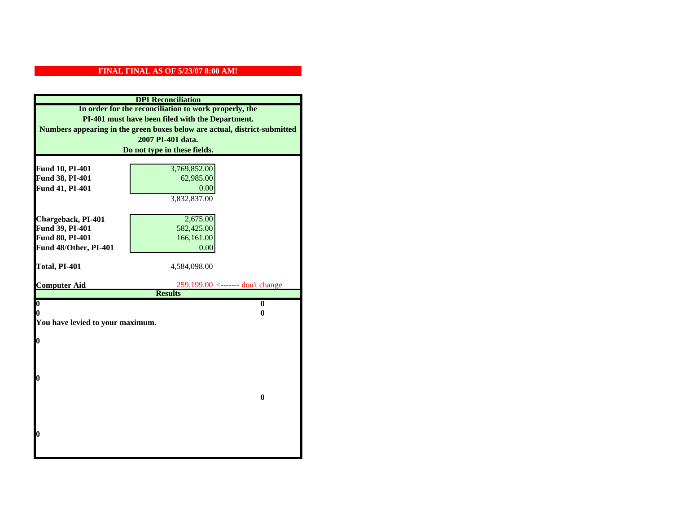| <b>DPI</b> Reconciliation                                                 |                                  |  |
|---------------------------------------------------------------------------|----------------------------------|--|
| In order for the reconciliation to work properly, the                     |                                  |  |
| PI-401 must have been filed with the Department.                          |                                  |  |
| Numbers appearing in the green boxes below are actual, district-submitted |                                  |  |
|                                                                           | 2007 PI-401 data.                |  |
| Do not type in these fields.                                              |                                  |  |
|                                                                           |                                  |  |
| Fund 10, PI-401                                                           | 3,769,852.00                     |  |
| Fund 38, PI-401                                                           | 62,985.00                        |  |
| Fund 41, PI-401                                                           | 0.00                             |  |
|                                                                           | 3,832,837.00                     |  |
|                                                                           |                                  |  |
| Chargeback, PI-401                                                        | 2,675.00                         |  |
| Fund 39, PI-401                                                           | 582,425.00                       |  |
| Fund 80, PI-401                                                           | 166,161.00                       |  |
| Fund 48/Other, PI-401                                                     | 0.00                             |  |
| Total, PI-401                                                             | 4,584,098.00                     |  |
|                                                                           |                                  |  |
|                                                                           |                                  |  |
| <b>Computer Aid</b>                                                       | 259,199.00 <------- don't change |  |
|                                                                           | <b>Results</b>                   |  |
| $\overline{\mathbf{0}}$                                                   | $\mathbf{0}$                     |  |
| 0                                                                         | 0                                |  |
| You have levied to your maximum.                                          |                                  |  |
|                                                                           |                                  |  |
| $\bf{0}$                                                                  |                                  |  |
|                                                                           |                                  |  |
|                                                                           |                                  |  |
| 0                                                                         |                                  |  |
|                                                                           |                                  |  |
|                                                                           | $\bf{0}$                         |  |
|                                                                           |                                  |  |
|                                                                           |                                  |  |
|                                                                           |                                  |  |
| 0                                                                         |                                  |  |
|                                                                           |                                  |  |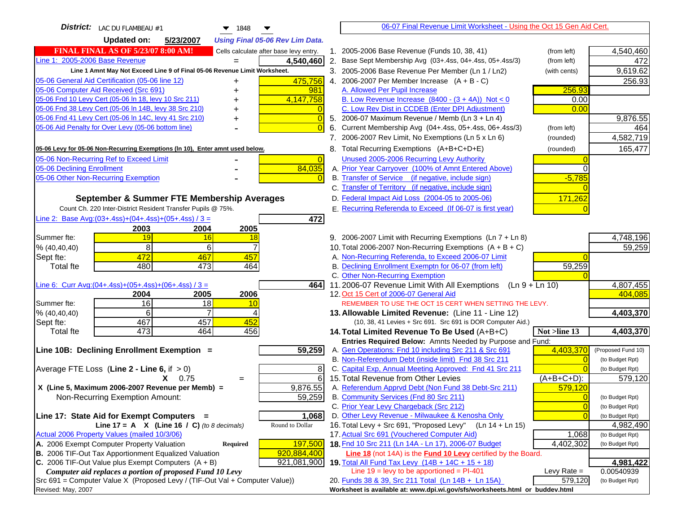| District: LAC DU FLAMBEAU #1<br>$\blacktriangledown$ 1848                                                        | 06-07 Final Revenue Limit Worksheet - Using the Oct 15 Gen Aid Cert.                                                       |                                    |
|------------------------------------------------------------------------------------------------------------------|----------------------------------------------------------------------------------------------------------------------------|------------------------------------|
| <b>Updated on:</b><br>5/23/2007<br><b>Using Final 05-06 Rev Lim Data.</b>                                        |                                                                                                                            |                                    |
| <b>FINAL FINAL AS OF 5/23/07 8:00 AM!</b><br>Cells calculate after base levy entry.                              | 1. 2005-2006 Base Revenue (Funds 10, 38, 41)<br>(from left)                                                                | 4,540,460                          |
| Line 1: 2005-2006 Base Revenue<br>4,540,460<br>$=$                                                               | 2. Base Sept Membership Avg (03+.4ss, 04+.4ss, 05+.4ss/3)<br>(from left)                                                   | 472                                |
| Line 1 Amnt May Not Exceed Line 9 of Final 05-06 Revenue Limit Worksheet.                                        | 3. 2005-2006 Base Revenue Per Member (Ln 1 / Ln2)<br>(with cents)                                                          | 9,619.62                           |
| 475,756<br>05-06 General Aid Certification (05-06 line 12)                                                       | 4. 2006-2007 Per Member Increase $(A + B - C)$                                                                             | 256.93                             |
| 05-06 Computer Aid Received (Src 691)<br>981                                                                     | A. Allowed Per Pupil Increase<br>256.93                                                                                    |                                    |
| 05-06 Fnd 10 Levy Cert (05-06 ln 18, levy 10 Src 211)<br>4,147,758                                               | B. Low Revenue Increase $(8400 - (3 + 4A))$ Not < 0<br>0.00                                                                |                                    |
| 05-06 Fnd 38 Levy Cert (05-06 In 14B, levy 38 Src 210)                                                           | C. Low Rev Dist in CCDEB (Enter DPI Adjustment)<br>0.00                                                                    |                                    |
| 05-06 Fnd 41 Levy Cert (05-06 In 14C, levy 41 Src 210)<br>$\overline{0}$<br>+                                    | 5. 2006-07 Maximum Revenue / Memb (Ln 3 + Ln 4)                                                                            | 9,876.55                           |
| 05-06 Aid Penalty for Over Levy (05-06 bottom line)                                                              | Current Membership Avg (04+.4ss, 05+.4ss, 06+.4ss/3)<br>6.<br>(from left)                                                  | 464                                |
|                                                                                                                  | 7. 2006-2007 Rev Limit, No Exemptions (Ln 5 x Ln 6)<br>(rounded)                                                           | 4,582,719                          |
| 05-06 Levy for 05-06 Non-Recurring Exemptions (In 10), Enter amnt used below.                                    | 8. Total Recurring Exemptions (A+B+C+D+E)<br>(rounded)                                                                     | 165,477                            |
| 05-06 Non-Recurring Ref to Exceed Limit<br>$\overline{0}$                                                        | Unused 2005-2006 Recurring Levy Authority                                                                                  |                                    |
| 84,035<br>05-06 Declining Enrollment                                                                             | A. Prior Year Carryover (100% of Amnt Entered Above)<br>∩                                                                  |                                    |
| 05-06 Other Non-Recurring Exemption                                                                              | B. Transfer of Service (if negative, include sign)<br>$-5,785$                                                             |                                    |
|                                                                                                                  | C. Transfer of Territory (if negative, include sign)                                                                       |                                    |
| September & Summer FTE Membership Averages                                                                       | D. Federal Impact Aid Loss (2004-05 to 2005-06)<br>171,262                                                                 |                                    |
| Count Ch. 220 Inter-District Resident Transfer Pupils @ 75%.                                                     | E. Recurring Referenda to Exceed (If 06-07 is first year)                                                                  |                                    |
| Line 2: Base Avg: $(03+.4ss)+(04+.4ss)+(05+.4ss)/3 =$<br>472                                                     |                                                                                                                            |                                    |
| 2003<br>2004<br>2005                                                                                             |                                                                                                                            |                                    |
| 19<br>Summer fte:<br>16<br>18                                                                                    | 9. 2006-2007 Limit with Recurring Exemptions (Ln 7 + Ln 8)                                                                 | 4,748,196                          |
| 8<br>6<br>$\overline{7}$<br>% (40, 40, 40)                                                                       | 10. Total 2006-2007 Non-Recurring Exemptions $(A + B + C)$                                                                 | 59,259                             |
| 472<br>467<br>457<br>Sept fte:                                                                                   | A. Non-Recurring Referenda, to Exceed 2006-07 Limit                                                                        |                                    |
| 480<br>473<br><b>Total fte</b><br>464                                                                            | B. Declining Enrollment Exemptn for 06-07 (from left)<br>59,259                                                            |                                    |
|                                                                                                                  | C. Other Non-Recurring Exemption                                                                                           |                                    |
| Line 6: Curr Avg: $(04+.4ss)+(05+.4ss)+(06+.4ss)/3 =$<br>4641<br>2006<br>2004<br>2005                            | 11.2006-07 Revenue Limit With All Exemptions (Ln $9 + \overline{\text{Ln }10}$ )<br>12. Oct 15 Cert of 2006-07 General Aid | 4,807,455<br>404,085               |
| 16<br>18<br>Summer fte:<br>10                                                                                    | REMEMBER TO USE THE OCT 15 CERT WHEN SETTING THE LEVY.                                                                     |                                    |
| % (40, 40, 40)<br>6                                                                                              | 13. Allowable Limited Revenue: (Line 11 - Line 12)                                                                         | 4,403,370                          |
| 467<br>457<br>452<br>Sept fte:                                                                                   | (10, 38, 41 Levies + Src 691. Src 691 is DOR Computer Aid.)                                                                |                                    |
| 473<br>464<br>456<br><b>Total fte</b>                                                                            | Not >line 13<br>14. Total Limited Revenue To Be Used (A+B+C)                                                               | 4,403,370                          |
|                                                                                                                  | Entries Required Below: Amnts Needed by Purpose and Fund:                                                                  |                                    |
| 59,259<br>Line 10B: Declining Enrollment Exemption =                                                             | 4,403,370<br>A. Gen Operations: Fnd 10 including Src 211 & Src 691                                                         | (Proposed Fund 10)                 |
|                                                                                                                  | B. Non-Referendum Debt (inside limit) Fnd 38 Src 211<br>$\Omega$                                                           | (to Budget Rpt)                    |
| Average FTE Loss (Line $2 -$ Line 6, if $> 0$ )<br>8                                                             | C. Capital Exp, Annual Meeting Approved: Fnd 41 Src 211                                                                    | (to Budget Rpt)                    |
| 6<br>$X = 0.75$<br>$=$                                                                                           | 15. Total Revenue from Other Levies<br>$(A+B+C+D)$ :                                                                       | 579,120                            |
| X (Line 5, Maximum 2006-2007 Revenue per Memb) =<br>9,876.55                                                     | A. Referendum Apprvd Debt (Non Fund 38 Debt-Src 211)<br>579,120                                                            |                                    |
| 59,259<br>Non-Recurring Exemption Amount:                                                                        | B. Community Services (Fnd 80 Src 211)<br>$\Omega$                                                                         | (to Budget Rpt)                    |
|                                                                                                                  | C. Prior Year Levy Chargeback (Src 212)<br>$\overline{0}$                                                                  | (to Budget Rpt)                    |
| 1,068<br>Line 17: State Aid for Exempt Computers =                                                               | D. Other Levy Revenue - Milwaukee & Kenosha Only<br>$\Omega$                                                               | (to Budget Rpt)                    |
| Round to Dollar<br>Line 17 = A $X$ (Line 16 / C) (to 8 decimals)<br>Actual 2006 Property Values (mailed 10/3/06) | 16. Total Levy + Src 691, "Proposed Levy"<br>(Ln 14 + Ln 15)<br>17. Actual Src 691 (Vouchered Computer Aid)                | 4,982,490                          |
| A. 2006 Exempt Computer Property Valuation<br>197,500<br>Required                                                | 1,068<br>18. Fnd 10 Src 211 (Ln 14A - Ln 17), 2006-07 Budget<br>4,402,302                                                  | (to Budget Rpt)<br>(to Budget Rpt) |
| B. 2006 TIF-Out Tax Apportionment Equalized Valuation<br>920,884,400                                             | Line 18 (not 14A) is the Fund 10 Levy certified by the Board.                                                              |                                    |
| C. 2006 TIF-Out Value plus Exempt Computers $(A + B)$<br>921,081,900                                             | 19. Total All Fund Tax Levy $(14B + 14C + 15 + 18)$                                                                        | 4,981,422                          |
| Computer aid replaces a portion of proposed Fund 10 Levy                                                         | Line $19 = \text{levy}$ to be apportioned = PI-401<br>Levy Rate $=$                                                        | 0.00540939                         |
| Src 691 = Computer Value X (Proposed Levy / (TIF-Out Val + Computer Value))                                      | 20. Funds 38 & 39. Src 211 Total (Ln 14B + Ln 15A)<br>579,120                                                              | (to Budget Rpt)                    |
| Revised: May, 2007                                                                                               | Worksheet is available at: www.dpi.wi.gov/sfs/worksheets.html or buddev.html                                               |                                    |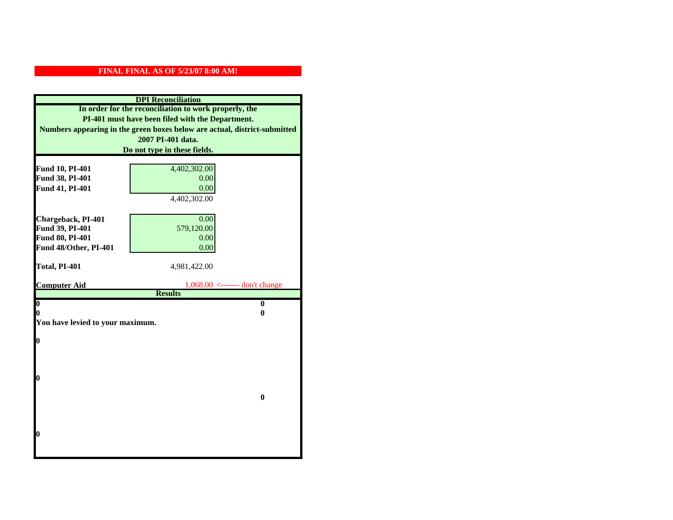| <b>DPI</b> Reconciliation                                                 |                                                       |  |
|---------------------------------------------------------------------------|-------------------------------------------------------|--|
| In order for the reconciliation to work properly, the                     |                                                       |  |
| PI-401 must have been filed with the Department.                          |                                                       |  |
| Numbers appearing in the green boxes below are actual, district-submitted |                                                       |  |
|                                                                           | 2007 PI-401 data.                                     |  |
| Do not type in these fields.                                              |                                                       |  |
|                                                                           |                                                       |  |
| Fund 10, PI-401<br>Fund 38, PI-401                                        | 4,402,302.00<br>0.00                                  |  |
| Fund 41, PI-401                                                           | 0.00                                                  |  |
|                                                                           | 4,402,302.00                                          |  |
|                                                                           |                                                       |  |
| Chargeback, PI-401                                                        | 0.00                                                  |  |
| Fund 39, PI-401                                                           | 579,120.00                                            |  |
| Fund 80, PI-401                                                           | 0.00                                                  |  |
| Fund 48/Other, PI-401                                                     | 0.00                                                  |  |
|                                                                           |                                                       |  |
| Total, PI-401                                                             | 4,981,422.00                                          |  |
|                                                                           |                                                       |  |
| <b>Computer Aid</b>                                                       | $1,068.00 \le$ ------- don't change<br><b>Results</b> |  |
| $\boldsymbol{0}$                                                          | $\bf{0}$                                              |  |
| 0                                                                         | 0                                                     |  |
| You have levied to your maximum.                                          |                                                       |  |
|                                                                           |                                                       |  |
| 0                                                                         |                                                       |  |
|                                                                           |                                                       |  |
|                                                                           |                                                       |  |
|                                                                           |                                                       |  |
| 0                                                                         |                                                       |  |
|                                                                           | $\bf{0}$                                              |  |
|                                                                           |                                                       |  |
|                                                                           |                                                       |  |
|                                                                           |                                                       |  |
| 0                                                                         |                                                       |  |
|                                                                           |                                                       |  |
|                                                                           |                                                       |  |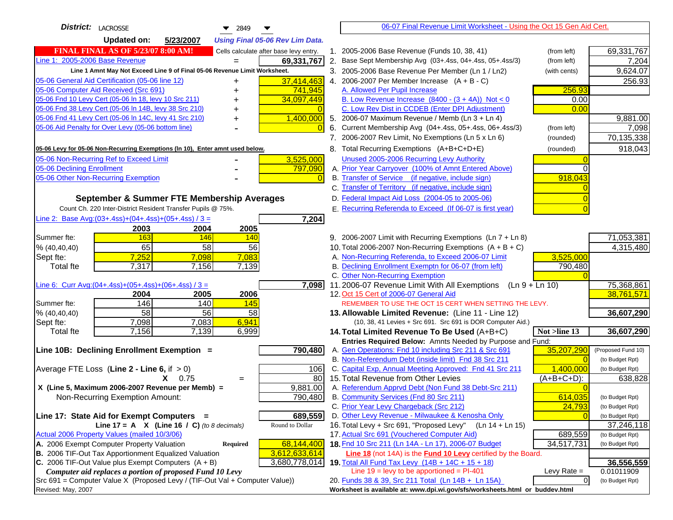| District: LACROSSE<br>$\blacktriangledown$ 2849                                     |          | 06-07 Final Revenue Limit Worksheet - Using the Oct 15 Gen Aid Cert.                                        |                                              |
|-------------------------------------------------------------------------------------|----------|-------------------------------------------------------------------------------------------------------------|----------------------------------------------|
| <b>Updated on:</b><br>5/23/2007<br><b>Using Final 05-06 Rev Lim Data.</b>           |          |                                                                                                             |                                              |
| <b>FINAL FINAL AS OF 5/23/07 8:00 AM!</b><br>Cells calculate after base levy entry. |          | 2005-2006 Base Revenue (Funds 10, 38, 41)<br>(from left)<br>$\mathbf{1}$ .                                  | 69,331,767                                   |
| Line 1: 2005-2006 Base Revenue<br>69,331,767                                        |          | 2. Base Sept Membership Avg (03+.4ss, 04+.4ss, 05+.4ss/3)<br>(from left)                                    | 7,204                                        |
| Line 1 Amnt May Not Exceed Line 9 of Final 05-06 Revenue Limit Worksheet.           |          | 3. 2005-2006 Base Revenue Per Member (Ln 1 / Ln2)<br>(with cents)                                           | 9,624.07                                     |
| 37,414,463<br>05-06 General Aid Certification (05-06 line 12)<br>+                  |          | 4. 2006-2007 Per Member Increase $(A + B - C)$                                                              | 256.93                                       |
| 05-06 Computer Aid Received (Src 691)<br>741,945<br>+                               |          | A. Allowed Per Pupil Increase                                                                               | 256.93                                       |
| 05-06 Fnd 10 Levy Cert (05-06 In 18, levy 10 Src 211)<br>34,097,449<br>+            |          | B. Low Revenue Increase $(8400 - (3 + 4A))$ Not < 0                                                         | 0.00                                         |
| 05-06 Fnd 38 Levy Cert (05-06 In 14B, levy 38 Src 210)                              |          | C. Low Rev Dist in CCDEB (Enter DPI Adjustment)                                                             | 0.00                                         |
| 05-06 Fnd 41 Levy Cert (05-06 In 14C, levy 41 Src 210)<br>1,400,000<br>+            |          | 5. 2006-07 Maximum Revenue / Memb (Ln 3 + Ln 4)                                                             | 9,881.00                                     |
| 05-06 Aid Penalty for Over Levy (05-06 bottom line)                                 | $\Omega$ | Current Membership Avg (04+.4ss, 05+.4ss, 06+.4ss/3)<br>6.<br>(from left)                                   | 7,098                                        |
|                                                                                     |          | 7. 2006-2007 Rev Limit, No Exemptions (Ln 5 x Ln 6)<br>(rounded)                                            | 70,135,338                                   |
| 05-06 Levy for 05-06 Non-Recurring Exemptions (In 10), Enter amnt used below.       |          | 8. Total Recurring Exemptions (A+B+C+D+E)<br>(rounded)                                                      | 918,043                                      |
| 05-06 Non-Recurring Ref to Exceed Limit<br>3,525,000                                |          | Unused 2005-2006 Recurring Levy Authority                                                                   |                                              |
| 05-06 Declining Enrollment<br>797,090                                               |          | A. Prior Year Carryover (100% of Amnt Entered Above)                                                        |                                              |
| 05-06 Other Non-Recurring Exemption                                                 |          | B. Transfer of Service (if negative, include sign)                                                          | 918,043                                      |
|                                                                                     |          | C. Transfer of Territory (if negative, include sign)                                                        |                                              |
| September & Summer FTE Membership Averages                                          |          | D. Federal Impact Aid Loss (2004-05 to 2005-06)                                                             |                                              |
| Count Ch. 220 Inter-District Resident Transfer Pupils @ 75%.                        |          | E. Recurring Referenda to Exceed (If 06-07 is first year)                                                   |                                              |
| Line 2: Base Avg:(03+.4ss)+(04+.4ss)+(05+.4ss) / 3 =                                | 7,204    |                                                                                                             |                                              |
| 2003<br>2004<br>2005                                                                |          |                                                                                                             |                                              |
| 163<br>Summer fte:<br>146<br>140                                                    |          | 9. 2006-2007 Limit with Recurring Exemptions (Ln 7 + Ln 8)                                                  | 71,053,381                                   |
| 65<br>58<br>56<br>% (40, 40, 40)                                                    |          | 10. Total 2006-2007 Non-Recurring Exemptions $(A + B + C)$                                                  | 4,315,480                                    |
| 7,252<br>7,083<br>Sept fte:<br>7,098                                                |          | A. Non-Recurring Referenda, to Exceed 2006-07 Limit<br>3,525,000                                            |                                              |
| Total fte<br>7,317<br>7,156<br>7,139                                                |          | B. Declining Enrollment Exemptn for 06-07 (from left)                                                       | 790,480                                      |
|                                                                                     |          | C. Other Non-Recurring Exemption                                                                            |                                              |
| Line 6: Curr Avg: $(04+.4ss)+(05+.4ss)+(06+.4ss)/3 =$                               | 7,098    | 11.2006-07 Revenue Limit With All Exemptions (Ln $9 + \overline{\text{Ln }10}$ )                            | 75,368,861                                   |
| 2005<br>2006<br>2004                                                                |          | 12. Oct 15 Cert of 2006-07 General Aid                                                                      | 38,761,571                                   |
| 146<br>Summer fte:<br>140<br>145                                                    |          | REMEMBER TO USE THE OCT 15 CERT WHEN SETTING THE LEVY.                                                      |                                              |
| 58<br>56<br>58<br>% (40, 40, 40)                                                    |          | 13. Allowable Limited Revenue: (Line 11 - Line 12)                                                          | 36,607,290                                   |
| 6,941<br>7,098<br>7,083<br>Sept fte:                                                |          | (10, 38, 41 Levies + Src 691. Src 691 is DOR Computer Aid.)                                                 |                                              |
| 7,156<br>7,139<br>6,999<br>Total fte                                                |          | Not >line 13<br>14. Total Limited Revenue To Be Used $(A+B+C)$                                              | 36,607,290                                   |
|                                                                                     |          | Entries Required Below: Amnts Needed by Purpose and Fund:                                                   |                                              |
| 790,480<br>Line 10B: Declining Enrollment Exemption =                               |          | A. Gen Operations: Fnd 10 including Src 211 & Src 691<br>35,207,290                                         | (Proposed Fund 10)                           |
|                                                                                     |          | B. Non-Referendum Debt (inside limit) Fnd 38 Src 211                                                        | (to Budget Rpt)                              |
| Average FTE Loss (Line $2 -$ Line 6, if $> 0$ )                                     | 106      | C. Capital Exp, Annual Meeting Approved: Fnd 41 Src 211<br>1,400,000<br>15. Total Revenue from Other Levies | (to Budget Rpt)                              |
| $X = 0.75$<br>$=$<br>X (Line 5, Maximum 2006-2007 Revenue per Memb) =               | 80       | $(A+B+C+D)$ :<br>A. Referendum Apprvd Debt (Non Fund 38 Debt-Src 211)                                       | 638,828                                      |
| 9,881.00<br>790,480                                                                 |          | B. Community Services (Fnd 80 Src 211)                                                                      | 614,035                                      |
| Non-Recurring Exemption Amount:                                                     |          | C. Prior Year Levy Chargeback (Src 212)                                                                     | (to Budget Rpt)<br>24,793<br>(to Budget Rpt) |
| 689,559<br>Line 17: State Aid for Exempt Computers =                                |          | D. Other Levy Revenue - Milwaukee & Kenosha Only                                                            | (to Budget Rpt)                              |
| Round to Dollar<br>Line 17 = A $X$ (Line 16 / C) (to 8 decimals)                    |          | 16. Total Levy + Src 691, "Proposed Levy" (Ln 14 + Ln 15)                                                   | 37,246,118                                   |
| Actual 2006 Property Values (mailed 10/3/06)                                        |          | 17. Actual Src 691 (Vouchered Computer Aid)                                                                 | 689,559<br>(to Budget Rpt)                   |
| A. 2006 Exempt Computer Property Valuation<br>68,144,400<br>Required                |          | 18. Fnd 10 Src 211 (Ln 14A - Ln 17), 2006-07 Budget<br>34,517,731                                           | (to Budget Rpt)                              |
| B. 2006 TIF-Out Tax Apportionment Equalized Valuation<br>3,612,633,614              |          | Line 18 (not 14A) is the Fund 10 Levy certified by the Board.                                               |                                              |
| C. 2006 TIF-Out Value plus Exempt Computers $(A + B)$<br>3,680,778,014              |          | 19. Total All Fund Tax Levy (14B + 14C + 15 + 18)                                                           | 36,556,559                                   |
| Computer aid replaces a portion of proposed Fund 10 Levy                            |          | Line $19 = \text{levy}$ to be apportioned = PI-401<br>Levy Rate $=$                                         | 0.01011909                                   |
| Src 691 = Computer Value X (Proposed Levy / (TIF-Out Val + Computer Value))         |          | 20. Funds 38 & 39, Src 211 Total (Ln 14B + Ln 15A)                                                          | $\overline{0}$<br>(to Budget Rpt)            |
| Revised: May, 2007                                                                  |          | Worksheet is available at: www.dpi.wi.gov/sfs/worksheets.html or buddev.html                                |                                              |
|                                                                                     |          |                                                                                                             |                                              |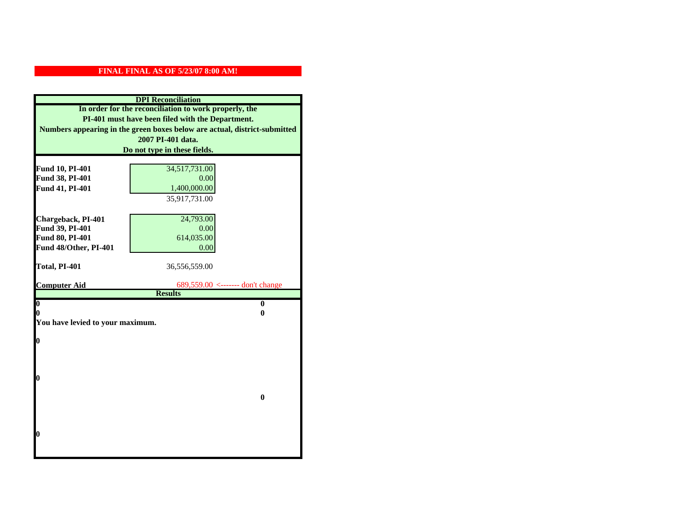| <b>DPI</b> Reconciliation                                                 |                                       |  |
|---------------------------------------------------------------------------|---------------------------------------|--|
| In order for the reconciliation to work properly, the                     |                                       |  |
| PI-401 must have been filed with the Department.                          |                                       |  |
| Numbers appearing in the green boxes below are actual, district-submitted |                                       |  |
|                                                                           | 2007 PI-401 data.                     |  |
| Do not type in these fields.                                              |                                       |  |
|                                                                           |                                       |  |
| Fund 10, PI-401                                                           | 34,517,731.00                         |  |
| Fund 38, PI-401                                                           | 0.00<br>1,400,000.00                  |  |
| Fund 41, PI-401                                                           |                                       |  |
|                                                                           | 35,917,731.00                         |  |
| Chargeback, PI-401                                                        | 24,793.00                             |  |
| Fund 39, PI-401                                                           | 0.00                                  |  |
| Fund 80, PI-401                                                           | 614,035.00                            |  |
| Fund 48/Other, PI-401                                                     | 0.00                                  |  |
|                                                                           |                                       |  |
| Total, PI-401                                                             | 36,556,559.00                         |  |
|                                                                           |                                       |  |
| <b>Computer Aid</b>                                                       | $689,559.00 \le$ ------- don't change |  |
|                                                                           | <b>Results</b>                        |  |
| $\boldsymbol{0}$<br>0                                                     | $\bf{0}$<br>0                         |  |
| You have levied to your maximum.                                          |                                       |  |
|                                                                           |                                       |  |
| $\bf{0}$                                                                  |                                       |  |
|                                                                           |                                       |  |
|                                                                           |                                       |  |
|                                                                           |                                       |  |
| l0                                                                        |                                       |  |
|                                                                           |                                       |  |
|                                                                           | $\mathbf{0}$                          |  |
|                                                                           |                                       |  |
|                                                                           |                                       |  |
| $\boldsymbol{0}$                                                          |                                       |  |
|                                                                           |                                       |  |
|                                                                           |                                       |  |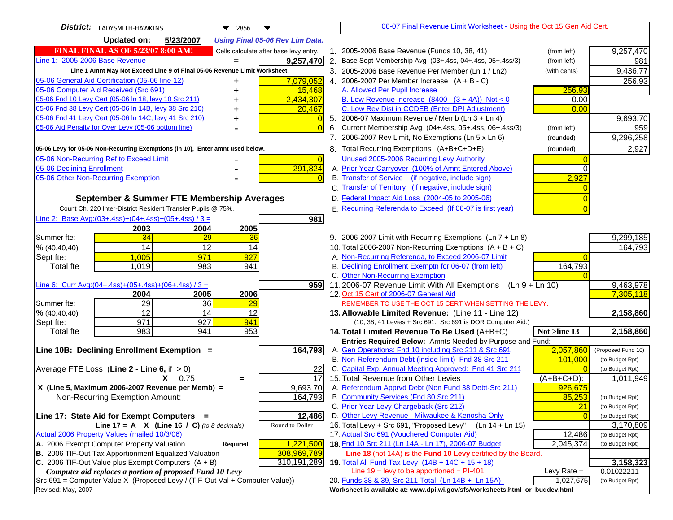| District: LADYSMITH-HAWKINS<br>$\blacktriangledown$ 2856                                      | 06-07 Final Revenue Limit Worksheet - Using the Oct 15 Gen Aid Cert.                                             |                              |
|-----------------------------------------------------------------------------------------------|------------------------------------------------------------------------------------------------------------------|------------------------------|
| <b>Updated on:</b><br>5/23/2007<br><b>Using Final 05-06 Rev Lim Data.</b>                     |                                                                                                                  |                              |
| <b>FINAL FINAL AS OF 5/23/07 8:00 AM!</b><br>Cells calculate after base levy entry.           | 1. 2005-2006 Base Revenue (Funds 10, 38, 41)<br>(from left)                                                      | 9,257,470                    |
| Line 1: 2005-2006 Base Revenue<br>9,257,470                                                   | 2. Base Sept Membership Avg (03+.4ss, 04+.4ss, 05+.4ss/3)<br>(from left)                                         | 981                          |
| Line 1 Amnt May Not Exceed Line 9 of Final 05-06 Revenue Limit Worksheet.                     | 3. 2005-2006 Base Revenue Per Member (Ln 1 / Ln2)<br>(with cents)                                                | 9,436.77                     |
| 7,079,052<br>05-06 General Aid Certification (05-06 line 12)                                  | 4. 2006-2007 Per Member Increase $(A + B - C)$                                                                   | 256.93                       |
| 05-06 Computer Aid Received (Src 691)<br>15,468                                               | A. Allowed Per Pupil Increase<br>256.93                                                                          |                              |
| 05-06 Fnd 10 Levy Cert (05-06 In 18, levy 10 Src 211)<br>2,434,307                            | B. Low Revenue Increase $(8400 - (3 + 4A))$ Not < 0<br>0.00                                                      |                              |
| 05-06 Fnd 38 Levy Cert (05-06 In 14B, levy 38 Src 210)<br>20,467                              | C. Low Rev Dist in CCDEB (Enter DPI Adjustment)<br>0.00                                                          |                              |
| 05-06 Fnd 41 Levy Cert (05-06 In 14C, levy 41 Src 210)<br>+                                   | 5. 2006-07 Maximum Revenue / Memb (Ln 3 + Ln 4)                                                                  | 9,693.70                     |
| 05-06 Aid Penalty for Over Levy (05-06 bottom line)                                           | 6. Current Membership Avg (04+.4ss, 05+.4ss, 06+.4ss/3)<br>(from left)                                           | 959                          |
|                                                                                               | 7. 2006-2007 Rev Limit, No Exemptions (Ln 5 x Ln 6)<br>(rounded)                                                 | 9,296,258                    |
| 05-06 Levy for 05-06 Non-Recurring Exemptions (In 10), Enter amnt used below.                 | 8. Total Recurring Exemptions (A+B+C+D+E)<br>(rounded)                                                           | 2,927                        |
| 05-06 Non-Recurring Ref to Exceed Limit<br>$\overline{0}$                                     | Unused 2005-2006 Recurring Levy Authority                                                                        |                              |
| 291,824<br>05-06 Declining Enrollment                                                         | A. Prior Year Carryover (100% of Amnt Entered Above)<br>0                                                        |                              |
| 05-06 Other Non-Recurring Exemption                                                           | B. Transfer of Service (if negative, include sign)<br>2,927                                                      |                              |
|                                                                                               | C. Transfer of Territory (if negative, include sign)                                                             |                              |
| September & Summer FTE Membership Averages                                                    | D. Federal Impact Aid Loss (2004-05 to 2005-06)                                                                  |                              |
| Count Ch. 220 Inter-District Resident Transfer Pupils @ 75%.                                  | E. Recurring Referenda to Exceed (If 06-07 is first year)                                                        |                              |
| Line 2: Base Avg: (03+.4ss) + (04+.4ss) + (05+.4ss) / 3 =<br>981                              |                                                                                                                  |                              |
| 2003<br>2004<br>2005                                                                          |                                                                                                                  |                              |
| 34<br>29<br>Summer fte:<br>36                                                                 | 9. 2006-2007 Limit with Recurring Exemptions (Ln 7 + Ln 8)                                                       | 9,299,185                    |
| 14<br>12<br>% (40, 40, 40)<br>14                                                              | 10. Total 2006-2007 Non-Recurring Exemptions $(A + B + C)$                                                       | 164,793                      |
| 971<br>927<br>1,005<br>Sept fte:                                                              | A. Non-Recurring Referenda, to Exceed 2006-07 Limit                                                              |                              |
| 983<br>941<br><b>Total fte</b><br>1,019                                                       | B. Declining Enrollment Exemptn for 06-07 (from left)<br>164,793                                                 |                              |
| Line 6: Curr Avg: $(04+.4ss)+(05+.4ss)+(06+.4ss)/3 =$<br>9591                                 | C. Other Non-Recurring Exemption<br>11.2006-07 Revenue Limit With All Exemptions (Ln 9 + Ln 10)                  | 9,463,978                    |
| 2006<br>2004<br>2005                                                                          | 12. Oct 15 Cert of 2006-07 General Aid                                                                           | 7,305,118                    |
| 29<br>36<br>Summer fte:<br>29                                                                 | REMEMBER TO USE THE OCT 15 CERT WHEN SETTING THE LEVY.                                                           |                              |
| 12<br>14<br>% (40, 40, 40)<br>12                                                              | 13. Allowable Limited Revenue: (Line 11 - Line 12)                                                               | 2,158,860                    |
| 971<br>927<br>941<br>Sept fte:                                                                | (10, 38, 41 Levies + Src 691. Src 691 is DOR Computer Aid.)                                                      |                              |
| 983<br>941<br>953<br><b>Total fte</b>                                                         | 14. Total Limited Revenue To Be Used (A+B+C)<br>Not >line 13                                                     | 2,158,860                    |
|                                                                                               | Entries Required Below: Amnts Needed by Purpose and Fund:                                                        |                              |
| 164,793<br>Line 10B: Declining Enrollment Exemption =                                         | 2,057,860<br>A. Gen Operations: Fnd 10 including Src 211 & Src 691                                               | (Proposed Fund 10)           |
|                                                                                               | B. Non-Referendum Debt (inside limit) Fnd 38 Src 211<br>101,000                                                  | (to Budget Rpt)              |
| Average FTE Loss (Line $2 -$ Line 6, if $> 0$ )<br>22                                         | C. Capital Exp, Annual Meeting Approved: Fnd 41 Src 211<br>$\Omega$                                              | (to Budget Rpt)              |
| 17<br>$X = 0.75$<br>$=$                                                                       | 15. Total Revenue from Other Levies<br>$(A+B+C+D)$ :                                                             | 1,011,949                    |
| X (Line 5, Maximum 2006-2007 Revenue per Memb) =<br>9,693.70                                  | A. Referendum Apprvd Debt (Non Fund 38 Debt-Src 211)<br>926,675                                                  |                              |
| 164,793<br>Non-Recurring Exemption Amount:                                                    | B. Community Services (Fnd 80 Src 211)<br>85,253                                                                 | (to Budget Rpt)              |
|                                                                                               | 21<br>C. Prior Year Levy Chargeback (Src 212)                                                                    | (to Budget Rpt)              |
| 12,486<br>Line 17: State Aid for Exempt Computers =<br>Round to Dollar                        | D. Other Levy Revenue - Milwaukee & Kenosha Only<br>16. Total Levy + Src 691, "Proposed Levy"<br>(Ln 14 + Ln 15) | (to Budget Rpt)              |
| Line 17 = A $X$ (Line 16 / C) (to 8 decimals)<br>Actual 2006 Property Values (mailed 10/3/06) | 17. Actual Src 691 (Vouchered Computer Aid)<br>12,486                                                            | 3,170,809<br>(to Budget Rpt) |
| A. 2006 Exempt Computer Property Valuation<br>1,221,500<br>Required                           | 18. Fnd 10 Src 211 (Ln 14A - Ln 17), 2006-07 Budget<br>2,045,374                                                 | (to Budget Rpt)              |
| <b>B.</b> 2006 TIF-Out Tax Apportionment Equalized Valuation<br>308,969,789                   | Line 18 (not 14A) is the Fund 10 Levy certified by the Board.                                                    |                              |
| C. 2006 TIF-Out Value plus Exempt Computers $(A + B)$<br>310,191,289                          | 19. Total All Fund Tax Levy (14B + 14C + 15 + 18)                                                                | 3,158,323                    |
| Computer aid replaces a portion of proposed Fund 10 Levy                                      | Line $19 = \text{levy}$ to be apportioned = PI-401<br>Levy Rate $=$                                              | 0.01022211                   |
| $Src691$ = Computer Value X (Proposed Levy / (TIF-Out Val + Computer Value))                  | 20. Funds 38 & 39, Src 211 Total (Ln 14B + Ln 15A)<br>1,027,675                                                  | (to Budget Rpt)              |
| Revised: May, 2007                                                                            | Worksheet is available at: www.dpi.wi.gov/sfs/worksheets.html or buddev.html                                     |                              |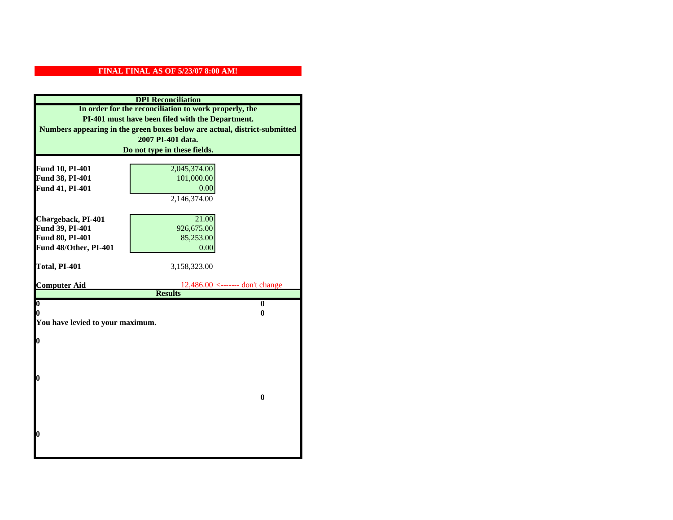| <b>DPI</b> Reconciliation                        |                                                                           |  |
|--------------------------------------------------|---------------------------------------------------------------------------|--|
|                                                  | In order for the reconciliation to work properly, the                     |  |
| PI-401 must have been filed with the Department. |                                                                           |  |
|                                                  | Numbers appearing in the green boxes below are actual, district-submitted |  |
|                                                  | 2007 PI-401 data.                                                         |  |
|                                                  | Do not type in these fields.                                              |  |
|                                                  |                                                                           |  |
| Fund 10, PI-401                                  | 2,045,374.00                                                              |  |
| Fund 38, PI-401                                  | 101,000.00                                                                |  |
| Fund 41, PI-401                                  | 0.00                                                                      |  |
|                                                  | 2,146,374.00                                                              |  |
|                                                  |                                                                           |  |
| Chargeback, PI-401                               | 21.00                                                                     |  |
| Fund 39, PI-401                                  | 926,675.00                                                                |  |
| Fund 80, PI-401                                  | 85,253.00                                                                 |  |
| Fund 48/Other, PI-401                            | 0.00                                                                      |  |
| Total, PI-401                                    | 3,158,323.00                                                              |  |
|                                                  |                                                                           |  |
| <b>Computer Aid</b>                              | $12,486.00 \le$ ------- don't change                                      |  |
|                                                  | <b>Results</b>                                                            |  |
| $\overline{\mathbf{0}}$                          | $\bf{0}$                                                                  |  |
| 0<br>You have levied to your maximum.            | 0                                                                         |  |
|                                                  |                                                                           |  |
| $\bf{0}$                                         |                                                                           |  |
|                                                  |                                                                           |  |
|                                                  |                                                                           |  |
|                                                  |                                                                           |  |
| l0                                               |                                                                           |  |
|                                                  |                                                                           |  |
|                                                  | $\bf{0}$                                                                  |  |
|                                                  |                                                                           |  |
|                                                  |                                                                           |  |
| $\boldsymbol{0}$                                 |                                                                           |  |
|                                                  |                                                                           |  |
|                                                  |                                                                           |  |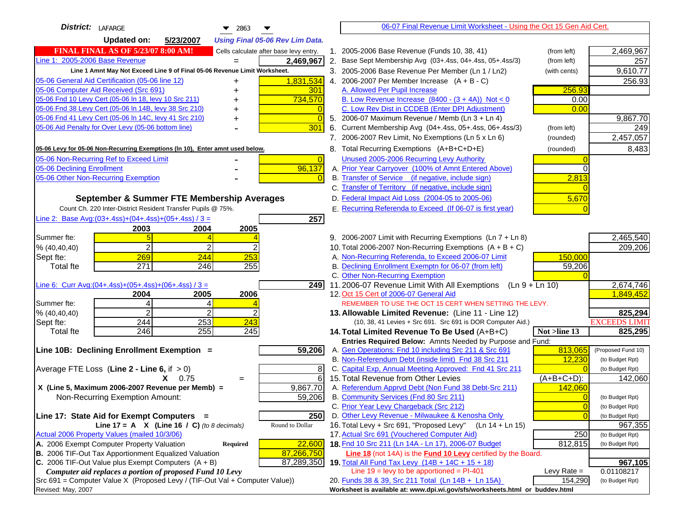| <b>Updated on:</b><br>5/23/2007<br><b>Using Final 05-06 Rev Lim Data.</b><br><b>FINAL FINAL AS OF 5/23/07 8:00 AM!</b><br>1. 2005-2006 Base Revenue (Funds 10, 38, 41)<br>2,469,967<br>Cells calculate after base levy entry.<br>(from left)<br>Line 1: 2005-2006 Base Revenue<br>2,469,967<br>2. Base Sept Membership Avg (03+.4ss, 04+.4ss, 05+.4ss/3)<br>(from left)<br>257<br>$=$<br>Line 1 Amnt May Not Exceed Line 9 of Final 05-06 Revenue Limit Worksheet.<br>3. 2005-2006 Base Revenue Per Member (Ln 1 / Ln2)<br>9,610.77<br>(with cents)<br>1,831,534<br>05-06 General Aid Certification (05-06 line 12)<br>4. 2006-2007 Per Member Increase $(A + B - C)$<br>256.93<br>05-06 Computer Aid Received (Src 691)<br>A. Allowed Per Pupil Increase<br>256.93<br>301<br>05-06 Fnd 10 Levy Cert (05-06 In 18, levy 10 Src 211)<br>734,570<br>B. Low Revenue Increase $(8400 - (3 + 4A))$ Not < 0<br>0.00<br>05-06 Fnd 38 Levy Cert (05-06 In 14B, levy 38 Src 210)<br>C. Low Rev Dist in CCDEB (Enter DPI Adjustment)<br>0.00<br>05-06 Fnd 41 Levy Cert (05-06 In 14C, levy 41 Src 210)<br>9,867.70<br>5. 2006-07 Maximum Revenue / Memb (Ln 3 + Ln 4)<br>$\Omega$<br>+<br>05-06 Aid Penalty for Over Levy (05-06 bottom line)<br>301<br>6. Current Membership Avg (04+.4ss, 05+.4ss, 06+.4ss/3)<br>(from left)<br>249<br>2,457,057<br>7. 2006-2007 Rev Limit, No Exemptions (Ln 5 x Ln 6)<br>(rounded)<br>8,483<br>8. Total Recurring Exemptions (A+B+C+D+E)<br>(rounded)<br>Unused 2005-2006 Recurring Levy Authority<br>$\overline{0}$<br>96,137<br>A. Prior Year Carryover (100% of Amnt Entered Above)<br>$\Omega$<br>B. Transfer of Service (if negative, include sign)<br>05-06 Other Non-Recurring Exemption<br>2,813<br>C. Transfer of Territory (if negative, include sign)<br>D. Federal Impact Aid Loss (2004-05 to 2005-06)<br>September & Summer FTE Membership Averages<br>5,670<br>E. Recurring Referenda to Exceed (If 06-07 is first year)<br>Count Ch. 220 Inter-District Resident Transfer Pupils @ 75%.<br>257<br>2003<br>2004<br>2005<br>2,465,540<br>9. 2006-2007 Limit with Recurring Exemptions (Ln 7 + Ln 8)<br>$\overline{c}$<br>2<br>2<br>10. Total 2006-2007 Non-Recurring Exemptions $(A + B + C)$<br>209,206<br>% (40, 40, 40)<br>269<br>244<br>253<br>A. Non-Recurring Referenda, to Exceed 2006-07 Limit<br>150,000<br>Sept fte:<br>$\overline{271}$<br>B. Declining Enrollment Exemptn for 06-07 (from left)<br>246<br>255<br>59,206<br>Total fte<br>C. Other Non-Recurring Exemption<br>Line 6: Curr Avg: $(04+.4ss)+(05+.4ss)+(06+.4ss)$ / 3 =<br>11.2006-07 Revenue Limit With All Exemptions (Ln $9 + \overline{\text{Ln }10}$ )<br>2,674,746<br>2491<br>1,849,452<br>2005<br>2006<br>12. Oct 15 Cert of 2006-07 General Aid<br>2004<br>Summer fte:<br>4<br>REMEMBER TO USE THE OCT 15 CERT WHEN SETTING THE LEVY.<br>4<br>2<br>2<br>% (40, 40, 40)<br>825,294<br>13. Allowable Limited Revenue: (Line 11 - Line 12)<br>253<br>243<br>244<br><b>EXCEEDS LIMIT</b><br>Sept fte:<br>(10, 38, 41 Levies + Src 691. Src 691 is DOR Computer Aid.)<br>246<br>255<br>245<br>825,295<br>Not >line 13<br><b>Total fte</b><br>14. Total Limited Revenue To Be Used (A+B+C)<br>Entries Required Below: Amnts Needed by Purpose and Fund:<br>813,065<br>59,206<br>A. Gen Operations: Fnd 10 including Src 211 & Src 691<br>(Proposed Fund 10)<br>B. Non-Referendum Debt (inside limit) Fnd 38 Src 211<br>12,230<br>(to Budget Rpt)<br>C. Capital Exp, Annual Meeting Approved: Fnd 41 Src 211<br>8<br>(to Budget Rpt)<br>6<br>15. Total Revenue from Other Levies<br>$(A+B+C+D)$ :<br>$X = 0.75$<br>142,060<br>$=$<br>A. Referendum Apprvd Debt (Non Fund 38 Debt-Src 211)<br>X (Line 5, Maximum 2006-2007 Revenue per Memb) =<br>9,867.70<br>142,060<br>59,206<br>B. Community Services (Fnd 80 Src 211)<br>Non-Recurring Exemption Amount:<br>$\Omega$<br>(to Budget Rpt)<br>C. Prior Year Levy Chargeback (Src 212)<br>$\overline{0}$<br>(to Budget Rpt)<br>D. Other Levy Revenue - Milwaukee & Kenosha Only<br>$\Omega$<br>Line 17: State Aid for Exempt Computers =<br>250<br>(to Budget Rpt)<br>16. Total Levy + Src 691, "Proposed Levy"<br>Round to Dollar<br>(Ln 14 + Ln 15)<br>Line 17 = A $X$ (Line 16 / C) (to 8 decimals)<br>967,355<br>17. Actual Src 691 (Vouchered Computer Aid)<br>Actual 2006 Property Values (mailed 10/3/06)<br>250<br>(to Budget Rpt)<br>A. 2006 Exempt Computer Property Valuation<br>22,600<br>18. Fnd 10 Src 211 (Ln 14A - Ln 17), 2006-07 Budget<br>812,815<br>Required<br>(to Budget Rpt)<br><b>B.</b> 2006 TIF-Out Tax Apportionment Equalized Valuation<br>87,266,750<br><b>Line 18</b> (not 14A) is the <b>Fund 10 Levy</b> certified by the Board.<br>C. 2006 TIF-Out Value plus Exempt Computers $(A + B)$<br>87,289,350<br>967,105<br>19. Total All Fund Tax Levy $(14B + 14C + 15 + 18)$<br>Line $19 = \text{levy}$ to be apportioned = PI-401<br>Computer aid replaces a portion of proposed Fund 10 Levy<br>Levy Rate $=$<br>0.01108217<br>20. Funds 38 & 39, Src 211 Total (Ln 14B + Ln 15A)<br>154,290<br>(to Budget Rpt) | <b>District: LAFARGE</b><br>$\blacktriangledown$ 2863                         | 06-07 Final Revenue Limit Worksheet - Using the Oct 15 Gen Aid Cert.         |  |
|----------------------------------------------------------------------------------------------------------------------------------------------------------------------------------------------------------------------------------------------------------------------------------------------------------------------------------------------------------------------------------------------------------------------------------------------------------------------------------------------------------------------------------------------------------------------------------------------------------------------------------------------------------------------------------------------------------------------------------------------------------------------------------------------------------------------------------------------------------------------------------------------------------------------------------------------------------------------------------------------------------------------------------------------------------------------------------------------------------------------------------------------------------------------------------------------------------------------------------------------------------------------------------------------------------------------------------------------------------------------------------------------------------------------------------------------------------------------------------------------------------------------------------------------------------------------------------------------------------------------------------------------------------------------------------------------------------------------------------------------------------------------------------------------------------------------------------------------------------------------------------------------------------------------------------------------------------------------------------------------------------------------------------------------------------------------------------------------------------------------------------------------------------------------------------------------------------------------------------------------------------------------------------------------------------------------------------------------------------------------------------------------------------------------------------------------------------------------------------------------------------------------------------------------------------------------------------------------------------------------------------------------------------------------------------------------------------------------------------------------------------------------------------------------------------------------------------------------------------------------------------------------------------------------------------------------------------------------------------------------------------------------------------------------------------------------------------------------------------------------------------------------------------------------------------------------------------------------------------------------------------------------------------------------------------------------------------------------------------------------------------------------------------------------------------------------------------------------------------------------------------------------------------------------------------------------------------------------------------------------------------------------------------------------------------------------------------------------------------------------------------------------------------------------------------------------------------------------------------------------------------------------------------------------------------------------------------------------------------------------------------------------------------------------------------------------------------------------------------------------------------------------------------------------------------------------------------------------------------------------------------------------------------------------------------------------------------------------------------------------------------------------------------------------------------------------------------------------------------------------------------------------------------------------------------------------------------------------------------------------------------------------------------------------------------------------------------------------------------------------------------------------------------------------------------------------------------------------------------------------------------------------------------------------------------------------------------------------------------------------------------------------------------------------------------------------------------------------------------------|-------------------------------------------------------------------------------|------------------------------------------------------------------------------|--|
|                                                                                                                                                                                                                                                                                                                                                                                                                                                                                                                                                                                                                                                                                                                                                                                                                                                                                                                                                                                                                                                                                                                                                                                                                                                                                                                                                                                                                                                                                                                                                                                                                                                                                                                                                                                                                                                                                                                                                                                                                                                                                                                                                                                                                                                                                                                                                                                                                                                                                                                                                                                                                                                                                                                                                                                                                                                                                                                                                                                                                                                                                                                                                                                                                                                                                                                                                                                                                                                                                                                                                                                                                                                                                                                                                                                                                                                                                                                                                                                                                                                                                                                                                                                                                                                                                                                                                                                                                                                                                                                                                                                                                                                                                                                                                                                                                                                                                                                                                                                                                                                                                                                |                                                                               |                                                                              |  |
|                                                                                                                                                                                                                                                                                                                                                                                                                                                                                                                                                                                                                                                                                                                                                                                                                                                                                                                                                                                                                                                                                                                                                                                                                                                                                                                                                                                                                                                                                                                                                                                                                                                                                                                                                                                                                                                                                                                                                                                                                                                                                                                                                                                                                                                                                                                                                                                                                                                                                                                                                                                                                                                                                                                                                                                                                                                                                                                                                                                                                                                                                                                                                                                                                                                                                                                                                                                                                                                                                                                                                                                                                                                                                                                                                                                                                                                                                                                                                                                                                                                                                                                                                                                                                                                                                                                                                                                                                                                                                                                                                                                                                                                                                                                                                                                                                                                                                                                                                                                                                                                                                                                |                                                                               |                                                                              |  |
|                                                                                                                                                                                                                                                                                                                                                                                                                                                                                                                                                                                                                                                                                                                                                                                                                                                                                                                                                                                                                                                                                                                                                                                                                                                                                                                                                                                                                                                                                                                                                                                                                                                                                                                                                                                                                                                                                                                                                                                                                                                                                                                                                                                                                                                                                                                                                                                                                                                                                                                                                                                                                                                                                                                                                                                                                                                                                                                                                                                                                                                                                                                                                                                                                                                                                                                                                                                                                                                                                                                                                                                                                                                                                                                                                                                                                                                                                                                                                                                                                                                                                                                                                                                                                                                                                                                                                                                                                                                                                                                                                                                                                                                                                                                                                                                                                                                                                                                                                                                                                                                                                                                |                                                                               |                                                                              |  |
|                                                                                                                                                                                                                                                                                                                                                                                                                                                                                                                                                                                                                                                                                                                                                                                                                                                                                                                                                                                                                                                                                                                                                                                                                                                                                                                                                                                                                                                                                                                                                                                                                                                                                                                                                                                                                                                                                                                                                                                                                                                                                                                                                                                                                                                                                                                                                                                                                                                                                                                                                                                                                                                                                                                                                                                                                                                                                                                                                                                                                                                                                                                                                                                                                                                                                                                                                                                                                                                                                                                                                                                                                                                                                                                                                                                                                                                                                                                                                                                                                                                                                                                                                                                                                                                                                                                                                                                                                                                                                                                                                                                                                                                                                                                                                                                                                                                                                                                                                                                                                                                                                                                |                                                                               |                                                                              |  |
|                                                                                                                                                                                                                                                                                                                                                                                                                                                                                                                                                                                                                                                                                                                                                                                                                                                                                                                                                                                                                                                                                                                                                                                                                                                                                                                                                                                                                                                                                                                                                                                                                                                                                                                                                                                                                                                                                                                                                                                                                                                                                                                                                                                                                                                                                                                                                                                                                                                                                                                                                                                                                                                                                                                                                                                                                                                                                                                                                                                                                                                                                                                                                                                                                                                                                                                                                                                                                                                                                                                                                                                                                                                                                                                                                                                                                                                                                                                                                                                                                                                                                                                                                                                                                                                                                                                                                                                                                                                                                                                                                                                                                                                                                                                                                                                                                                                                                                                                                                                                                                                                                                                |                                                                               |                                                                              |  |
|                                                                                                                                                                                                                                                                                                                                                                                                                                                                                                                                                                                                                                                                                                                                                                                                                                                                                                                                                                                                                                                                                                                                                                                                                                                                                                                                                                                                                                                                                                                                                                                                                                                                                                                                                                                                                                                                                                                                                                                                                                                                                                                                                                                                                                                                                                                                                                                                                                                                                                                                                                                                                                                                                                                                                                                                                                                                                                                                                                                                                                                                                                                                                                                                                                                                                                                                                                                                                                                                                                                                                                                                                                                                                                                                                                                                                                                                                                                                                                                                                                                                                                                                                                                                                                                                                                                                                                                                                                                                                                                                                                                                                                                                                                                                                                                                                                                                                                                                                                                                                                                                                                                |                                                                               |                                                                              |  |
|                                                                                                                                                                                                                                                                                                                                                                                                                                                                                                                                                                                                                                                                                                                                                                                                                                                                                                                                                                                                                                                                                                                                                                                                                                                                                                                                                                                                                                                                                                                                                                                                                                                                                                                                                                                                                                                                                                                                                                                                                                                                                                                                                                                                                                                                                                                                                                                                                                                                                                                                                                                                                                                                                                                                                                                                                                                                                                                                                                                                                                                                                                                                                                                                                                                                                                                                                                                                                                                                                                                                                                                                                                                                                                                                                                                                                                                                                                                                                                                                                                                                                                                                                                                                                                                                                                                                                                                                                                                                                                                                                                                                                                                                                                                                                                                                                                                                                                                                                                                                                                                                                                                |                                                                               |                                                                              |  |
|                                                                                                                                                                                                                                                                                                                                                                                                                                                                                                                                                                                                                                                                                                                                                                                                                                                                                                                                                                                                                                                                                                                                                                                                                                                                                                                                                                                                                                                                                                                                                                                                                                                                                                                                                                                                                                                                                                                                                                                                                                                                                                                                                                                                                                                                                                                                                                                                                                                                                                                                                                                                                                                                                                                                                                                                                                                                                                                                                                                                                                                                                                                                                                                                                                                                                                                                                                                                                                                                                                                                                                                                                                                                                                                                                                                                                                                                                                                                                                                                                                                                                                                                                                                                                                                                                                                                                                                                                                                                                                                                                                                                                                                                                                                                                                                                                                                                                                                                                                                                                                                                                                                |                                                                               |                                                                              |  |
|                                                                                                                                                                                                                                                                                                                                                                                                                                                                                                                                                                                                                                                                                                                                                                                                                                                                                                                                                                                                                                                                                                                                                                                                                                                                                                                                                                                                                                                                                                                                                                                                                                                                                                                                                                                                                                                                                                                                                                                                                                                                                                                                                                                                                                                                                                                                                                                                                                                                                                                                                                                                                                                                                                                                                                                                                                                                                                                                                                                                                                                                                                                                                                                                                                                                                                                                                                                                                                                                                                                                                                                                                                                                                                                                                                                                                                                                                                                                                                                                                                                                                                                                                                                                                                                                                                                                                                                                                                                                                                                                                                                                                                                                                                                                                                                                                                                                                                                                                                                                                                                                                                                |                                                                               |                                                                              |  |
|                                                                                                                                                                                                                                                                                                                                                                                                                                                                                                                                                                                                                                                                                                                                                                                                                                                                                                                                                                                                                                                                                                                                                                                                                                                                                                                                                                                                                                                                                                                                                                                                                                                                                                                                                                                                                                                                                                                                                                                                                                                                                                                                                                                                                                                                                                                                                                                                                                                                                                                                                                                                                                                                                                                                                                                                                                                                                                                                                                                                                                                                                                                                                                                                                                                                                                                                                                                                                                                                                                                                                                                                                                                                                                                                                                                                                                                                                                                                                                                                                                                                                                                                                                                                                                                                                                                                                                                                                                                                                                                                                                                                                                                                                                                                                                                                                                                                                                                                                                                                                                                                                                                |                                                                               |                                                                              |  |
|                                                                                                                                                                                                                                                                                                                                                                                                                                                                                                                                                                                                                                                                                                                                                                                                                                                                                                                                                                                                                                                                                                                                                                                                                                                                                                                                                                                                                                                                                                                                                                                                                                                                                                                                                                                                                                                                                                                                                                                                                                                                                                                                                                                                                                                                                                                                                                                                                                                                                                                                                                                                                                                                                                                                                                                                                                                                                                                                                                                                                                                                                                                                                                                                                                                                                                                                                                                                                                                                                                                                                                                                                                                                                                                                                                                                                                                                                                                                                                                                                                                                                                                                                                                                                                                                                                                                                                                                                                                                                                                                                                                                                                                                                                                                                                                                                                                                                                                                                                                                                                                                                                                |                                                                               |                                                                              |  |
|                                                                                                                                                                                                                                                                                                                                                                                                                                                                                                                                                                                                                                                                                                                                                                                                                                                                                                                                                                                                                                                                                                                                                                                                                                                                                                                                                                                                                                                                                                                                                                                                                                                                                                                                                                                                                                                                                                                                                                                                                                                                                                                                                                                                                                                                                                                                                                                                                                                                                                                                                                                                                                                                                                                                                                                                                                                                                                                                                                                                                                                                                                                                                                                                                                                                                                                                                                                                                                                                                                                                                                                                                                                                                                                                                                                                                                                                                                                                                                                                                                                                                                                                                                                                                                                                                                                                                                                                                                                                                                                                                                                                                                                                                                                                                                                                                                                                                                                                                                                                                                                                                                                | 05-06 Levy for 05-06 Non-Recurring Exemptions (In 10), Enter amnt used below. |                                                                              |  |
|                                                                                                                                                                                                                                                                                                                                                                                                                                                                                                                                                                                                                                                                                                                                                                                                                                                                                                                                                                                                                                                                                                                                                                                                                                                                                                                                                                                                                                                                                                                                                                                                                                                                                                                                                                                                                                                                                                                                                                                                                                                                                                                                                                                                                                                                                                                                                                                                                                                                                                                                                                                                                                                                                                                                                                                                                                                                                                                                                                                                                                                                                                                                                                                                                                                                                                                                                                                                                                                                                                                                                                                                                                                                                                                                                                                                                                                                                                                                                                                                                                                                                                                                                                                                                                                                                                                                                                                                                                                                                                                                                                                                                                                                                                                                                                                                                                                                                                                                                                                                                                                                                                                | 05-06 Non-Recurring Ref to Exceed Limit                                       |                                                                              |  |
|                                                                                                                                                                                                                                                                                                                                                                                                                                                                                                                                                                                                                                                                                                                                                                                                                                                                                                                                                                                                                                                                                                                                                                                                                                                                                                                                                                                                                                                                                                                                                                                                                                                                                                                                                                                                                                                                                                                                                                                                                                                                                                                                                                                                                                                                                                                                                                                                                                                                                                                                                                                                                                                                                                                                                                                                                                                                                                                                                                                                                                                                                                                                                                                                                                                                                                                                                                                                                                                                                                                                                                                                                                                                                                                                                                                                                                                                                                                                                                                                                                                                                                                                                                                                                                                                                                                                                                                                                                                                                                                                                                                                                                                                                                                                                                                                                                                                                                                                                                                                                                                                                                                | 05-06 Declining Enrollment                                                    |                                                                              |  |
|                                                                                                                                                                                                                                                                                                                                                                                                                                                                                                                                                                                                                                                                                                                                                                                                                                                                                                                                                                                                                                                                                                                                                                                                                                                                                                                                                                                                                                                                                                                                                                                                                                                                                                                                                                                                                                                                                                                                                                                                                                                                                                                                                                                                                                                                                                                                                                                                                                                                                                                                                                                                                                                                                                                                                                                                                                                                                                                                                                                                                                                                                                                                                                                                                                                                                                                                                                                                                                                                                                                                                                                                                                                                                                                                                                                                                                                                                                                                                                                                                                                                                                                                                                                                                                                                                                                                                                                                                                                                                                                                                                                                                                                                                                                                                                                                                                                                                                                                                                                                                                                                                                                |                                                                               |                                                                              |  |
|                                                                                                                                                                                                                                                                                                                                                                                                                                                                                                                                                                                                                                                                                                                                                                                                                                                                                                                                                                                                                                                                                                                                                                                                                                                                                                                                                                                                                                                                                                                                                                                                                                                                                                                                                                                                                                                                                                                                                                                                                                                                                                                                                                                                                                                                                                                                                                                                                                                                                                                                                                                                                                                                                                                                                                                                                                                                                                                                                                                                                                                                                                                                                                                                                                                                                                                                                                                                                                                                                                                                                                                                                                                                                                                                                                                                                                                                                                                                                                                                                                                                                                                                                                                                                                                                                                                                                                                                                                                                                                                                                                                                                                                                                                                                                                                                                                                                                                                                                                                                                                                                                                                |                                                                               |                                                                              |  |
|                                                                                                                                                                                                                                                                                                                                                                                                                                                                                                                                                                                                                                                                                                                                                                                                                                                                                                                                                                                                                                                                                                                                                                                                                                                                                                                                                                                                                                                                                                                                                                                                                                                                                                                                                                                                                                                                                                                                                                                                                                                                                                                                                                                                                                                                                                                                                                                                                                                                                                                                                                                                                                                                                                                                                                                                                                                                                                                                                                                                                                                                                                                                                                                                                                                                                                                                                                                                                                                                                                                                                                                                                                                                                                                                                                                                                                                                                                                                                                                                                                                                                                                                                                                                                                                                                                                                                                                                                                                                                                                                                                                                                                                                                                                                                                                                                                                                                                                                                                                                                                                                                                                |                                                                               |                                                                              |  |
|                                                                                                                                                                                                                                                                                                                                                                                                                                                                                                                                                                                                                                                                                                                                                                                                                                                                                                                                                                                                                                                                                                                                                                                                                                                                                                                                                                                                                                                                                                                                                                                                                                                                                                                                                                                                                                                                                                                                                                                                                                                                                                                                                                                                                                                                                                                                                                                                                                                                                                                                                                                                                                                                                                                                                                                                                                                                                                                                                                                                                                                                                                                                                                                                                                                                                                                                                                                                                                                                                                                                                                                                                                                                                                                                                                                                                                                                                                                                                                                                                                                                                                                                                                                                                                                                                                                                                                                                                                                                                                                                                                                                                                                                                                                                                                                                                                                                                                                                                                                                                                                                                                                |                                                                               |                                                                              |  |
|                                                                                                                                                                                                                                                                                                                                                                                                                                                                                                                                                                                                                                                                                                                                                                                                                                                                                                                                                                                                                                                                                                                                                                                                                                                                                                                                                                                                                                                                                                                                                                                                                                                                                                                                                                                                                                                                                                                                                                                                                                                                                                                                                                                                                                                                                                                                                                                                                                                                                                                                                                                                                                                                                                                                                                                                                                                                                                                                                                                                                                                                                                                                                                                                                                                                                                                                                                                                                                                                                                                                                                                                                                                                                                                                                                                                                                                                                                                                                                                                                                                                                                                                                                                                                                                                                                                                                                                                                                                                                                                                                                                                                                                                                                                                                                                                                                                                                                                                                                                                                                                                                                                | Line 2: Base Avg: (03+.4ss) + (04+.4ss) + (05+.4ss) / 3 =                     |                                                                              |  |
|                                                                                                                                                                                                                                                                                                                                                                                                                                                                                                                                                                                                                                                                                                                                                                                                                                                                                                                                                                                                                                                                                                                                                                                                                                                                                                                                                                                                                                                                                                                                                                                                                                                                                                                                                                                                                                                                                                                                                                                                                                                                                                                                                                                                                                                                                                                                                                                                                                                                                                                                                                                                                                                                                                                                                                                                                                                                                                                                                                                                                                                                                                                                                                                                                                                                                                                                                                                                                                                                                                                                                                                                                                                                                                                                                                                                                                                                                                                                                                                                                                                                                                                                                                                                                                                                                                                                                                                                                                                                                                                                                                                                                                                                                                                                                                                                                                                                                                                                                                                                                                                                                                                |                                                                               |                                                                              |  |
|                                                                                                                                                                                                                                                                                                                                                                                                                                                                                                                                                                                                                                                                                                                                                                                                                                                                                                                                                                                                                                                                                                                                                                                                                                                                                                                                                                                                                                                                                                                                                                                                                                                                                                                                                                                                                                                                                                                                                                                                                                                                                                                                                                                                                                                                                                                                                                                                                                                                                                                                                                                                                                                                                                                                                                                                                                                                                                                                                                                                                                                                                                                                                                                                                                                                                                                                                                                                                                                                                                                                                                                                                                                                                                                                                                                                                                                                                                                                                                                                                                                                                                                                                                                                                                                                                                                                                                                                                                                                                                                                                                                                                                                                                                                                                                                                                                                                                                                                                                                                                                                                                                                | Summer fte:                                                                   |                                                                              |  |
|                                                                                                                                                                                                                                                                                                                                                                                                                                                                                                                                                                                                                                                                                                                                                                                                                                                                                                                                                                                                                                                                                                                                                                                                                                                                                                                                                                                                                                                                                                                                                                                                                                                                                                                                                                                                                                                                                                                                                                                                                                                                                                                                                                                                                                                                                                                                                                                                                                                                                                                                                                                                                                                                                                                                                                                                                                                                                                                                                                                                                                                                                                                                                                                                                                                                                                                                                                                                                                                                                                                                                                                                                                                                                                                                                                                                                                                                                                                                                                                                                                                                                                                                                                                                                                                                                                                                                                                                                                                                                                                                                                                                                                                                                                                                                                                                                                                                                                                                                                                                                                                                                                                |                                                                               |                                                                              |  |
|                                                                                                                                                                                                                                                                                                                                                                                                                                                                                                                                                                                                                                                                                                                                                                                                                                                                                                                                                                                                                                                                                                                                                                                                                                                                                                                                                                                                                                                                                                                                                                                                                                                                                                                                                                                                                                                                                                                                                                                                                                                                                                                                                                                                                                                                                                                                                                                                                                                                                                                                                                                                                                                                                                                                                                                                                                                                                                                                                                                                                                                                                                                                                                                                                                                                                                                                                                                                                                                                                                                                                                                                                                                                                                                                                                                                                                                                                                                                                                                                                                                                                                                                                                                                                                                                                                                                                                                                                                                                                                                                                                                                                                                                                                                                                                                                                                                                                                                                                                                                                                                                                                                |                                                                               |                                                                              |  |
|                                                                                                                                                                                                                                                                                                                                                                                                                                                                                                                                                                                                                                                                                                                                                                                                                                                                                                                                                                                                                                                                                                                                                                                                                                                                                                                                                                                                                                                                                                                                                                                                                                                                                                                                                                                                                                                                                                                                                                                                                                                                                                                                                                                                                                                                                                                                                                                                                                                                                                                                                                                                                                                                                                                                                                                                                                                                                                                                                                                                                                                                                                                                                                                                                                                                                                                                                                                                                                                                                                                                                                                                                                                                                                                                                                                                                                                                                                                                                                                                                                                                                                                                                                                                                                                                                                                                                                                                                                                                                                                                                                                                                                                                                                                                                                                                                                                                                                                                                                                                                                                                                                                |                                                                               |                                                                              |  |
|                                                                                                                                                                                                                                                                                                                                                                                                                                                                                                                                                                                                                                                                                                                                                                                                                                                                                                                                                                                                                                                                                                                                                                                                                                                                                                                                                                                                                                                                                                                                                                                                                                                                                                                                                                                                                                                                                                                                                                                                                                                                                                                                                                                                                                                                                                                                                                                                                                                                                                                                                                                                                                                                                                                                                                                                                                                                                                                                                                                                                                                                                                                                                                                                                                                                                                                                                                                                                                                                                                                                                                                                                                                                                                                                                                                                                                                                                                                                                                                                                                                                                                                                                                                                                                                                                                                                                                                                                                                                                                                                                                                                                                                                                                                                                                                                                                                                                                                                                                                                                                                                                                                |                                                                               |                                                                              |  |
|                                                                                                                                                                                                                                                                                                                                                                                                                                                                                                                                                                                                                                                                                                                                                                                                                                                                                                                                                                                                                                                                                                                                                                                                                                                                                                                                                                                                                                                                                                                                                                                                                                                                                                                                                                                                                                                                                                                                                                                                                                                                                                                                                                                                                                                                                                                                                                                                                                                                                                                                                                                                                                                                                                                                                                                                                                                                                                                                                                                                                                                                                                                                                                                                                                                                                                                                                                                                                                                                                                                                                                                                                                                                                                                                                                                                                                                                                                                                                                                                                                                                                                                                                                                                                                                                                                                                                                                                                                                                                                                                                                                                                                                                                                                                                                                                                                                                                                                                                                                                                                                                                                                |                                                                               |                                                                              |  |
|                                                                                                                                                                                                                                                                                                                                                                                                                                                                                                                                                                                                                                                                                                                                                                                                                                                                                                                                                                                                                                                                                                                                                                                                                                                                                                                                                                                                                                                                                                                                                                                                                                                                                                                                                                                                                                                                                                                                                                                                                                                                                                                                                                                                                                                                                                                                                                                                                                                                                                                                                                                                                                                                                                                                                                                                                                                                                                                                                                                                                                                                                                                                                                                                                                                                                                                                                                                                                                                                                                                                                                                                                                                                                                                                                                                                                                                                                                                                                                                                                                                                                                                                                                                                                                                                                                                                                                                                                                                                                                                                                                                                                                                                                                                                                                                                                                                                                                                                                                                                                                                                                                                |                                                                               |                                                                              |  |
|                                                                                                                                                                                                                                                                                                                                                                                                                                                                                                                                                                                                                                                                                                                                                                                                                                                                                                                                                                                                                                                                                                                                                                                                                                                                                                                                                                                                                                                                                                                                                                                                                                                                                                                                                                                                                                                                                                                                                                                                                                                                                                                                                                                                                                                                                                                                                                                                                                                                                                                                                                                                                                                                                                                                                                                                                                                                                                                                                                                                                                                                                                                                                                                                                                                                                                                                                                                                                                                                                                                                                                                                                                                                                                                                                                                                                                                                                                                                                                                                                                                                                                                                                                                                                                                                                                                                                                                                                                                                                                                                                                                                                                                                                                                                                                                                                                                                                                                                                                                                                                                                                                                |                                                                               |                                                                              |  |
|                                                                                                                                                                                                                                                                                                                                                                                                                                                                                                                                                                                                                                                                                                                                                                                                                                                                                                                                                                                                                                                                                                                                                                                                                                                                                                                                                                                                                                                                                                                                                                                                                                                                                                                                                                                                                                                                                                                                                                                                                                                                                                                                                                                                                                                                                                                                                                                                                                                                                                                                                                                                                                                                                                                                                                                                                                                                                                                                                                                                                                                                                                                                                                                                                                                                                                                                                                                                                                                                                                                                                                                                                                                                                                                                                                                                                                                                                                                                                                                                                                                                                                                                                                                                                                                                                                                                                                                                                                                                                                                                                                                                                                                                                                                                                                                                                                                                                                                                                                                                                                                                                                                |                                                                               |                                                                              |  |
|                                                                                                                                                                                                                                                                                                                                                                                                                                                                                                                                                                                                                                                                                                                                                                                                                                                                                                                                                                                                                                                                                                                                                                                                                                                                                                                                                                                                                                                                                                                                                                                                                                                                                                                                                                                                                                                                                                                                                                                                                                                                                                                                                                                                                                                                                                                                                                                                                                                                                                                                                                                                                                                                                                                                                                                                                                                                                                                                                                                                                                                                                                                                                                                                                                                                                                                                                                                                                                                                                                                                                                                                                                                                                                                                                                                                                                                                                                                                                                                                                                                                                                                                                                                                                                                                                                                                                                                                                                                                                                                                                                                                                                                                                                                                                                                                                                                                                                                                                                                                                                                                                                                |                                                                               |                                                                              |  |
|                                                                                                                                                                                                                                                                                                                                                                                                                                                                                                                                                                                                                                                                                                                                                                                                                                                                                                                                                                                                                                                                                                                                                                                                                                                                                                                                                                                                                                                                                                                                                                                                                                                                                                                                                                                                                                                                                                                                                                                                                                                                                                                                                                                                                                                                                                                                                                                                                                                                                                                                                                                                                                                                                                                                                                                                                                                                                                                                                                                                                                                                                                                                                                                                                                                                                                                                                                                                                                                                                                                                                                                                                                                                                                                                                                                                                                                                                                                                                                                                                                                                                                                                                                                                                                                                                                                                                                                                                                                                                                                                                                                                                                                                                                                                                                                                                                                                                                                                                                                                                                                                                                                |                                                                               |                                                                              |  |
|                                                                                                                                                                                                                                                                                                                                                                                                                                                                                                                                                                                                                                                                                                                                                                                                                                                                                                                                                                                                                                                                                                                                                                                                                                                                                                                                                                                                                                                                                                                                                                                                                                                                                                                                                                                                                                                                                                                                                                                                                                                                                                                                                                                                                                                                                                                                                                                                                                                                                                                                                                                                                                                                                                                                                                                                                                                                                                                                                                                                                                                                                                                                                                                                                                                                                                                                                                                                                                                                                                                                                                                                                                                                                                                                                                                                                                                                                                                                                                                                                                                                                                                                                                                                                                                                                                                                                                                                                                                                                                                                                                                                                                                                                                                                                                                                                                                                                                                                                                                                                                                                                                                | Line 10B: Declining Enrollment Exemption =                                    |                                                                              |  |
|                                                                                                                                                                                                                                                                                                                                                                                                                                                                                                                                                                                                                                                                                                                                                                                                                                                                                                                                                                                                                                                                                                                                                                                                                                                                                                                                                                                                                                                                                                                                                                                                                                                                                                                                                                                                                                                                                                                                                                                                                                                                                                                                                                                                                                                                                                                                                                                                                                                                                                                                                                                                                                                                                                                                                                                                                                                                                                                                                                                                                                                                                                                                                                                                                                                                                                                                                                                                                                                                                                                                                                                                                                                                                                                                                                                                                                                                                                                                                                                                                                                                                                                                                                                                                                                                                                                                                                                                                                                                                                                                                                                                                                                                                                                                                                                                                                                                                                                                                                                                                                                                                                                |                                                                               |                                                                              |  |
|                                                                                                                                                                                                                                                                                                                                                                                                                                                                                                                                                                                                                                                                                                                                                                                                                                                                                                                                                                                                                                                                                                                                                                                                                                                                                                                                                                                                                                                                                                                                                                                                                                                                                                                                                                                                                                                                                                                                                                                                                                                                                                                                                                                                                                                                                                                                                                                                                                                                                                                                                                                                                                                                                                                                                                                                                                                                                                                                                                                                                                                                                                                                                                                                                                                                                                                                                                                                                                                                                                                                                                                                                                                                                                                                                                                                                                                                                                                                                                                                                                                                                                                                                                                                                                                                                                                                                                                                                                                                                                                                                                                                                                                                                                                                                                                                                                                                                                                                                                                                                                                                                                                | Average FTE Loss (Line $2 -$ Line 6, if $> 0$ )                               |                                                                              |  |
|                                                                                                                                                                                                                                                                                                                                                                                                                                                                                                                                                                                                                                                                                                                                                                                                                                                                                                                                                                                                                                                                                                                                                                                                                                                                                                                                                                                                                                                                                                                                                                                                                                                                                                                                                                                                                                                                                                                                                                                                                                                                                                                                                                                                                                                                                                                                                                                                                                                                                                                                                                                                                                                                                                                                                                                                                                                                                                                                                                                                                                                                                                                                                                                                                                                                                                                                                                                                                                                                                                                                                                                                                                                                                                                                                                                                                                                                                                                                                                                                                                                                                                                                                                                                                                                                                                                                                                                                                                                                                                                                                                                                                                                                                                                                                                                                                                                                                                                                                                                                                                                                                                                |                                                                               |                                                                              |  |
|                                                                                                                                                                                                                                                                                                                                                                                                                                                                                                                                                                                                                                                                                                                                                                                                                                                                                                                                                                                                                                                                                                                                                                                                                                                                                                                                                                                                                                                                                                                                                                                                                                                                                                                                                                                                                                                                                                                                                                                                                                                                                                                                                                                                                                                                                                                                                                                                                                                                                                                                                                                                                                                                                                                                                                                                                                                                                                                                                                                                                                                                                                                                                                                                                                                                                                                                                                                                                                                                                                                                                                                                                                                                                                                                                                                                                                                                                                                                                                                                                                                                                                                                                                                                                                                                                                                                                                                                                                                                                                                                                                                                                                                                                                                                                                                                                                                                                                                                                                                                                                                                                                                |                                                                               |                                                                              |  |
|                                                                                                                                                                                                                                                                                                                                                                                                                                                                                                                                                                                                                                                                                                                                                                                                                                                                                                                                                                                                                                                                                                                                                                                                                                                                                                                                                                                                                                                                                                                                                                                                                                                                                                                                                                                                                                                                                                                                                                                                                                                                                                                                                                                                                                                                                                                                                                                                                                                                                                                                                                                                                                                                                                                                                                                                                                                                                                                                                                                                                                                                                                                                                                                                                                                                                                                                                                                                                                                                                                                                                                                                                                                                                                                                                                                                                                                                                                                                                                                                                                                                                                                                                                                                                                                                                                                                                                                                                                                                                                                                                                                                                                                                                                                                                                                                                                                                                                                                                                                                                                                                                                                |                                                                               |                                                                              |  |
|                                                                                                                                                                                                                                                                                                                                                                                                                                                                                                                                                                                                                                                                                                                                                                                                                                                                                                                                                                                                                                                                                                                                                                                                                                                                                                                                                                                                                                                                                                                                                                                                                                                                                                                                                                                                                                                                                                                                                                                                                                                                                                                                                                                                                                                                                                                                                                                                                                                                                                                                                                                                                                                                                                                                                                                                                                                                                                                                                                                                                                                                                                                                                                                                                                                                                                                                                                                                                                                                                                                                                                                                                                                                                                                                                                                                                                                                                                                                                                                                                                                                                                                                                                                                                                                                                                                                                                                                                                                                                                                                                                                                                                                                                                                                                                                                                                                                                                                                                                                                                                                                                                                |                                                                               |                                                                              |  |
|                                                                                                                                                                                                                                                                                                                                                                                                                                                                                                                                                                                                                                                                                                                                                                                                                                                                                                                                                                                                                                                                                                                                                                                                                                                                                                                                                                                                                                                                                                                                                                                                                                                                                                                                                                                                                                                                                                                                                                                                                                                                                                                                                                                                                                                                                                                                                                                                                                                                                                                                                                                                                                                                                                                                                                                                                                                                                                                                                                                                                                                                                                                                                                                                                                                                                                                                                                                                                                                                                                                                                                                                                                                                                                                                                                                                                                                                                                                                                                                                                                                                                                                                                                                                                                                                                                                                                                                                                                                                                                                                                                                                                                                                                                                                                                                                                                                                                                                                                                                                                                                                                                                |                                                                               |                                                                              |  |
|                                                                                                                                                                                                                                                                                                                                                                                                                                                                                                                                                                                                                                                                                                                                                                                                                                                                                                                                                                                                                                                                                                                                                                                                                                                                                                                                                                                                                                                                                                                                                                                                                                                                                                                                                                                                                                                                                                                                                                                                                                                                                                                                                                                                                                                                                                                                                                                                                                                                                                                                                                                                                                                                                                                                                                                                                                                                                                                                                                                                                                                                                                                                                                                                                                                                                                                                                                                                                                                                                                                                                                                                                                                                                                                                                                                                                                                                                                                                                                                                                                                                                                                                                                                                                                                                                                                                                                                                                                                                                                                                                                                                                                                                                                                                                                                                                                                                                                                                                                                                                                                                                                                |                                                                               |                                                                              |  |
|                                                                                                                                                                                                                                                                                                                                                                                                                                                                                                                                                                                                                                                                                                                                                                                                                                                                                                                                                                                                                                                                                                                                                                                                                                                                                                                                                                                                                                                                                                                                                                                                                                                                                                                                                                                                                                                                                                                                                                                                                                                                                                                                                                                                                                                                                                                                                                                                                                                                                                                                                                                                                                                                                                                                                                                                                                                                                                                                                                                                                                                                                                                                                                                                                                                                                                                                                                                                                                                                                                                                                                                                                                                                                                                                                                                                                                                                                                                                                                                                                                                                                                                                                                                                                                                                                                                                                                                                                                                                                                                                                                                                                                                                                                                                                                                                                                                                                                                                                                                                                                                                                                                |                                                                               |                                                                              |  |
|                                                                                                                                                                                                                                                                                                                                                                                                                                                                                                                                                                                                                                                                                                                                                                                                                                                                                                                                                                                                                                                                                                                                                                                                                                                                                                                                                                                                                                                                                                                                                                                                                                                                                                                                                                                                                                                                                                                                                                                                                                                                                                                                                                                                                                                                                                                                                                                                                                                                                                                                                                                                                                                                                                                                                                                                                                                                                                                                                                                                                                                                                                                                                                                                                                                                                                                                                                                                                                                                                                                                                                                                                                                                                                                                                                                                                                                                                                                                                                                                                                                                                                                                                                                                                                                                                                                                                                                                                                                                                                                                                                                                                                                                                                                                                                                                                                                                                                                                                                                                                                                                                                                |                                                                               |                                                                              |  |
|                                                                                                                                                                                                                                                                                                                                                                                                                                                                                                                                                                                                                                                                                                                                                                                                                                                                                                                                                                                                                                                                                                                                                                                                                                                                                                                                                                                                                                                                                                                                                                                                                                                                                                                                                                                                                                                                                                                                                                                                                                                                                                                                                                                                                                                                                                                                                                                                                                                                                                                                                                                                                                                                                                                                                                                                                                                                                                                                                                                                                                                                                                                                                                                                                                                                                                                                                                                                                                                                                                                                                                                                                                                                                                                                                                                                                                                                                                                                                                                                                                                                                                                                                                                                                                                                                                                                                                                                                                                                                                                                                                                                                                                                                                                                                                                                                                                                                                                                                                                                                                                                                                                |                                                                               |                                                                              |  |
|                                                                                                                                                                                                                                                                                                                                                                                                                                                                                                                                                                                                                                                                                                                                                                                                                                                                                                                                                                                                                                                                                                                                                                                                                                                                                                                                                                                                                                                                                                                                                                                                                                                                                                                                                                                                                                                                                                                                                                                                                                                                                                                                                                                                                                                                                                                                                                                                                                                                                                                                                                                                                                                                                                                                                                                                                                                                                                                                                                                                                                                                                                                                                                                                                                                                                                                                                                                                                                                                                                                                                                                                                                                                                                                                                                                                                                                                                                                                                                                                                                                                                                                                                                                                                                                                                                                                                                                                                                                                                                                                                                                                                                                                                                                                                                                                                                                                                                                                                                                                                                                                                                                |                                                                               |                                                                              |  |
|                                                                                                                                                                                                                                                                                                                                                                                                                                                                                                                                                                                                                                                                                                                                                                                                                                                                                                                                                                                                                                                                                                                                                                                                                                                                                                                                                                                                                                                                                                                                                                                                                                                                                                                                                                                                                                                                                                                                                                                                                                                                                                                                                                                                                                                                                                                                                                                                                                                                                                                                                                                                                                                                                                                                                                                                                                                                                                                                                                                                                                                                                                                                                                                                                                                                                                                                                                                                                                                                                                                                                                                                                                                                                                                                                                                                                                                                                                                                                                                                                                                                                                                                                                                                                                                                                                                                                                                                                                                                                                                                                                                                                                                                                                                                                                                                                                                                                                                                                                                                                                                                                                                | Src 691 = Computer Value X (Proposed Levy / (TIF-Out Val + Computer Value))   |                                                                              |  |
|                                                                                                                                                                                                                                                                                                                                                                                                                                                                                                                                                                                                                                                                                                                                                                                                                                                                                                                                                                                                                                                                                                                                                                                                                                                                                                                                                                                                                                                                                                                                                                                                                                                                                                                                                                                                                                                                                                                                                                                                                                                                                                                                                                                                                                                                                                                                                                                                                                                                                                                                                                                                                                                                                                                                                                                                                                                                                                                                                                                                                                                                                                                                                                                                                                                                                                                                                                                                                                                                                                                                                                                                                                                                                                                                                                                                                                                                                                                                                                                                                                                                                                                                                                                                                                                                                                                                                                                                                                                                                                                                                                                                                                                                                                                                                                                                                                                                                                                                                                                                                                                                                                                | Revised: May, 2007                                                            | Worksheet is available at: www.dpi.wi.gov/sfs/worksheets.html or buddev.html |  |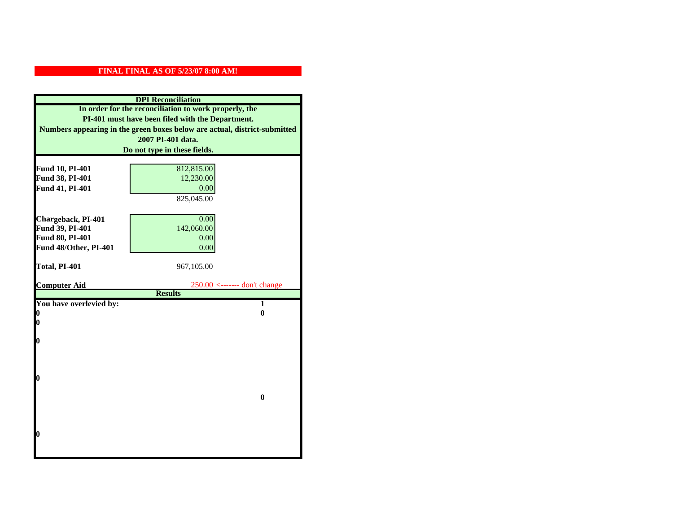|                                                  | <b>DPI</b> Reconciliation                                                 |  |  |
|--------------------------------------------------|---------------------------------------------------------------------------|--|--|
|                                                  | In order for the reconciliation to work properly, the                     |  |  |
| PI-401 must have been filed with the Department. |                                                                           |  |  |
|                                                  | Numbers appearing in the green boxes below are actual, district-submitted |  |  |
|                                                  | 2007 PI-401 data.                                                         |  |  |
|                                                  | Do not type in these fields.                                              |  |  |
|                                                  |                                                                           |  |  |
| Fund 10, PI-401                                  | 812,815.00                                                                |  |  |
| Fund 38, PI-401                                  | 12,230.00                                                                 |  |  |
| Fund 41, PI-401                                  | 0.00                                                                      |  |  |
|                                                  | 825,045.00                                                                |  |  |
|                                                  |                                                                           |  |  |
| Chargeback, PI-401                               | 0.00                                                                      |  |  |
| Fund 39, PI-401                                  | 142,060.00                                                                |  |  |
| Fund 80, PI-401                                  | 0.00                                                                      |  |  |
| Fund 48/Other, PI-401                            | 0.00                                                                      |  |  |
|                                                  |                                                                           |  |  |
| Total, PI-401                                    | 967,105.00                                                                |  |  |
|                                                  |                                                                           |  |  |
| <b>Computer Aid</b>                              | $250.00$ <------- don't change<br><b>Results</b>                          |  |  |
| You have overlevied by:                          | $\overline{1}$                                                            |  |  |
| 0                                                | $\bf{0}$                                                                  |  |  |
| 0                                                |                                                                           |  |  |
|                                                  |                                                                           |  |  |
| 0                                                |                                                                           |  |  |
|                                                  |                                                                           |  |  |
|                                                  |                                                                           |  |  |
|                                                  |                                                                           |  |  |
| 0                                                |                                                                           |  |  |
|                                                  | $\bf{0}$                                                                  |  |  |
|                                                  |                                                                           |  |  |
|                                                  |                                                                           |  |  |
|                                                  |                                                                           |  |  |
| 0                                                |                                                                           |  |  |
|                                                  |                                                                           |  |  |
|                                                  |                                                                           |  |  |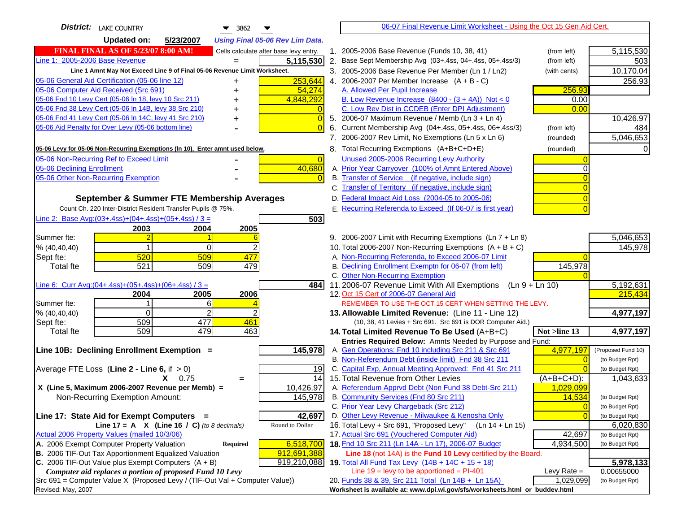| <b>District:</b> LAKE COUNTRY<br>▼<br>3862                                             |                | 06-07 Final Revenue Limit Worksheet - Using the Oct 15 Gen Aid Cert.                                  |                              |                              |
|----------------------------------------------------------------------------------------|----------------|-------------------------------------------------------------------------------------------------------|------------------------------|------------------------------|
| <b>Updated on:</b><br>5/23/2007<br><b>Using Final 05-06 Rev Lim Data.</b>              |                |                                                                                                       |                              |                              |
| <b>FINAL FINAL AS OF 5/23/07 8:00 AM!</b><br>Cells calculate after base levy entry.    |                | 1. 2005-2006 Base Revenue (Funds 10, 38, 41)                                                          | (from left)                  | 5,115,530                    |
| Line 1: 2005-2006 Base Revenue<br>5,115,530                                            |                | 2. Base Sept Membership Avg (03+.4ss, 04+.4ss, 05+.4ss/3)                                             | (from left)                  | 503                          |
| Line 1 Amnt May Not Exceed Line 9 of Final 05-06 Revenue Limit Worksheet.              |                | 3. 2005-2006 Base Revenue Per Member (Ln 1 / Ln2)                                                     | (with cents)                 | 10,170.04                    |
| 253,644<br>05-06 General Aid Certification (05-06 line 12)<br>+                        |                | 4. 2006-2007 Per Member Increase $(A + B - C)$                                                        |                              | 256.93                       |
| 05-06 Computer Aid Received (Src 691)<br>54,274                                        |                | A. Allowed Per Pupil Increase                                                                         | 256.93                       |                              |
| 05-06 Fnd 10 Levy Cert (05-06 In 18, levy 10 Src 211)<br>4,848,292                     |                | B. Low Revenue Increase $(8400 - (3 + 4A))$ Not < 0                                                   | 0.00                         |                              |
| 05-06 Fnd 38 Levy Cert (05-06 In 14B, levy 38 Src 210)                                 |                | C. Low Rev Dist in CCDEB (Enter DPI Adjustment)                                                       | 0.00                         |                              |
| 05-06 Fnd 41 Levy Cert (05-06 In 14C, levy 41 Src 210)<br>+                            |                | 5. 2006-07 Maximum Revenue / Memb (Ln 3 + Ln 4)                                                       |                              | 10,426.97                    |
| 05-06 Aid Penalty for Over Levy (05-06 bottom line)                                    |                | 6. Current Membership Avg (04+.4ss, 05+.4ss, 06+.4ss/3)                                               | (from left)                  | 484                          |
|                                                                                        |                | 7. 2006-2007 Rev Limit, No Exemptions (Ln 5 x Ln 6)                                                   | (rounded)                    | 5,046,653                    |
| 05-06 Levy for 05-06 Non-Recurring Exemptions (In 10), Enter amnt used below.          |                | 8. Total Recurring Exemptions (A+B+C+D+E)                                                             | (rounded)                    |                              |
| 05-06 Non-Recurring Ref to Exceed Limit                                                | $\overline{0}$ | Unused 2005-2006 Recurring Levy Authority                                                             |                              |                              |
| 05-06 Declining Enrollment<br>40,680                                                   |                | A. Prior Year Carryover (100% of Amnt Entered Above)                                                  |                              |                              |
| 05-06 Other Non-Recurring Exemption                                                    |                | B. Transfer of Service (if negative, include sign)                                                    |                              |                              |
|                                                                                        |                | C. Transfer of Territory (if negative, include sign)                                                  |                              |                              |
| September & Summer FTE Membership Averages                                             |                | D. Federal Impact Aid Loss (2004-05 to 2005-06)                                                       |                              |                              |
| Count Ch. 220 Inter-District Resident Transfer Pupils @ 75%.                           |                | E. Recurring Referenda to Exceed (If 06-07 is first year)                                             |                              |                              |
| Line 2: Base Avg: $(03+.4ss)+(04+.4ss)+(05+.4ss)/3 =$<br>503                           |                |                                                                                                       |                              |                              |
| 2004<br>2005<br>2003                                                                   |                |                                                                                                       |                              |                              |
| Summer fte:                                                                            |                | 9. 2006-2007 Limit with Recurring Exemptions (Ln 7 + Ln 8)                                            |                              | 5,046,653                    |
| % (40, 40, 40)<br>0                                                                    |                | 10. Total 2006-2007 Non-Recurring Exemptions $(A + B + C)$                                            |                              | 145,978                      |
| 520<br>477<br>509<br>Sept fte:                                                         |                | A. Non-Recurring Referenda, to Exceed 2006-07 Limit                                                   |                              |                              |
| 479<br>521<br>509<br><b>Total fte</b>                                                  |                | B. Declining Enrollment Exemptn for 06-07 (from left)                                                 | 145,978                      |                              |
|                                                                                        |                | C. Other Non-Recurring Exemption                                                                      |                              |                              |
| Line 6: Curr Avg: $(04+.4ss)+(05+.4ss)+(06+.4ss)/3 =$<br>484 I<br>2004<br>2005<br>2006 |                | 11.2006-07 Revenue Limit With All Exemptions (Ln 9 + Ln 10)<br>12. Oct 15 Cert of 2006-07 General Aid |                              | 5,192,631<br>215,434         |
| Summer fte:<br>6                                                                       |                | REMEMBER TO USE THE OCT 15 CERT WHEN SETTING THE LEVY.                                                |                              |                              |
| 2<br>$\Omega$<br>% (40, 40, 40)                                                        |                | 13. Allowable Limited Revenue: (Line 11 - Line 12)                                                    |                              | 4,977,197                    |
| 477<br>461<br>509<br>Sept fte:                                                         |                | (10, 38, 41 Levies + Src 691. Src 691 is DOR Computer Aid.)                                           |                              |                              |
| 509<br>479<br>463<br><b>Total fte</b>                                                  |                | 14. Total Limited Revenue To Be Used (A+B+C)                                                          | Not >line 13                 | 4,977,197                    |
|                                                                                        |                | Entries Required Below: Amnts Needed by Purpose and Fund:                                             |                              |                              |
| 145,978<br>Line 10B: Declining Enrollment Exemption =                                  |                | A. Gen Operations: Fnd 10 including Src 211 & Src 691                                                 | 4,977,197                    | (Proposed Fund 10)           |
|                                                                                        |                | B. Non-Referendum Debt (inside limit) Fnd 38 Src 211                                                  | $\sqrt{ }$                   | (to Budget Rpt)              |
| Average FTE Loss (Line $2 -$ Line 6, if $> 0$ )<br>19                                  |                | C. Capital Exp, Annual Meeting Approved: Fnd 41 Src 211                                               |                              | (to Budget Rpt)              |
| $X = 0.75$<br>14<br>$=$                                                                |                | 15. Total Revenue from Other Levies                                                                   | (A+B+C+D):                   | 1,043,633                    |
| 10,426.97<br>X (Line 5, Maximum 2006-2007 Revenue per Memb) =                          |                | A. Referendum Apprvd Debt (Non Fund 38 Debt-Src 211)                                                  | 1,029,099                    |                              |
| Non-Recurring Exemption Amount:<br>145,978                                             |                | B. Community Services (Fnd 80 Src 211)                                                                | 14,534                       | (to Budget Rpt)              |
| 42,697<br>Line 17: State Aid for Exempt Computers =                                    |                | C. Prior Year Levy Chargeback (Src 212)<br>D. Other Levy Revenue - Milwaukee & Kenosha Only           | $\overline{0}$<br>$\sqrt{ }$ | (to Budget Rpt)              |
| Line 17 = A $X$ (Line 16 / C) (to 8 decimals)<br>Round to Dollar                       |                | 16. Total Levy + Src 691, "Proposed Levy"<br>$(Ln 14 + Ln 15)$                                        |                              | (to Budget Rpt)<br>6,020,830 |
| Actual 2006 Property Values (mailed 10/3/06)                                           |                | 17. Actual Src 691 (Vouchered Computer Aid)                                                           | 42,697                       | (to Budget Rpt)              |
| A. 2006 Exempt Computer Property Valuation<br>Required<br>6,518,700                    |                | 18. Fnd 10 Src 211 (Ln 14A - Ln 17), 2006-07 Budget                                                   | 4,934,500                    | (to Budget Rpt)              |
| B. 2006 TIF-Out Tax Apportionment Equalized Valuation<br>912,691,388                   |                | Line 18 (not 14A) is the Fund 10 Levy certified by the Board.                                         |                              |                              |
| C. 2006 TIF-Out Value plus Exempt Computers $(A + B)$<br>919,210,088                   |                | 19. Total All Fund Tax Levy (14B + 14C + 15 + 18)                                                     |                              | 5,978,133                    |
| Computer aid replaces a portion of proposed Fund 10 Levy                               |                | Line $19 = \text{levy}$ to be apportioned = PI-401                                                    | Levy Rate $=$                | 0.00655000                   |
| Src 691 = Computer Value X (Proposed Levy / (TIF-Out Val + Computer Value))            |                | 20. Funds 38 & 39, Src 211 Total (Ln 14B + Ln 15A)                                                    | 1,029,099                    | (to Budget Rpt)              |
| Revised: May, 2007                                                                     |                | Worksheet is available at: www.dpi.wi.gov/sfs/worksheets.html or buddev.html                          |                              |                              |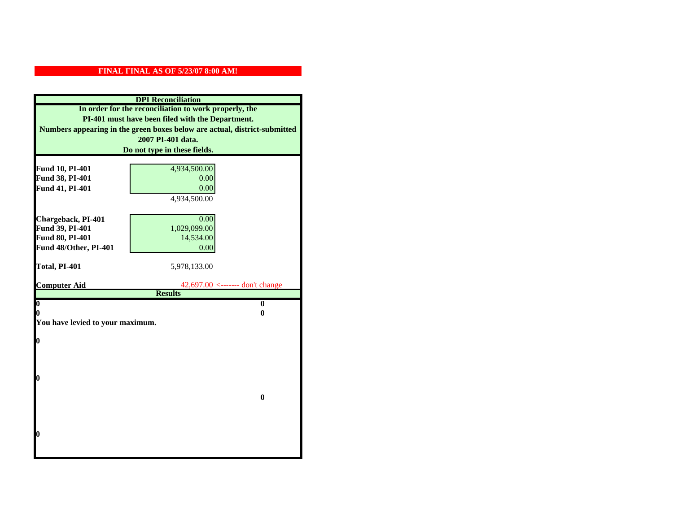| <b>DPI</b> Reconciliation          |                                                                           |  |  |
|------------------------------------|---------------------------------------------------------------------------|--|--|
|                                    | In order for the reconciliation to work properly, the                     |  |  |
|                                    | PI-401 must have been filed with the Department.                          |  |  |
|                                    | Numbers appearing in the green boxes below are actual, district-submitted |  |  |
|                                    | 2007 PI-401 data.                                                         |  |  |
|                                    | Do not type in these fields.                                              |  |  |
|                                    |                                                                           |  |  |
| Fund 10, PI-401                    | 4,934,500.00                                                              |  |  |
| Fund 38, PI-401<br>Fund 41, PI-401 | 0.00<br>0.00                                                              |  |  |
|                                    | 4,934,500.00                                                              |  |  |
|                                    |                                                                           |  |  |
| Chargeback, PI-401                 | 0.00                                                                      |  |  |
| Fund 39, PI-401                    | 1,029,099.00                                                              |  |  |
| Fund 80, PI-401                    | 14,534.00                                                                 |  |  |
| Fund 48/Other, PI-401              | 0.00                                                                      |  |  |
|                                    |                                                                           |  |  |
| Total, PI-401                      | 5,978,133.00                                                              |  |  |
|                                    |                                                                           |  |  |
| <b>Computer Aid</b>                | $42,697.00 \le$ ------- don't change<br><b>Results</b>                    |  |  |
| 0                                  | $\mathbf{0}$                                                              |  |  |
| 0                                  | 0                                                                         |  |  |
| You have levied to your maximum.   |                                                                           |  |  |
|                                    |                                                                           |  |  |
| $\bf{0}$                           |                                                                           |  |  |
|                                    |                                                                           |  |  |
|                                    |                                                                           |  |  |
|                                    |                                                                           |  |  |
| 0                                  |                                                                           |  |  |
|                                    | $\bf{0}$                                                                  |  |  |
|                                    |                                                                           |  |  |
|                                    |                                                                           |  |  |
|                                    |                                                                           |  |  |
| 0                                  |                                                                           |  |  |
|                                    |                                                                           |  |  |
|                                    |                                                                           |  |  |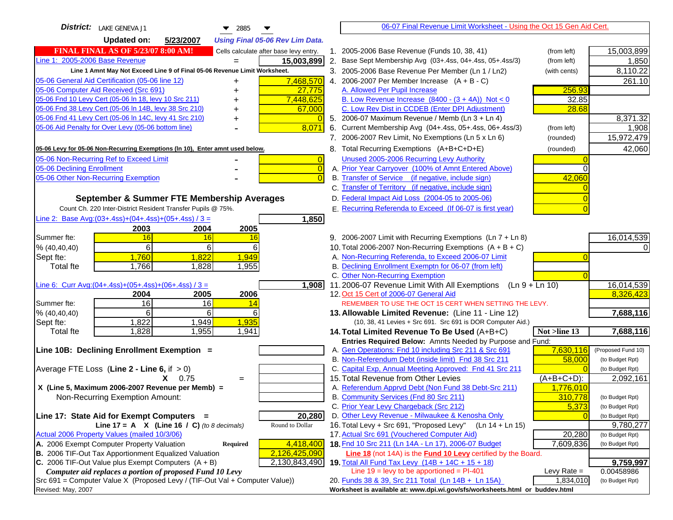| District: LAKE GENEVA J1<br>$\blacktriangledown$ 2885<br>▼                                                                              | 06-07 Final Revenue Limit Worksheet - Using the Oct 15 Gen Aid Cert.                                              |                         |
|-----------------------------------------------------------------------------------------------------------------------------------------|-------------------------------------------------------------------------------------------------------------------|-------------------------|
| <b>Updated on:</b><br>5/23/2007<br><b>Using Final 05-06 Rev Lim Data.</b>                                                               |                                                                                                                   |                         |
| <b>FINAL FINAL AS OF 5/23/07 8:00 AM!</b><br>Cells calculate after base levy entry.                                                     | 1. 2005-2006 Base Revenue (Funds 10, 38, 41)<br>(from left)                                                       | 15,003,899              |
| Line 1: 2005-2006 Base Revenue<br>15,003,899                                                                                            | 2.<br>Base Sept Membership Avg (03+.4ss, 04+.4ss, 05+.4ss/3)<br>(from left)                                       | 1,850                   |
| Line 1 Amnt May Not Exceed Line 9 of Final 05-06 Revenue Limit Worksheet.                                                               | 3. 2005-2006 Base Revenue Per Member (Ln 1 / Ln2)<br>(with cents)                                                 | 8,110.22                |
| 7,468,570<br>05-06 General Aid Certification (05-06 line 12)                                                                            | 4. 2006-2007 Per Member Increase $(A + B - C)$                                                                    | 261.10                  |
| 05-06 Computer Aid Received (Src 691)<br>27,775                                                                                         | A. Allowed Per Pupil Increase<br>256.93                                                                           |                         |
| 05-06 Fnd 10 Levy Cert (05-06 ln 18, levy 10 Src 211)<br>7,448,625                                                                      | B. Low Revenue Increase $(8400 - (3 + 4A))$ Not < 0<br>32.85                                                      |                         |
| 05-06 Fnd 38 Levy Cert (05-06 In 14B, levy 38 Src 210)<br>67,000                                                                        | 28.68<br>C. Low Rev Dist in CCDEB (Enter DPI Adjustment)                                                          |                         |
| 05-06 Fnd 41 Levy Cert (05-06 In 14C, levy 41 Src 210)<br>$\Omega$<br>+                                                                 | 5. 2006-07 Maximum Revenue / Memb (Ln 3 + Ln 4)                                                                   | 8,371.32                |
| 05-06 Aid Penalty for Over Levy (05-06 bottom line)<br>8,071                                                                            | 6. Current Membership Avg (04+.4ss, 05+.4ss, 06+.4ss/3)<br>(from left)                                            | 1,908                   |
|                                                                                                                                         | 7. 2006-2007 Rev Limit, No Exemptions (Ln 5 x Ln 6)<br>(rounded)                                                  | 15,972,479              |
| 05-06 Levy for 05-06 Non-Recurring Exemptions (In 10), Enter amnt used below.                                                           | 8. Total Recurring Exemptions (A+B+C+D+E)<br>(rounded)                                                            | 42,060                  |
| 05-06 Non-Recurring Ref to Exceed Limit<br>$\overline{0}$                                                                               | Unused 2005-2006 Recurring Levy Authority                                                                         |                         |
| 05-06 Declining Enrollment<br>$\overline{0}$                                                                                            | A. Prior Year Carryover (100% of Amnt Entered Above)                                                              |                         |
| 05-06 Other Non-Recurring Exemption<br>$\Omega$                                                                                         | B. Transfer of Service (if negative, include sign)<br>42,060                                                      |                         |
|                                                                                                                                         | C. Transfer of Territory (if negative, include sign)                                                              |                         |
| September & Summer FTE Membership Averages                                                                                              | D. Federal Impact Aid Loss (2004-05 to 2005-06)                                                                   |                         |
| Count Ch. 220 Inter-District Resident Transfer Pupils @ 75%.                                                                            | E. Recurring Referenda to Exceed (If 06-07 is first year)                                                         |                         |
| Line 2: Base Avg: $(03+.4ss)+(04+.4ss)+(05+.4ss)/3 =$<br>1,850                                                                          |                                                                                                                   |                         |
| 2003<br>2004<br>2005                                                                                                                    |                                                                                                                   |                         |
| 16<br>Summer fte:<br>16<br>16                                                                                                           | 9. 2006-2007 Limit with Recurring Exemptions (Ln 7 + Ln 8)                                                        | 16,014,539              |
| 6<br>6<br>6<br>% (40, 40, 40)                                                                                                           | 10. Total 2006-2007 Non-Recurring Exemptions $(A + B + C)$                                                        |                         |
| 1,760<br>1,949<br>1,822<br>Sept fte:                                                                                                    | A. Non-Recurring Referenda, to Exceed 2006-07 Limit                                                               |                         |
| 1,766<br>1,828<br>1,955<br>Total fte                                                                                                    | B. Declining Enrollment Exemptn for 06-07 (from left)                                                             |                         |
|                                                                                                                                         | C. Other Non-Recurring Exemption                                                                                  |                         |
| Line 6: Curr Avg: $(04+.4ss)+(05+.4ss)+(06+.4ss)/3 =$<br>1,908                                                                          | 11.2006-07 Revenue Limit With All Exemptions (Ln $9 + \overline{\text{Ln }10}$ )                                  | 16,014,539              |
| 2006<br>2004<br>2005                                                                                                                    | 12. Oct 15 Cert of 2006-07 General Aid                                                                            | 8,326,423               |
| 16<br>16<br>Summer fte:<br>14<br>6<br>6<br>6                                                                                            | REMEMBER TO USE THE OCT 15 CERT WHEN SETTING THE LEVY.                                                            |                         |
| % (40, 40, 40)<br>1,822<br>1,949<br>1,935<br>Sept fte:                                                                                  | 13. Allowable Limited Revenue: (Line 11 - Line 12)<br>(10, 38, 41 Levies + Src 691. Src 691 is DOR Computer Aid.) | 7,688,116               |
| 1,828<br>1,955<br>1,941<br>Total fte                                                                                                    | 14. Total Limited Revenue To Be Used (A+B+C)<br>Not >line 13                                                      | 7,688,116               |
|                                                                                                                                         | Entries Required Below: Amnts Needed by Purpose and Fund:                                                         |                         |
| Line 10B: Declining Enrollment Exemption =                                                                                              | A. Gen Operations: Fnd 10 including Src 211 & Src 691<br>7,630,116                                                | (Proposed Fund 10)      |
|                                                                                                                                         | B. Non-Referendum Debt (inside limit) Fnd 38 Src 211<br>58,000                                                    | (to Budget Rpt)         |
| Average FTE Loss (Line $2 -$ Line 6, if $> 0$ )                                                                                         | C. Capital Exp, Annual Meeting Approved: Fnd 41 Src 211                                                           | (to Budget Rpt)         |
| $X = 0.75$<br>$=$                                                                                                                       | 15. Total Revenue from Other Levies<br>$(A+B+C+D)$ :                                                              | 2,092,161               |
| X (Line 5, Maximum 2006-2007 Revenue per Memb) =                                                                                        | A. Referendum Apprvd Debt (Non Fund 38 Debt-Src 211)<br>1,776,010                                                 |                         |
| Non-Recurring Exemption Amount:                                                                                                         | B. Community Services (Fnd 80 Src 211)<br>310,778                                                                 | (to Budget Rpt)         |
|                                                                                                                                         | C. Prior Year Levy Chargeback (Src 212)<br>5,373                                                                  | (to Budget Rpt)         |
| 20,280<br>Line 17: State Aid for Exempt Computers =                                                                                     | D. Other Levy Revenue - Milwaukee & Kenosha Only                                                                  | (to Budget Rpt)         |
| Round to Dollar<br>Line 17 = A $X$ (Line 16 / C) (to 8 decimals)                                                                        | 16. Total Levy + Src 691, "Proposed Levy" (Ln 14 + Ln 15)                                                         | 9,780,277               |
| Actual 2006 Property Values (mailed 10/3/06)                                                                                            | 17. Actual Src 691 (Vouchered Computer Aid)<br>20,280                                                             | (to Budget Rpt)         |
| A. 2006 Exempt Computer Property Valuation<br>4,418,400<br><b>Required</b>                                                              | 18. Fnd 10 Src 211 (Ln 14A - Ln 17), 2006-07 Budget<br>7,609,836                                                  | (to Budget Rpt)         |
| B. 2006 TIF-Out Tax Apportionment Equalized Valuation<br>2,126,425,090                                                                  | Line 18 (not 14A) is the Fund 10 Levy certified by the Board.                                                     |                         |
| C. 2006 TIF-Out Value plus Exempt Computers $(A + B)$<br>2,130,843,490                                                                  | 19. Total All Fund Tax Levy $(14B + 14C + 15 + 18)$<br>Line $19 = \text{levy}$ to be apportioned = PI-401         | 9,759,997<br>0.00458986 |
| Computer aid replaces a portion of proposed Fund 10 Levy<br>Src 691 = Computer Value X (Proposed Levy / (TIF-Out Val + Computer Value)) | Levy Rate $=$<br>20. Funds 38 & 39, Src 211 Total (Ln 14B + Ln 15A)<br>1,834,010                                  | (to Budget Rpt)         |
| Revised: May, 2007                                                                                                                      | Worksheet is available at: www.dpi.wi.gov/sfs/worksheets.html or buddev.html                                      |                         |
|                                                                                                                                         |                                                                                                                   |                         |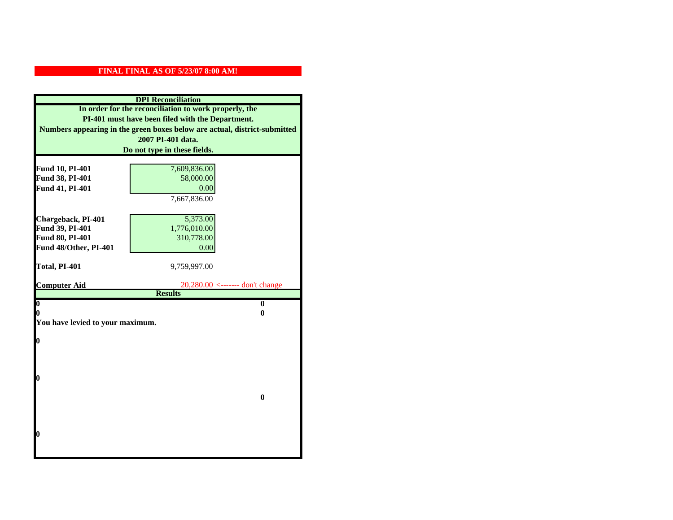| <b>DPI</b> Reconciliation                        |                                                                           |  |
|--------------------------------------------------|---------------------------------------------------------------------------|--|
|                                                  | In order for the reconciliation to work properly, the                     |  |
| PI-401 must have been filed with the Department. |                                                                           |  |
|                                                  | Numbers appearing in the green boxes below are actual, district-submitted |  |
|                                                  | 2007 PI-401 data.                                                         |  |
|                                                  | Do not type in these fields.                                              |  |
|                                                  |                                                                           |  |
| Fund 10, PI-401                                  | 7,609,836.00                                                              |  |
| Fund 38, PI-401                                  | 58,000.00                                                                 |  |
| Fund 41, PI-401                                  | 0.00                                                                      |  |
|                                                  | 7,667,836.00                                                              |  |
|                                                  |                                                                           |  |
| Chargeback, PI-401                               | 5,373.00                                                                  |  |
| Fund 39, PI-401                                  | 1,776,010.00                                                              |  |
| Fund 80, PI-401                                  | 310,778.00                                                                |  |
| Fund 48/Other, PI-401                            | 0.00                                                                      |  |
| Total, PI-401                                    | 9,759,997.00                                                              |  |
|                                                  |                                                                           |  |
| <b>Computer Aid</b>                              | 20,280.00 <------- don't change                                           |  |
|                                                  | <b>Results</b>                                                            |  |
| $\overline{\mathbf{0}}$                          | $\bf{0}$                                                                  |  |
| 0                                                | 0                                                                         |  |
| You have levied to your maximum.                 |                                                                           |  |
| $\bf{0}$                                         |                                                                           |  |
|                                                  |                                                                           |  |
|                                                  |                                                                           |  |
|                                                  |                                                                           |  |
| 0                                                |                                                                           |  |
|                                                  |                                                                           |  |
|                                                  | $\bf{0}$                                                                  |  |
|                                                  |                                                                           |  |
|                                                  |                                                                           |  |
|                                                  |                                                                           |  |
| 0                                                |                                                                           |  |
|                                                  |                                                                           |  |
|                                                  |                                                                           |  |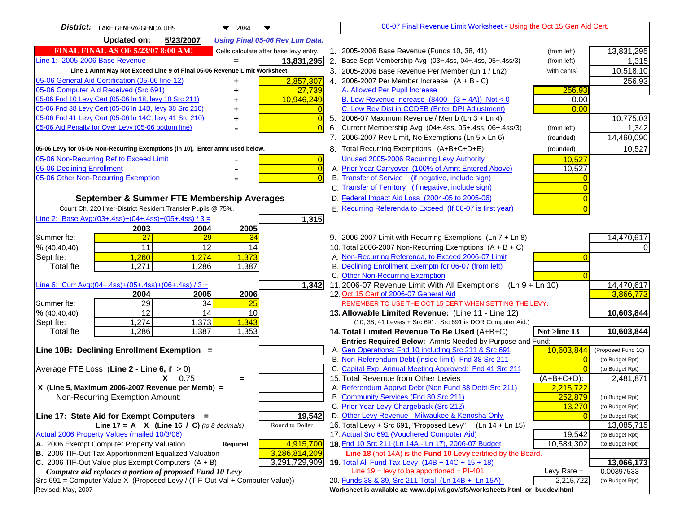| District: LAKE GENEVA-GENOA UHS<br>$\blacktriangledown$ 2884<br>▼                                                                       | 06-07 Final Revenue Limit Worksheet - Using the Oct 15 Gen Aid Cert.                                                            |                               |
|-----------------------------------------------------------------------------------------------------------------------------------------|---------------------------------------------------------------------------------------------------------------------------------|-------------------------------|
| <b>Updated on:</b><br>5/23/2007<br><b>Using Final 05-06 Rev Lim Data.</b>                                                               |                                                                                                                                 |                               |
| <b>FINAL FINAL AS OF 5/23/07 8:00 AM!</b><br>Cells calculate after base levy entry.                                                     | 1. 2005-2006 Base Revenue (Funds 10, 38, 41)<br>(from left)                                                                     | 13,831,295                    |
| Line 1: 2005-2006 Base Revenue<br>13,831,295<br>$=$                                                                                     | 2. Base Sept Membership Avg (03+.4ss, 04+.4ss, 05+.4ss/3)<br>(from left)                                                        | 1,315                         |
| Line 1 Amnt May Not Exceed Line 9 of Final 05-06 Revenue Limit Worksheet.                                                               | 3. 2005-2006 Base Revenue Per Member (Ln 1 / Ln2)<br>(with cents)                                                               | 10,518.10                     |
| 2,857,307<br>05-06 General Aid Certification (05-06 line 12)                                                                            | 4. 2006-2007 Per Member Increase $(A + B - C)$                                                                                  | 256.93                        |
| 05-06 Computer Aid Received (Src 691)<br>27,739                                                                                         | A. Allowed Per Pupil Increase<br>256.93                                                                                         |                               |
| 05-06 Fnd 10 Levy Cert (05-06 In 18, levy 10 Src 211)<br>10,946,249                                                                     | B. Low Revenue Increase $(8400 - (3 + 4A))$ Not < 0<br>0.00                                                                     |                               |
| 05-06 Fnd 38 Levy Cert (05-06 In 14B, levy 38 Src 210)                                                                                  | C. Low Rev Dist in CCDEB (Enter DPI Adjustment)<br>0.00                                                                         |                               |
| 05-06 Fnd 41 Levy Cert (05-06 In 14C, levy 41 Src 210)<br>$\overline{0}$<br>+                                                           | 5. 2006-07 Maximum Revenue / Memb (Ln 3 + Ln 4)                                                                                 | 10,775.03                     |
| 05-06 Aid Penalty for Over Levy (05-06 bottom line)<br>$\Omega$                                                                         | Current Membership Avg (04+.4ss, 05+.4ss, 06+.4ss/3)<br>6.<br>(from left)                                                       | 1,342                         |
|                                                                                                                                         | 7. 2006-2007 Rev Limit, No Exemptions (Ln 5 x Ln 6)<br>(rounded)                                                                | 14,460,090                    |
| 05-06 Levy for 05-06 Non-Recurring Exemptions (In 10), Enter amnt used below.                                                           | 8. Total Recurring Exemptions (A+B+C+D+E)<br>(rounded)                                                                          | 10,527                        |
| 05-06 Non-Recurring Ref to Exceed Limit<br>$\overline{0}$                                                                               | Unused 2005-2006 Recurring Levy Authority<br>10,527                                                                             |                               |
| 05-06 Declining Enrollment<br>$\overline{0}$                                                                                            | A. Prior Year Carryover (100% of Amnt Entered Above)<br>10,527                                                                  |                               |
| 05-06 Other Non-Recurring Exemption<br>$\Omega$                                                                                         | B. Transfer of Service (if negative, include sign)                                                                              |                               |
|                                                                                                                                         | C. Transfer of Territory (if negative, include sign)                                                                            |                               |
| September & Summer FTE Membership Averages                                                                                              | D. Federal Impact Aid Loss (2004-05 to 2005-06)                                                                                 |                               |
| Count Ch. 220 Inter-District Resident Transfer Pupils @ 75%.                                                                            | E. Recurring Referenda to Exceed (If 06-07 is first year)                                                                       |                               |
| Line 2: Base Avg: (03+.4ss) + (04+.4ss) + (05+.4ss) / 3 =<br>1,315                                                                      |                                                                                                                                 |                               |
| 2003<br>2004<br>2005                                                                                                                    |                                                                                                                                 |                               |
| 27<br>29<br>Summer fte:<br>34                                                                                                           | 9. 2006-2007 Limit with Recurring Exemptions (Ln 7 + Ln 8)                                                                      | 14,470,617                    |
| 11<br>12<br>14<br>% (40, 40, 40)                                                                                                        | 10. Total 2006-2007 Non-Recurring Exemptions $(A + B + C)$                                                                      | $\Omega$                      |
| 1,260<br>1,274<br>1,373<br>Sept fte:                                                                                                    | A. Non-Recurring Referenda, to Exceed 2006-07 Limit                                                                             |                               |
| Total fte<br>1,271<br>1,286<br>1,387                                                                                                    | B. Declining Enrollment Exemptn for 06-07 (from left)                                                                           |                               |
|                                                                                                                                         | C. Other Non-Recurring Exemption                                                                                                |                               |
| Line 6: Curr Avg: $(04+.4ss)+(05+.4ss)+(06+.4ss)$ / 3 =<br>1,342                                                                        | 11.2006-07 Revenue Limit With All Exemptions $(Ln 9 + Ln 10)$                                                                   | 14,470,617                    |
| 2006<br>2004<br>2005                                                                                                                    | 12. Oct 15 Cert of 2006-07 General Aid                                                                                          | 3,866,773                     |
| 29<br>34<br>Summer fte:<br>25<br>12<br>14<br>% (40, 40, 40)<br>10                                                                       | REMEMBER TO USE THE OCT 15 CERT WHEN SETTING THE LEVY.                                                                          | 10,603,844                    |
| 1,373<br>1,343<br>1,274<br>Sept fte:                                                                                                    | 13. Allowable Limited Revenue: (Line 11 - Line 12)<br>(10, 38, 41 Levies + Src 691. Src 691 is DOR Computer Aid.)               |                               |
| 1,286<br>1,387<br>1,353<br><b>Total fte</b>                                                                                             | Not >line 13<br>14. Total Limited Revenue To Be Used (A+B+C)                                                                    | 10,603,844                    |
|                                                                                                                                         | Entries Required Below: Amnts Needed by Purpose and Fund:                                                                       |                               |
| Line 10B: Declining Enrollment Exemption =                                                                                              | A. Gen Operations: Fnd 10 including Src 211 & Src 691<br>10,603,844                                                             | (Proposed Fund 10)            |
|                                                                                                                                         | B. Non-Referendum Debt (inside limit) Fnd 38 Src 211<br>$\Omega$                                                                | (to Budget Rpt)               |
| Average FTE Loss (Line $2 -$ Line 6, if $> 0$ )                                                                                         | C. Capital Exp, Annual Meeting Approved: Fnd 41 Src 211                                                                         | (to Budget Rpt)               |
| $X = 0.75$<br>$=$                                                                                                                       | 15. Total Revenue from Other Levies<br>$(A+B+C+D)$ :                                                                            | 2,481,871                     |
| X (Line 5, Maximum 2006-2007 Revenue per Memb) =                                                                                        | A. Referendum Apprvd Debt (Non Fund 38 Debt-Src 211)<br>2,215,722                                                               |                               |
| Non-Recurring Exemption Amount:                                                                                                         | B. Community Services (Fnd 80 Src 211)<br>252,879                                                                               | (to Budget Rpt)               |
|                                                                                                                                         | C. Prior Year Levy Chargeback (Src 212)<br>13,270                                                                               | (to Budget Rpt)               |
| 19,542<br>Line 17: State Aid for Exempt Computers =                                                                                     | D. Other Levy Revenue - Milwaukee & Kenosha Only                                                                                | (to Budget Rpt)               |
| Line 17 = A $X$ (Line 16 / C) (to 8 decimals)<br>Round to Dollar                                                                        | 16. Total Levy + Src 691, "Proposed Levy"<br>(Ln 14 + Ln 15)                                                                    | 13,085,715                    |
| Actual 2006 Property Values (mailed 10/3/06)                                                                                            | 17. Actual Src 691 (Vouchered Computer Aid)<br>19,542                                                                           | (to Budget Rpt)               |
| A. 2006 Exempt Computer Property Valuation<br>4,915,700<br><b>Required</b>                                                              | 18. Fnd 10 Src 211 (Ln 14A - Ln 17), 2006-07 Budget<br>10,584,302                                                               | (to Budget Rpt)               |
| <b>B.</b> 2006 TIF-Out Tax Apportionment Equalized Valuation<br>3,286,814,209                                                           | Line 18 (not 14A) is the Fund 10 Levy certified by the Board.                                                                   |                               |
| C. 2006 TIF-Out Value plus Exempt Computers $(A + B)$<br>3,291,729,909                                                                  | 19. Total All Fund Tax Levy $(14B + 14C + 15 + 18)$                                                                             | 13,066,173                    |
| Computer aid replaces a portion of proposed Fund 10 Levy<br>Src 691 = Computer Value X (Proposed Levy / (TIF-Out Val + Computer Value)) | Line $19$ = levy to be apportioned = PI-401<br>Levy Rate $=$<br>20. Funds 38 & 39, Src 211 Total (Ln 14B + Ln 15A)<br>2,215,722 | 0.00397533<br>(to Budget Rpt) |
| Revised: May, 2007                                                                                                                      | Worksheet is available at: www.dpi.wi.gov/sfs/worksheets.html or buddev.html                                                    |                               |
|                                                                                                                                         |                                                                                                                                 |                               |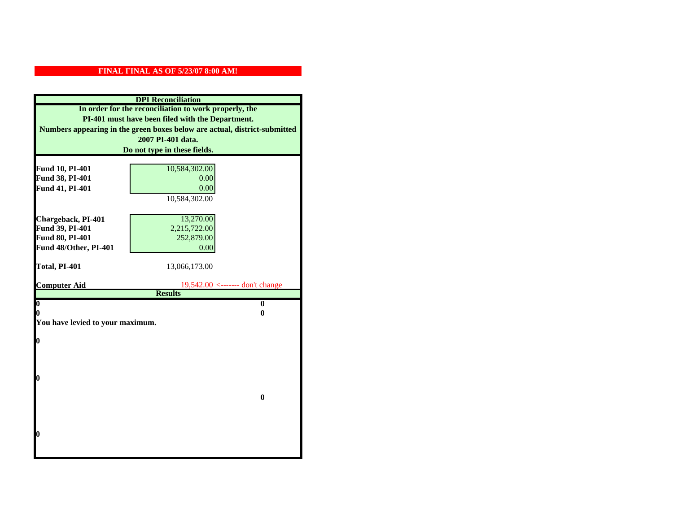| <b>DPI</b> Reconciliation                        |                                                                           |  |  |
|--------------------------------------------------|---------------------------------------------------------------------------|--|--|
|                                                  | In order for the reconciliation to work properly, the                     |  |  |
| PI-401 must have been filed with the Department. |                                                                           |  |  |
|                                                  | Numbers appearing in the green boxes below are actual, district-submitted |  |  |
|                                                  | 2007 PI-401 data.                                                         |  |  |
|                                                  | Do not type in these fields.                                              |  |  |
|                                                  |                                                                           |  |  |
| Fund 10, PI-401                                  | 10,584,302.00                                                             |  |  |
| Fund 38, PI-401                                  | 0.00                                                                      |  |  |
| Fund 41, PI-401                                  | 0.00                                                                      |  |  |
|                                                  | 10,584,302.00                                                             |  |  |
|                                                  |                                                                           |  |  |
| Chargeback, PI-401                               | 13,270.00                                                                 |  |  |
| Fund 39, PI-401                                  | 2,215,722.00                                                              |  |  |
| <b>Fund 80, PI-401</b>                           | 252,879.00                                                                |  |  |
| Fund 48/Other, PI-401                            | 0.00                                                                      |  |  |
|                                                  |                                                                           |  |  |
| Total, PI-401                                    | 13,066,173.00                                                             |  |  |
| <b>Computer Aid</b>                              | $19,542.00$ <------- don't change                                         |  |  |
|                                                  | <b>Results</b>                                                            |  |  |
| $\boldsymbol{0}$                                 | $\bf{0}$                                                                  |  |  |
| 0                                                | 0                                                                         |  |  |
| You have levied to your maximum.                 |                                                                           |  |  |
|                                                  |                                                                           |  |  |
| $\bf{0}$                                         |                                                                           |  |  |
|                                                  |                                                                           |  |  |
|                                                  |                                                                           |  |  |
| 0                                                |                                                                           |  |  |
|                                                  |                                                                           |  |  |
|                                                  | $\bf{0}$                                                                  |  |  |
|                                                  |                                                                           |  |  |
|                                                  |                                                                           |  |  |
|                                                  |                                                                           |  |  |
| 0                                                |                                                                           |  |  |
|                                                  |                                                                           |  |  |
|                                                  |                                                                           |  |  |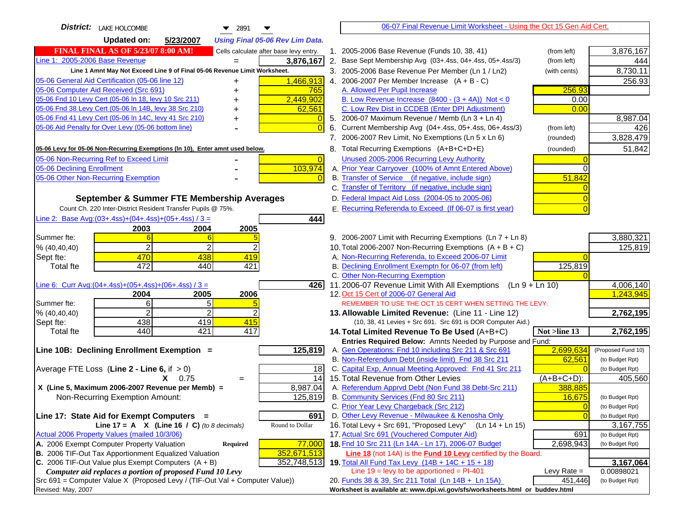| <b>District:</b> LAKE HOLCOMBE<br>$\blacktriangledown$ 2891                                                                      |                | 06-07 Final Revenue Limit Worksheet - Using the Oct 15 Gen Aid Cert.                                                 |                |                    |
|----------------------------------------------------------------------------------------------------------------------------------|----------------|----------------------------------------------------------------------------------------------------------------------|----------------|--------------------|
| <b>Updated on:</b><br>5/23/2007<br><b>Using Final 05-06 Rev Lim Data.</b>                                                        |                |                                                                                                                      |                |                    |
| <b>FINAL FINAL AS OF 5/23/07 8:00 AM!</b><br>Cells calculate after base levy entry.                                              |                | 1. 2005-2006 Base Revenue (Funds 10, 38, 41)                                                                         | (from left)    | 3,876,167          |
| Line 1: 2005-2006 Base Revenue<br>3,876,167<br>$=$                                                                               |                | 2. Base Sept Membership Avg (03+.4ss, 04+.4ss, 05+.4ss/3)                                                            | (from left)    | 444                |
| Line 1 Amnt May Not Exceed Line 9 of Final 05-06 Revenue Limit Worksheet.                                                        |                | 3. 2005-2006 Base Revenue Per Member (Ln 1 / Ln2)                                                                    | (with cents)   | 8,730.11           |
| 1,466,913<br>05-06 General Aid Certification (05-06 line 12)                                                                     |                | 4. 2006-2007 Per Member Increase $(A + B - C)$                                                                       |                | 256.93             |
| 05-06 Computer Aid Received (Src 691)<br>765                                                                                     |                | A. Allowed Per Pupil Increase                                                                                        | 256.93         |                    |
| 05-06 Fnd 10 Levy Cert (05-06 In 18, levy 10 Src 211)<br>2,449,902                                                               |                | B. Low Revenue Increase $(8400 - (3 + 4A))$ Not < 0                                                                  | 0.00           |                    |
| 05-06 Fnd 38 Levy Cert (05-06 In 14B, levy 38 Src 210)<br>62,561                                                                 |                | C. Low Rev Dist in CCDEB (Enter DPI Adjustment)                                                                      | 0.00           |                    |
| 05-06 Fnd 41 Levy Cert (05-06 In 14C, levy 41 Src 210)<br>+                                                                      | $\overline{0}$ | 5. 2006-07 Maximum Revenue / Memb (Ln 3 + Ln 4)                                                                      |                | 8,987.04           |
| 05-06 Aid Penalty for Over Levy (05-06 bottom line)                                                                              |                | 6. Current Membership Avg (04+.4ss, 05+.4ss, 06+.4ss/3)                                                              | (from left)    | 426                |
|                                                                                                                                  |                | 7. 2006-2007 Rev Limit, No Exemptions (Ln 5 x Ln 6)                                                                  | (rounded)      | 3,828,479          |
| 05-06 Levy for 05-06 Non-Recurring Exemptions (In 10), Enter amnt used below.                                                    |                | 8. Total Recurring Exemptions (A+B+C+D+E)                                                                            | (rounded)      | 51,842             |
| 05-06 Non-Recurring Ref to Exceed Limit                                                                                          | $\overline{0}$ | Unused 2005-2006 Recurring Levy Authority                                                                            |                |                    |
| 103,974<br>05-06 Declining Enrollment                                                                                            |                | A. Prior Year Carryover (100% of Amnt Entered Above)                                                                 | 0              |                    |
| 05-06 Other Non-Recurring Exemption                                                                                              |                | B. Transfer of Service (if negative, include sign)                                                                   | 51,842         |                    |
|                                                                                                                                  |                | C. Transfer of Territory (if negative, include sign)                                                                 |                |                    |
| September & Summer FTE Membership Averages                                                                                       |                | D. Federal Impact Aid Loss (2004-05 to 2005-06)                                                                      |                |                    |
| Count Ch. 220 Inter-District Resident Transfer Pupils @ 75%.                                                                     |                | E. Recurring Referenda to Exceed (If 06-07 is first year)                                                            |                |                    |
| Line 2: Base Avg: (03+.4ss) + (04+.4ss) + (05+.4ss) / 3 =<br>444                                                                 |                |                                                                                                                      |                |                    |
| 2003<br>2004<br>2005                                                                                                             |                |                                                                                                                      |                |                    |
| Summer fte:                                                                                                                      |                | 9. 2006-2007 Limit with Recurring Exemptions (Ln 7 + Ln 8)                                                           |                | 3,880,321          |
| $\overline{c}$<br>2<br>2<br>% (40, 40, 40)                                                                                       |                | 10. Total 2006-2007 Non-Recurring Exemptions $(A + B + C)$                                                           |                | 125,819            |
| 470<br>438<br>419<br>Sept fte:                                                                                                   |                | A. Non-Recurring Referenda, to Exceed 2006-07 Limit                                                                  |                |                    |
| 472<br>421<br>440<br>Total fte                                                                                                   |                | B. Declining Enrollment Exemptn for 06-07 (from left)                                                                | 125,819        |                    |
|                                                                                                                                  |                | C. Other Non-Recurring Exemption                                                                                     |                |                    |
| Line 6: Curr Avg: $(04+.4ss)+(05+.4ss)+(06+.4ss)$ / 3 =<br>4261                                                                  |                | 11.2006-07 Revenue Limit With All Exemptions (Ln $9 + \overline{\text{Ln }10}$ )                                     |                | 4,006,140          |
| 2005<br>2006<br>2004<br>6<br>5<br>Summer fte:                                                                                    |                | 12. Oct 15 Cert of 2006-07 General Aid<br>REMEMBER TO USE THE OCT 15 CERT WHEN SETTING THE LEVY.                     |                | 1,243,945          |
| $\overline{c}$<br>2<br>% (40, 40, 40)                                                                                            |                | 13. Allowable Limited Revenue: (Line 11 - Line 12)                                                                   |                | 2,762,195          |
| 415<br>438<br>419<br>Sept fte:                                                                                                   |                | (10, 38, 41 Levies + Src 691. Src 691 is DOR Computer Aid.)                                                          |                |                    |
| 440<br>421<br>417<br><b>Total fte</b>                                                                                            |                | 14. Total Limited Revenue To Be Used (A+B+C)                                                                         | Not >line 13   | 2,762,195          |
|                                                                                                                                  |                | Entries Required Below: Amnts Needed by Purpose and Fund:                                                            |                |                    |
| Line 10B: Declining Enrollment Exemption =<br>125,819                                                                            |                | A. Gen Operations: Fnd 10 including Src 211 & Src 691                                                                | 2,699,634      | (Proposed Fund 10) |
|                                                                                                                                  |                | B. Non-Referendum Debt (inside limit) Fnd 38 Src 211                                                                 | 62,561         | (to Budget Rpt)    |
| Average FTE Loss (Line $2 -$ Line 6, if $> 0$ )<br>18                                                                            |                | C. Capital Exp, Annual Meeting Approved: Fnd 41 Src 211                                                              |                | (to Budget Rpt)    |
| 14<br>$X = 0.75$<br>$=$                                                                                                          |                | 15. Total Revenue from Other Levies                                                                                  | (A+B+C+D):     | 405,560            |
| X (Line 5, Maximum 2006-2007 Revenue per Memb) =<br>8,987.04                                                                     |                | A. Referendum Apprvd Debt (Non Fund 38 Debt-Src 211)                                                                 | 388,885        |                    |
| 125,819<br>Non-Recurring Exemption Amount:                                                                                       |                | B. Community Services (Fnd 80 Src 211)                                                                               | 16,675         | (to Budget Rpt)    |
|                                                                                                                                  |                | C. Prior Year Levy Chargeback (Src 212)                                                                              | $\overline{0}$ | (to Budget Rpt)    |
| Line 17: State Aid for Exempt Computers =<br>691                                                                                 |                | D. Other Levy Revenue - Milwaukee & Kenosha Only                                                                     | $\Omega$       | (to Budget Rpt)    |
| Round to Dollar<br>Line 17 = A $X$ (Line 16 / C) (to 8 decimals)                                                                 |                | 16. Total Levy + Src 691, "Proposed Levy"<br>(Ln 14 + Ln 15)                                                         |                | 3,167,755          |
| Actual 2006 Property Values (mailed 10/3/06)                                                                                     |                | 17. Actual Src 691 (Vouchered Computer Aid)                                                                          | 691            | (to Budget Rpt)    |
| A. 2006 Exempt Computer Property Valuation<br>77,000<br>Required<br><b>B.</b> 2006 TIF-Out Tax Apportionment Equalized Valuation |                | 18. Fnd 10 Src 211 (Ln 14A - Ln 17), 2006-07 Budget                                                                  | 2,698,943      | (to Budget Rpt)    |
| 352,671,513<br>C. 2006 TIF-Out Value plus Exempt Computers $(A + B)$<br>352,748,513                                              |                | Line 18 (not 14A) is the Fund 10 Levy certified by the Board.<br>19. Total All Fund Tax Levy $(14B + 14C + 15 + 18)$ |                | 3,167,064          |
| Computer aid replaces a portion of proposed Fund 10 Levy                                                                         |                | Line $19 = \text{levy}$ to be apportioned = PI-401                                                                   | Levy Rate $=$  | 0.00898021         |
| Src 691 = Computer Value X (Proposed Levy / (TIF-Out Val + Computer Value))                                                      |                | 20. Funds 38 & 39, Src 211 Total (Ln 14B + Ln 15A)                                                                   | 451,446        | (to Budget Rpt)    |
| Revised: May, 2007                                                                                                               |                | Worksheet is available at: www.dpi.wi.gov/sfs/worksheets.html or buddev.html                                         |                |                    |
|                                                                                                                                  |                |                                                                                                                      |                |                    |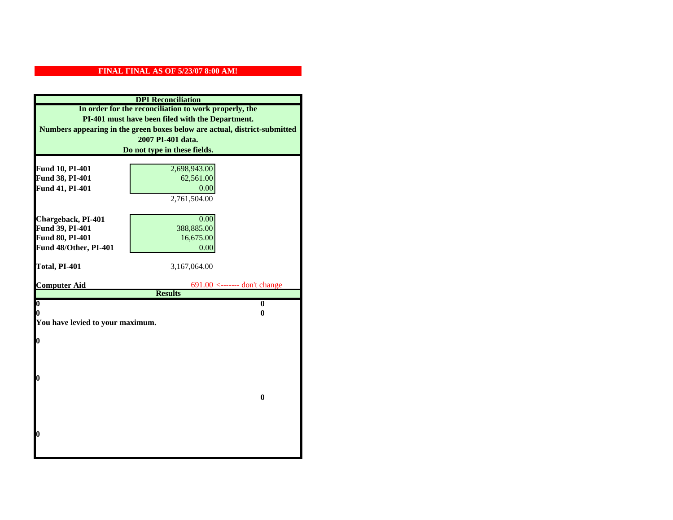| <b>DPI</b> Reconciliation                        |                                                                           |  |  |
|--------------------------------------------------|---------------------------------------------------------------------------|--|--|
|                                                  | In order for the reconciliation to work properly, the                     |  |  |
| PI-401 must have been filed with the Department. |                                                                           |  |  |
|                                                  | Numbers appearing in the green boxes below are actual, district-submitted |  |  |
|                                                  | 2007 PI-401 data.                                                         |  |  |
|                                                  | Do not type in these fields.                                              |  |  |
|                                                  |                                                                           |  |  |
| Fund 10, PI-401                                  | 2,698,943.00                                                              |  |  |
| Fund 38, PI-401                                  | 62,561.00                                                                 |  |  |
| Fund 41, PI-401                                  | 0.00                                                                      |  |  |
|                                                  | 2,761,504.00                                                              |  |  |
|                                                  |                                                                           |  |  |
| Chargeback, PI-401                               | 0.00                                                                      |  |  |
| Fund 39, PI-401                                  | 388,885.00                                                                |  |  |
| Fund 80, PI-401                                  | 16,675.00                                                                 |  |  |
| Fund 48/Other, PI-401                            | 0.00                                                                      |  |  |
| Total, PI-401                                    | 3,167,064.00                                                              |  |  |
|                                                  |                                                                           |  |  |
| <b>Computer Aid</b>                              | $691.00$ <------- don't change                                            |  |  |
|                                                  | <b>Results</b>                                                            |  |  |
| $\overline{\mathbf{0}}$                          | $\bf{0}$                                                                  |  |  |
| 0<br>You have levied to your maximum.            | 0                                                                         |  |  |
|                                                  |                                                                           |  |  |
| $\bf{0}$                                         |                                                                           |  |  |
|                                                  |                                                                           |  |  |
|                                                  |                                                                           |  |  |
|                                                  |                                                                           |  |  |
| 0                                                |                                                                           |  |  |
|                                                  |                                                                           |  |  |
|                                                  | $\bf{0}$                                                                  |  |  |
|                                                  |                                                                           |  |  |
|                                                  |                                                                           |  |  |
|                                                  |                                                                           |  |  |
| 0                                                |                                                                           |  |  |
|                                                  |                                                                           |  |  |
|                                                  |                                                                           |  |  |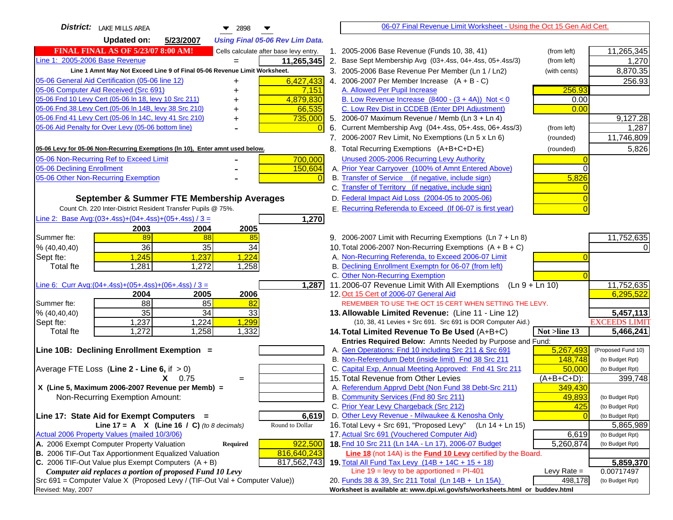| <b>District:</b> LAKE MILLS AREA<br><b>Updated on:</b><br>5/23/2007<br><b>Using Final 05-06 Rev Lim Data.</b><br><b>FINAL FINAL AS OF 5/23/07 8:00 AM!</b><br>1. 2005-2006 Base Revenue (Funds 10, 38, 41)<br>Cells calculate after base levy entry.<br>(from left)<br>Line 1: 2005-2006 Base Revenue<br>11,265,345<br>2. Base Sept Membership Avg (03+.4ss, 04+.4ss, 05+.4ss/3)<br>(from left)<br>$=$<br>Line 1 Amnt May Not Exceed Line 9 of Final 05-06 Revenue Limit Worksheet.<br>3. 2005-2006 Base Revenue Per Member (Ln 1 / Ln2)<br>(with cents)<br>05-06 General Aid Certification (05-06 line 12)<br>6,427,433<br>4. 2006-2007 Per Member Increase $(A + B - C)$<br>05-06 Computer Aid Received (Src 691)<br>A. Allowed Per Pupil Increase<br>256.93<br>7,151<br>05-06 Fnd 10 Levy Cert (05-06 ln 18, levy 10 Src 211)<br>4,879,830<br>B. Low Revenue Increase $(8400 - (3 + 4A))$ Not < 0<br>0.00<br>05-06 Fnd 38 Levy Cert (05-06 In 14B, levy 38 Src 210)<br>C. Low Rev Dist in CCDEB (Enter DPI Adjustment)<br>66,535<br>0.00<br>05-06 Fnd 41 Levy Cert (05-06 In 14C, levy 41 Src 210)<br>5. 2006-07 Maximum Revenue / Memb (Ln 3 + Ln 4)<br>735,000<br>+<br>05-06 Aid Penalty for Over Levy (05-06 bottom line)<br>6. Current Membership Avg (04+.4ss, 05+.4ss, 06+.4ss/3)<br>(from left)<br>$\Omega$<br>7. 2006-2007 Rev Limit, No Exemptions (Ln 5 x Ln 6)<br>(rounded)<br>8. Total Recurring Exemptions (A+B+C+D+E)<br>05-06 Levy for 05-06 Non-Recurring Exemptions (In 10), Enter amnt used below.<br>(rounded)<br>05-06 Non-Recurring Ref to Exceed Limit<br>Unused 2005-2006 Recurring Levy Authority<br>700,000<br>05-06 Declining Enrollment<br>A. Prior Year Carryover (100% of Amnt Entered Above)<br>150,604<br>0<br>05-06 Other Non-Recurring Exemption<br>B. Transfer of Service (if negative, include sign)<br>5,826<br>$\Omega$<br>C. Transfer of Territory (if negative, include sign)<br>D. Federal Impact Aid Loss (2004-05 to 2005-06)<br>September & Summer FTE Membership Averages<br>E. Recurring Referenda to Exceed (If 06-07 is first year)<br>Count Ch. 220 Inter-District Resident Transfer Pupils @ 75%.<br>Line 2: Base Avg: $(03+.4ss)+(04+.4ss)+(05+.4ss)/3 =$<br>1,270 | 11,265,345<br>1,270<br>8,870.35<br>256.93<br>9,127.28<br>1,287<br>11,746,809<br>5,826 |
|-------------------------------------------------------------------------------------------------------------------------------------------------------------------------------------------------------------------------------------------------------------------------------------------------------------------------------------------------------------------------------------------------------------------------------------------------------------------------------------------------------------------------------------------------------------------------------------------------------------------------------------------------------------------------------------------------------------------------------------------------------------------------------------------------------------------------------------------------------------------------------------------------------------------------------------------------------------------------------------------------------------------------------------------------------------------------------------------------------------------------------------------------------------------------------------------------------------------------------------------------------------------------------------------------------------------------------------------------------------------------------------------------------------------------------------------------------------------------------------------------------------------------------------------------------------------------------------------------------------------------------------------------------------------------------------------------------------------------------------------------------------------------------------------------------------------------------------------------------------------------------------------------------------------------------------------------------------------------------------------------------------------------------------------------------------------------------------------------------------------------------------------------------------------------------------------------------------------------|---------------------------------------------------------------------------------------|
|                                                                                                                                                                                                                                                                                                                                                                                                                                                                                                                                                                                                                                                                                                                                                                                                                                                                                                                                                                                                                                                                                                                                                                                                                                                                                                                                                                                                                                                                                                                                                                                                                                                                                                                                                                                                                                                                                                                                                                                                                                                                                                                                                                                                                         |                                                                                       |
|                                                                                                                                                                                                                                                                                                                                                                                                                                                                                                                                                                                                                                                                                                                                                                                                                                                                                                                                                                                                                                                                                                                                                                                                                                                                                                                                                                                                                                                                                                                                                                                                                                                                                                                                                                                                                                                                                                                                                                                                                                                                                                                                                                                                                         |                                                                                       |
|                                                                                                                                                                                                                                                                                                                                                                                                                                                                                                                                                                                                                                                                                                                                                                                                                                                                                                                                                                                                                                                                                                                                                                                                                                                                                                                                                                                                                                                                                                                                                                                                                                                                                                                                                                                                                                                                                                                                                                                                                                                                                                                                                                                                                         |                                                                                       |
|                                                                                                                                                                                                                                                                                                                                                                                                                                                                                                                                                                                                                                                                                                                                                                                                                                                                                                                                                                                                                                                                                                                                                                                                                                                                                                                                                                                                                                                                                                                                                                                                                                                                                                                                                                                                                                                                                                                                                                                                                                                                                                                                                                                                                         |                                                                                       |
|                                                                                                                                                                                                                                                                                                                                                                                                                                                                                                                                                                                                                                                                                                                                                                                                                                                                                                                                                                                                                                                                                                                                                                                                                                                                                                                                                                                                                                                                                                                                                                                                                                                                                                                                                                                                                                                                                                                                                                                                                                                                                                                                                                                                                         |                                                                                       |
|                                                                                                                                                                                                                                                                                                                                                                                                                                                                                                                                                                                                                                                                                                                                                                                                                                                                                                                                                                                                                                                                                                                                                                                                                                                                                                                                                                                                                                                                                                                                                                                                                                                                                                                                                                                                                                                                                                                                                                                                                                                                                                                                                                                                                         |                                                                                       |
|                                                                                                                                                                                                                                                                                                                                                                                                                                                                                                                                                                                                                                                                                                                                                                                                                                                                                                                                                                                                                                                                                                                                                                                                                                                                                                                                                                                                                                                                                                                                                                                                                                                                                                                                                                                                                                                                                                                                                                                                                                                                                                                                                                                                                         |                                                                                       |
|                                                                                                                                                                                                                                                                                                                                                                                                                                                                                                                                                                                                                                                                                                                                                                                                                                                                                                                                                                                                                                                                                                                                                                                                                                                                                                                                                                                                                                                                                                                                                                                                                                                                                                                                                                                                                                                                                                                                                                                                                                                                                                                                                                                                                         |                                                                                       |
|                                                                                                                                                                                                                                                                                                                                                                                                                                                                                                                                                                                                                                                                                                                                                                                                                                                                                                                                                                                                                                                                                                                                                                                                                                                                                                                                                                                                                                                                                                                                                                                                                                                                                                                                                                                                                                                                                                                                                                                                                                                                                                                                                                                                                         |                                                                                       |
|                                                                                                                                                                                                                                                                                                                                                                                                                                                                                                                                                                                                                                                                                                                                                                                                                                                                                                                                                                                                                                                                                                                                                                                                                                                                                                                                                                                                                                                                                                                                                                                                                                                                                                                                                                                                                                                                                                                                                                                                                                                                                                                                                                                                                         |                                                                                       |
|                                                                                                                                                                                                                                                                                                                                                                                                                                                                                                                                                                                                                                                                                                                                                                                                                                                                                                                                                                                                                                                                                                                                                                                                                                                                                                                                                                                                                                                                                                                                                                                                                                                                                                                                                                                                                                                                                                                                                                                                                                                                                                                                                                                                                         |                                                                                       |
|                                                                                                                                                                                                                                                                                                                                                                                                                                                                                                                                                                                                                                                                                                                                                                                                                                                                                                                                                                                                                                                                                                                                                                                                                                                                                                                                                                                                                                                                                                                                                                                                                                                                                                                                                                                                                                                                                                                                                                                                                                                                                                                                                                                                                         |                                                                                       |
|                                                                                                                                                                                                                                                                                                                                                                                                                                                                                                                                                                                                                                                                                                                                                                                                                                                                                                                                                                                                                                                                                                                                                                                                                                                                                                                                                                                                                                                                                                                                                                                                                                                                                                                                                                                                                                                                                                                                                                                                                                                                                                                                                                                                                         |                                                                                       |
|                                                                                                                                                                                                                                                                                                                                                                                                                                                                                                                                                                                                                                                                                                                                                                                                                                                                                                                                                                                                                                                                                                                                                                                                                                                                                                                                                                                                                                                                                                                                                                                                                                                                                                                                                                                                                                                                                                                                                                                                                                                                                                                                                                                                                         |                                                                                       |
|                                                                                                                                                                                                                                                                                                                                                                                                                                                                                                                                                                                                                                                                                                                                                                                                                                                                                                                                                                                                                                                                                                                                                                                                                                                                                                                                                                                                                                                                                                                                                                                                                                                                                                                                                                                                                                                                                                                                                                                                                                                                                                                                                                                                                         |                                                                                       |
|                                                                                                                                                                                                                                                                                                                                                                                                                                                                                                                                                                                                                                                                                                                                                                                                                                                                                                                                                                                                                                                                                                                                                                                                                                                                                                                                                                                                                                                                                                                                                                                                                                                                                                                                                                                                                                                                                                                                                                                                                                                                                                                                                                                                                         |                                                                                       |
|                                                                                                                                                                                                                                                                                                                                                                                                                                                                                                                                                                                                                                                                                                                                                                                                                                                                                                                                                                                                                                                                                                                                                                                                                                                                                                                                                                                                                                                                                                                                                                                                                                                                                                                                                                                                                                                                                                                                                                                                                                                                                                                                                                                                                         |                                                                                       |
|                                                                                                                                                                                                                                                                                                                                                                                                                                                                                                                                                                                                                                                                                                                                                                                                                                                                                                                                                                                                                                                                                                                                                                                                                                                                                                                                                                                                                                                                                                                                                                                                                                                                                                                                                                                                                                                                                                                                                                                                                                                                                                                                                                                                                         |                                                                                       |
|                                                                                                                                                                                                                                                                                                                                                                                                                                                                                                                                                                                                                                                                                                                                                                                                                                                                                                                                                                                                                                                                                                                                                                                                                                                                                                                                                                                                                                                                                                                                                                                                                                                                                                                                                                                                                                                                                                                                                                                                                                                                                                                                                                                                                         |                                                                                       |
| 2003<br>2004<br>2005                                                                                                                                                                                                                                                                                                                                                                                                                                                                                                                                                                                                                                                                                                                                                                                                                                                                                                                                                                                                                                                                                                                                                                                                                                                                                                                                                                                                                                                                                                                                                                                                                                                                                                                                                                                                                                                                                                                                                                                                                                                                                                                                                                                                    |                                                                                       |
| 89<br>9. 2006-2007 Limit with Recurring Exemptions (Ln 7 + Ln 8)<br>Summer fte:<br>88<br>85                                                                                                                                                                                                                                                                                                                                                                                                                                                                                                                                                                                                                                                                                                                                                                                                                                                                                                                                                                                                                                                                                                                                                                                                                                                                                                                                                                                                                                                                                                                                                                                                                                                                                                                                                                                                                                                                                                                                                                                                                                                                                                                             | 11,752,635                                                                            |
| 36<br>35<br>34<br>10. Total 2006-2007 Non-Recurring Exemptions $(A + B + C)$<br>% (40, 40, 40)                                                                                                                                                                                                                                                                                                                                                                                                                                                                                                                                                                                                                                                                                                                                                                                                                                                                                                                                                                                                                                                                                                                                                                                                                                                                                                                                                                                                                                                                                                                                                                                                                                                                                                                                                                                                                                                                                                                                                                                                                                                                                                                          |                                                                                       |
| 1,245<br>1,224<br>A. Non-Recurring Referenda, to Exceed 2006-07 Limit<br>1,237<br>Sept fte:                                                                                                                                                                                                                                                                                                                                                                                                                                                                                                                                                                                                                                                                                                                                                                                                                                                                                                                                                                                                                                                                                                                                                                                                                                                                                                                                                                                                                                                                                                                                                                                                                                                                                                                                                                                                                                                                                                                                                                                                                                                                                                                             |                                                                                       |
| B. Declining Enrollment Exemptn for 06-07 (from left)<br>1,281<br>1,272<br>1,258<br>Total fte                                                                                                                                                                                                                                                                                                                                                                                                                                                                                                                                                                                                                                                                                                                                                                                                                                                                                                                                                                                                                                                                                                                                                                                                                                                                                                                                                                                                                                                                                                                                                                                                                                                                                                                                                                                                                                                                                                                                                                                                                                                                                                                           |                                                                                       |
| C. Other Non-Recurring Exemption                                                                                                                                                                                                                                                                                                                                                                                                                                                                                                                                                                                                                                                                                                                                                                                                                                                                                                                                                                                                                                                                                                                                                                                                                                                                                                                                                                                                                                                                                                                                                                                                                                                                                                                                                                                                                                                                                                                                                                                                                                                                                                                                                                                        |                                                                                       |
| Line 6: Curr Avg: $(04+.4ss)+(05+.4ss)+(06+.4ss)/3 =$<br>11.2006-07 Revenue Limit With All Exemptions<br>$(Ln 9 + Ln 10)$<br>1,287<br>2006<br>12. Oct 15 Cert of 2006-07 General Aid<br>2004<br>2005                                                                                                                                                                                                                                                                                                                                                                                                                                                                                                                                                                                                                                                                                                                                                                                                                                                                                                                                                                                                                                                                                                                                                                                                                                                                                                                                                                                                                                                                                                                                                                                                                                                                                                                                                                                                                                                                                                                                                                                                                    | 11,752,635<br>6,295,522                                                               |
| 88<br>85<br>Summer fte:<br>82<br>REMEMBER TO USE THE OCT 15 CERT WHEN SETTING THE LEVY.                                                                                                                                                                                                                                                                                                                                                                                                                                                                                                                                                                                                                                                                                                                                                                                                                                                                                                                                                                                                                                                                                                                                                                                                                                                                                                                                                                                                                                                                                                                                                                                                                                                                                                                                                                                                                                                                                                                                                                                                                                                                                                                                 |                                                                                       |
| 35<br>34<br>33<br>% (40, 40, 40)<br>13. Allowable Limited Revenue: (Line 11 - Line 12)                                                                                                                                                                                                                                                                                                                                                                                                                                                                                                                                                                                                                                                                                                                                                                                                                                                                                                                                                                                                                                                                                                                                                                                                                                                                                                                                                                                                                                                                                                                                                                                                                                                                                                                                                                                                                                                                                                                                                                                                                                                                                                                                  | 5,457,113                                                                             |
| 1,237<br>1,224<br>1,299<br><b>EXCEEDS LIMIT</b><br>Sept fte:<br>(10, 38, 41 Levies + Src 691. Src 691 is DOR Computer Aid.)                                                                                                                                                                                                                                                                                                                                                                                                                                                                                                                                                                                                                                                                                                                                                                                                                                                                                                                                                                                                                                                                                                                                                                                                                                                                                                                                                                                                                                                                                                                                                                                                                                                                                                                                                                                                                                                                                                                                                                                                                                                                                             |                                                                                       |
| 1,272<br>1,258<br>1,332<br>Not >line 13<br><b>Total fte</b><br>14. Total Limited Revenue To Be Used (A+B+C)                                                                                                                                                                                                                                                                                                                                                                                                                                                                                                                                                                                                                                                                                                                                                                                                                                                                                                                                                                                                                                                                                                                                                                                                                                                                                                                                                                                                                                                                                                                                                                                                                                                                                                                                                                                                                                                                                                                                                                                                                                                                                                             | 5,466,241                                                                             |
| Entries Required Below: Amnts Needed by Purpose and Fund:                                                                                                                                                                                                                                                                                                                                                                                                                                                                                                                                                                                                                                                                                                                                                                                                                                                                                                                                                                                                                                                                                                                                                                                                                                                                                                                                                                                                                                                                                                                                                                                                                                                                                                                                                                                                                                                                                                                                                                                                                                                                                                                                                               |                                                                                       |
| A. Gen Operations: Fnd 10 including Src 211 & Src 691<br>5,267,493<br>Line 10B: Declining Enrollment Exemption =                                                                                                                                                                                                                                                                                                                                                                                                                                                                                                                                                                                                                                                                                                                                                                                                                                                                                                                                                                                                                                                                                                                                                                                                                                                                                                                                                                                                                                                                                                                                                                                                                                                                                                                                                                                                                                                                                                                                                                                                                                                                                                        | (Proposed Fund 10)                                                                    |
| B. Non-Referendum Debt (inside limit) Fnd 38 Src 211<br>148,748                                                                                                                                                                                                                                                                                                                                                                                                                                                                                                                                                                                                                                                                                                                                                                                                                                                                                                                                                                                                                                                                                                                                                                                                                                                                                                                                                                                                                                                                                                                                                                                                                                                                                                                                                                                                                                                                                                                                                                                                                                                                                                                                                         | (to Budget Rpt)                                                                       |
| C. Capital Exp, Annual Meeting Approved: Fnd 41 Src 211<br>Average FTE Loss (Line $2 -$ Line 6, if $> 0$ )<br>50,000                                                                                                                                                                                                                                                                                                                                                                                                                                                                                                                                                                                                                                                                                                                                                                                                                                                                                                                                                                                                                                                                                                                                                                                                                                                                                                                                                                                                                                                                                                                                                                                                                                                                                                                                                                                                                                                                                                                                                                                                                                                                                                    | (to Budget Rpt)                                                                       |
| 15. Total Revenue from Other Levies<br>$(A+B+C+D)$ :<br>$X = 0.75$<br>$=$                                                                                                                                                                                                                                                                                                                                                                                                                                                                                                                                                                                                                                                                                                                                                                                                                                                                                                                                                                                                                                                                                                                                                                                                                                                                                                                                                                                                                                                                                                                                                                                                                                                                                                                                                                                                                                                                                                                                                                                                                                                                                                                                               | 399,748                                                                               |
| X (Line 5, Maximum 2006-2007 Revenue per Memb) =<br>A. Referendum Apprvd Debt (Non Fund 38 Debt-Src 211)<br>349,430                                                                                                                                                                                                                                                                                                                                                                                                                                                                                                                                                                                                                                                                                                                                                                                                                                                                                                                                                                                                                                                                                                                                                                                                                                                                                                                                                                                                                                                                                                                                                                                                                                                                                                                                                                                                                                                                                                                                                                                                                                                                                                     |                                                                                       |
| 49,893<br>B. Community Services (Fnd 80 Src 211)<br>Non-Recurring Exemption Amount:                                                                                                                                                                                                                                                                                                                                                                                                                                                                                                                                                                                                                                                                                                                                                                                                                                                                                                                                                                                                                                                                                                                                                                                                                                                                                                                                                                                                                                                                                                                                                                                                                                                                                                                                                                                                                                                                                                                                                                                                                                                                                                                                     | (to Budget Rpt)                                                                       |
| 425<br>C. Prior Year Levy Chargeback (Src 212)                                                                                                                                                                                                                                                                                                                                                                                                                                                                                                                                                                                                                                                                                                                                                                                                                                                                                                                                                                                                                                                                                                                                                                                                                                                                                                                                                                                                                                                                                                                                                                                                                                                                                                                                                                                                                                                                                                                                                                                                                                                                                                                                                                          | (to Budget Rpt)                                                                       |
| D. Other Levy Revenue - Milwaukee & Kenosha Only<br>Line 17: State Aid for Exempt Computers =<br>6,619<br>(to Budget Rpt)<br>16. Total Levy + Src 691, "Proposed Levy"<br>Round to Dollar                                                                                                                                                                                                                                                                                                                                                                                                                                                                                                                                                                                                                                                                                                                                                                                                                                                                                                                                                                                                                                                                                                                                                                                                                                                                                                                                                                                                                                                                                                                                                                                                                                                                                                                                                                                                                                                                                                                                                                                                                               |                                                                                       |
| Line 17 = A $X$ (Line 16 / C) (to 8 decimals)<br>(Ln 14 + Ln 15)<br>17. Actual Src 691 (Vouchered Computer Aid)<br>Actual 2006 Property Values (mailed 10/3/06)<br>6,619                                                                                                                                                                                                                                                                                                                                                                                                                                                                                                                                                                                                                                                                                                                                                                                                                                                                                                                                                                                                                                                                                                                                                                                                                                                                                                                                                                                                                                                                                                                                                                                                                                                                                                                                                                                                                                                                                                                                                                                                                                                | 5,865,989<br>(to Budget Rpt)                                                          |
| A. 2006 Exempt Computer Property Valuation<br>922,500<br>18. Fnd 10 Src 211 (Ln 14A - Ln 17), 2006-07 Budget<br>5,260,874<br><b>Required</b>                                                                                                                                                                                                                                                                                                                                                                                                                                                                                                                                                                                                                                                                                                                                                                                                                                                                                                                                                                                                                                                                                                                                                                                                                                                                                                                                                                                                                                                                                                                                                                                                                                                                                                                                                                                                                                                                                                                                                                                                                                                                            | (to Budget Rpt)                                                                       |
| B. 2006 TIF-Out Tax Apportionment Equalized Valuation<br>816,640,243<br>Line 18 (not 14A) is the Fund 10 Levy certified by the Board.                                                                                                                                                                                                                                                                                                                                                                                                                                                                                                                                                                                                                                                                                                                                                                                                                                                                                                                                                                                                                                                                                                                                                                                                                                                                                                                                                                                                                                                                                                                                                                                                                                                                                                                                                                                                                                                                                                                                                                                                                                                                                   |                                                                                       |
| C. 2006 TIF-Out Value plus Exempt Computers $(A + B)$<br>817,562,743<br>19. Total All Fund Tax Levy (14B + 14C + 15 + 18)                                                                                                                                                                                                                                                                                                                                                                                                                                                                                                                                                                                                                                                                                                                                                                                                                                                                                                                                                                                                                                                                                                                                                                                                                                                                                                                                                                                                                                                                                                                                                                                                                                                                                                                                                                                                                                                                                                                                                                                                                                                                                               |                                                                                       |
| Line $19 = \text{levy}$ to be apportioned = PI-401<br>Computer aid replaces a portion of proposed Fund 10 Levy<br>Levy Rate $=$                                                                                                                                                                                                                                                                                                                                                                                                                                                                                                                                                                                                                                                                                                                                                                                                                                                                                                                                                                                                                                                                                                                                                                                                                                                                                                                                                                                                                                                                                                                                                                                                                                                                                                                                                                                                                                                                                                                                                                                                                                                                                         |                                                                                       |
| Src 691 = Computer Value X (Proposed Levy / (TIF-Out Val + Computer Value))<br>20. Funds 38 & 39, Src 211 Total (Ln 14B + Ln 15A)<br>498,178                                                                                                                                                                                                                                                                                                                                                                                                                                                                                                                                                                                                                                                                                                                                                                                                                                                                                                                                                                                                                                                                                                                                                                                                                                                                                                                                                                                                                                                                                                                                                                                                                                                                                                                                                                                                                                                                                                                                                                                                                                                                            | 5,859,370<br>0.00717497                                                               |
| Worksheet is available at: www.dpi.wi.gov/sfs/worksheets.html or buddev.html<br>Revised: May, 2007                                                                                                                                                                                                                                                                                                                                                                                                                                                                                                                                                                                                                                                                                                                                                                                                                                                                                                                                                                                                                                                                                                                                                                                                                                                                                                                                                                                                                                                                                                                                                                                                                                                                                                                                                                                                                                                                                                                                                                                                                                                                                                                      | (to Budget Rpt)                                                                       |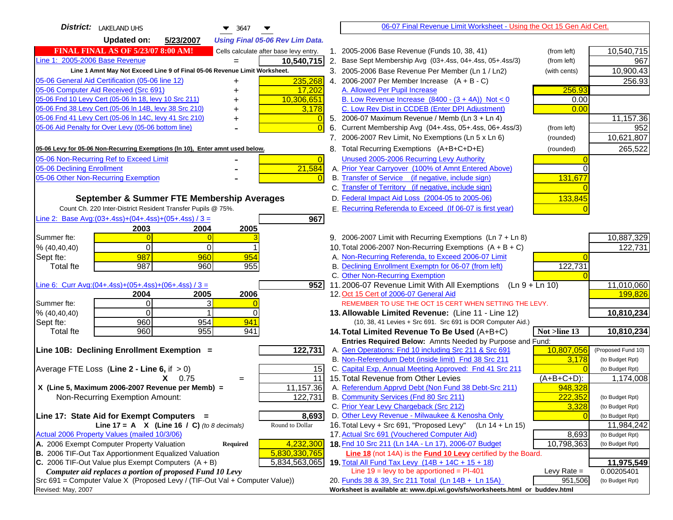| <b>District:</b> LAKELAND UHS<br>$\blacktriangledown$ 3647                          |    | 06-07 Final Revenue Limit Worksheet - Using the Oct 15 Gen Aid Cert.                                          |               |                                    |
|-------------------------------------------------------------------------------------|----|---------------------------------------------------------------------------------------------------------------|---------------|------------------------------------|
| <b>Updated on:</b><br>5/23/2007<br><b>Using Final 05-06 Rev Lim Data.</b>           |    |                                                                                                               |               |                                    |
| <b>FINAL FINAL AS OF 5/23/07 8:00 AM!</b><br>Cells calculate after base levy entry. |    | 1. 2005-2006 Base Revenue (Funds 10, 38, 41)                                                                  | (from left)   | 10,540,715                         |
| Line 1: 2005-2006 Base Revenue<br>10,540,715                                        |    | 2. Base Sept Membership Avg (03+.4ss, 04+.4ss, 05+.4ss/3)                                                     | (from left)   | 967                                |
| Line 1 Amnt May Not Exceed Line 9 of Final 05-06 Revenue Limit Worksheet.           |    | 3. 2005-2006 Base Revenue Per Member (Ln 1 / Ln2)                                                             | (with cents)  | 10,900.43                          |
| 235,268<br>05-06 General Aid Certification (05-06 line 12)<br>+                     |    | 4. 2006-2007 Per Member Increase $(A + B - C)$                                                                |               | 256.93                             |
| 05-06 Computer Aid Received (Src 691)<br>17,202                                     |    | A. Allowed Per Pupil Increase                                                                                 | 256.93        |                                    |
| 05-06 Fnd 10 Levy Cert (05-06 ln 18, levy 10 Src 211)<br>10,306,651                 |    | B. Low Revenue Increase $(8400 - (3 + 4A))$ Not < 0                                                           | 0.00          |                                    |
| 05-06 Fnd 38 Levy Cert (05-06 In 14B, levy 38 Src 210)<br>3,178                     |    | C. Low Rev Dist in CCDEB (Enter DPI Adjustment)                                                               | 0.00          |                                    |
| 05-06 Fnd 41 Levy Cert (05-06 In 14C, levy 41 Src 210)<br>0<br>+                    |    | 5. 2006-07 Maximum Revenue / Memb (Ln 3 + Ln 4)                                                               |               | 11,157.36                          |
| 05-06 Aid Penalty for Over Levy (05-06 bottom line)                                 | 6. | Current Membership Avg (04+.4ss, 05+.4ss, 06+.4ss/3)                                                          | (from left)   | 952                                |
|                                                                                     |    | 7. 2006-2007 Rev Limit, No Exemptions (Ln 5 x Ln 6)                                                           | (rounded)     | 10,621,807                         |
| 05-06 Levy for 05-06 Non-Recurring Exemptions (In 10), Enter amnt used below.       |    | 8. Total Recurring Exemptions (A+B+C+D+E)                                                                     | (rounded)     | 265,522                            |
| 05-06 Non-Recurring Ref to Exceed Limit<br>$\overline{0}$                           |    | Unused 2005-2006 Recurring Levy Authority                                                                     |               |                                    |
| 05-06 Declining Enrollment<br>21,584                                                |    | A. Prior Year Carryover (100% of Amnt Entered Above)                                                          | 0             |                                    |
| 05-06 Other Non-Recurring Exemption                                                 |    | B. Transfer of Service (if negative, include sign)                                                            | 131,677       |                                    |
|                                                                                     |    | C. Transfer of Territory (if negative, include sign)                                                          |               |                                    |
| September & Summer FTE Membership Averages                                          |    | D. Federal Impact Aid Loss (2004-05 to 2005-06)                                                               | 133,845       |                                    |
| Count Ch. 220 Inter-District Resident Transfer Pupils @ 75%.                        |    | E. Recurring Referenda to Exceed (If 06-07 is first year)                                                     |               |                                    |
| Line 2: Base Avg: $(03+.4ss)+(04+.4ss)+(05+.4ss)/3 =$<br>967                        |    |                                                                                                               |               |                                    |
| 2003<br>2004<br>2005                                                                |    |                                                                                                               |               |                                    |
| Summer fte:<br>$\Omega$                                                             |    | 9. 2006-2007 Limit with Recurring Exemptions (Ln 7 + Ln 8)                                                    |               | 10,887,329                         |
| $\Omega$<br>0<br>% (40, 40, 40)                                                     |    | 10. Total 2006-2007 Non-Recurring Exemptions $(A + B + C)$                                                    |               | 122,731                            |
| 987<br>960<br>954<br>Sept fte:                                                      |    | A. Non-Recurring Referenda, to Exceed 2006-07 Limit                                                           |               |                                    |
| 987<br>960<br>955<br><b>Total fte</b>                                               |    | B. Declining Enrollment Exemptn for 06-07 (from left)                                                         | 122,731       |                                    |
|                                                                                     |    | C. Other Non-Recurring Exemption                                                                              |               |                                    |
| Line 6: Curr Avg: $(04+.4ss)+(05+.4ss)+(06+.4ss)/3 =$<br>9521                       |    | 11.2006-07 Revenue Limit With All Exemptions (Ln $9 + \overline{\text{Ln }10}$ )                              |               | 11,010,060                         |
| 2005<br>2006<br>2004                                                                |    | 12. Oct 15 Cert of 2006-07 General Aid                                                                        |               | 199,826                            |
| 3<br>Summer fte:<br>$\Omega$                                                        |    | REMEMBER TO USE THE OCT 15 CERT WHEN SETTING THE LEVY.                                                        |               |                                    |
| $\Omega$<br>$\Omega$<br>% (40, 40, 40)                                              |    | 13. Allowable Limited Revenue: (Line 11 - Line 12)                                                            |               | 10,810,234                         |
| 960<br>954<br>941<br>Sept fte:                                                      |    | (10, 38, 41 Levies + Src 691. Src 691 is DOR Computer Aid.)                                                   |               |                                    |
| 960<br>941<br><b>Total fte</b><br>955                                               |    | 14. Total Limited Revenue To Be Used (A+B+C)                                                                  | Not >line 13  | 10,810,234                         |
|                                                                                     |    | Entries Required Below: Amnts Needed by Purpose and Fund:                                                     |               |                                    |
| 122,731<br>Line 10B: Declining Enrollment Exemption =                               |    | A. Gen Operations: Fnd 10 including Src 211 & Src 691<br>B. Non-Referendum Debt (inside limit) Fnd 38 Src 211 | 10,807,056    | (Proposed Fund 10)                 |
| Average FTE Loss (Line $2 -$ Line 6, if $> 0$ )<br>15                               |    | C. Capital Exp, Annual Meeting Approved: Fnd 41 Src 211                                                       | 3,178         | (to Budget Rpt)<br>(to Budget Rpt) |
| 11<br>$X = 0.75$<br>$=$                                                             |    | 15. Total Revenue from Other Levies                                                                           | $(A+B+C+D)$ : | 1,174,008                          |
| X (Line 5, Maximum 2006-2007 Revenue per Memb) =<br>11,157.36                       |    | A. Referendum Apprvd Debt (Non Fund 38 Debt-Src 211)                                                          | 948,328       |                                    |
| Non-Recurring Exemption Amount:<br>122,731                                          |    | B. Community Services (Fnd 80 Src 211)                                                                        | 222,352       | (to Budget Rpt)                    |
|                                                                                     |    | C. Prior Year Levy Chargeback (Src 212)                                                                       | 3,328         | (to Budget Rpt)                    |
| 8,693<br>Line 17: State Aid for Exempt Computers =                                  |    | D. Other Levy Revenue - Milwaukee & Kenosha Only                                                              |               | (to Budget Rpt)                    |
| Line 17 = A $X$ (Line 16 / C) (to 8 decimals)<br>Round to Dollar                    |    | 16. Total Levy + Src 691, "Proposed Levy"<br>$(Ln 14 + Ln 15)$                                                |               | 11,984,242                         |
| Actual 2006 Property Values (mailed 10/3/06)                                        |    | 17. Actual Src 691 (Vouchered Computer Aid)                                                                   | 8,693         | (to Budget Rpt)                    |
| A. 2006 Exempt Computer Property Valuation<br>4,232,300<br>Required                 |    | 18. Fnd 10 Src 211 (Ln 14A - Ln 17), 2006-07 Budget                                                           | 10,798,363    | (to Budget Rpt)                    |
| B. 2006 TIF-Out Tax Apportionment Equalized Valuation<br>5,830,330,765              |    | Line 18 (not 14A) is the Fund 10 Levy certified by the Board.                                                 |               |                                    |
| C. 2006 TIF-Out Value plus Exempt Computers $(A + B)$<br>5,834,563,065              |    | 19. Total All Fund Tax Levy (14B + 14C + 15 + 18)                                                             |               | 11,975,549                         |
| Computer aid replaces a portion of proposed Fund 10 Levy                            |    | Line $19 = \text{levy}$ to be apportioned = PI-401                                                            | Levy Rate $=$ | 0.00205401                         |
| Src 691 = Computer Value X (Proposed Levy / (TIF-Out Val + Computer Value))         |    | 20. Funds 38 & 39, Src 211 Total (Ln 14B + Ln 15A)                                                            | 951,506       | (to Budget Rpt)                    |
| Revised: May, 2007                                                                  |    | Worksheet is available at: www.dpi.wi.gov/sfs/worksheets.html or buddev.html                                  |               |                                    |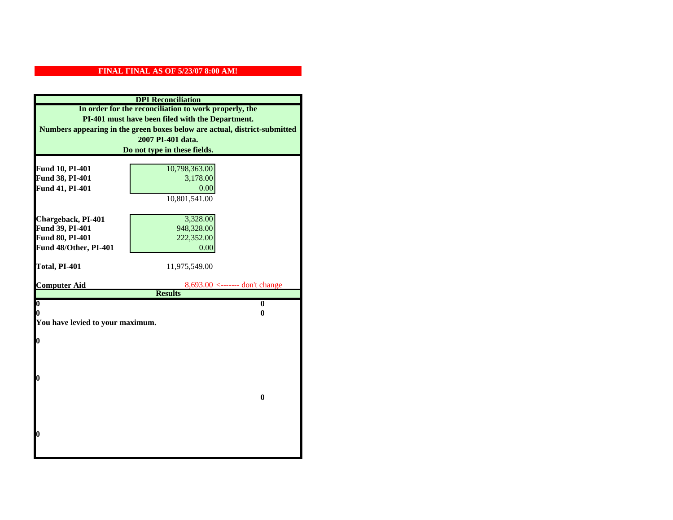| <b>DPI</b> Reconciliation                                                 |                                |  |
|---------------------------------------------------------------------------|--------------------------------|--|
| In order for the reconciliation to work properly, the                     |                                |  |
| PI-401 must have been filed with the Department.                          |                                |  |
| Numbers appearing in the green boxes below are actual, district-submitted |                                |  |
| 2007 PI-401 data.                                                         |                                |  |
| Do not type in these fields.                                              |                                |  |
|                                                                           |                                |  |
| Fund 10, PI-401                                                           | 10,798,363.00                  |  |
| Fund 38, PI-401                                                           | 3,178.00                       |  |
| Fund 41, PI-401                                                           | 0.00                           |  |
|                                                                           | 10,801,541.00                  |  |
|                                                                           |                                |  |
| Chargeback, PI-401                                                        | 3,328.00                       |  |
| Fund 39, PI-401                                                           | 948,328.00                     |  |
| <b>Fund 80, PI-401</b>                                                    | 222,352.00                     |  |
| Fund 48/Other, PI-401                                                     | 0.00                           |  |
| Total, PI-401                                                             | 11,975,549.00                  |  |
|                                                                           |                                |  |
|                                                                           |                                |  |
| <b>Computer Aid</b>                                                       | 8,693.00 <------- don't change |  |
|                                                                           | <b>Results</b>                 |  |
| $\boldsymbol{0}$                                                          | $\bf{0}$                       |  |
| 0                                                                         | 0                              |  |
| You have levied to your maximum.                                          |                                |  |
|                                                                           |                                |  |
| $\bf{0}$                                                                  |                                |  |
|                                                                           |                                |  |
|                                                                           |                                |  |
| 0                                                                         |                                |  |
|                                                                           |                                |  |
|                                                                           | $\bf{0}$                       |  |
|                                                                           |                                |  |
|                                                                           |                                |  |
|                                                                           |                                |  |
| 0                                                                         |                                |  |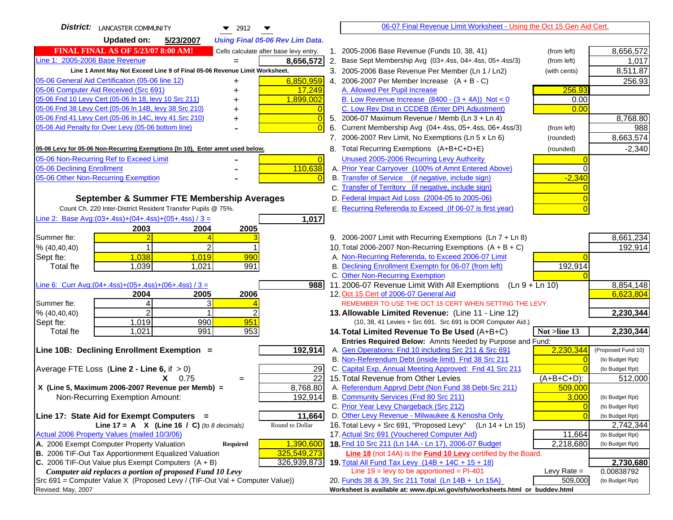| <b>District:</b> LANCASTER COMMUNITY<br>$\blacktriangledown$ 2912                                                                            | 06-07 Final Revenue Limit Worksheet - Using the Oct 15 Gen Aid Cert.                                                       |                         |
|----------------------------------------------------------------------------------------------------------------------------------------------|----------------------------------------------------------------------------------------------------------------------------|-------------------------|
| <b>Updated on:</b><br>5/23/2007<br><b>Using Final 05-06 Rev Lim Data.</b>                                                                    |                                                                                                                            |                         |
| <b>FINAL FINAL AS OF 5/23/07 8:00 AM!</b><br>Cells calculate after base levy entry.                                                          | 1. 2005-2006 Base Revenue (Funds 10, 38, 41)<br>(from left)                                                                | 8,656,572               |
| Line 1: 2005-2006 Base Revenue<br>8,656,572                                                                                                  | 2. Base Sept Membership Avg (03+.4ss, 04+.4ss, 05+.4ss/3)<br>(from left)                                                   | 1,017                   |
| Line 1 Amnt May Not Exceed Line 9 of Final 05-06 Revenue Limit Worksheet.                                                                    | 3. 2005-2006 Base Revenue Per Member (Ln 1 / Ln2)<br>(with cents)                                                          | 8,511.87                |
| 6,850,959<br>05-06 General Aid Certification (05-06 line 12)<br>+                                                                            | 4. 2006-2007 Per Member Increase $(A + B - C)$                                                                             | 256.93                  |
| 05-06 Computer Aid Received (Src 691)<br>17,249                                                                                              | A. Allowed Per Pupil Increase<br>256.93                                                                                    |                         |
| 05-06 Fnd 10 Levy Cert (05-06 In 18, levy 10 Src 211)<br>1,899,002                                                                           | B. Low Revenue Increase $(8400 - (3 + 4A))$ Not < 0<br>0.00                                                                |                         |
| 05-06 Fnd 38 Levy Cert (05-06 In 14B, levy 38 Src 210)                                                                                       | C. Low Rev Dist in CCDEB (Enter DPI Adjustment)<br>0.00                                                                    |                         |
| 05-06 Fnd 41 Levy Cert (05-06 In 14C, levy 41 Src 210)<br>$\overline{0}$<br>+                                                                | 5. 2006-07 Maximum Revenue / Memb (Ln 3 + Ln 4)                                                                            | 8,768.80                |
| 05-06 Aid Penalty for Over Levy (05-06 bottom line)<br>$\overline{0}$                                                                        | Current Membership Avg (04+.4ss, 05+.4ss, 06+.4ss/3)<br>6.<br>(from left)                                                  | 988                     |
|                                                                                                                                              | 7. 2006-2007 Rev Limit, No Exemptions (Ln 5 x Ln 6)<br>(rounded)                                                           | 8,663,574               |
| 05-06 Levy for 05-06 Non-Recurring Exemptions (In 10), Enter amnt used below.                                                                | 8. Total Recurring Exemptions (A+B+C+D+E)<br>(rounded)                                                                     | $-2,340$                |
| 05-06 Non-Recurring Ref to Exceed Limit<br>$\overline{0}$                                                                                    | Unused 2005-2006 Recurring Levy Authority                                                                                  |                         |
| 110,638<br>05-06 Declining Enrollment                                                                                                        | A. Prior Year Carryover (100% of Amnt Entered Above)                                                                       |                         |
| 05-06 Other Non-Recurring Exemption                                                                                                          | B. Transfer of Service (if negative, include sign)<br>$-2,340$                                                             |                         |
|                                                                                                                                              | C. Transfer of Territory (if negative, include sign)                                                                       |                         |
| September & Summer FTE Membership Averages                                                                                                   | D. Federal Impact Aid Loss (2004-05 to 2005-06)                                                                            |                         |
| Count Ch. 220 Inter-District Resident Transfer Pupils @ 75%.                                                                                 | E. Recurring Referenda to Exceed (If 06-07 is first year)                                                                  |                         |
| Line 2: Base Avg: $(03+.4ss)+(04+.4ss)+(05+.4ss)/3 =$<br>1,017                                                                               |                                                                                                                            |                         |
| 2003<br>2004<br>2005                                                                                                                         |                                                                                                                            |                         |
| Summer fte:                                                                                                                                  | 9. 2006-2007 Limit with Recurring Exemptions (Ln 7 + Ln 8)                                                                 | 8,661,234               |
| $\overline{c}$<br>% (40, 40, 40)                                                                                                             | 10. Total 2006-2007 Non-Recurring Exemptions $(A + B + C)$                                                                 | 192,914                 |
| 1,038<br>1,019<br>990<br>Sept fte:                                                                                                           | A. Non-Recurring Referenda, to Exceed 2006-07 Limit                                                                        |                         |
| 991<br><b>Total fte</b><br>1,039<br>1,021                                                                                                    | B. Declining Enrollment Exemptn for 06-07 (from left)<br>192,914                                                           |                         |
|                                                                                                                                              | C. Other Non-Recurring Exemption                                                                                           |                         |
| Line 6: Curr Avg: $(04+.4ss)+(05+.4ss)+(06+.4ss)/3 =$<br>9881                                                                                | 11.2006-07 Revenue Limit With All Exemptions (Ln $9 + \overline{\text{Ln }10}$ )                                           | 8,854,148               |
| 2006<br>2004<br>2005                                                                                                                         | 12. Oct 15 Cert of 2006-07 General Aid                                                                                     | 6,623,804               |
| Summer fte:<br>3<br>$\mathcal{P}$<br>% (40, 40, 40)                                                                                          | REMEMBER TO USE THE OCT 15 CERT WHEN SETTING THE LEVY.<br>13. Allowable Limited Revenue: (Line 11 - Line 12)               | 2,230,344               |
| 951<br>Sept fte:<br>1,019<br>990                                                                                                             | (10, 38, 41 Levies + Src 691. Src 691 is DOR Computer Aid.)                                                                |                         |
| 953<br>1,021<br>991<br><b>Total fte</b>                                                                                                      | 14. Total Limited Revenue To Be Used (A+B+C)<br>Not >line 13                                                               | 2,230,344               |
|                                                                                                                                              | Entries Required Below: Amnts Needed by Purpose and Fund:                                                                  |                         |
| Line 10B: Declining Enrollment Exemption =<br>192,914                                                                                        | A. Gen Operations: Fnd 10 including Src 211 & Src 691<br>2,230,344                                                         | (Proposed Fund 10)      |
|                                                                                                                                              | B. Non-Referendum Debt (inside limit) Fnd 38 Src 211                                                                       | (to Budget Rpt)         |
| Average FTE Loss (Line $2 -$ Line 6, if $> 0$ )<br>29                                                                                        | C. Capital Exp, Annual Meeting Approved: Fnd 41 Src 211                                                                    | (to Budget Rpt)         |
| $\overline{22}$<br>$X = 0.75$<br>$=$                                                                                                         | 15. Total Revenue from Other Levies<br>(A+B+C+D):                                                                          | 512,000                 |
| X (Line 5, Maximum 2006-2007 Revenue per Memb) =<br>8,768.80                                                                                 | A. Referendum Apprvd Debt (Non Fund 38 Debt-Src 211)<br>509,000                                                            |                         |
| 192,914<br>Non-Recurring Exemption Amount:                                                                                                   | B. Community Services (Fnd 80 Src 211)<br>3,000                                                                            | (to Budget Rpt)         |
|                                                                                                                                              | C. Prior Year Levy Chargeback (Src 212)<br>$\overline{0}$                                                                  | (to Budget Rpt)         |
| 11,664<br>Line 17: State Aid for Exempt Computers =                                                                                          | D. Other Levy Revenue - Milwaukee & Kenosha Only                                                                           | (to Budget Rpt)         |
| Round to Dollar<br>Line 17 = A $X$ (Line 16 / C) (to 8 decimals)                                                                             | 16. Total Levy + Src 691, "Proposed Levy"<br>$(Ln 14 + Ln 15)$                                                             | 2,742,344               |
| Actual 2006 Property Values (mailed 10/3/06)                                                                                                 | 17. Actual Src 691 (Vouchered Computer Aid)<br>11,664                                                                      | (to Budget Rpt)         |
| A. 2006 Exempt Computer Property Valuation<br>1,390,600<br><b>Required</b>                                                                   | 18. Fnd 10 Src 211 (Ln 14A - Ln 17), 2006-07 Budget<br>2,218,680                                                           | (to Budget Rpt)         |
| B. 2006 TIF-Out Tax Apportionment Equalized Valuation<br>325,549,273<br>C. 2006 TIF-Out Value plus Exempt Computers $(A + B)$<br>326,939,873 | Line 18 (not 14A) is the Fund 10 Levy certified by the Board.                                                              |                         |
| Computer aid replaces a portion of proposed Fund 10 Levy                                                                                     | 19. Total All Fund Tax Levy $(14B + 14C + 15 + 18)$<br>Line $19 = \text{levy}$ to be apportioned = PI-401<br>Levy Rate $=$ | 2,730,680<br>0.00838792 |
| $Src 691$ = Computer Value X (Proposed Levy / (TIF-Out Val + Computer Value))                                                                | 20. Funds 38 & 39, Src 211 Total (Ln 14B + Ln 15A)<br>509,000                                                              | (to Budget Rpt)         |
| Revised: May, 2007                                                                                                                           | Worksheet is available at: www.dpi.wi.gov/sfs/worksheets.html or buddev.html                                               |                         |
|                                                                                                                                              |                                                                                                                            |                         |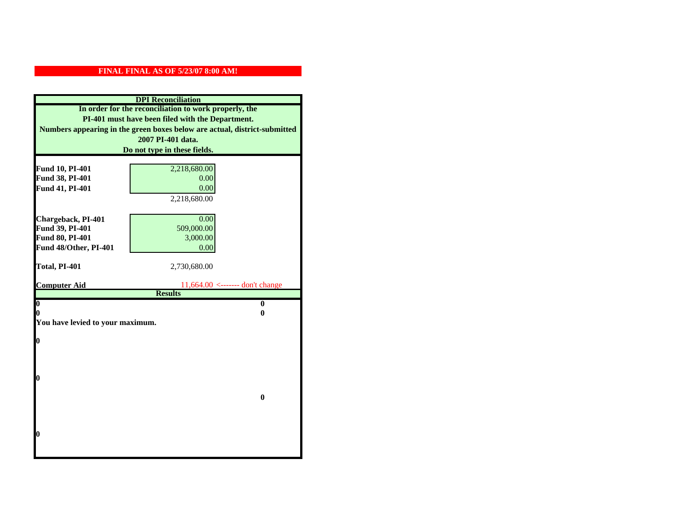| <b>DPI</b> Reconciliation                                                 |                                                   |  |  |  |
|---------------------------------------------------------------------------|---------------------------------------------------|--|--|--|
| In order for the reconciliation to work properly, the                     |                                                   |  |  |  |
| PI-401 must have been filed with the Department.                          |                                                   |  |  |  |
| Numbers appearing in the green boxes below are actual, district-submitted |                                                   |  |  |  |
| 2007 PI-401 data.                                                         |                                                   |  |  |  |
| Do not type in these fields.                                              |                                                   |  |  |  |
|                                                                           |                                                   |  |  |  |
| Fund 10, PI-401                                                           | 2,218,680.00                                      |  |  |  |
| Fund 38, PI-401                                                           | 0.00                                              |  |  |  |
| Fund 41, PI-401                                                           | 0.00                                              |  |  |  |
|                                                                           | 2,218,680.00                                      |  |  |  |
| Chargeback, PI-401                                                        | 0.00                                              |  |  |  |
| Fund 39, PI-401                                                           | 509,000.00                                        |  |  |  |
| Fund 80, PI-401                                                           | 3,000.00                                          |  |  |  |
| Fund 48/Other, PI-401                                                     | 0.00                                              |  |  |  |
|                                                                           |                                                   |  |  |  |
| Total, PI-401                                                             | 2,730,680.00                                      |  |  |  |
|                                                                           |                                                   |  |  |  |
| <b>Computer Aid</b>                                                       | 11,664.00 <------- don't change<br><b>Results</b> |  |  |  |
| $\overline{\mathbf{0}}$                                                   | $\bf{0}$                                          |  |  |  |
| 0                                                                         | 0                                                 |  |  |  |
| You have levied to your maximum.                                          |                                                   |  |  |  |
|                                                                           |                                                   |  |  |  |
| 0                                                                         |                                                   |  |  |  |
|                                                                           |                                                   |  |  |  |
|                                                                           |                                                   |  |  |  |
| 0                                                                         |                                                   |  |  |  |
|                                                                           |                                                   |  |  |  |
|                                                                           | $\bf{0}$                                          |  |  |  |
|                                                                           |                                                   |  |  |  |
|                                                                           |                                                   |  |  |  |
|                                                                           |                                                   |  |  |  |
| 0                                                                         |                                                   |  |  |  |
|                                                                           |                                                   |  |  |  |
|                                                                           |                                                   |  |  |  |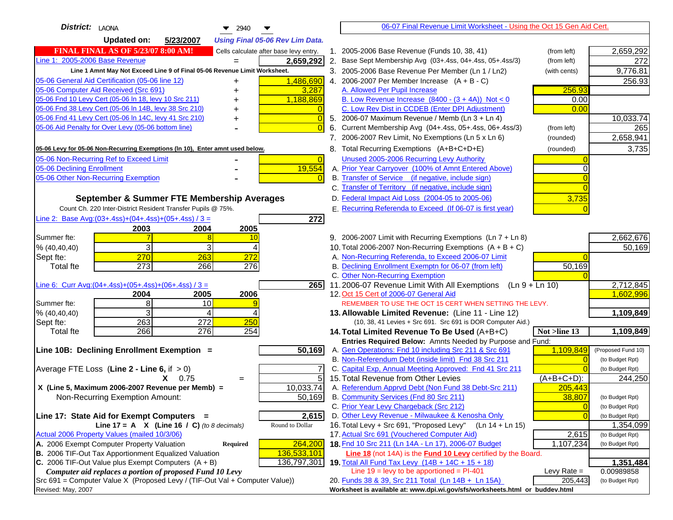| <b>Updated on:</b><br>5/23/2007<br><b>Using Final 05-06 Rev Lim Data.</b><br><b>FINAL FINAL AS OF 5/23/07 8:00 AM!</b><br>1. 2005-2006 Base Revenue (Funds 10, 38, 41)<br>2,659,292<br>Cells calculate after base levy entry.<br>(from left)<br>Line 1: 2005-2006 Base Revenue<br>2. Base Sept Membership Avg (03+.4ss, 04+.4ss, 05+.4ss/3)<br>2,659,292<br>(from left)<br>272<br>$=$<br>9,776.81<br>Line 1 Amnt May Not Exceed Line 9 of Final 05-06 Revenue Limit Worksheet.<br>3. 2005-2006 Base Revenue Per Member (Ln 1 / Ln2)<br>(with cents)<br>1,486,690<br>05-06 General Aid Certification (05-06 line 12)<br>4. 2006-2007 Per Member Increase $(A + B - C)$<br>256.93<br>+<br>05-06 Computer Aid Received (Src 691)<br>A. Allowed Per Pupil Increase<br>256.93<br>3,287<br>05-06 Fnd 10 Levy Cert (05-06 In 18, levy 10 Src 211)<br>B. Low Revenue Increase $(8400 - (3 + 4A))$ Not < 0<br>1,188,869<br>0.00<br>05-06 Fnd 38 Levy Cert (05-06 In 14B, levy 38 Src 210)<br>C. Low Rev Dist in CCDEB (Enter DPI Adjustment)<br>0.00<br>05-06 Fnd 41 Levy Cert (05-06 In 14C, levy 41 Src 210)<br>5. 2006-07 Maximum Revenue / Memb (Ln 3 + Ln 4)<br>0<br>+<br>05-06 Aid Penalty for Over Levy (05-06 bottom line)<br>6. Current Membership Avg (04+.4ss, 05+.4ss, 06+.4ss/3)<br>265<br>(from left)<br>2,658,941<br>7. 2006-2007 Rev Limit, No Exemptions (Ln 5 x Ln 6)<br>(rounded)<br>8. Total Recurring Exemptions (A+B+C+D+E)<br>05-06 Levy for 05-06 Non-Recurring Exemptions (In 10), Enter amnt used below.<br>(rounded)<br>05-06 Non-Recurring Ref to Exceed Limit<br>Unused 2005-2006 Recurring Levy Authority<br>$\overline{0}$<br>19,554<br>05-06 Declining Enrollment<br>A. Prior Year Carryover (100% of Amnt Entered Above)<br>05-06 Other Non-Recurring Exemption<br>B. Transfer of Service (if negative, include sign)<br>C. Transfer of Territory (if negative, include sign)<br>D. Federal Impact Aid Loss (2004-05 to 2005-06)<br>September & Summer FTE Membership Averages<br>3,735<br>E. Recurring Referenda to Exceed (If 06-07 is first year)<br>Count Ch. 220 Inter-District Resident Transfer Pupils @ 75%.<br>Line 2: Base Avg: $(03+.4ss)+(04+.4ss)+(05+.4ss)/3 =$<br>272<br>2003<br>2004<br>2005<br>2,662,676<br>9. 2006-2007 Limit with Recurring Exemptions (Ln 7 + Ln 8)<br>10<br>3<br>3<br>10. Total 2006-2007 Non-Recurring Exemptions $(A + B + C)$<br>50,169<br>270<br>A. Non-Recurring Referenda, to Exceed 2006-07 Limit<br>263<br>272<br>Sept fte:<br>$\overline{273}$<br>276<br>B. Declining Enrollment Exemptn for 06-07 (from left)<br><b>Total fte</b><br>266<br>50,169<br>C. Other Non-Recurring Exemption<br>2,712,845<br>Line 6: Curr Avg: $(04+.4ss)+(05+.4ss)+(06+.4ss)/3 =$<br>11.2006-07 Revenue Limit With All Exemptions (Ln 9 + Ln 10)<br>265<br>1,602,996<br>2006<br>12. Oct 15 Cert of 2006-07 General Aid<br>2004<br>2005<br>8<br>Summer fte:<br>10<br>REMEMBER TO USE THE OCT 15 CERT WHEN SETTING THE LEVY.<br>3<br>% (40, 40, 40)<br>1,109,849<br>4<br>13. Allowable Limited Revenue: (Line 11 - Line 12)<br>$\overline{272}$<br>263<br>250<br>Sept fte:<br>(10, 38, 41 Levies + Src 691. Src 691 is DOR Computer Aid.)<br>254<br>266<br>$\overline{276}$<br>1,109,849<br><b>Total fte</b><br>14. Total Limited Revenue To Be Used (A+B+C)<br>Not >line 13<br>Entries Required Below: Amnts Needed by Purpose and Fund:<br>50,169<br>A. Gen Operations: Fnd 10 including Src 211 & Src 691<br>1,109,849<br>Line 10B: Declining Enrollment Exemption =<br>(Proposed Fund 10)<br>B. Non-Referendum Debt (inside limit) Fnd 38 Src 211<br>(to Budget Rpt)<br>C. Capital Exp, Annual Meeting Approved: Fnd 41 Src 211<br>(to Budget Rpt)<br>5<br>15. Total Revenue from Other Levies<br>$X = 0.75$<br>(A+B+C+D):<br>244,250<br>$=$<br>X (Line 5, Maximum 2006-2007 Revenue per Memb) =<br>10,033.74<br>A. Referendum Apprvd Debt (Non Fund 38 Debt-Src 211)<br>205,443<br>50,169<br>B. Community Services (Fnd 80 Src 211)<br>38,807<br>Non-Recurring Exemption Amount:<br>(to Budget Rpt)<br>C. Prior Year Levy Chargeback (Src 212)<br>$\overline{0}$<br>(to Budget Rpt)<br>D. Other Levy Revenue - Milwaukee & Kenosha Only<br>2,615<br>Line 17: State Aid for Exempt Computers =<br>(to Budget Rpt)<br>16. Total Levy + Src 691, "Proposed Levy"<br>Round to Dollar<br>(Ln 14 + Ln 15)<br>Line 17 = A $X$ (Line 16 / C) (to 8 decimals)<br>1,354,099<br>17. Actual Src 691 (Vouchered Computer Aid)<br>Actual 2006 Property Values (mailed 10/3/06)<br>2,615<br>(to Budget Rpt)<br>A. 2006 Exempt Computer Property Valuation<br>264,200<br>18. Fnd 10 Src 211 (Ln 14A - Ln 17), 2006-07 Budget<br>1,107,234<br>Required<br>(to Budget Rpt)<br>B. 2006 TIF-Out Tax Apportionment Equalized Valuation<br>136,533,101<br><b>Line 18</b> (not 14A) is the <b>Fund 10 Levy</b> certified by the Board.<br>C. 2006 TIF-Out Value plus Exempt Computers $(A + B)$<br>136,797,301<br>1,351,484<br>19. Total All Fund Tax Levy $(14B + 14C + 15 + 18)$ | District: LAONA<br>$\blacktriangledown$ 2940             | 06-07 Final Revenue Limit Worksheet - Using the Oct 15 Gen Aid Cert. |           |
|------------------------------------------------------------------------------------------------------------------------------------------------------------------------------------------------------------------------------------------------------------------------------------------------------------------------------------------------------------------------------------------------------------------------------------------------------------------------------------------------------------------------------------------------------------------------------------------------------------------------------------------------------------------------------------------------------------------------------------------------------------------------------------------------------------------------------------------------------------------------------------------------------------------------------------------------------------------------------------------------------------------------------------------------------------------------------------------------------------------------------------------------------------------------------------------------------------------------------------------------------------------------------------------------------------------------------------------------------------------------------------------------------------------------------------------------------------------------------------------------------------------------------------------------------------------------------------------------------------------------------------------------------------------------------------------------------------------------------------------------------------------------------------------------------------------------------------------------------------------------------------------------------------------------------------------------------------------------------------------------------------------------------------------------------------------------------------------------------------------------------------------------------------------------------------------------------------------------------------------------------------------------------------------------------------------------------------------------------------------------------------------------------------------------------------------------------------------------------------------------------------------------------------------------------------------------------------------------------------------------------------------------------------------------------------------------------------------------------------------------------------------------------------------------------------------------------------------------------------------------------------------------------------------------------------------------------------------------------------------------------------------------------------------------------------------------------------------------------------------------------------------------------------------------------------------------------------------------------------------------------------------------------------------------------------------------------------------------------------------------------------------------------------------------------------------------------------------------------------------------------------------------------------------------------------------------------------------------------------------------------------------------------------------------------------------------------------------------------------------------------------------------------------------------------------------------------------------------------------------------------------------------------------------------------------------------------------------------------------------------------------------------------------------------------------------------------------------------------------------------------------------------------------------------------------------------------------------------------------------------------------------------------------------------------------------------------------------------------------------------------------------------------------------------------------------------------------------------------------------------------------------------------------------------------------------------------------------------------------------------------------------------------------------------------------------------------------------------------------------------------------------------------------------------------------------------------------------------------------------------------------------------------------------------------------------------------------------------------------------------------------------|----------------------------------------------------------|----------------------------------------------------------------------|-----------|
|                                                                                                                                                                                                                                                                                                                                                                                                                                                                                                                                                                                                                                                                                                                                                                                                                                                                                                                                                                                                                                                                                                                                                                                                                                                                                                                                                                                                                                                                                                                                                                                                                                                                                                                                                                                                                                                                                                                                                                                                                                                                                                                                                                                                                                                                                                                                                                                                                                                                                                                                                                                                                                                                                                                                                                                                                                                                                                                                                                                                                                                                                                                                                                                                                                                                                                                                                                                                                                                                                                                                                                                                                                                                                                                                                                                                                                                                                                                                                                                                                                                                                                                                                                                                                                                                                                                                                                                                                                                                                                                                                                                                                                                                                                                                                                                                                                                                                                                                                                                                                  |                                                          |                                                                      |           |
|                                                                                                                                                                                                                                                                                                                                                                                                                                                                                                                                                                                                                                                                                                                                                                                                                                                                                                                                                                                                                                                                                                                                                                                                                                                                                                                                                                                                                                                                                                                                                                                                                                                                                                                                                                                                                                                                                                                                                                                                                                                                                                                                                                                                                                                                                                                                                                                                                                                                                                                                                                                                                                                                                                                                                                                                                                                                                                                                                                                                                                                                                                                                                                                                                                                                                                                                                                                                                                                                                                                                                                                                                                                                                                                                                                                                                                                                                                                                                                                                                                                                                                                                                                                                                                                                                                                                                                                                                                                                                                                                                                                                                                                                                                                                                                                                                                                                                                                                                                                                                  |                                                          |                                                                      |           |
|                                                                                                                                                                                                                                                                                                                                                                                                                                                                                                                                                                                                                                                                                                                                                                                                                                                                                                                                                                                                                                                                                                                                                                                                                                                                                                                                                                                                                                                                                                                                                                                                                                                                                                                                                                                                                                                                                                                                                                                                                                                                                                                                                                                                                                                                                                                                                                                                                                                                                                                                                                                                                                                                                                                                                                                                                                                                                                                                                                                                                                                                                                                                                                                                                                                                                                                                                                                                                                                                                                                                                                                                                                                                                                                                                                                                                                                                                                                                                                                                                                                                                                                                                                                                                                                                                                                                                                                                                                                                                                                                                                                                                                                                                                                                                                                                                                                                                                                                                                                                                  |                                                          |                                                                      |           |
|                                                                                                                                                                                                                                                                                                                                                                                                                                                                                                                                                                                                                                                                                                                                                                                                                                                                                                                                                                                                                                                                                                                                                                                                                                                                                                                                                                                                                                                                                                                                                                                                                                                                                                                                                                                                                                                                                                                                                                                                                                                                                                                                                                                                                                                                                                                                                                                                                                                                                                                                                                                                                                                                                                                                                                                                                                                                                                                                                                                                                                                                                                                                                                                                                                                                                                                                                                                                                                                                                                                                                                                                                                                                                                                                                                                                                                                                                                                                                                                                                                                                                                                                                                                                                                                                                                                                                                                                                                                                                                                                                                                                                                                                                                                                                                                                                                                                                                                                                                                                                  |                                                          |                                                                      |           |
|                                                                                                                                                                                                                                                                                                                                                                                                                                                                                                                                                                                                                                                                                                                                                                                                                                                                                                                                                                                                                                                                                                                                                                                                                                                                                                                                                                                                                                                                                                                                                                                                                                                                                                                                                                                                                                                                                                                                                                                                                                                                                                                                                                                                                                                                                                                                                                                                                                                                                                                                                                                                                                                                                                                                                                                                                                                                                                                                                                                                                                                                                                                                                                                                                                                                                                                                                                                                                                                                                                                                                                                                                                                                                                                                                                                                                                                                                                                                                                                                                                                                                                                                                                                                                                                                                                                                                                                                                                                                                                                                                                                                                                                                                                                                                                                                                                                                                                                                                                                                                  |                                                          |                                                                      |           |
|                                                                                                                                                                                                                                                                                                                                                                                                                                                                                                                                                                                                                                                                                                                                                                                                                                                                                                                                                                                                                                                                                                                                                                                                                                                                                                                                                                                                                                                                                                                                                                                                                                                                                                                                                                                                                                                                                                                                                                                                                                                                                                                                                                                                                                                                                                                                                                                                                                                                                                                                                                                                                                                                                                                                                                                                                                                                                                                                                                                                                                                                                                                                                                                                                                                                                                                                                                                                                                                                                                                                                                                                                                                                                                                                                                                                                                                                                                                                                                                                                                                                                                                                                                                                                                                                                                                                                                                                                                                                                                                                                                                                                                                                                                                                                                                                                                                                                                                                                                                                                  |                                                          |                                                                      |           |
|                                                                                                                                                                                                                                                                                                                                                                                                                                                                                                                                                                                                                                                                                                                                                                                                                                                                                                                                                                                                                                                                                                                                                                                                                                                                                                                                                                                                                                                                                                                                                                                                                                                                                                                                                                                                                                                                                                                                                                                                                                                                                                                                                                                                                                                                                                                                                                                                                                                                                                                                                                                                                                                                                                                                                                                                                                                                                                                                                                                                                                                                                                                                                                                                                                                                                                                                                                                                                                                                                                                                                                                                                                                                                                                                                                                                                                                                                                                                                                                                                                                                                                                                                                                                                                                                                                                                                                                                                                                                                                                                                                                                                                                                                                                                                                                                                                                                                                                                                                                                                  |                                                          |                                                                      |           |
|                                                                                                                                                                                                                                                                                                                                                                                                                                                                                                                                                                                                                                                                                                                                                                                                                                                                                                                                                                                                                                                                                                                                                                                                                                                                                                                                                                                                                                                                                                                                                                                                                                                                                                                                                                                                                                                                                                                                                                                                                                                                                                                                                                                                                                                                                                                                                                                                                                                                                                                                                                                                                                                                                                                                                                                                                                                                                                                                                                                                                                                                                                                                                                                                                                                                                                                                                                                                                                                                                                                                                                                                                                                                                                                                                                                                                                                                                                                                                                                                                                                                                                                                                                                                                                                                                                                                                                                                                                                                                                                                                                                                                                                                                                                                                                                                                                                                                                                                                                                                                  |                                                          |                                                                      |           |
|                                                                                                                                                                                                                                                                                                                                                                                                                                                                                                                                                                                                                                                                                                                                                                                                                                                                                                                                                                                                                                                                                                                                                                                                                                                                                                                                                                                                                                                                                                                                                                                                                                                                                                                                                                                                                                                                                                                                                                                                                                                                                                                                                                                                                                                                                                                                                                                                                                                                                                                                                                                                                                                                                                                                                                                                                                                                                                                                                                                                                                                                                                                                                                                                                                                                                                                                                                                                                                                                                                                                                                                                                                                                                                                                                                                                                                                                                                                                                                                                                                                                                                                                                                                                                                                                                                                                                                                                                                                                                                                                                                                                                                                                                                                                                                                                                                                                                                                                                                                                                  |                                                          |                                                                      | 10,033.74 |
|                                                                                                                                                                                                                                                                                                                                                                                                                                                                                                                                                                                                                                                                                                                                                                                                                                                                                                                                                                                                                                                                                                                                                                                                                                                                                                                                                                                                                                                                                                                                                                                                                                                                                                                                                                                                                                                                                                                                                                                                                                                                                                                                                                                                                                                                                                                                                                                                                                                                                                                                                                                                                                                                                                                                                                                                                                                                                                                                                                                                                                                                                                                                                                                                                                                                                                                                                                                                                                                                                                                                                                                                                                                                                                                                                                                                                                                                                                                                                                                                                                                                                                                                                                                                                                                                                                                                                                                                                                                                                                                                                                                                                                                                                                                                                                                                                                                                                                                                                                                                                  |                                                          |                                                                      |           |
|                                                                                                                                                                                                                                                                                                                                                                                                                                                                                                                                                                                                                                                                                                                                                                                                                                                                                                                                                                                                                                                                                                                                                                                                                                                                                                                                                                                                                                                                                                                                                                                                                                                                                                                                                                                                                                                                                                                                                                                                                                                                                                                                                                                                                                                                                                                                                                                                                                                                                                                                                                                                                                                                                                                                                                                                                                                                                                                                                                                                                                                                                                                                                                                                                                                                                                                                                                                                                                                                                                                                                                                                                                                                                                                                                                                                                                                                                                                                                                                                                                                                                                                                                                                                                                                                                                                                                                                                                                                                                                                                                                                                                                                                                                                                                                                                                                                                                                                                                                                                                  |                                                          |                                                                      |           |
|                                                                                                                                                                                                                                                                                                                                                                                                                                                                                                                                                                                                                                                                                                                                                                                                                                                                                                                                                                                                                                                                                                                                                                                                                                                                                                                                                                                                                                                                                                                                                                                                                                                                                                                                                                                                                                                                                                                                                                                                                                                                                                                                                                                                                                                                                                                                                                                                                                                                                                                                                                                                                                                                                                                                                                                                                                                                                                                                                                                                                                                                                                                                                                                                                                                                                                                                                                                                                                                                                                                                                                                                                                                                                                                                                                                                                                                                                                                                                                                                                                                                                                                                                                                                                                                                                                                                                                                                                                                                                                                                                                                                                                                                                                                                                                                                                                                                                                                                                                                                                  |                                                          |                                                                      | 3,735     |
|                                                                                                                                                                                                                                                                                                                                                                                                                                                                                                                                                                                                                                                                                                                                                                                                                                                                                                                                                                                                                                                                                                                                                                                                                                                                                                                                                                                                                                                                                                                                                                                                                                                                                                                                                                                                                                                                                                                                                                                                                                                                                                                                                                                                                                                                                                                                                                                                                                                                                                                                                                                                                                                                                                                                                                                                                                                                                                                                                                                                                                                                                                                                                                                                                                                                                                                                                                                                                                                                                                                                                                                                                                                                                                                                                                                                                                                                                                                                                                                                                                                                                                                                                                                                                                                                                                                                                                                                                                                                                                                                                                                                                                                                                                                                                                                                                                                                                                                                                                                                                  |                                                          |                                                                      |           |
|                                                                                                                                                                                                                                                                                                                                                                                                                                                                                                                                                                                                                                                                                                                                                                                                                                                                                                                                                                                                                                                                                                                                                                                                                                                                                                                                                                                                                                                                                                                                                                                                                                                                                                                                                                                                                                                                                                                                                                                                                                                                                                                                                                                                                                                                                                                                                                                                                                                                                                                                                                                                                                                                                                                                                                                                                                                                                                                                                                                                                                                                                                                                                                                                                                                                                                                                                                                                                                                                                                                                                                                                                                                                                                                                                                                                                                                                                                                                                                                                                                                                                                                                                                                                                                                                                                                                                                                                                                                                                                                                                                                                                                                                                                                                                                                                                                                                                                                                                                                                                  |                                                          |                                                                      |           |
|                                                                                                                                                                                                                                                                                                                                                                                                                                                                                                                                                                                                                                                                                                                                                                                                                                                                                                                                                                                                                                                                                                                                                                                                                                                                                                                                                                                                                                                                                                                                                                                                                                                                                                                                                                                                                                                                                                                                                                                                                                                                                                                                                                                                                                                                                                                                                                                                                                                                                                                                                                                                                                                                                                                                                                                                                                                                                                                                                                                                                                                                                                                                                                                                                                                                                                                                                                                                                                                                                                                                                                                                                                                                                                                                                                                                                                                                                                                                                                                                                                                                                                                                                                                                                                                                                                                                                                                                                                                                                                                                                                                                                                                                                                                                                                                                                                                                                                                                                                                                                  |                                                          |                                                                      |           |
|                                                                                                                                                                                                                                                                                                                                                                                                                                                                                                                                                                                                                                                                                                                                                                                                                                                                                                                                                                                                                                                                                                                                                                                                                                                                                                                                                                                                                                                                                                                                                                                                                                                                                                                                                                                                                                                                                                                                                                                                                                                                                                                                                                                                                                                                                                                                                                                                                                                                                                                                                                                                                                                                                                                                                                                                                                                                                                                                                                                                                                                                                                                                                                                                                                                                                                                                                                                                                                                                                                                                                                                                                                                                                                                                                                                                                                                                                                                                                                                                                                                                                                                                                                                                                                                                                                                                                                                                                                                                                                                                                                                                                                                                                                                                                                                                                                                                                                                                                                                                                  |                                                          |                                                                      |           |
|                                                                                                                                                                                                                                                                                                                                                                                                                                                                                                                                                                                                                                                                                                                                                                                                                                                                                                                                                                                                                                                                                                                                                                                                                                                                                                                                                                                                                                                                                                                                                                                                                                                                                                                                                                                                                                                                                                                                                                                                                                                                                                                                                                                                                                                                                                                                                                                                                                                                                                                                                                                                                                                                                                                                                                                                                                                                                                                                                                                                                                                                                                                                                                                                                                                                                                                                                                                                                                                                                                                                                                                                                                                                                                                                                                                                                                                                                                                                                                                                                                                                                                                                                                                                                                                                                                                                                                                                                                                                                                                                                                                                                                                                                                                                                                                                                                                                                                                                                                                                                  |                                                          |                                                                      |           |
|                                                                                                                                                                                                                                                                                                                                                                                                                                                                                                                                                                                                                                                                                                                                                                                                                                                                                                                                                                                                                                                                                                                                                                                                                                                                                                                                                                                                                                                                                                                                                                                                                                                                                                                                                                                                                                                                                                                                                                                                                                                                                                                                                                                                                                                                                                                                                                                                                                                                                                                                                                                                                                                                                                                                                                                                                                                                                                                                                                                                                                                                                                                                                                                                                                                                                                                                                                                                                                                                                                                                                                                                                                                                                                                                                                                                                                                                                                                                                                                                                                                                                                                                                                                                                                                                                                                                                                                                                                                                                                                                                                                                                                                                                                                                                                                                                                                                                                                                                                                                                  |                                                          |                                                                      |           |
|                                                                                                                                                                                                                                                                                                                                                                                                                                                                                                                                                                                                                                                                                                                                                                                                                                                                                                                                                                                                                                                                                                                                                                                                                                                                                                                                                                                                                                                                                                                                                                                                                                                                                                                                                                                                                                                                                                                                                                                                                                                                                                                                                                                                                                                                                                                                                                                                                                                                                                                                                                                                                                                                                                                                                                                                                                                                                                                                                                                                                                                                                                                                                                                                                                                                                                                                                                                                                                                                                                                                                                                                                                                                                                                                                                                                                                                                                                                                                                                                                                                                                                                                                                                                                                                                                                                                                                                                                                                                                                                                                                                                                                                                                                                                                                                                                                                                                                                                                                                                                  |                                                          |                                                                      |           |
|                                                                                                                                                                                                                                                                                                                                                                                                                                                                                                                                                                                                                                                                                                                                                                                                                                                                                                                                                                                                                                                                                                                                                                                                                                                                                                                                                                                                                                                                                                                                                                                                                                                                                                                                                                                                                                                                                                                                                                                                                                                                                                                                                                                                                                                                                                                                                                                                                                                                                                                                                                                                                                                                                                                                                                                                                                                                                                                                                                                                                                                                                                                                                                                                                                                                                                                                                                                                                                                                                                                                                                                                                                                                                                                                                                                                                                                                                                                                                                                                                                                                                                                                                                                                                                                                                                                                                                                                                                                                                                                                                                                                                                                                                                                                                                                                                                                                                                                                                                                                                  |                                                          |                                                                      |           |
|                                                                                                                                                                                                                                                                                                                                                                                                                                                                                                                                                                                                                                                                                                                                                                                                                                                                                                                                                                                                                                                                                                                                                                                                                                                                                                                                                                                                                                                                                                                                                                                                                                                                                                                                                                                                                                                                                                                                                                                                                                                                                                                                                                                                                                                                                                                                                                                                                                                                                                                                                                                                                                                                                                                                                                                                                                                                                                                                                                                                                                                                                                                                                                                                                                                                                                                                                                                                                                                                                                                                                                                                                                                                                                                                                                                                                                                                                                                                                                                                                                                                                                                                                                                                                                                                                                                                                                                                                                                                                                                                                                                                                                                                                                                                                                                                                                                                                                                                                                                                                  | Summer fte:                                              |                                                                      |           |
|                                                                                                                                                                                                                                                                                                                                                                                                                                                                                                                                                                                                                                                                                                                                                                                                                                                                                                                                                                                                                                                                                                                                                                                                                                                                                                                                                                                                                                                                                                                                                                                                                                                                                                                                                                                                                                                                                                                                                                                                                                                                                                                                                                                                                                                                                                                                                                                                                                                                                                                                                                                                                                                                                                                                                                                                                                                                                                                                                                                                                                                                                                                                                                                                                                                                                                                                                                                                                                                                                                                                                                                                                                                                                                                                                                                                                                                                                                                                                                                                                                                                                                                                                                                                                                                                                                                                                                                                                                                                                                                                                                                                                                                                                                                                                                                                                                                                                                                                                                                                                  | % (40, 40, 40)                                           |                                                                      |           |
|                                                                                                                                                                                                                                                                                                                                                                                                                                                                                                                                                                                                                                                                                                                                                                                                                                                                                                                                                                                                                                                                                                                                                                                                                                                                                                                                                                                                                                                                                                                                                                                                                                                                                                                                                                                                                                                                                                                                                                                                                                                                                                                                                                                                                                                                                                                                                                                                                                                                                                                                                                                                                                                                                                                                                                                                                                                                                                                                                                                                                                                                                                                                                                                                                                                                                                                                                                                                                                                                                                                                                                                                                                                                                                                                                                                                                                                                                                                                                                                                                                                                                                                                                                                                                                                                                                                                                                                                                                                                                                                                                                                                                                                                                                                                                                                                                                                                                                                                                                                                                  |                                                          |                                                                      |           |
|                                                                                                                                                                                                                                                                                                                                                                                                                                                                                                                                                                                                                                                                                                                                                                                                                                                                                                                                                                                                                                                                                                                                                                                                                                                                                                                                                                                                                                                                                                                                                                                                                                                                                                                                                                                                                                                                                                                                                                                                                                                                                                                                                                                                                                                                                                                                                                                                                                                                                                                                                                                                                                                                                                                                                                                                                                                                                                                                                                                                                                                                                                                                                                                                                                                                                                                                                                                                                                                                                                                                                                                                                                                                                                                                                                                                                                                                                                                                                                                                                                                                                                                                                                                                                                                                                                                                                                                                                                                                                                                                                                                                                                                                                                                                                                                                                                                                                                                                                                                                                  |                                                          |                                                                      |           |
|                                                                                                                                                                                                                                                                                                                                                                                                                                                                                                                                                                                                                                                                                                                                                                                                                                                                                                                                                                                                                                                                                                                                                                                                                                                                                                                                                                                                                                                                                                                                                                                                                                                                                                                                                                                                                                                                                                                                                                                                                                                                                                                                                                                                                                                                                                                                                                                                                                                                                                                                                                                                                                                                                                                                                                                                                                                                                                                                                                                                                                                                                                                                                                                                                                                                                                                                                                                                                                                                                                                                                                                                                                                                                                                                                                                                                                                                                                                                                                                                                                                                                                                                                                                                                                                                                                                                                                                                                                                                                                                                                                                                                                                                                                                                                                                                                                                                                                                                                                                                                  |                                                          |                                                                      |           |
|                                                                                                                                                                                                                                                                                                                                                                                                                                                                                                                                                                                                                                                                                                                                                                                                                                                                                                                                                                                                                                                                                                                                                                                                                                                                                                                                                                                                                                                                                                                                                                                                                                                                                                                                                                                                                                                                                                                                                                                                                                                                                                                                                                                                                                                                                                                                                                                                                                                                                                                                                                                                                                                                                                                                                                                                                                                                                                                                                                                                                                                                                                                                                                                                                                                                                                                                                                                                                                                                                                                                                                                                                                                                                                                                                                                                                                                                                                                                                                                                                                                                                                                                                                                                                                                                                                                                                                                                                                                                                                                                                                                                                                                                                                                                                                                                                                                                                                                                                                                                                  |                                                          |                                                                      |           |
|                                                                                                                                                                                                                                                                                                                                                                                                                                                                                                                                                                                                                                                                                                                                                                                                                                                                                                                                                                                                                                                                                                                                                                                                                                                                                                                                                                                                                                                                                                                                                                                                                                                                                                                                                                                                                                                                                                                                                                                                                                                                                                                                                                                                                                                                                                                                                                                                                                                                                                                                                                                                                                                                                                                                                                                                                                                                                                                                                                                                                                                                                                                                                                                                                                                                                                                                                                                                                                                                                                                                                                                                                                                                                                                                                                                                                                                                                                                                                                                                                                                                                                                                                                                                                                                                                                                                                                                                                                                                                                                                                                                                                                                                                                                                                                                                                                                                                                                                                                                                                  |                                                          |                                                                      |           |
|                                                                                                                                                                                                                                                                                                                                                                                                                                                                                                                                                                                                                                                                                                                                                                                                                                                                                                                                                                                                                                                                                                                                                                                                                                                                                                                                                                                                                                                                                                                                                                                                                                                                                                                                                                                                                                                                                                                                                                                                                                                                                                                                                                                                                                                                                                                                                                                                                                                                                                                                                                                                                                                                                                                                                                                                                                                                                                                                                                                                                                                                                                                                                                                                                                                                                                                                                                                                                                                                                                                                                                                                                                                                                                                                                                                                                                                                                                                                                                                                                                                                                                                                                                                                                                                                                                                                                                                                                                                                                                                                                                                                                                                                                                                                                                                                                                                                                                                                                                                                                  |                                                          |                                                                      |           |
|                                                                                                                                                                                                                                                                                                                                                                                                                                                                                                                                                                                                                                                                                                                                                                                                                                                                                                                                                                                                                                                                                                                                                                                                                                                                                                                                                                                                                                                                                                                                                                                                                                                                                                                                                                                                                                                                                                                                                                                                                                                                                                                                                                                                                                                                                                                                                                                                                                                                                                                                                                                                                                                                                                                                                                                                                                                                                                                                                                                                                                                                                                                                                                                                                                                                                                                                                                                                                                                                                                                                                                                                                                                                                                                                                                                                                                                                                                                                                                                                                                                                                                                                                                                                                                                                                                                                                                                                                                                                                                                                                                                                                                                                                                                                                                                                                                                                                                                                                                                                                  |                                                          |                                                                      |           |
|                                                                                                                                                                                                                                                                                                                                                                                                                                                                                                                                                                                                                                                                                                                                                                                                                                                                                                                                                                                                                                                                                                                                                                                                                                                                                                                                                                                                                                                                                                                                                                                                                                                                                                                                                                                                                                                                                                                                                                                                                                                                                                                                                                                                                                                                                                                                                                                                                                                                                                                                                                                                                                                                                                                                                                                                                                                                                                                                                                                                                                                                                                                                                                                                                                                                                                                                                                                                                                                                                                                                                                                                                                                                                                                                                                                                                                                                                                                                                                                                                                                                                                                                                                                                                                                                                                                                                                                                                                                                                                                                                                                                                                                                                                                                                                                                                                                                                                                                                                                                                  |                                                          |                                                                      |           |
|                                                                                                                                                                                                                                                                                                                                                                                                                                                                                                                                                                                                                                                                                                                                                                                                                                                                                                                                                                                                                                                                                                                                                                                                                                                                                                                                                                                                                                                                                                                                                                                                                                                                                                                                                                                                                                                                                                                                                                                                                                                                                                                                                                                                                                                                                                                                                                                                                                                                                                                                                                                                                                                                                                                                                                                                                                                                                                                                                                                                                                                                                                                                                                                                                                                                                                                                                                                                                                                                                                                                                                                                                                                                                                                                                                                                                                                                                                                                                                                                                                                                                                                                                                                                                                                                                                                                                                                                                                                                                                                                                                                                                                                                                                                                                                                                                                                                                                                                                                                                                  |                                                          |                                                                      |           |
|                                                                                                                                                                                                                                                                                                                                                                                                                                                                                                                                                                                                                                                                                                                                                                                                                                                                                                                                                                                                                                                                                                                                                                                                                                                                                                                                                                                                                                                                                                                                                                                                                                                                                                                                                                                                                                                                                                                                                                                                                                                                                                                                                                                                                                                                                                                                                                                                                                                                                                                                                                                                                                                                                                                                                                                                                                                                                                                                                                                                                                                                                                                                                                                                                                                                                                                                                                                                                                                                                                                                                                                                                                                                                                                                                                                                                                                                                                                                                                                                                                                                                                                                                                                                                                                                                                                                                                                                                                                                                                                                                                                                                                                                                                                                                                                                                                                                                                                                                                                                                  |                                                          |                                                                      |           |
|                                                                                                                                                                                                                                                                                                                                                                                                                                                                                                                                                                                                                                                                                                                                                                                                                                                                                                                                                                                                                                                                                                                                                                                                                                                                                                                                                                                                                                                                                                                                                                                                                                                                                                                                                                                                                                                                                                                                                                                                                                                                                                                                                                                                                                                                                                                                                                                                                                                                                                                                                                                                                                                                                                                                                                                                                                                                                                                                                                                                                                                                                                                                                                                                                                                                                                                                                                                                                                                                                                                                                                                                                                                                                                                                                                                                                                                                                                                                                                                                                                                                                                                                                                                                                                                                                                                                                                                                                                                                                                                                                                                                                                                                                                                                                                                                                                                                                                                                                                                                                  |                                                          |                                                                      |           |
|                                                                                                                                                                                                                                                                                                                                                                                                                                                                                                                                                                                                                                                                                                                                                                                                                                                                                                                                                                                                                                                                                                                                                                                                                                                                                                                                                                                                                                                                                                                                                                                                                                                                                                                                                                                                                                                                                                                                                                                                                                                                                                                                                                                                                                                                                                                                                                                                                                                                                                                                                                                                                                                                                                                                                                                                                                                                                                                                                                                                                                                                                                                                                                                                                                                                                                                                                                                                                                                                                                                                                                                                                                                                                                                                                                                                                                                                                                                                                                                                                                                                                                                                                                                                                                                                                                                                                                                                                                                                                                                                                                                                                                                                                                                                                                                                                                                                                                                                                                                                                  | Average FTE Loss (Line $2 -$ Line 6, if $> 0$ )          |                                                                      |           |
|                                                                                                                                                                                                                                                                                                                                                                                                                                                                                                                                                                                                                                                                                                                                                                                                                                                                                                                                                                                                                                                                                                                                                                                                                                                                                                                                                                                                                                                                                                                                                                                                                                                                                                                                                                                                                                                                                                                                                                                                                                                                                                                                                                                                                                                                                                                                                                                                                                                                                                                                                                                                                                                                                                                                                                                                                                                                                                                                                                                                                                                                                                                                                                                                                                                                                                                                                                                                                                                                                                                                                                                                                                                                                                                                                                                                                                                                                                                                                                                                                                                                                                                                                                                                                                                                                                                                                                                                                                                                                                                                                                                                                                                                                                                                                                                                                                                                                                                                                                                                                  |                                                          |                                                                      |           |
|                                                                                                                                                                                                                                                                                                                                                                                                                                                                                                                                                                                                                                                                                                                                                                                                                                                                                                                                                                                                                                                                                                                                                                                                                                                                                                                                                                                                                                                                                                                                                                                                                                                                                                                                                                                                                                                                                                                                                                                                                                                                                                                                                                                                                                                                                                                                                                                                                                                                                                                                                                                                                                                                                                                                                                                                                                                                                                                                                                                                                                                                                                                                                                                                                                                                                                                                                                                                                                                                                                                                                                                                                                                                                                                                                                                                                                                                                                                                                                                                                                                                                                                                                                                                                                                                                                                                                                                                                                                                                                                                                                                                                                                                                                                                                                                                                                                                                                                                                                                                                  |                                                          |                                                                      |           |
|                                                                                                                                                                                                                                                                                                                                                                                                                                                                                                                                                                                                                                                                                                                                                                                                                                                                                                                                                                                                                                                                                                                                                                                                                                                                                                                                                                                                                                                                                                                                                                                                                                                                                                                                                                                                                                                                                                                                                                                                                                                                                                                                                                                                                                                                                                                                                                                                                                                                                                                                                                                                                                                                                                                                                                                                                                                                                                                                                                                                                                                                                                                                                                                                                                                                                                                                                                                                                                                                                                                                                                                                                                                                                                                                                                                                                                                                                                                                                                                                                                                                                                                                                                                                                                                                                                                                                                                                                                                                                                                                                                                                                                                                                                                                                                                                                                                                                                                                                                                                                  |                                                          |                                                                      |           |
|                                                                                                                                                                                                                                                                                                                                                                                                                                                                                                                                                                                                                                                                                                                                                                                                                                                                                                                                                                                                                                                                                                                                                                                                                                                                                                                                                                                                                                                                                                                                                                                                                                                                                                                                                                                                                                                                                                                                                                                                                                                                                                                                                                                                                                                                                                                                                                                                                                                                                                                                                                                                                                                                                                                                                                                                                                                                                                                                                                                                                                                                                                                                                                                                                                                                                                                                                                                                                                                                                                                                                                                                                                                                                                                                                                                                                                                                                                                                                                                                                                                                                                                                                                                                                                                                                                                                                                                                                                                                                                                                                                                                                                                                                                                                                                                                                                                                                                                                                                                                                  |                                                          |                                                                      |           |
|                                                                                                                                                                                                                                                                                                                                                                                                                                                                                                                                                                                                                                                                                                                                                                                                                                                                                                                                                                                                                                                                                                                                                                                                                                                                                                                                                                                                                                                                                                                                                                                                                                                                                                                                                                                                                                                                                                                                                                                                                                                                                                                                                                                                                                                                                                                                                                                                                                                                                                                                                                                                                                                                                                                                                                                                                                                                                                                                                                                                                                                                                                                                                                                                                                                                                                                                                                                                                                                                                                                                                                                                                                                                                                                                                                                                                                                                                                                                                                                                                                                                                                                                                                                                                                                                                                                                                                                                                                                                                                                                                                                                                                                                                                                                                                                                                                                                                                                                                                                                                  |                                                          |                                                                      |           |
|                                                                                                                                                                                                                                                                                                                                                                                                                                                                                                                                                                                                                                                                                                                                                                                                                                                                                                                                                                                                                                                                                                                                                                                                                                                                                                                                                                                                                                                                                                                                                                                                                                                                                                                                                                                                                                                                                                                                                                                                                                                                                                                                                                                                                                                                                                                                                                                                                                                                                                                                                                                                                                                                                                                                                                                                                                                                                                                                                                                                                                                                                                                                                                                                                                                                                                                                                                                                                                                                                                                                                                                                                                                                                                                                                                                                                                                                                                                                                                                                                                                                                                                                                                                                                                                                                                                                                                                                                                                                                                                                                                                                                                                                                                                                                                                                                                                                                                                                                                                                                  |                                                          |                                                                      |           |
|                                                                                                                                                                                                                                                                                                                                                                                                                                                                                                                                                                                                                                                                                                                                                                                                                                                                                                                                                                                                                                                                                                                                                                                                                                                                                                                                                                                                                                                                                                                                                                                                                                                                                                                                                                                                                                                                                                                                                                                                                                                                                                                                                                                                                                                                                                                                                                                                                                                                                                                                                                                                                                                                                                                                                                                                                                                                                                                                                                                                                                                                                                                                                                                                                                                                                                                                                                                                                                                                                                                                                                                                                                                                                                                                                                                                                                                                                                                                                                                                                                                                                                                                                                                                                                                                                                                                                                                                                                                                                                                                                                                                                                                                                                                                                                                                                                                                                                                                                                                                                  |                                                          |                                                                      |           |
|                                                                                                                                                                                                                                                                                                                                                                                                                                                                                                                                                                                                                                                                                                                                                                                                                                                                                                                                                                                                                                                                                                                                                                                                                                                                                                                                                                                                                                                                                                                                                                                                                                                                                                                                                                                                                                                                                                                                                                                                                                                                                                                                                                                                                                                                                                                                                                                                                                                                                                                                                                                                                                                                                                                                                                                                                                                                                                                                                                                                                                                                                                                                                                                                                                                                                                                                                                                                                                                                                                                                                                                                                                                                                                                                                                                                                                                                                                                                                                                                                                                                                                                                                                                                                                                                                                                                                                                                                                                                                                                                                                                                                                                                                                                                                                                                                                                                                                                                                                                                                  |                                                          |                                                                      |           |
|                                                                                                                                                                                                                                                                                                                                                                                                                                                                                                                                                                                                                                                                                                                                                                                                                                                                                                                                                                                                                                                                                                                                                                                                                                                                                                                                                                                                                                                                                                                                                                                                                                                                                                                                                                                                                                                                                                                                                                                                                                                                                                                                                                                                                                                                                                                                                                                                                                                                                                                                                                                                                                                                                                                                                                                                                                                                                                                                                                                                                                                                                                                                                                                                                                                                                                                                                                                                                                                                                                                                                                                                                                                                                                                                                                                                                                                                                                                                                                                                                                                                                                                                                                                                                                                                                                                                                                                                                                                                                                                                                                                                                                                                                                                                                                                                                                                                                                                                                                                                                  |                                                          |                                                                      |           |
| Levy Rate $=$<br>0.00989858                                                                                                                                                                                                                                                                                                                                                                                                                                                                                                                                                                                                                                                                                                                                                                                                                                                                                                                                                                                                                                                                                                                                                                                                                                                                                                                                                                                                                                                                                                                                                                                                                                                                                                                                                                                                                                                                                                                                                                                                                                                                                                                                                                                                                                                                                                                                                                                                                                                                                                                                                                                                                                                                                                                                                                                                                                                                                                                                                                                                                                                                                                                                                                                                                                                                                                                                                                                                                                                                                                                                                                                                                                                                                                                                                                                                                                                                                                                                                                                                                                                                                                                                                                                                                                                                                                                                                                                                                                                                                                                                                                                                                                                                                                                                                                                                                                                                                                                                                                                      | Computer aid replaces a portion of proposed Fund 10 Levy | Line $19 = \text{levy}$ to be apportioned = PI-401                   |           |
| Src 691 = Computer Value X (Proposed Levy / (TIF-Out Val + Computer Value))<br>205,443<br>20. Funds 38 & 39, Src 211 Total (Ln 14B + Ln 15A)<br>(to Budget Rpt)                                                                                                                                                                                                                                                                                                                                                                                                                                                                                                                                                                                                                                                                                                                                                                                                                                                                                                                                                                                                                                                                                                                                                                                                                                                                                                                                                                                                                                                                                                                                                                                                                                                                                                                                                                                                                                                                                                                                                                                                                                                                                                                                                                                                                                                                                                                                                                                                                                                                                                                                                                                                                                                                                                                                                                                                                                                                                                                                                                                                                                                                                                                                                                                                                                                                                                                                                                                                                                                                                                                                                                                                                                                                                                                                                                                                                                                                                                                                                                                                                                                                                                                                                                                                                                                                                                                                                                                                                                                                                                                                                                                                                                                                                                                                                                                                                                                  |                                                          |                                                                      |           |
| Worksheet is available at: www.dpi.wi.gov/sfs/worksheets.html or buddev.html                                                                                                                                                                                                                                                                                                                                                                                                                                                                                                                                                                                                                                                                                                                                                                                                                                                                                                                                                                                                                                                                                                                                                                                                                                                                                                                                                                                                                                                                                                                                                                                                                                                                                                                                                                                                                                                                                                                                                                                                                                                                                                                                                                                                                                                                                                                                                                                                                                                                                                                                                                                                                                                                                                                                                                                                                                                                                                                                                                                                                                                                                                                                                                                                                                                                                                                                                                                                                                                                                                                                                                                                                                                                                                                                                                                                                                                                                                                                                                                                                                                                                                                                                                                                                                                                                                                                                                                                                                                                                                                                                                                                                                                                                                                                                                                                                                                                                                                                     | Revised: May, 2007                                       |                                                                      |           |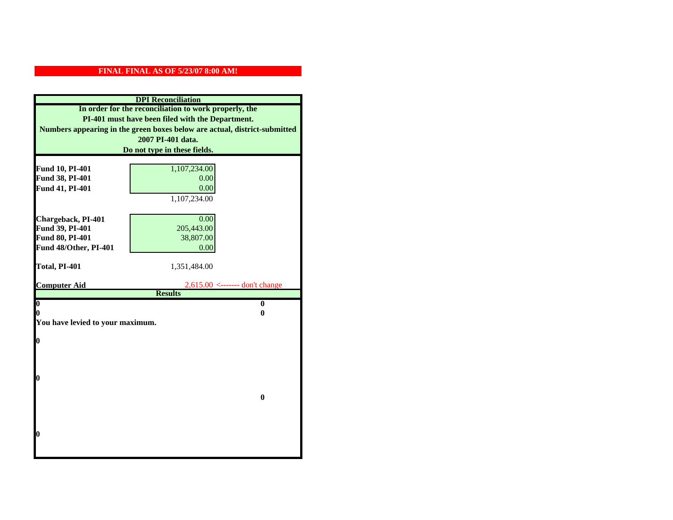| <b>DPI</b> Reconciliation                                                 |                                                    |  |  |  |
|---------------------------------------------------------------------------|----------------------------------------------------|--|--|--|
| In order for the reconciliation to work properly, the                     |                                                    |  |  |  |
| PI-401 must have been filed with the Department.                          |                                                    |  |  |  |
| Numbers appearing in the green boxes below are actual, district-submitted |                                                    |  |  |  |
| 2007 PI-401 data.                                                         |                                                    |  |  |  |
| Do not type in these fields.                                              |                                                    |  |  |  |
|                                                                           |                                                    |  |  |  |
| Fund 10, PI-401                                                           | 1,107,234.00                                       |  |  |  |
| Fund 38, PI-401                                                           | 0.00                                               |  |  |  |
| Fund 41, PI-401                                                           | 0.00<br>1,107,234.00                               |  |  |  |
|                                                                           |                                                    |  |  |  |
| Chargeback, PI-401                                                        | 0.00                                               |  |  |  |
| Fund 39, PI-401                                                           | 205,443.00                                         |  |  |  |
| Fund 80, PI-401                                                           | 38,807.00                                          |  |  |  |
| Fund 48/Other, PI-401                                                     | 0.00                                               |  |  |  |
|                                                                           |                                                    |  |  |  |
| Total, PI-401                                                             | 1,351,484.00                                       |  |  |  |
|                                                                           |                                                    |  |  |  |
| <b>Computer Aid</b>                                                       | $2,615.00$ <------- don't change<br><b>Results</b> |  |  |  |
| $\boldsymbol{0}$                                                          | $\bf{0}$                                           |  |  |  |
| 0                                                                         | 0                                                  |  |  |  |
| You have levied to your maximum.                                          |                                                    |  |  |  |
|                                                                           |                                                    |  |  |  |
| 0                                                                         |                                                    |  |  |  |
|                                                                           |                                                    |  |  |  |
|                                                                           |                                                    |  |  |  |
|                                                                           |                                                    |  |  |  |
| 0                                                                         |                                                    |  |  |  |
|                                                                           |                                                    |  |  |  |
| $\bf{0}$                                                                  |                                                    |  |  |  |
|                                                                           |                                                    |  |  |  |
|                                                                           |                                                    |  |  |  |
| 0                                                                         |                                                    |  |  |  |
|                                                                           |                                                    |  |  |  |
|                                                                           |                                                    |  |  |  |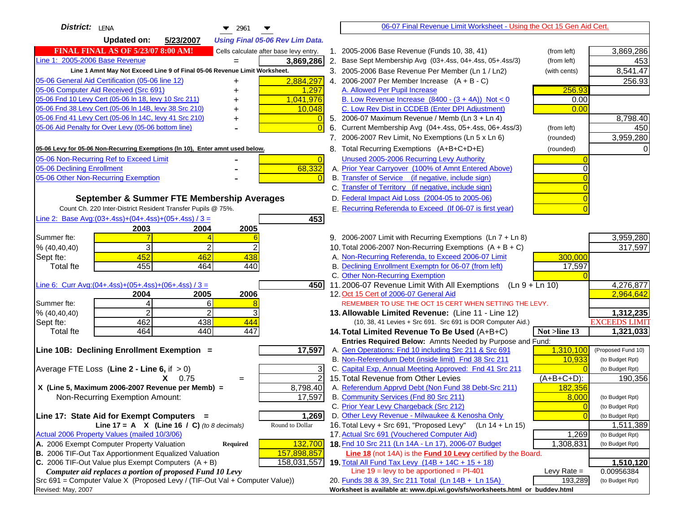| District: LENA<br>$\blacktriangledown$ 2961                                         |                                                                                                                    | 06-07 Final Revenue Limit Worksheet - Using the Oct 15 Gen Aid Cert. |                |                      |
|-------------------------------------------------------------------------------------|--------------------------------------------------------------------------------------------------------------------|----------------------------------------------------------------------|----------------|----------------------|
| <b>Updated on:</b><br>5/23/2007<br><b>Using Final 05-06 Rev Lim Data.</b>           |                                                                                                                    |                                                                      |                |                      |
| <b>FINAL FINAL AS OF 5/23/07 8:00 AM!</b><br>Cells calculate after base levy entry. | 1. 2005-2006 Base Revenue (Funds 10, 38, 41)                                                                       |                                                                      | (from left)    | 3,869,286            |
| Line 1: 2005-2006 Base Revenue<br>3,869,286                                         | 2. Base Sept Membership Avg (03+.4ss, 04+.4ss, 05+.4ss/3)                                                          |                                                                      | (from left)    | 453                  |
| Line 1 Amnt May Not Exceed Line 9 of Final 05-06 Revenue Limit Worksheet.           | 3. 2005-2006 Base Revenue Per Member (Ln 1 / Ln2)                                                                  |                                                                      | (with cents)   | 8,541.47             |
| 2,884,297<br>05-06 General Aid Certification (05-06 line 12)                        | 4. 2006-2007 Per Member Increase $(A + B - C)$                                                                     |                                                                      |                | 256.93               |
| 05-06 Computer Aid Received (Src 691)<br>1,297                                      | A. Allowed Per Pupil Increase                                                                                      |                                                                      | 256.93         |                      |
| 05-06 Fnd 10 Levy Cert (05-06 In 18, levy 10 Src 211)<br>1,041,976                  | B. Low Revenue Increase $(8400 - (3 + 4A))$ Not < 0                                                                |                                                                      | 0.00           |                      |
| 05-06 Fnd 38 Levy Cert (05-06 In 14B, levy 38 Src 210)<br>10,048                    | C. Low Rev Dist in CCDEB (Enter DPI Adjustment)                                                                    |                                                                      | 0.00           |                      |
| 05-06 Fnd 41 Levy Cert (05-06 In 14C, levy 41 Src 210)<br>٠                         | 5. 2006-07 Maximum Revenue / Memb (Ln $3 + \text{Ln } 4$ )                                                         |                                                                      |                | 8,798.40             |
| 05-06 Aid Penalty for Over Levy (05-06 bottom line)                                 | Current Membership Avg (04+.4ss, 05+.4ss, 06+.4ss/3)                                                               |                                                                      | (from left)    | 450                  |
|                                                                                     | 7. 2006-2007 Rev Limit, No Exemptions (Ln 5 x Ln 6)                                                                |                                                                      | (rounded)      | 3,959,280            |
| 05-06 Levy for 05-06 Non-Recurring Exemptions (In 10), Enter amnt used below.       | 8. Total Recurring Exemptions (A+B+C+D+E)                                                                          |                                                                      | (rounded)      | 0                    |
| 05-06 Non-Recurring Ref to Exceed Limit<br>$\overline{0}$                           | Unused 2005-2006 Recurring Levy Authority                                                                          |                                                                      |                |                      |
| 68,332<br>05-06 Declining Enrollment                                                | A. Prior Year Carryover (100% of Amnt Entered Above)                                                               |                                                                      | ∩              |                      |
| 05-06 Other Non-Recurring Exemption                                                 | B. Transfer of Service (if negative, include sign)                                                                 |                                                                      |                |                      |
|                                                                                     | C. Transfer of Territory (if negative, include sign)                                                               |                                                                      |                |                      |
| September & Summer FTE Membership Averages                                          | D. Federal Impact Aid Loss (2004-05 to 2005-06)                                                                    |                                                                      |                |                      |
| Count Ch. 220 Inter-District Resident Transfer Pupils @ 75%.                        | E. Recurring Referenda to Exceed (If 06-07 is first year)                                                          |                                                                      |                |                      |
| Line 2: Base Avg: (03+.4ss) + (04+.4ss) + (05+.4ss) / 3 =<br>453                    |                                                                                                                    |                                                                      |                |                      |
| 2003<br>2004<br>2005                                                                |                                                                                                                    |                                                                      |                |                      |
| Summer fte:                                                                         | 9. 2006-2007 Limit with Recurring Exemptions (Ln 7 + Ln 8)                                                         |                                                                      |                | 3,959,280            |
| 3<br>2<br>$\overline{2}$<br>% (40, 40, 40)                                          | 10. Total 2006-2007 Non-Recurring Exemptions $(A + B + C)$                                                         |                                                                      |                | 317,597              |
| 452<br>462<br>438<br>Sept fte:                                                      | A. Non-Recurring Referenda, to Exceed 2006-07 Limit                                                                |                                                                      | 300,000        |                      |
| 455<br>464<br>440<br>Total fte                                                      | B. Declining Enrollment Exemptn for 06-07 (from left)                                                              |                                                                      | 17,597         |                      |
|                                                                                     | C. Other Non-Recurring Exemption                                                                                   |                                                                      |                |                      |
| Line 6: Curr Avg: $(04+.4ss)+(05+.4ss)+(06+.4ss)/3 =$<br>4501                       | 11.2006-07 Revenue Limit With All Exemptions (Ln $9 + \overline{\text{Ln }10}$ )                                   |                                                                      |                | 4,276,877            |
| 2006<br>2005<br>2004                                                                | 12. Oct 15 Cert of 2006-07 General Aid                                                                             |                                                                      |                | 2,964,642            |
| Summer fte:<br>6<br>4                                                               | REMEMBER TO USE THE OCT 15 CERT WHEN SETTING THE LEVY.                                                             |                                                                      |                |                      |
| 2<br>2<br>% (40, 40, 40)                                                            | 13. Allowable Limited Revenue: (Line 11 - Line 12)                                                                 |                                                                      |                | 1,312,235            |
| 462<br>438<br>444<br>Sept fte:<br>447                                               |                                                                                                                    | (10, 38, 41 Levies + Src 691. Src 691 is DOR Computer Aid.)          |                | <b>EXCEEDS LIMIT</b> |
| 464<br>440<br>Total fte                                                             | 14. Total Limited Revenue To Be Used (A+B+C)                                                                       |                                                                      | Not >line 13   | 1,321,033            |
| 17,597<br>Line 10B: Declining Enrollment Exemption =                                | Entries Required Below: Amnts Needed by Purpose and Fund:<br>A. Gen Operations: Fnd 10 including Src 211 & Src 691 |                                                                      | 1,310,100      | (Proposed Fund 10)   |
|                                                                                     | B. Non-Referendum Debt (inside limit) Fnd 38 Src 211                                                               |                                                                      | 10,933         | (to Budget Rpt)      |
| Average FTE Loss (Line $2 -$ Line 6, if $> 0$ )<br>3                                | C. Capital Exp, Annual Meeting Approved: Fnd 41 Src 211                                                            |                                                                      |                | (to Budget Rpt)      |
| $\overline{2}$<br>$X = 0.75$<br>$=$                                                 | 15. Total Revenue from Other Levies                                                                                |                                                                      | $(A+B+C+D)$ :  | 190,356              |
| X (Line 5, Maximum 2006-2007 Revenue per Memb) =<br>8,798.40                        | A. Referendum Apprvd Debt (Non Fund 38 Debt-Src 211)                                                               |                                                                      | 182,356        |                      |
| 17,597<br>Non-Recurring Exemption Amount:                                           | B. Community Services (Fnd 80 Src 211)                                                                             |                                                                      | 8.000          | (to Budget Rpt)      |
|                                                                                     | C. Prior Year Levy Chargeback (Src 212)                                                                            |                                                                      | $\overline{0}$ | (to Budget Rpt)      |
| 1,269<br>Line 17: State Aid for Exempt Computers =                                  | D. Other Levy Revenue - Milwaukee & Kenosha Only                                                                   |                                                                      | $\Omega$       | (to Budget Rpt)      |
| Line 17 = A $X$ (Line 16 / C) (to 8 decimals)<br>Round to Dollar                    | 16. Total Levy + Src 691, "Proposed Levy"                                                                          | $(Ln 14 + Ln 15)$                                                    |                | 1,511,389            |
| Actual 2006 Property Values (mailed 10/3/06)                                        | 17. Actual Src 691 (Vouchered Computer Aid)                                                                        |                                                                      | 1,269          | (to Budget Rpt)      |
| A. 2006 Exempt Computer Property Valuation<br>132,700<br>Required                   | 18. Fnd 10 Src 211 (Ln 14A - Ln 17), 2006-07 Budget                                                                |                                                                      | 1,308,831      | (to Budget Rpt)      |
| B. 2006 TIF-Out Tax Apportionment Equalized Valuation<br>157,898,857                |                                                                                                                    | Line 18 (not 14A) is the Fund 10 Levy certified by the Board.        |                |                      |
| C. 2006 TIF-Out Value plus Exempt Computers $(A + B)$<br>158,031,557                | 19. Total All Fund Tax Levy (14B + 14C + 15 + 18)                                                                  |                                                                      |                | 1,510,120            |
| Computer aid replaces a portion of proposed Fund 10 Levy                            | Line $19$ = levy to be apportioned = PI-401                                                                        |                                                                      | Levy Rate $=$  | 0.00956384           |
| Src 691 = Computer Value X (Proposed Levy / (TIF-Out Val + Computer Value))         | 20. Funds 38 & 39, Src 211 Total (Ln 14B + Ln 15A)                                                                 |                                                                      | 193,289        | (to Budget Rpt)      |
| Revised: May, 2007                                                                  | Worksheet is available at: www.dpi.wi.gov/sfs/worksheets.html or buddev.html                                       |                                                                      |                |                      |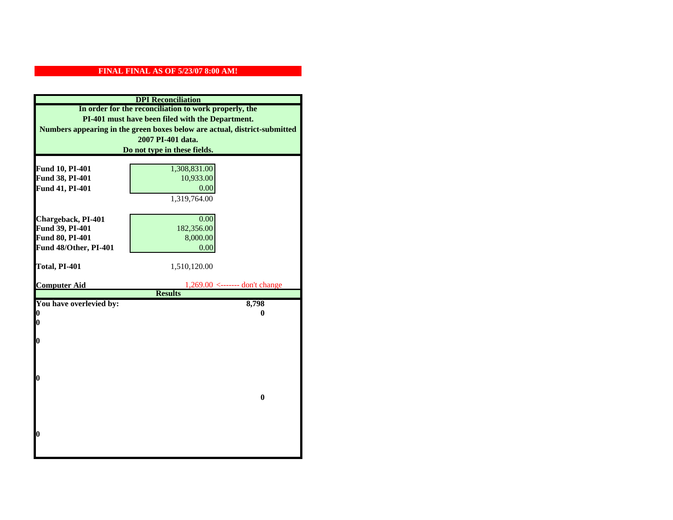| <b>DPI</b> Reconciliation                                                 |                                     |  |
|---------------------------------------------------------------------------|-------------------------------------|--|
| In order for the reconciliation to work properly, the                     |                                     |  |
| PI-401 must have been filed with the Department.                          |                                     |  |
| Numbers appearing in the green boxes below are actual, district-submitted |                                     |  |
| 2007 PI-401 data.                                                         |                                     |  |
| Do not type in these fields.                                              |                                     |  |
|                                                                           |                                     |  |
| Fund 10, PI-401                                                           | 1,308,831.00                        |  |
| Fund 38, PI-401                                                           | 10,933.00                           |  |
| Fund 41, PI-401                                                           | 0.00                                |  |
|                                                                           | 1,319,764.00                        |  |
|                                                                           |                                     |  |
| Chargeback, PI-401                                                        | 0.00                                |  |
| Fund 39, PI-401                                                           | 182,356.00                          |  |
| Fund 80, PI-401                                                           | 8,000.00                            |  |
| Fund 48/Other, PI-401                                                     | 0.00                                |  |
|                                                                           |                                     |  |
| Total, PI-401                                                             | 1,510,120.00                        |  |
| <b>Computer Aid</b>                                                       | $1,269.00 \le$ ------- don't change |  |
|                                                                           | <b>Results</b>                      |  |
| You have overlevied by:                                                   | 8,798                               |  |
| 0                                                                         | 0                                   |  |
| 0                                                                         |                                     |  |
|                                                                           |                                     |  |
| 0                                                                         |                                     |  |
|                                                                           |                                     |  |
|                                                                           |                                     |  |
| $\boldsymbol{0}$                                                          |                                     |  |
|                                                                           |                                     |  |
|                                                                           | $\bf{0}$                            |  |
|                                                                           |                                     |  |
|                                                                           |                                     |  |
|                                                                           |                                     |  |
| 0                                                                         |                                     |  |
|                                                                           |                                     |  |
|                                                                           |                                     |  |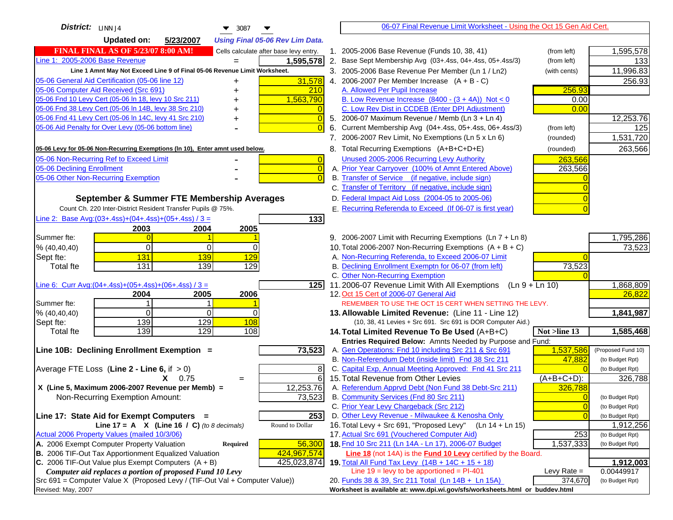| District: $\vert$ LINN J4<br>▼<br>3087                                                                                                   | 06-07 Final Revenue Limit Worksheet - Using the Oct 15 Gen Aid Cert.                                      |                    |
|------------------------------------------------------------------------------------------------------------------------------------------|-----------------------------------------------------------------------------------------------------------|--------------------|
| <b>Updated on:</b><br>5/23/2007<br><b>Using Final 05-06 Rev Lim Data.</b>                                                                |                                                                                                           |                    |
| <b>FINAL FINAL AS OF 5/23/07 8:00 AM!</b><br>Cells calculate after base levy entry.                                                      | 1. 2005-2006 Base Revenue (Funds 10, 38, 41)<br>(from left)                                               | 1,595,578          |
| Line 1: 2005-2006 Base Revenue<br>1,595,578                                                                                              | 2. Base Sept Membership Avg (03+.4ss, 04+.4ss, 05+.4ss/3)<br>(from left)                                  | 133                |
| Line 1 Amnt May Not Exceed Line 9 of Final 05-06 Revenue Limit Worksheet.                                                                | 3. 2005-2006 Base Revenue Per Member (Ln 1 / Ln2)<br>(with cents)                                         | 11,996.83          |
| 31,578<br>05-06 General Aid Certification (05-06 line 12)                                                                                | 4. 2006-2007 Per Member Increase $(A + B - C)$                                                            | 256.93             |
| 05-06 Computer Aid Received (Src 691)<br>210                                                                                             | A. Allowed Per Pupil Increase<br>256.93                                                                   |                    |
| 05-06 Fnd 10 Levy Cert (05-06 ln 18, levy 10 Src 211)<br>1,563,790                                                                       | B. Low Revenue Increase $(8400 - (3 + 4A))$ Not < 0<br>0.00                                               |                    |
| 05-06 Fnd 38 Levy Cert (05-06 In 14B, levy 38 Src 210)                                                                                   | C. Low Rev Dist in CCDEB (Enter DPI Adjustment)<br>0.00                                                   |                    |
| 05-06 Fnd 41 Levy Cert (05-06 In 14C, levy 41 Src 210)<br>$\overline{0}$<br>+                                                            | 5. 2006-07 Maximum Revenue / Memb (Ln 3 + Ln 4)                                                           | 12,253.76          |
| 05-06 Aid Penalty for Over Levy (05-06 bottom line)                                                                                      | Current Membership Avg (04+.4ss, 05+.4ss, 06+.4ss/3)<br>6.<br>(from left)                                 | 125                |
|                                                                                                                                          | 7. 2006-2007 Rev Limit, No Exemptions (Ln 5 x Ln 6)<br>(rounded)                                          | 1,531,720          |
| 05-06 Levy for 05-06 Non-Recurring Exemptions (In 10), Enter amnt used below.                                                            | 8. Total Recurring Exemptions (A+B+C+D+E)<br>(rounded)                                                    | 263,566            |
| 05-06 Non-Recurring Ref to Exceed Limit<br>$\overline{0}$                                                                                | Unused 2005-2006 Recurring Levy Authority<br>263,566                                                      |                    |
| 05-06 Declining Enrollment<br>$\overline{0}$                                                                                             | A. Prior Year Carryover (100% of Amnt Entered Above)<br>263,566                                           |                    |
| 05-06 Other Non-Recurring Exemption                                                                                                      | B. Transfer of Service (if negative, include sign)                                                        |                    |
|                                                                                                                                          | C. Transfer of Territory (if negative, include sign)                                                      |                    |
| September & Summer FTE Membership Averages                                                                                               | D. Federal Impact Aid Loss (2004-05 to 2005-06)                                                           |                    |
| Count Ch. 220 Inter-District Resident Transfer Pupils @ 75%.                                                                             | E. Recurring Referenda to Exceed (If 06-07 is first year)                                                 |                    |
| Line 2: Base Avg: $(03+.4ss)+(04+.4ss)+(05+.4ss)/3 =$<br>133                                                                             |                                                                                                           |                    |
| 2003<br>2004<br>2005                                                                                                                     |                                                                                                           |                    |
| Summer fte:<br>$\Omega$                                                                                                                  | 9. 2006-2007 Limit with Recurring Exemptions (Ln 7 + Ln 8)                                                | 1,795,286          |
| $\Omega$<br>0<br>$\Omega$<br>% (40, 40, 40)                                                                                              | 10. Total 2006-2007 Non-Recurring Exemptions $(A + B + C)$                                                | 73,523             |
| 131<br>139<br><b>129</b><br>Sept fte:                                                                                                    | A. Non-Recurring Referenda, to Exceed 2006-07 Limit                                                       |                    |
| 131<br>139<br>129<br><b>Total fte</b>                                                                                                    | B. Declining Enrollment Exemptn for 06-07 (from left)<br>73,523                                           |                    |
|                                                                                                                                          | C. Other Non-Recurring Exemption                                                                          |                    |
| Line 6: Curr Avg: $(04+.4ss)+(05+.4ss)+(06+.4ss)/3 =$<br>125                                                                             | 11.2006-07 Revenue Limit With All Exemptions (Ln $9 + \overline{\text{Ln }10}$ )                          | 1,868,809          |
| 2006<br>2004<br>2005<br>Summer fte:                                                                                                      | 12. Oct 15 Cert of 2006-07 General Aid<br>REMEMBER TO USE THE OCT 15 CERT WHEN SETTING THE LEVY.          | 26,822             |
| $\Omega$<br>$\Omega$<br>$\Omega$<br>% (40, 40, 40)                                                                                       | 13. Allowable Limited Revenue: (Line 11 - Line 12)                                                        | 1,841,987          |
| 139<br>129<br>108<br>Sept fte:                                                                                                           | (10, 38, 41 Levies + Src 691. Src 691 is DOR Computer Aid.)                                               |                    |
| 139<br>129<br><b>Total fte</b><br>108                                                                                                    | 14. Total Limited Revenue To Be Used (A+B+C)<br>Not >line 13                                              | 1,585,468          |
|                                                                                                                                          | Entries Required Below: Amnts Needed by Purpose and Fund:                                                 |                    |
| 73,523<br>Line 10B: Declining Enrollment Exemption =                                                                                     | 1,537,586<br>A. Gen Operations: Fnd 10 including Src 211 & Src 691                                        | (Proposed Fund 10) |
|                                                                                                                                          | B. Non-Referendum Debt (inside limit) Fnd 38 Src 211<br>47,882                                            | (to Budget Rpt)    |
| Average FTE Loss (Line $2 -$ Line 6, if $> 0$ )<br>8                                                                                     | C. Capital Exp, Annual Meeting Approved: Fnd 41 Src 211                                                   | (to Budget Rpt)    |
| $\overline{6}$<br>$X = 0.75$<br>$=$                                                                                                      | 15. Total Revenue from Other Levies<br>$(A+B+C+D)$ :                                                      | 326,788            |
| X (Line 5, Maximum 2006-2007 Revenue per Memb) =<br>12,253.76                                                                            | A. Referendum Apprvd Debt (Non Fund 38 Debt-Src 211)<br>326,788                                           |                    |
| Non-Recurring Exemption Amount:<br>73,523                                                                                                | B. Community Services (Fnd 80 Src 211)                                                                    | (to Budget Rpt)    |
|                                                                                                                                          | C. Prior Year Levy Chargeback (Src 212)<br>$\overline{0}$                                                 | (to Budget Rpt)    |
| Line 17: State Aid for Exempt Computers =<br>253                                                                                         | D. Other Levy Revenue - Milwaukee & Kenosha Only                                                          | (to Budget Rpt)    |
| Line 17 = A $X$ (Line 16 / C) (to 8 decimals)<br>Round to Dollar                                                                         | 16. Total Levy + Src 691, "Proposed Levy"<br>$(Ln 14 + Ln 15)$                                            | 1,912,256          |
| Actual 2006 Property Values (mailed 10/3/06)                                                                                             | 17. Actual Src 691 (Vouchered Computer Aid)<br>253<br>18. Fnd 10 Src 211 (Ln 14A - Ln 17), 2006-07 Budget | (to Budget Rpt)    |
| A. 2006 Exempt Computer Property Valuation<br>56,300<br>Required<br>B. 2006 TIF-Out Tax Apportionment Equalized Valuation<br>424,967,574 | 1,537,333<br><b>Line 18</b> (not 14A) is the <b>Fund 10 Levy</b> certified by the Board.                  | (to Budget Rpt)    |
| C. 2006 TIF-Out Value plus Exempt Computers $(A + B)$<br>425,023,874                                                                     | 19. Total All Fund Tax Levy (14B + 14C + 15 + 18)                                                         | 1,912,003          |
| Computer aid replaces a portion of proposed Fund 10 Levy                                                                                 | Line $19 = \text{levy}$ to be apportioned = PI-401<br>Levy Rate $=$                                       | 0.00449917         |
| Src 691 = Computer Value X (Proposed Levy / (TIF-Out Val + Computer Value))                                                              | 374,670<br>20. Funds 38 & 39, Src 211 Total (Ln 14B + Ln 15A)                                             | (to Budget Rpt)    |
| Revised: May, 2007                                                                                                                       | Worksheet is available at: www.dpi.wi.gov/sfs/worksheets.html or buddev.html                              |                    |
|                                                                                                                                          |                                                                                                           |                    |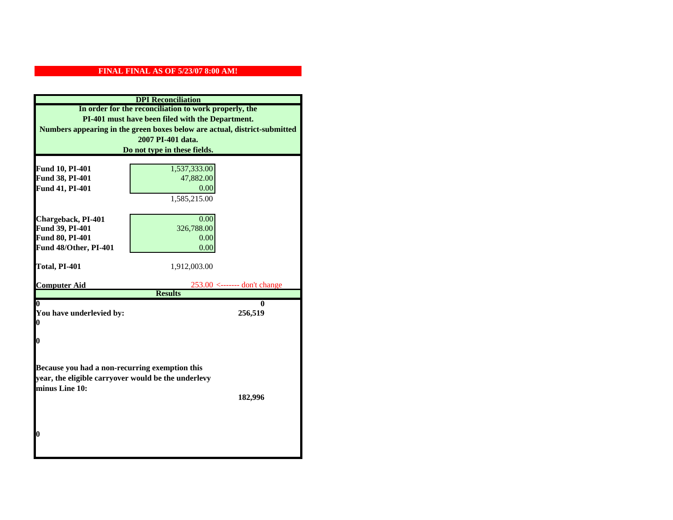|                                                                           | <b>DPI</b> Reconciliation                             |  |  |
|---------------------------------------------------------------------------|-------------------------------------------------------|--|--|
|                                                                           | In order for the reconciliation to work properly, the |  |  |
| PI-401 must have been filed with the Department.                          |                                                       |  |  |
| Numbers appearing in the green boxes below are actual, district-submitted |                                                       |  |  |
| 2007 PI-401 data.                                                         |                                                       |  |  |
| Do not type in these fields.                                              |                                                       |  |  |
|                                                                           |                                                       |  |  |
| Fund 10, PI-401                                                           | 1,537,333.00                                          |  |  |
| Fund 38, PI-401                                                           | 47,882.00                                             |  |  |
| Fund 41, PI-401                                                           | 0.00                                                  |  |  |
|                                                                           | 1,585,215.00                                          |  |  |
| Chargeback, PI-401                                                        | 0.00                                                  |  |  |
| Fund 39, PI-401                                                           | 326,788.00                                            |  |  |
| Fund 80, PI-401                                                           | 0.00                                                  |  |  |
| Fund 48/Other, PI-401                                                     | 0.00                                                  |  |  |
|                                                                           |                                                       |  |  |
| Total, PI-401                                                             | 1,912,003.00                                          |  |  |
|                                                                           |                                                       |  |  |
| <b>Computer Aid</b>                                                       | $253.00$ <------- don't change<br><b>Results</b>      |  |  |
| 0<br>0                                                                    |                                                       |  |  |
| You have underlevied by:                                                  | 256,519                                               |  |  |
| 0                                                                         |                                                       |  |  |
|                                                                           |                                                       |  |  |
| 0                                                                         |                                                       |  |  |
|                                                                           |                                                       |  |  |
| Because you had a non-recurring exemption this                            |                                                       |  |  |
| year, the eligible carryover would be the underlevy                       |                                                       |  |  |
| minus Line 10:                                                            |                                                       |  |  |
|                                                                           | 182,996                                               |  |  |
|                                                                           |                                                       |  |  |
|                                                                           |                                                       |  |  |
|                                                                           |                                                       |  |  |
| 0                                                                         |                                                       |  |  |
|                                                                           |                                                       |  |  |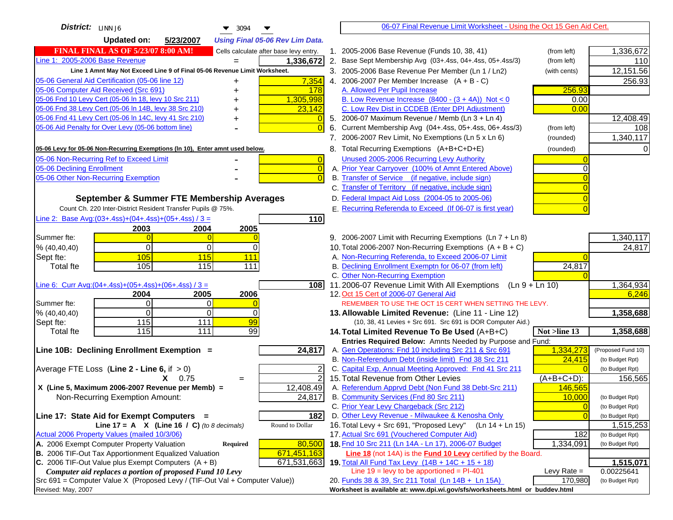| District: $\vert$ LINN J6<br>▼<br>3094                                                                                                       |                | 06-07 Final Revenue Limit Worksheet - Using the Oct 15 Gen Aid Cert.                                                      |                |                    |
|----------------------------------------------------------------------------------------------------------------------------------------------|----------------|---------------------------------------------------------------------------------------------------------------------------|----------------|--------------------|
| <b>Updated on:</b><br>5/23/2007<br><b>Using Final 05-06 Rev Lim Data.</b>                                                                    |                |                                                                                                                           |                |                    |
| <b>FINAL FINAL AS OF 5/23/07 8:00 AM!</b><br>Cells calculate after base levy entry.                                                          |                | 1. 2005-2006 Base Revenue (Funds 10, 38, 41)                                                                              | (from left)    | 1,336,672          |
| Line 1: 2005-2006 Base Revenue<br>1,336,672                                                                                                  |                | 2. Base Sept Membership Avg (03+.4ss, 04+.4ss, 05+.4ss/3)                                                                 | (from left)    | 110                |
| Line 1 Amnt May Not Exceed Line 9 of Final 05-06 Revenue Limit Worksheet.                                                                    |                | 3. 2005-2006 Base Revenue Per Member (Ln 1 / Ln2)                                                                         | (with cents)   | 12,151.56          |
| 7,354<br>05-06 General Aid Certification (05-06 line 12)<br>+                                                                                |                | 4. 2006-2007 Per Member Increase $(A + B - C)$                                                                            |                | 256.93             |
| 05-06 Computer Aid Received (Src 691)<br>178                                                                                                 |                | A. Allowed Per Pupil Increase                                                                                             | 256.93         |                    |
| 05-06 Fnd 10 Levy Cert (05-06 In 18, levy 10 Src 211)<br>1,305,998                                                                           |                | B. Low Revenue Increase $(8400 - (3 + 4A))$ Not < 0                                                                       | 0.00           |                    |
| 05-06 Fnd 38 Levy Cert (05-06 In 14B, levy 38 Src 210)<br>23,142                                                                             |                | C. Low Rev Dist in CCDEB (Enter DPI Adjustment)                                                                           | 0.00           |                    |
| 05-06 Fnd 41 Levy Cert (05-06 In 14C, levy 41 Src 210)<br>$\Omega$<br>+                                                                      |                | 5. 2006-07 Maximum Revenue / Memb (Ln 3 + Ln 4)                                                                           |                | 12,408.49          |
| 05-06 Aid Penalty for Over Levy (05-06 bottom line)<br>$\Omega$                                                                              |                | 6. Current Membership Avg (04+.4ss, 05+.4ss, 06+.4ss/3)                                                                   | (from left)    | 108                |
|                                                                                                                                              |                | 7. 2006-2007 Rev Limit, No Exemptions (Ln 5 x Ln 6)                                                                       | (rounded)      | 1,340,117          |
| 05-06 Levy for 05-06 Non-Recurring Exemptions (In 10), Enter amnt used below.                                                                |                | 8. Total Recurring Exemptions (A+B+C+D+E)                                                                                 | (rounded)      |                    |
| 05-06 Non-Recurring Ref to Exceed Limit                                                                                                      | $\overline{0}$ | Unused 2005-2006 Recurring Levy Authority                                                                                 |                |                    |
| 05-06 Declining Enrollment<br>$\overline{0}$                                                                                                 |                | A. Prior Year Carryover (100% of Amnt Entered Above)                                                                      | 0              |                    |
| 05-06 Other Non-Recurring Exemption<br>$\Omega$                                                                                              |                | B. Transfer of Service (if negative, include sign)                                                                        |                |                    |
|                                                                                                                                              |                | C. Transfer of Territory (if negative, include sign)                                                                      |                |                    |
| September & Summer FTE Membership Averages                                                                                                   |                | D. Federal Impact Aid Loss (2004-05 to 2005-06)                                                                           |                |                    |
| Count Ch. 220 Inter-District Resident Transfer Pupils @ 75%.                                                                                 |                | E. Recurring Referenda to Exceed (If 06-07 is first year)                                                                 |                |                    |
| Line 2: Base Avg: (03+.4ss) + (04+.4ss) + (05+.4ss) / 3 =<br>110                                                                             |                |                                                                                                                           |                |                    |
| 2003<br>2004<br>2005                                                                                                                         |                |                                                                                                                           |                |                    |
| Summer fte:<br>$\Omega$                                                                                                                      |                | 9. 2006-2007 Limit with Recurring Exemptions (Ln 7 + Ln 8)                                                                |                | 1,340,117          |
| $\Omega$<br>0<br>$\overline{0}$<br>% (40, 40, 40)                                                                                            |                | 10. Total 2006-2007 Non-Recurring Exemptions $(A + B + C)$                                                                |                | 24,817             |
| 105<br>115<br>111<br>Sept fte:                                                                                                               |                | A. Non-Recurring Referenda, to Exceed 2006-07 Limit                                                                       |                |                    |
| 105<br>115<br>111<br>Total fte                                                                                                               |                | B. Declining Enrollment Exemptn for 06-07 (from left)                                                                     | 24,817         |                    |
|                                                                                                                                              |                | C. Other Non-Recurring Exemption                                                                                          |                |                    |
| Line 6: Curr Avg: $(04+.4ss)+(05+.4ss)+(06+.4ss)$ / 3 =<br>108I                                                                              |                | 11.2006-07 Revenue Limit With All Exemptions (Ln $9 + \overline{\text{Ln }10}$ )                                          |                | 1,364,934          |
| 2005<br>2006<br>2004                                                                                                                         |                | 12. Oct 15 Cert of 2006-07 General Aid                                                                                    |                | 6,246              |
| Summer fte:<br>$\Omega$<br>0<br>$\Omega$<br>$\Omega$<br>$\Omega$                                                                             |                | REMEMBER TO USE THE OCT 15 CERT WHEN SETTING THE LEVY.                                                                    |                |                    |
| % (40, 40, 40)<br>115<br>111<br>99<br>Sept fte:                                                                                              |                | 13. Allowable Limited Revenue: (Line 11 - Line 12)<br>(10, 38, 41 Levies + Src 691. Src 691 is DOR Computer Aid.)         |                | 1,358,688          |
| 115<br>111<br>99<br>Total fte                                                                                                                |                | 14. Total Limited Revenue To Be Used (A+B+C)                                                                              | Not >line 13   | 1,358,688          |
|                                                                                                                                              |                | Entries Required Below: Amnts Needed by Purpose and Fund:                                                                 |                |                    |
| 24,817<br>Line 10B: Declining Enrollment Exemption =                                                                                         |                | A. Gen Operations: Fnd 10 including Src 211 & Src 691                                                                     | 1,334,273      | (Proposed Fund 10) |
|                                                                                                                                              |                | B. Non-Referendum Debt (inside limit) Fnd 38 Src 211                                                                      | 24,415         | (to Budget Rpt)    |
| Average FTE Loss (Line $2 -$ Line 6, if $> 0$ )                                                                                              |                | C. Capital Exp, Annual Meeting Approved: Fnd 41 Src 211                                                                   |                | (to Budget Rpt)    |
| $X = 0.75$<br>$=$                                                                                                                            | $\overline{2}$ | 15. Total Revenue from Other Levies                                                                                       | $(A+B+C+D)$ :  | 156,565            |
| X (Line 5, Maximum 2006-2007 Revenue per Memb) =<br>12,408.49                                                                                |                | A. Referendum Apprvd Debt (Non Fund 38 Debt-Src 211)                                                                      | 146,565        |                    |
| Non-Recurring Exemption Amount:<br>24,817                                                                                                    |                | B. Community Services (Fnd 80 Src 211)                                                                                    | 10,000         | (to Budget Rpt)    |
|                                                                                                                                              |                | C. Prior Year Levy Chargeback (Src 212)                                                                                   | $\overline{0}$ | (to Budget Rpt)    |
| Line 17: State Aid for Exempt Computers =<br>182                                                                                             |                | D. Other Levy Revenue - Milwaukee & Kenosha Only                                                                          |                | (to Budget Rpt)    |
| Round to Dollar<br>Line 17 = A $X$ (Line 16 / C) (to 8 decimals)                                                                             |                | 16. Total Levy + Src 691, "Proposed Levy"<br>(Ln 14 + Ln 15)                                                              |                | 1,515,253          |
| Actual 2006 Property Values (mailed 10/3/06)                                                                                                 |                | 17. Actual Src 691 (Vouchered Computer Aid)                                                                               | 182            | (to Budget Rpt)    |
| A. 2006 Exempt Computer Property Valuation<br>80,500<br>Required                                                                             |                | 18. Fnd 10 Src 211 (Ln 14A - Ln 17), 2006-07 Budget                                                                       | 1,334,091      | (to Budget Rpt)    |
| B. 2006 TIF-Out Tax Apportionment Equalized Valuation<br>671,451,163<br>C. 2006 TIF-Out Value plus Exempt Computers $(A + B)$<br>671,531,663 |                | Line 18 (not 14A) is the <b>Fund 10 Levy</b> certified by the Board.<br>19. Total All Fund Tax Levy (14B + 14C + 15 + 18) |                | 1,515,071          |
| Computer aid replaces a portion of proposed Fund 10 Levy                                                                                     |                | Line $19 = \text{levy}$ to be apportioned = PI-401                                                                        | Levy Rate $=$  | 0.00225641         |
| Src 691 = Computer Value X (Proposed Levy / (TIF-Out Val + Computer Value))                                                                  |                | 20. Funds 38 & 39, Src 211 Total (Ln 14B + Ln 15A)                                                                        | 170,980        | (to Budget Rpt)    |
| Revised: May, 2007                                                                                                                           |                | Worksheet is available at: www.dpi.wi.gov/sfs/worksheets.html or buddev.html                                              |                |                    |
|                                                                                                                                              |                |                                                                                                                           |                |                    |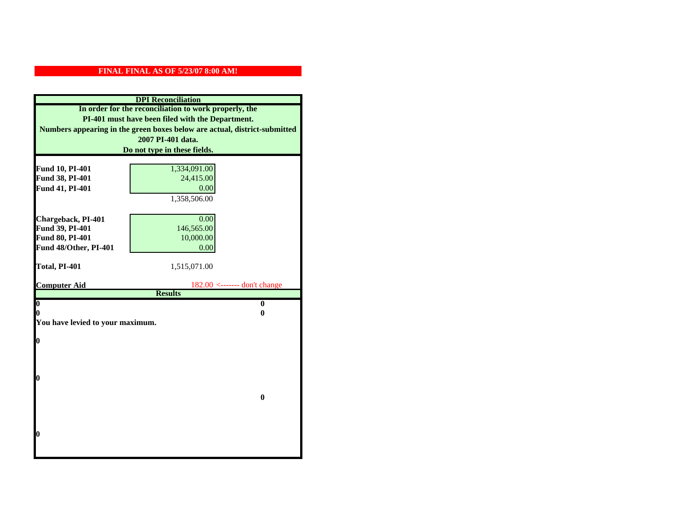|                                  | <b>DPI</b> Reconciliation                                                 |
|----------------------------------|---------------------------------------------------------------------------|
|                                  | In order for the reconciliation to work properly, the                     |
|                                  | PI-401 must have been filed with the Department.                          |
|                                  | Numbers appearing in the green boxes below are actual, district-submitted |
|                                  | 2007 PI-401 data.                                                         |
|                                  | Do not type in these fields.                                              |
|                                  |                                                                           |
| Fund 10, PI-401                  | 1,334,091.00                                                              |
| Fund 38, PI-401                  | 24,415.00                                                                 |
| Fund 41, PI-401                  | 0.00                                                                      |
|                                  | 1,358,506.00                                                              |
| Chargeback, PI-401               | 0.00                                                                      |
| Fund 39, PI-401                  | 146,565.00                                                                |
| <b>Fund 80, PI-401</b>           | 10,000.00                                                                 |
| Fund 48/Other, PI-401            | 0.00                                                                      |
|                                  |                                                                           |
| Total, PI-401                    | 1,515,071.00                                                              |
|                                  |                                                                           |
| <b>Computer Aid</b>              | $182.00$ <------- don't change<br><b>Results</b>                          |
| $\boldsymbol{0}$                 | $\bf{0}$                                                                  |
| 0                                | 0                                                                         |
| You have levied to your maximum. |                                                                           |
|                                  |                                                                           |
| $\bf{0}$                         |                                                                           |
|                                  |                                                                           |
|                                  |                                                                           |
|                                  |                                                                           |
| 0                                |                                                                           |
|                                  | $\bf{0}$                                                                  |
|                                  |                                                                           |
|                                  |                                                                           |
|                                  |                                                                           |
| 0                                |                                                                           |
|                                  |                                                                           |
|                                  |                                                                           |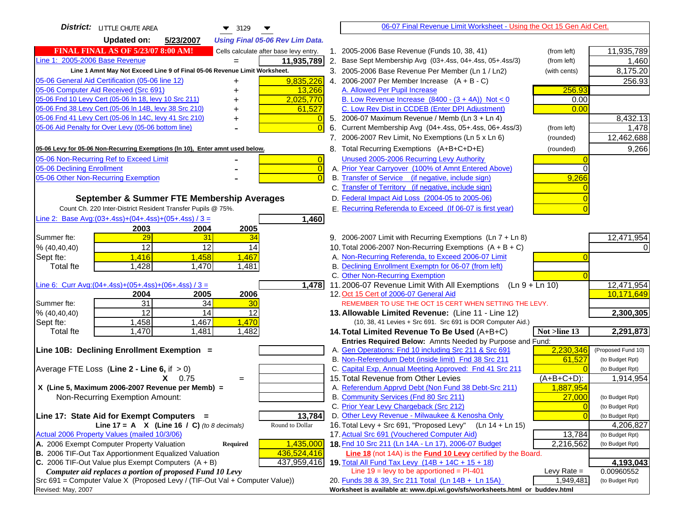| District: LITTLE CHUTE AREA<br>$\blacktriangledown$ 3129<br>▼                                 | 06-07 Final Revenue Limit Worksheet - Using the Oct 15 Gen Aid Cert.                                                      |                              |
|-----------------------------------------------------------------------------------------------|---------------------------------------------------------------------------------------------------------------------------|------------------------------|
| <b>Updated on:</b><br>5/23/2007<br><b>Using Final 05-06 Rev Lim Data.</b>                     |                                                                                                                           |                              |
| <b>FINAL FINAL AS OF 5/23/07 8:00 AM!</b><br>Cells calculate after base levy entry.           | 1. 2005-2006 Base Revenue (Funds 10, 38, 41)<br>(from left)                                                               | 11,935,789                   |
| Line 1: 2005-2006 Base Revenue<br>11,935,789<br>$=$                                           | 2. Base Sept Membership Avg (03+.4ss, 04+.4ss, 05+.4ss/3)<br>(from left)                                                  | 1,460                        |
| Line 1 Amnt May Not Exceed Line 9 of Final 05-06 Revenue Limit Worksheet.                     | 3. 2005-2006 Base Revenue Per Member (Ln 1 / Ln2)<br>(with cents)                                                         | 8,175.20                     |
| 05-06 General Aid Certification (05-06 line 12)<br>9,835,226<br>+                             | 4. 2006-2007 Per Member Increase $(A + B - C)$                                                                            | 256.93                       |
| 05-06 Computer Aid Received (Src 691)<br>13,266                                               | 256.93<br>A. Allowed Per Pupil Increase                                                                                   |                              |
| 05-06 Fnd 10 Levy Cert (05-06 In 18, levy 10 Src 211)<br>2,025,770                            | B. Low Revenue Increase $(8400 - (3 + 4A))$ Not < 0<br>0.00                                                               |                              |
| 05-06 Fnd 38 Levy Cert (05-06 In 14B, levy 38 Src 210)<br>61,527                              | C. Low Rev Dist in CCDEB (Enter DPI Adjustment)<br>0.00                                                                   |                              |
| 05-06 Fnd 41 Levy Cert (05-06 In 14C, levy 41 Src 210)<br>+                                   | 5. 2006-07 Maximum Revenue / Memb (Ln $3 + \text{Ln } 4$ )                                                                | 8,432.13                     |
| 05-06 Aid Penalty for Over Levy (05-06 bottom line)<br>$\Omega$                               | Current Membership Avg (04+.4ss, 05+.4ss, 06+.4ss/3)<br>6.<br>(from left)                                                 | 1,478                        |
|                                                                                               | 7. 2006-2007 Rev Limit, No Exemptions (Ln 5 x Ln 6)<br>(rounded)                                                          | 12,462,688                   |
| 05-06 Levy for 05-06 Non-Recurring Exemptions (In 10), Enter amnt used below.                 | 8. Total Recurring Exemptions (A+B+C+D+E)<br>(rounded)                                                                    | 9,266                        |
| 05-06 Non-Recurring Ref to Exceed Limit<br>$\overline{0}$                                     | Unused 2005-2006 Recurring Levy Authority                                                                                 |                              |
| 05-06 Declining Enrollment<br>$\overline{0}$                                                  | A. Prior Year Carryover (100% of Amnt Entered Above)<br>$\Omega$                                                          |                              |
| 05-06 Other Non-Recurring Exemption<br>$\Omega$                                               | B. Transfer of Service (if negative, include sign)<br>9,266                                                               |                              |
|                                                                                               | C. Transfer of Territory (if negative, include sign)                                                                      |                              |
| September & Summer FTE Membership Averages                                                    | D. Federal Impact Aid Loss (2004-05 to 2005-06)                                                                           |                              |
| Count Ch. 220 Inter-District Resident Transfer Pupils @ 75%.                                  | E. Recurring Referenda to Exceed (If 06-07 is first year)                                                                 |                              |
| Line 2: Base Avg: $(03+.4ss)+(04+.4ss)+(05+.4ss)/3 =$<br>1,460                                |                                                                                                                           |                              |
| 2003<br>2004<br>2005                                                                          |                                                                                                                           |                              |
| Summer fte:<br>29<br>31<br>34                                                                 | 9. 2006-2007 Limit with Recurring Exemptions (Ln 7 + Ln 8)                                                                | 12,471,954                   |
| 12<br>12<br>% (40, 40, 40)<br>14                                                              | 10. Total 2006-2007 Non-Recurring Exemptions $(A + B + C)$                                                                |                              |
| 1,416<br>1,458<br>1,467<br>Sept fte:                                                          | A. Non-Recurring Referenda, to Exceed 2006-07 Limit                                                                       |                              |
| 1,428<br>1,470<br>1,481<br>Total fte                                                          | B. Declining Enrollment Exemptn for 06-07 (from left)                                                                     |                              |
| Line 6: Curr Avg: $(04+.4ss)+(05+.4ss)+(06+.4ss)/3 =$<br>1,478                                | C. Other Non-Recurring Exemption<br>11.2006-07 Revenue Limit With All Exemptions (Ln 9 + Ln 10)                           | 12,471,954                   |
| 2005<br>2006<br>2004                                                                          | 12. Oct 15 Cert of 2006-07 General Aid                                                                                    | 10,171,649                   |
| 31<br>$\overline{34}$<br>Summer fte:<br>30                                                    | REMEMBER TO USE THE OCT 15 CERT WHEN SETTING THE LEVY.                                                                    |                              |
| 12<br>14<br>12<br>% (40, 40, 40)                                                              | 13. Allowable Limited Revenue: (Line 11 - Line 12)                                                                        | 2,300,305                    |
| 1,458<br>1,467<br>1,470<br>Sept fte:                                                          | (10, 38, 41 Levies + Src 691. Src 691 is DOR Computer Aid.)                                                               |                              |
| 1,470<br>1,481<br>1,482<br>Total fte                                                          | 14. Total Limited Revenue To Be Used (A+B+C)<br>Not >line 13                                                              | 2,291,873                    |
|                                                                                               | Entries Required Below: Amnts Needed by Purpose and Fund:                                                                 |                              |
| Line 10B: Declining Enrollment Exemption =                                                    | 2,230,346<br>A. Gen Operations: Fnd 10 including Src 211 & Src 691                                                        | (Proposed Fund 10)           |
|                                                                                               | B. Non-Referendum Debt (inside limit) Fnd 38 Src 211<br>61,527                                                            | (to Budget Rpt)              |
| Average FTE Loss (Line $2 -$ Line 6, if $> 0$ )                                               | C. Capital Exp, Annual Meeting Approved: Fnd 41 Src 211                                                                   | (to Budget Rpt)              |
| $X = 0.75$<br>$\qquad \qquad =$                                                               | 15. Total Revenue from Other Levies<br>$(A+B+C+D)$ :                                                                      | 1,914,954                    |
| X (Line 5, Maximum 2006-2007 Revenue per Memb) =                                              | A. Referendum Apprvd Debt (Non Fund 38 Debt-Src 211)<br>1,887,954                                                         |                              |
| Non-Recurring Exemption Amount:                                                               | B. Community Services (Fnd 80 Src 211)<br>27,000                                                                          | (to Budget Rpt)              |
|                                                                                               | C. Prior Year Levy Chargeback (Src 212)<br>$\overline{0}$<br>D. Other Levy Revenue - Milwaukee & Kenosha Only<br>$\Omega$ | (to Budget Rpt)              |
| 13,784<br>Line 17: State Aid for Exempt Computers =<br>Round to Dollar                        | 16. Total Levy + Src 691, "Proposed Levy"<br>(Ln 14 + Ln 15)                                                              | (to Budget Rpt)              |
| Line 17 = A $X$ (Line 16 / C) (to 8 decimals)<br>Actual 2006 Property Values (mailed 10/3/06) | 17. Actual Src 691 (Vouchered Computer Aid)<br>13,784                                                                     | 4,206,827<br>(to Budget Rpt) |
| A. 2006 Exempt Computer Property Valuation<br>1,435,000<br><b>Required</b>                    | 18. Fnd 10 Src 211 (Ln 14A - Ln 17), 2006-07 Budget<br>2,216,562                                                          | (to Budget Rpt)              |
| B. 2006 TIF-Out Tax Apportionment Equalized Valuation<br>436,524,416                          | Line 18 (not 14A) is the Fund 10 Levy certified by the Board.                                                             |                              |
| C. 2006 TIF-Out Value plus Exempt Computers $(A + B)$<br>437,959,416                          | 19. Total All Fund Tax Levy (14B + 14C + 15 + 18)                                                                         | 4,193,043                    |
| Computer aid replaces a portion of proposed Fund 10 Levy                                      | Line $19 = \text{levy}$ to be apportioned = PI-401<br>Levy Rate $=$                                                       | 0.00960552                   |
| Src 691 = Computer Value X (Proposed Levy / (TIF-Out Val + Computer Value))                   | 20. Funds 38 & 39, Src 211 Total (Ln 14B + Ln 15A)<br>1,949,481                                                           | (to Budget Rpt)              |
| Revised: May, 2007                                                                            | Worksheet is available at: www.dpi.wi.gov/sfs/worksheets.html or buddev.html                                              |                              |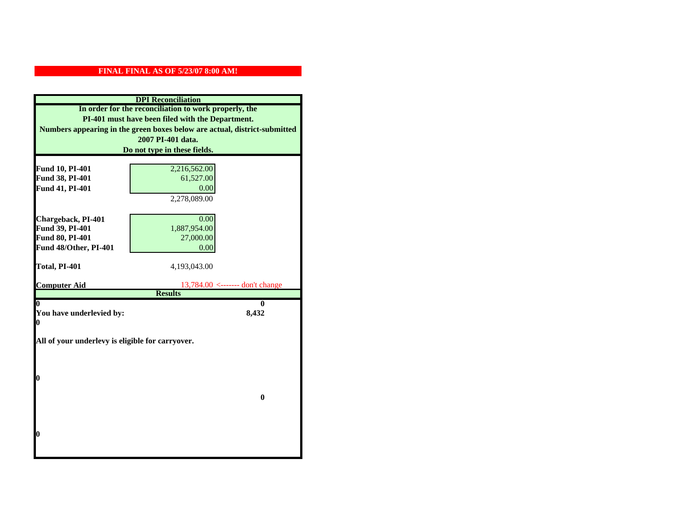|                                                  | <b>DPI</b> Reconciliation                                                 |
|--------------------------------------------------|---------------------------------------------------------------------------|
|                                                  | In order for the reconciliation to work properly, the                     |
|                                                  | PI-401 must have been filed with the Department.                          |
|                                                  | Numbers appearing in the green boxes below are actual, district-submitted |
|                                                  | 2007 PI-401 data.                                                         |
|                                                  | Do not type in these fields.                                              |
|                                                  |                                                                           |
| Fund 10, PI-401                                  | 2,216,562.00                                                              |
| Fund 38, PI-401                                  | 61,527.00                                                                 |
| Fund 41, PI-401                                  | 0.00                                                                      |
|                                                  | 2,278,089.00                                                              |
|                                                  |                                                                           |
| Chargeback, PI-401                               | 0.00                                                                      |
| Fund 39, PI-401                                  | 1,887,954.00                                                              |
| <b>Fund 80, PI-401</b>                           | 27,000.00                                                                 |
| Fund 48/Other, PI-401                            | 0.00                                                                      |
| Total, PI-401                                    | 4,193,043.00                                                              |
|                                                  |                                                                           |
| <b>Computer Aid</b>                              | $13,784.00$ <------- don't change                                         |
|                                                  | <b>Results</b>                                                            |
| 0                                                | 0<br>8,432                                                                |
| You have underlevied by:<br>0                    |                                                                           |
|                                                  |                                                                           |
| All of your underlevy is eligible for carryover. |                                                                           |
|                                                  |                                                                           |
|                                                  |                                                                           |
|                                                  |                                                                           |
| 0                                                |                                                                           |
|                                                  |                                                                           |
|                                                  | $\bf{0}$                                                                  |
|                                                  |                                                                           |
|                                                  |                                                                           |
| 0                                                |                                                                           |
|                                                  |                                                                           |
|                                                  |                                                                           |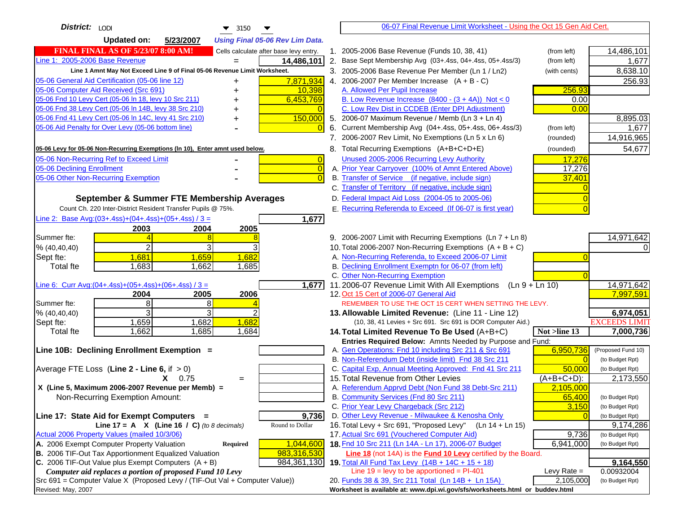| District: $\vert_{\text{LODI}}$<br>$\blacktriangledown$ 3150<br>▼                   | 06-07 Final Revenue Limit Worksheet - Using the Oct 15 Gen Aid Cert.                                                  |                                    |
|-------------------------------------------------------------------------------------|-----------------------------------------------------------------------------------------------------------------------|------------------------------------|
| <b>Updated on:</b><br>5/23/2007<br><b>Using Final 05-06 Rev Lim Data.</b>           |                                                                                                                       |                                    |
| <b>FINAL FINAL AS OF 5/23/07 8:00 AM!</b><br>Cells calculate after base levy entry. | 1. 2005-2006 Base Revenue (Funds 10, 38, 41)<br>(from left)                                                           | 14,486,101                         |
| Line 1: 2005-2006 Base Revenue<br>14,486,101<br>$=$                                 | 2. Base Sept Membership Avg (03+.4ss, 04+.4ss, 05+.4ss/3)<br>(from left)                                              | 1,677                              |
| Line 1 Amnt May Not Exceed Line 9 of Final 05-06 Revenue Limit Worksheet.           | 3. 2005-2006 Base Revenue Per Member (Ln 1 / Ln2)<br>(with cents)                                                     | 8,638.10                           |
| 7,871,934<br>05-06 General Aid Certification (05-06 line 12)                        | 4. 2006-2007 Per Member Increase $(A + B - C)$                                                                        | 256.93                             |
| 05-06 Computer Aid Received (Src 691)<br>10,398                                     | A. Allowed Per Pupil Increase<br>256.93                                                                               |                                    |
| 05-06 Fnd 10 Levy Cert (05-06 ln 18, levy 10 Src 211)<br>6,453,769                  | B. Low Revenue Increase $(8400 - (3 + 4A))$ Not < 0<br>0.00                                                           |                                    |
| 05-06 Fnd 38 Levy Cert (05-06 In 14B, levy 38 Src 210)                              | C. Low Rev Dist in CCDEB (Enter DPI Adjustment)<br>0.00                                                               |                                    |
| 05-06 Fnd 41 Levy Cert (05-06 In 14C, levy 41 Src 210)<br>150,000<br>╉              | 5. 2006-07 Maximum Revenue / Memb (Ln 3 + Ln 4)                                                                       | 8,895.03                           |
| 05-06 Aid Penalty for Over Levy (05-06 bottom line)                                 | 6. Current Membership Avg (04+.4ss, 05+.4ss, 06+.4ss/3)<br>(from left)                                                | 1,677                              |
|                                                                                     | 7. 2006-2007 Rev Limit, No Exemptions (Ln 5 x Ln 6)<br>(rounded)                                                      | 14,916,965                         |
| 05-06 Levy for 05-06 Non-Recurring Exemptions (In 10), Enter amnt used below.       | 8. Total Recurring Exemptions (A+B+C+D+E)<br>(rounded)                                                                | 54,677                             |
| 05-06 Non-Recurring Ref to Exceed Limit<br>$\overline{0}$                           | Unused 2005-2006 Recurring Levy Authority<br>17,276                                                                   |                                    |
| 05-06 Declining Enrollment<br>$\overline{0}$                                        | A. Prior Year Carryover (100% of Amnt Entered Above)<br>17,276                                                        |                                    |
| 05-06 Other Non-Recurring Exemption<br>$\Omega$                                     | B. Transfer of Service (if negative, include sign)<br>37,401                                                          |                                    |
|                                                                                     | C. Transfer of Territory (if negative, include sign)                                                                  |                                    |
| September & Summer FTE Membership Averages                                          | D. Federal Impact Aid Loss (2004-05 to 2005-06)                                                                       |                                    |
| Count Ch. 220 Inter-District Resident Transfer Pupils @ 75%.                        | E. Recurring Referenda to Exceed (If 06-07 is first year)                                                             |                                    |
| Line 2: Base Avg: $(03+.4ss)+(04+.4ss)+(05+.4ss)/3 =$<br>1,677                      |                                                                                                                       |                                    |
| 2003<br>2004<br>2005                                                                |                                                                                                                       |                                    |
| Summer fte:                                                                         | 9. 2006-2007 Limit with Recurring Exemptions (Ln 7 + Ln 8)                                                            | 14,971,642                         |
| 2<br>3<br>% (40, 40, 40)                                                            | 10. Total 2006-2007 Non-Recurring Exemptions $(A + B + C)$                                                            |                                    |
| 1,681<br>1,682<br>1,659<br>Sept fte:                                                | A. Non-Recurring Referenda, to Exceed 2006-07 Limit                                                                   |                                    |
| 1,683<br><b>Total fte</b><br>1,662<br>1,685                                         | B. Declining Enrollment Exemptn for 06-07 (from left)<br>C. Other Non-Recurring Exemption                             |                                    |
| Line 6: Curr Avg: $(04+.4ss)+(05+.4ss)+(06+.4ss)/3 =$<br>1,677                      | 11.2006-07 Revenue Limit With All Exemptions<br>$(Ln 9 + Ln 10)$                                                      | 14,971,642                         |
| 2005<br>2006<br>2004                                                                | 12. Oct 15 Cert of 2006-07 General Aid                                                                                | 7,997,591                          |
| 8<br>8<br>Summer fte:                                                               | REMEMBER TO USE THE OCT 15 CERT WHEN SETTING THE LEVY.                                                                |                                    |
| 3<br>3<br>% (40, 40, 40)                                                            | 13. Allowable Limited Revenue: (Line 11 - Line 12)                                                                    | 6,974,051                          |
| 1,659<br>1,682<br>1,682<br>Sept fte:                                                | (10, 38, 41 Levies + Src 691. Src 691 is DOR Computer Aid.)                                                           | <b>EXCEEDS LIMIT</b>               |
| 1,662<br>1,685<br>1,684<br><b>Total fte</b>                                         | Not >line 13<br>14. Total Limited Revenue To Be Used (A+B+C)                                                          | 7,000,736                          |
|                                                                                     | Entries Required Below: Amnts Needed by Purpose and Fund:                                                             |                                    |
| Line 10B: Declining Enrollment Exemption =                                          | A. Gen Operations: Fnd 10 including Src 211 & Src 691<br>6,950,736                                                    | (Proposed Fund 10)                 |
|                                                                                     | B. Non-Referendum Debt (inside limit) Fnd 38 Src 211<br>$\Omega$                                                      | (to Budget Rpt)                    |
| Average FTE Loss (Line $2 -$ Line 6, if $> 0$ )                                     | C. Capital Exp, Annual Meeting Approved: Fnd 41 Src 211<br>50,000                                                     | (to Budget Rpt)                    |
| $X = 0.75$<br>$=$                                                                   | 15. Total Revenue from Other Levies<br>$(A+B+C+D)$ :                                                                  | 2,173,550                          |
| X (Line 5, Maximum 2006-2007 Revenue per Memb) =                                    | A. Referendum Apprvd Debt (Non Fund 38 Debt-Src 211)<br>2,105,000<br>B. Community Services (Fnd 80 Src 211)<br>65,400 |                                    |
| Non-Recurring Exemption Amount:                                                     | C. Prior Year Levy Chargeback (Src 212)<br>3,150                                                                      | (to Budget Rpt)<br>(to Budget Rpt) |
| 9,736<br>Line 17: State Aid for Exempt Computers =                                  | D. Other Levy Revenue - Milwaukee & Kenosha Only                                                                      | (to Budget Rpt)                    |
| Round to Dollar<br>Line 17 = A $X$ (Line 16 / C) (to 8 decimals)                    | 16. Total Levy + Src 691, "Proposed Levy"<br>$(Ln 14 + Ln 15)$                                                        | 9,174,286                          |
| Actual 2006 Property Values (mailed 10/3/06)                                        | 17. Actual Src 691 (Vouchered Computer Aid)<br>9,736                                                                  | (to Budget Rpt)                    |
| A. 2006 Exempt Computer Property Valuation<br>1,044,600<br>Required                 | 18. Fnd 10 Src 211 (Ln 14A - Ln 17), 2006-07 Budget<br>6,941,000                                                      | (to Budget Rpt)                    |
| B. 2006 TIF-Out Tax Apportionment Equalized Valuation<br>983,316,530                | Line 18 (not 14A) is the Fund 10 Levy certified by the Board.                                                         |                                    |
| C. 2006 TIF-Out Value plus Exempt Computers $(A + B)$<br>984,361,130                | 19. Total All Fund Tax Levy (14B + 14C + 15 + 18)                                                                     | 9,164,550                          |
| Computer aid replaces a portion of proposed Fund 10 Levy                            | Line $19 = \text{levy}$ to be apportioned = PI-401<br>Levy Rate $=$                                                   | 0.00932004                         |
| Src 691 = Computer Value X (Proposed Levy / (TIF-Out Val + Computer Value))         | 2,105,000<br>20. Funds 38 & 39, Src 211 Total (Ln 14B + Ln 15A)                                                       | (to Budget Rpt)                    |
| Revised: May, 2007                                                                  | Worksheet is available at: www.dpi.wi.gov/sfs/worksheets.html or buddev.html                                          |                                    |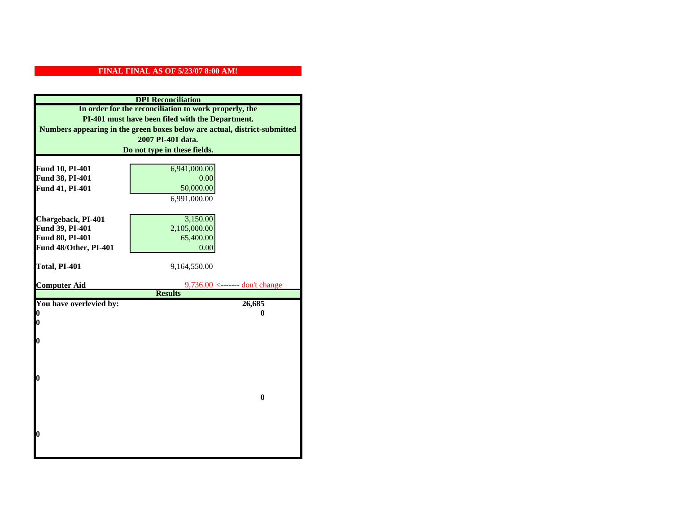|                         | <b>DPI</b> Reconciliation                                                 |
|-------------------------|---------------------------------------------------------------------------|
|                         | In order for the reconciliation to work properly, the                     |
|                         | PI-401 must have been filed with the Department.                          |
|                         | Numbers appearing in the green boxes below are actual, district-submitted |
|                         | 2007 PI-401 data.                                                         |
|                         | Do not type in these fields.                                              |
|                         |                                                                           |
| Fund 10, PI-401         | 6,941,000.00                                                              |
| Fund 38, PI-401         | 0.00                                                                      |
| Fund 41, PI-401         | 50,000.00                                                                 |
|                         | 6,991,000.00                                                              |
|                         |                                                                           |
| Chargeback, PI-401      | 3,150.00                                                                  |
| Fund 39, PI-401         | 2,105,000.00                                                              |
| Fund 80, PI-401         | 65,400.00                                                                 |
| Fund 48/Other, PI-401   | 0.00                                                                      |
|                         |                                                                           |
| Total, PI-401           | 9,164,550.00                                                              |
|                         |                                                                           |
| <b>Computer Aid</b>     | $9,736.00 \leftarrow \text{---}$ don't change<br><b>Results</b>           |
| You have overlevied by: | 26,685                                                                    |
| N                       | 0                                                                         |
| 0                       |                                                                           |
|                         |                                                                           |
| 0                       |                                                                           |
|                         |                                                                           |
|                         |                                                                           |
|                         |                                                                           |
| O                       |                                                                           |
|                         |                                                                           |
|                         | $\bf{0}$                                                                  |
|                         |                                                                           |
|                         |                                                                           |
|                         |                                                                           |
| 0                       |                                                                           |
|                         |                                                                           |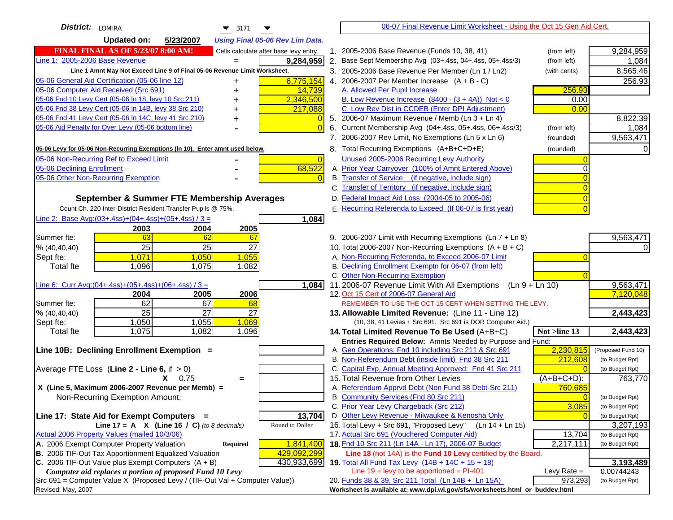| District: LOMIRA<br>$\blacktriangledown$ 3171                                       | 06-07 Final Revenue Limit Worksheet - Using the Oct 15 Gen Aid Cert.                                         |                                    |
|-------------------------------------------------------------------------------------|--------------------------------------------------------------------------------------------------------------|------------------------------------|
| <b>Updated on:</b><br>5/23/2007<br><b>Using Final 05-06 Rev Lim Data.</b>           |                                                                                                              |                                    |
| <b>FINAL FINAL AS OF 5/23/07 8:00 AM!</b><br>Cells calculate after base levy entry. | 1. 2005-2006 Base Revenue (Funds 10, 38, 41)<br>(from left)                                                  | 9,284,959                          |
| Line 1: 2005-2006 Base Revenue<br>9,284,959                                         | 2. Base Sept Membership Avg (03+.4ss, 04+.4ss, 05+.4ss/3)<br>(from left)                                     | 1,084                              |
| Line 1 Amnt May Not Exceed Line 9 of Final 05-06 Revenue Limit Worksheet.           | 3. 2005-2006 Base Revenue Per Member (Ln 1 / Ln2)<br>(with cents)                                            | 8,565.46                           |
| 6,775,154<br>05-06 General Aid Certification (05-06 line 12)<br>+                   | 4. 2006-2007 Per Member Increase $(A + B - C)$                                                               | 256.93                             |
| 05-06 Computer Aid Received (Src 691)<br>14,739                                     | A. Allowed Per Pupil Increase<br>256.93                                                                      |                                    |
| 05-06 Fnd 10 Levy Cert (05-06 In 18, levy 10 Src 211)<br>2,346,500                  | B. Low Revenue Increase $(8400 - (3 + 4A))$ Not < 0<br>0.00                                                  |                                    |
| 05-06 Fnd 38 Levy Cert (05-06 In 14B, levy 38 Src 210)<br>217,088                   | C. Low Rev Dist in CCDEB (Enter DPI Adjustment)<br>0.00                                                      |                                    |
| 05-06 Fnd 41 Levy Cert (05-06 In 14C, levy 41 Src 210)<br>$\Omega$                  | 5. 2006-07 Maximum Revenue / Memb (Ln 3 + Ln 4)                                                              | 8,822.39                           |
| 05-06 Aid Penalty for Over Levy (05-06 bottom line)<br>$\Omega$                     | Current Membership Avg (04+.4ss, 05+.4ss, 06+.4ss/3)<br>6.<br>(from left)                                    | 1,084                              |
|                                                                                     | 7. 2006-2007 Rev Limit, No Exemptions (Ln 5 x Ln 6)<br>(rounded)                                             | 9,563,471                          |
| 05-06 Levy for 05-06 Non-Recurring Exemptions (In 10), Enter amnt used below.       | 8. Total Recurring Exemptions (A+B+C+D+E)<br>(rounded)                                                       | <sup>O</sup>                       |
| 05-06 Non-Recurring Ref to Exceed Limit<br>$\overline{0}$                           | Unused 2005-2006 Recurring Levy Authority                                                                    |                                    |
| 68,522<br>05-06 Declining Enrollment                                                | A. Prior Year Carryover (100% of Amnt Entered Above)<br><sup>0</sup>                                         |                                    |
| 05-06 Other Non-Recurring Exemption                                                 | B. Transfer of Service (if negative, include sign)                                                           |                                    |
|                                                                                     | C. Transfer of Territory (if negative, include sign)                                                         |                                    |
| September & Summer FTE Membership Averages                                          | D. Federal Impact Aid Loss (2004-05 to 2005-06)                                                              |                                    |
| Count Ch. 220 Inter-District Resident Transfer Pupils @ 75%.                        | E. Recurring Referenda to Exceed (If 06-07 is first year)                                                    |                                    |
| Line 2: Base Avg: (03+.4ss) + (04+.4ss) + (05+.4ss) / 3 =<br>1,084                  |                                                                                                              |                                    |
| 2003<br>2004<br>2005                                                                |                                                                                                              |                                    |
| Summer fte:<br>63<br>62<br>67                                                       | 9. 2006-2007 Limit with Recurring Exemptions (Ln 7 + Ln 8)                                                   | 9,563,471                          |
| $\overline{25}$<br>$\overline{25}$<br>27<br>% (40, 40, 40)                          | 10. Total 2006-2007 Non-Recurring Exemptions $(A + B + C)$                                                   |                                    |
| 1,071<br>1,050<br>1,055<br>Sept fte:<br>1,096<br>1,075<br>1,082                     | A. Non-Recurring Referenda, to Exceed 2006-07 Limit<br>B. Declining Enrollment Exemptn for 06-07 (from left) |                                    |
| Total fte                                                                           | C. Other Non-Recurring Exemption                                                                             |                                    |
| Line 6: Curr Avg: $(04+.4ss)+(05+.4ss)+(06+.4ss)/3 =$<br>1,084                      | 11.2006-07 Revenue Limit With All Exemptions<br>$(Ln 9 + Ln 10)$                                             | 9,563,471                          |
| 2006<br>2004<br>2005                                                                | 12. Oct 15 Cert of 2006-07 General Aid                                                                       | 7,120,048                          |
| 62<br>67<br>Summer fte:<br>68                                                       | REMEMBER TO USE THE OCT 15 CERT WHEN SETTING THE LEVY.                                                       |                                    |
| $\overline{25}$<br>$\overline{27}$<br>$\overline{27}$<br>% (40, 40, 40)             | 13. Allowable Limited Revenue: (Line 11 - Line 12)                                                           | 2,443,423                          |
| 1,050<br>1,055<br>1,069<br>Sept fte:                                                | (10, 38, 41 Levies + Src 691. Src 691 is DOR Computer Aid.)                                                  |                                    |
| 1,082<br>1,075<br><b>Total fte</b><br>1,096                                         | Not $>$ line 13<br>14. Total Limited Revenue To Be Used $(A+B+C)$                                            | 2,443,423                          |
|                                                                                     | Entries Required Below: Amnts Needed by Purpose and Fund:                                                    |                                    |
| Line 10B: Declining Enrollment Exemption =                                          | 2,230,815<br>A. Gen Operations: Fnd 10 including Src 211 & Src 691                                           | (Proposed Fund 10)                 |
|                                                                                     | B. Non-Referendum Debt (inside limit) Fnd 38 Src 211<br>212,608                                              | (to Budget Rpt)                    |
| Average FTE Loss (Line $2 -$ Line 6, if $> 0$ )                                     | C. Capital Exp, Annual Meeting Approved: Fnd 41 Src 211                                                      | (to Budget Rpt)                    |
| $X = 0.75$<br>$=$                                                                   | 15. Total Revenue from Other Levies<br>$(A+B+C+D)$ :                                                         | 763,770                            |
| X (Line 5, Maximum 2006-2007 Revenue per Memb) =                                    | A. Referendum Apprvd Debt (Non Fund 38 Debt-Src 211)<br>760,685                                              |                                    |
| Non-Recurring Exemption Amount:                                                     | B. Community Services (Fnd 80 Src 211)<br>$\Omega$<br>C. Prior Year Levy Chargeback (Src 212)<br>3,085       | (to Budget Rpt)<br>(to Budget Rpt) |
| 13,704<br>Line 17: State Aid for Exempt Computers =                                 | D. Other Levy Revenue - Milwaukee & Kenosha Only                                                             | (to Budget Rpt)                    |
| Round to Dollar<br>Line 17 = A $X$ (Line 16 / C) (to 8 decimals)                    | 16. Total Levy + Src 691, "Proposed Levy"<br>(Ln 14 + Ln 15)                                                 | 3,207,193                          |
| Actual 2006 Property Values (mailed 10/3/06)                                        | 17. Actual Src 691 (Vouchered Computer Aid)<br>13,704                                                        | (to Budget Rpt)                    |
| A. 2006 Exempt Computer Property Valuation<br>1,841,400<br><b>Required</b>          | 18. Fnd 10 Src 211 (Ln 14A - Ln 17), 2006-07 Budget<br>2,217,111                                             | (to Budget Rpt)                    |
| 429,092,299<br>B. 2006 TIF-Out Tax Apportionment Equalized Valuation                | Line 18 (not 14A) is the <b>Fund 10 Levy</b> certified by the Board.                                         |                                    |
| C. 2006 TIF-Out Value plus Exempt Computers $(A + B)$<br>430,933,699                | 19. Total All Fund Tax Levy (14B + 14C + 15 + 18)                                                            | 3,193,489                          |
| Computer aid replaces a portion of proposed Fund 10 Levy                            | Line $19 = \text{levy}$ to be apportioned = PI-401<br>Levy Rate $=$                                          | 0.00744243                         |
| Src 691 = Computer Value X (Proposed Levy / (TIF-Out Val + Computer Value))         | 973,293<br>20. Funds 38 & 39, Src 211 Total (Ln 14B + Ln 15A)                                                | (to Budget Rpt)                    |
| Revised: May, 2007                                                                  | Worksheet is available at: www.dpi.wi.gov/sfs/worksheets.html or buddev.html                                 |                                    |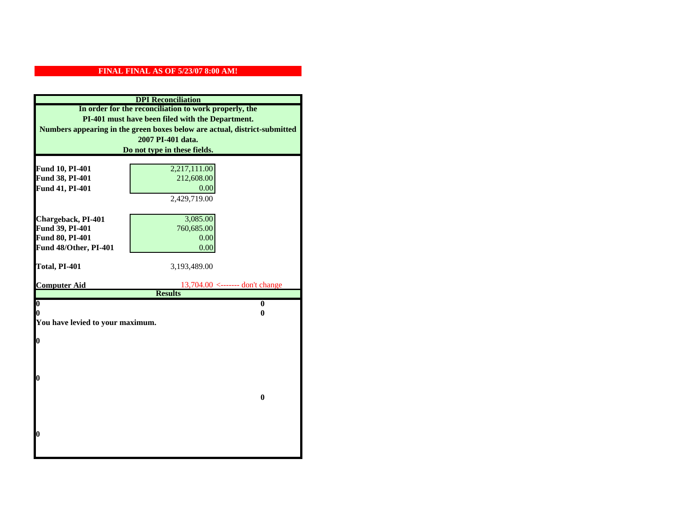|                                  | <b>DPI</b> Reconciliation                                                 |
|----------------------------------|---------------------------------------------------------------------------|
|                                  | In order for the reconciliation to work properly, the                     |
|                                  | PI-401 must have been filed with the Department.                          |
|                                  | Numbers appearing in the green boxes below are actual, district-submitted |
|                                  | 2007 PI-401 data.                                                         |
|                                  | Do not type in these fields.                                              |
|                                  |                                                                           |
| Fund 10, PI-401                  | 2,217,111.00                                                              |
| Fund 38, PI-401                  | 212,608.00                                                                |
| Fund 41, PI-401                  | 0.00                                                                      |
|                                  | 2,429,719.00                                                              |
|                                  |                                                                           |
| Chargeback, PI-401               | 3,085.00                                                                  |
| Fund 39, PI-401                  | 760,685.00                                                                |
| Fund 80, PI-401                  | 0.00                                                                      |
| Fund 48/Other, PI-401            | 0.00                                                                      |
| Total, PI-401                    | 3,193,489.00                                                              |
|                                  |                                                                           |
| <b>Computer Aid</b>              | $13,704.00$ <------- don't change                                         |
|                                  | <b>Results</b>                                                            |
| $\overline{\mathbf{0}}$          | $\bf{0}$                                                                  |
| 0                                | 0                                                                         |
| You have levied to your maximum. |                                                                           |
| $\bf{0}$                         |                                                                           |
|                                  |                                                                           |
|                                  |                                                                           |
|                                  |                                                                           |
| l0                               |                                                                           |
|                                  |                                                                           |
|                                  | $\bf{0}$                                                                  |
|                                  |                                                                           |
|                                  |                                                                           |
|                                  |                                                                           |
| l0                               |                                                                           |
|                                  |                                                                           |
|                                  |                                                                           |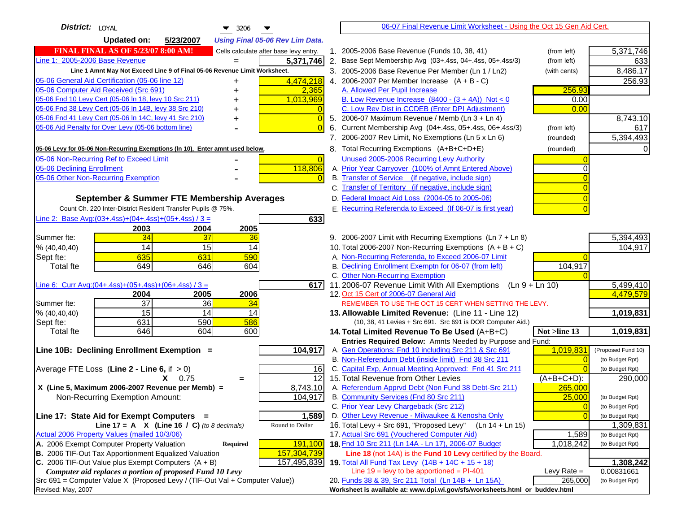| District: LOYAL<br>▼<br>3206                                                               | 06-07 Final Revenue Limit Worksheet - Using the Oct 15 Gen Aid Cert.                                                               |                    |
|--------------------------------------------------------------------------------------------|------------------------------------------------------------------------------------------------------------------------------------|--------------------|
| <b>Updated on:</b><br>5/23/2007<br><b>Using Final 05-06 Rev Lim Data.</b>                  |                                                                                                                                    |                    |
| <b>FINAL FINAL AS OF 5/23/07 8:00 AM!</b><br>Cells calculate after base levy entry.        | 1. 2005-2006 Base Revenue (Funds 10, 38, 41)<br>(from left)                                                                        | 5,371,746          |
| Line 1: 2005-2006 Base Revenue<br>5,371,746<br>$=$                                         | 2. Base Sept Membership Avg (03+.4ss, 04+.4ss, 05+.4ss/3)<br>(from left)                                                           | 633                |
| Line 1 Amnt May Not Exceed Line 9 of Final 05-06 Revenue Limit Worksheet.                  | 3. 2005-2006 Base Revenue Per Member (Ln 1 / Ln2)<br>(with cents)                                                                  | 8,486.17           |
| 4,474,218<br>05-06 General Aid Certification (05-06 line 12)<br>+                          | 4. 2006-2007 Per Member Increase $(A + B - C)$                                                                                     | 256.93             |
| 05-06 Computer Aid Received (Src 691)<br>2,365                                             | A. Allowed Per Pupil Increase<br>256.93                                                                                            |                    |
| 05-06 Fnd 10 Levy Cert (05-06 In 18, levy 10 Src 211)<br>1,013,969                         | B. Low Revenue Increase $(8400 - (3 + 4A))$ Not < 0<br>0.00                                                                        |                    |
| 05-06 Fnd 38 Levy Cert (05-06 In 14B, levy 38 Src 210)                                     | C. Low Rev Dist in CCDEB (Enter DPI Adjustment)<br>0.00                                                                            |                    |
| 05-06 Fnd 41 Levy Cert (05-06 In 14C, levy 41 Src 210)<br>0<br>+                           | 5. 2006-07 Maximum Revenue / Memb (Ln 3 + Ln 4)                                                                                    | 8,743.10           |
| 05-06 Aid Penalty for Over Levy (05-06 bottom line)                                        | 6. Current Membership Avg (04+.4ss, 05+.4ss, 06+.4ss/3)<br>(from left)                                                             | 617                |
|                                                                                            | 7. 2006-2007 Rev Limit, No Exemptions (Ln 5 x Ln 6)<br>(rounded)                                                                   | 5,394,493          |
| 05-06 Levy for 05-06 Non-Recurring Exemptions (In 10), Enter amnt used below.              | 8. Total Recurring Exemptions (A+B+C+D+E)<br>(rounded)                                                                             |                    |
| 05-06 Non-Recurring Ref to Exceed Limit<br>$\overline{0}$                                  | Unused 2005-2006 Recurring Levy Authority                                                                                          |                    |
| 118,806<br>05-06 Declining Enrollment                                                      | A. Prior Year Carryover (100% of Amnt Entered Above)                                                                               |                    |
| 05-06 Other Non-Recurring Exemption                                                        | B. Transfer of Service (if negative, include sign)                                                                                 |                    |
|                                                                                            | C. Transfer of Territory (if negative, include sign)                                                                               |                    |
| September & Summer FTE Membership Averages                                                 | D. Federal Impact Aid Loss (2004-05 to 2005-06)                                                                                    |                    |
| Count Ch. 220 Inter-District Resident Transfer Pupils @ 75%.                               | E. Recurring Referenda to Exceed (If 06-07 is first year)                                                                          |                    |
| Line 2: Base Avg: $(03+.4ss)+(04+.4ss)+(05+.4ss)/3 =$<br>633                               |                                                                                                                                    |                    |
| 2003<br>2004<br>2005                                                                       |                                                                                                                                    |                    |
| 34<br>37<br>Summer fte:<br>36                                                              | 9. 2006-2007 Limit with Recurring Exemptions (Ln 7 + Ln 8)                                                                         | 5,394,493          |
| 14<br>15<br>14<br>% (40, 40, 40)                                                           | 10. Total 2006-2007 Non-Recurring Exemptions $(A + B + C)$                                                                         | 104,917            |
| 635<br>631<br>590<br>Sept fte:                                                             | A. Non-Recurring Referenda, to Exceed 2006-07 Limit                                                                                |                    |
| 649<br>646<br>604<br><b>Total fte</b>                                                      | B. Declining Enrollment Exemptn for 06-07 (from left)<br>104,917                                                                   |                    |
|                                                                                            | C. Other Non-Recurring Exemption                                                                                                   |                    |
| Line 6: Curr Avg: $(04+.4ss)+(05+.4ss)+(06+.4ss)/3 =$                                      | 617 11.2006-07 Revenue Limit With All Exemptions (Ln $9 + \overline{\text{Ln }10}$ )                                               | 5,499,410          |
| 2006<br>2004<br>2005<br>$\overline{37}$<br>36<br>Summer fte:<br>34                         | 12. Oct 15 Cert of 2006-07 General Aid<br>REMEMBER TO USE THE OCT 15 CERT WHEN SETTING THE LEVY.                                   | 4,479,579          |
| 15<br>% (40, 40, 40)<br>14<br>14                                                           | 13. Allowable Limited Revenue: (Line 11 - Line 12)                                                                                 | 1,019,831          |
| 631<br>590<br>586<br>Sept fte:                                                             | (10, 38, 41 Levies + Src 691. Src 691 is DOR Computer Aid.)                                                                        |                    |
| 646<br>604<br>600<br><b>Total fte</b>                                                      | 14. Total Limited Revenue To Be Used (A+B+C)<br>Not >line 13                                                                       | 1,019,831          |
|                                                                                            | Entries Required Below: Amnts Needed by Purpose and Fund:                                                                          |                    |
| 104,917<br>Line 10B: Declining Enrollment Exemption =                                      | A. Gen Operations: Fnd 10 including Src 211 & Src 691<br>1,019,831                                                                 | (Proposed Fund 10) |
|                                                                                            | B. Non-Referendum Debt (inside limit) Fnd 38 Src 211                                                                               | (to Budget Rpt)    |
| Average FTE Loss (Line $2 -$ Line 6, if $> 0$ )<br>16                                      | C. Capital Exp, Annual Meeting Approved: Fnd 41 Src 211                                                                            | (to Budget Rpt)    |
| $\overline{12}$<br>$X = 0.75$<br>$=$                                                       | 15. Total Revenue from Other Levies<br>(A+B+C+D):                                                                                  | 290,000            |
| X (Line 5, Maximum 2006-2007 Revenue per Memb) =<br>8,743.10                               | A. Referendum Apprvd Debt (Non Fund 38 Debt-Src 211)<br>265,000                                                                    |                    |
| 104,917<br>Non-Recurring Exemption Amount:                                                 | B. Community Services (Fnd 80 Src 211)<br>25,000                                                                                   | (to Budget Rpt)    |
|                                                                                            | C. Prior Year Levy Chargeback (Src 212)<br>$\overline{0}$                                                                          | (to Budget Rpt)    |
| 1,589<br>Line 17: State Aid for Exempt Computers =                                         | D. Other Levy Revenue - Milwaukee & Kenosha Only                                                                                   | (to Budget Rpt)    |
| Round to Dollar<br>Line 17 = A $X$ (Line 16 / C) (to 8 decimals)                           | 16. Total Levy + Src 691, "Proposed Levy"<br>(Ln 14 + Ln 15)                                                                       | 1,309,831          |
| Actual 2006 Property Values (mailed 10/3/06)<br>A. 2006 Exempt Computer Property Valuation | 17. Actual Src 691 (Vouchered Computer Aid)<br>1,589                                                                               | (to Budget Rpt)    |
| 191,100<br>Required<br>B. 2006 TIF-Out Tax Apportionment Equalized Valuation               | 18. Fnd 10 Src 211 (Ln 14A - Ln 17), 2006-07 Budget<br>1,018,242                                                                   | (to Budget Rpt)    |
| 157,304,739<br>C. 2006 TIF-Out Value plus Exempt Computers $(A + B)$<br>157,495,839        | <b>Line 18</b> (not 14A) is the <b>Fund 10 Levy</b> certified by the Board.<br>19. Total All Fund Tax Levy $(14B + 14C + 15 + 18)$ | 1,308,242          |
| Computer aid replaces a portion of proposed Fund 10 Levy                                   | Line $19 = \text{levy}$ to be apportioned = PI-401<br>Levy Rate $=$                                                                | 0.00831661         |
| Src 691 = Computer Value X (Proposed Levy / (TIF-Out Val + Computer Value))                | 20. Funds 38 & 39, Src 211 Total (Ln 14B + Ln 15A)<br>265,000                                                                      | (to Budget Rpt)    |
| Revised: May, 2007                                                                         | Worksheet is available at: www.dpi.wi.gov/sfs/worksheets.html or buddev.html                                                       |                    |
|                                                                                            |                                                                                                                                    |                    |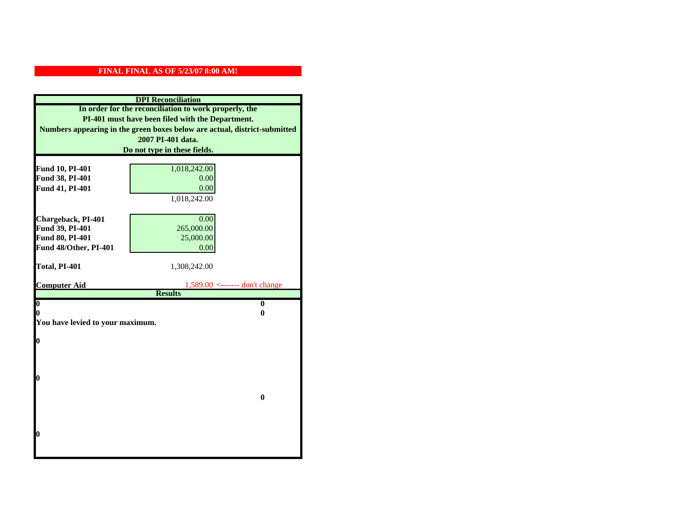|                                    | <b>DPI</b> Reconciliation                                                 |
|------------------------------------|---------------------------------------------------------------------------|
|                                    | In order for the reconciliation to work properly, the                     |
|                                    | PI-401 must have been filed with the Department.                          |
|                                    | Numbers appearing in the green boxes below are actual, district-submitted |
|                                    | 2007 PI-401 data.                                                         |
|                                    | Do not type in these fields.                                              |
|                                    |                                                                           |
| Fund 10, PI-401                    | 1,018,242.00                                                              |
| Fund 38, PI-401                    | 0.00                                                                      |
| Fund 41, PI-401                    | 0.00                                                                      |
|                                    | 1,018,242.00                                                              |
|                                    |                                                                           |
| Chargeback, PI-401                 | 0.00                                                                      |
| Fund 39, PI-401<br>Fund 80, PI-401 | 265,000.00<br>25,000.00                                                   |
| Fund 48/Other, PI-401              |                                                                           |
|                                    | 0.00                                                                      |
| Total, PI-401                      | 1,308,242.00                                                              |
|                                    |                                                                           |
| <b>Computer Aid</b>                | $1,589.00$ <------- don't change                                          |
|                                    | <b>Results</b>                                                            |
| $\boldsymbol{0}$<br>0              | $\bf{0}$<br>0                                                             |
| You have levied to your maximum.   |                                                                           |
|                                    |                                                                           |
| $\bf{0}$                           |                                                                           |
|                                    |                                                                           |
|                                    |                                                                           |
|                                    |                                                                           |
| 0                                  |                                                                           |
|                                    |                                                                           |
|                                    | $\bf{0}$                                                                  |
|                                    |                                                                           |
|                                    |                                                                           |
| 0                                  |                                                                           |
|                                    |                                                                           |
|                                    |                                                                           |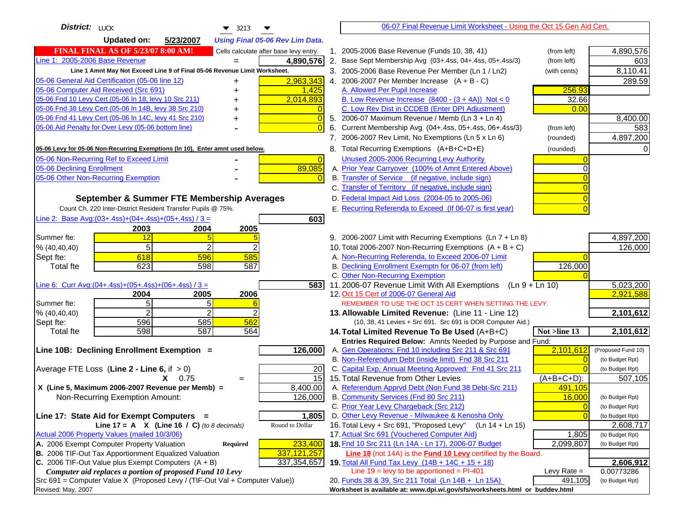| District: LUCK<br>$\blacktriangledown$ 3213                                                                                             |                | 06-07 Final Revenue Limit Worksheet - Using the Oct 15 Gen Aid Cert.                                        |                          |                    |
|-----------------------------------------------------------------------------------------------------------------------------------------|----------------|-------------------------------------------------------------------------------------------------------------|--------------------------|--------------------|
| <b>Updated on:</b><br>5/23/2007<br><b>Using Final 05-06 Rev Lim Data.</b>                                                               |                |                                                                                                             |                          |                    |
| <b>FINAL FINAL AS OF 5/23/07 8:00 AM!</b><br>Cells calculate after base levy entry.                                                     |                | 1. 2005-2006 Base Revenue (Funds 10, 38, 41)                                                                | (from left)              | 4,890,576          |
| Line 1: 2005-2006 Base Revenue<br>4,890,576                                                                                             |                | 2. Base Sept Membership Avg (03+.4ss, 04+.4ss, 05+.4ss/3)                                                   | (from left)              | 603                |
| Line 1 Amnt May Not Exceed Line 9 of Final 05-06 Revenue Limit Worksheet.                                                               |                | 3. 2005-2006 Base Revenue Per Member (Ln 1 / Ln2)                                                           | (with cents)             | 8,110.41           |
| 05-06 General Aid Certification (05-06 line 12)<br>2,963,343<br>+                                                                       |                | 4. 2006-2007 Per Member Increase $(A + B - C)$                                                              |                          | 289.59             |
| 05-06 Computer Aid Received (Src 691)                                                                                                   | 1,425          | A. Allowed Per Pupil Increase                                                                               | 256.93                   |                    |
| 2,014,893<br>05-06 Fnd 10 Levy Cert (05-06 ln 18, levy 10 Src 211)                                                                      |                | B. Low Revenue Increase $(8400 - (3 + 4A))$ Not < 0                                                         | 32.66                    |                    |
| 05-06 Fnd 38 Levy Cert (05-06 In 14B, levy 38 Src 210)                                                                                  |                | C. Low Rev Dist in CCDEB (Enter DPI Adjustment)                                                             | 0.00                     |                    |
| 05-06 Fnd 41 Levy Cert (05-06 In 14C, levy 41 Src 210)                                                                                  | $\bigcap$      | 5. 2006-07 Maximum Revenue / Memb (Ln $3 + \text{Ln } 4$ )                                                  |                          | 8,400.00           |
| 05-06 Aid Penalty for Over Levy (05-06 bottom line)                                                                                     |                | Current Membership Avg (04+.4ss, 05+.4ss, 06+.4ss/3)<br>6.                                                  | (from left)              | 583                |
|                                                                                                                                         |                | 7. 2006-2007 Rev Limit, No Exemptions (Ln 5 x Ln 6)                                                         | (rounded)                | 4,897,200          |
| 05-06 Levy for 05-06 Non-Recurring Exemptions (In 10), Enter amnt used below.                                                           |                | 8. Total Recurring Exemptions (A+B+C+D+E)                                                                   | (rounded)                | 0                  |
| 05-06 Non-Recurring Ref to Exceed Limit                                                                                                 | $\overline{0}$ | Unused 2005-2006 Recurring Levy Authority                                                                   |                          |                    |
| 05-06 Declining Enrollment<br>89,085                                                                                                    |                | A. Prior Year Carryover (100% of Amnt Entered Above)                                                        | 0                        |                    |
| 05-06 Other Non-Recurring Exemption                                                                                                     |                | B. Transfer of Service (if negative, include sign)                                                          |                          |                    |
|                                                                                                                                         |                | C. Transfer of Territory (if negative, include sign)                                                        |                          |                    |
| September & Summer FTE Membership Averages                                                                                              |                | D. Federal Impact Aid Loss (2004-05 to 2005-06)                                                             |                          |                    |
| Count Ch. 220 Inter-District Resident Transfer Pupils @ 75%.                                                                            |                | E. Recurring Referenda to Exceed (If 06-07 is first year)                                                   |                          |                    |
| Line 2: Base Avg:(03+.4ss)+(04+.4ss)+(05+.4ss) / 3 =                                                                                    | 603            |                                                                                                             |                          |                    |
| 2003<br>2004<br>2005                                                                                                                    |                |                                                                                                             |                          |                    |
| Summer fte:<br>12                                                                                                                       |                | 9. 2006-2007 Limit with Recurring Exemptions (Ln 7 + Ln 8)                                                  |                          | 4,897,200          |
| 5<br>2<br>% (40, 40, 40)                                                                                                                |                | 10. Total 2006-2007 Non-Recurring Exemptions $(A + B + C)$                                                  |                          | 126,000            |
| 618<br>596<br>585<br>Sept fte:                                                                                                          |                | A. Non-Recurring Referenda, to Exceed 2006-07 Limit                                                         |                          |                    |
| 623<br>598<br>587<br><b>Total fte</b>                                                                                                   |                | B. Declining Enrollment Exemptn for 06-07 (from left)                                                       | 126,000                  |                    |
|                                                                                                                                         |                | C. Other Non-Recurring Exemption                                                                            |                          |                    |
| <u>Line 6: Curr Avg: (04+.4ss)+ (05+.4ss)+ (06+.4ss) / 3 =</u>                                                                          | 5831           | 11.2006-07 Revenue Limit With All Exemptions $(Ln 9 + Ln 10)$                                               |                          | 5,023,200          |
| 2005<br>2006<br>2004                                                                                                                    |                | 12. Oct 15 Cert of 2006-07 General Aid                                                                      |                          | 2,921,588          |
| 5 <sub>1</sub><br>5<br>Summer fte:                                                                                                      |                | REMEMBER TO USE THE OCT 15 CERT WHEN SETTING THE LEVY.                                                      |                          |                    |
| $\overline{2}$<br>2<br>% (40, 40, 40)                                                                                                   |                | 13. Allowable Limited Revenue: (Line 11 - Line 12)                                                          |                          | 2,101,612          |
| 596<br>562<br>585<br>Sept fte:<br>598<br>587<br>564<br><b>Total fte</b>                                                                 |                | (10, 38, 41 Levies + Src 691. Src 691 is DOR Computer Aid.)<br>14. Total Limited Revenue To Be Used (A+B+C) | Not >line 13             | 2,101,612          |
|                                                                                                                                         |                | Entries Required Below: Amnts Needed by Purpose and Fund:                                                   |                          |                    |
| Line 10B: Declining Enrollment Exemption =<br>126,000                                                                                   |                | A. Gen Operations: Fnd 10 including Src 211 & Src 691                                                       | 2,101,612                | (Proposed Fund 10) |
|                                                                                                                                         |                | B. Non-Referendum Debt (inside limit) Fnd 38 Src 211                                                        | $\Omega$                 | (to Budget Rpt)    |
| Average FTE Loss (Line $2 -$ Line 6, if $> 0$ )                                                                                         | 20             | C. Capital Exp, Annual Meeting Approved: Fnd 41 Src 211                                                     |                          | (to Budget Rpt)    |
| $X = 0.75$<br>$=$                                                                                                                       | 15             | 15. Total Revenue from Other Levies                                                                         | $(A+B+C+D)$ :            | 507,105            |
| X (Line 5, Maximum 2006-2007 Revenue per Memb) =<br>8,400.00                                                                            |                | A. Referendum Apprvd Debt (Non Fund 38 Debt-Src 211)                                                        | 491,105                  |                    |
| 126,000<br>Non-Recurring Exemption Amount:                                                                                              |                | B. Community Services (Fnd 80 Src 211)                                                                      | 16,000                   | (to Budget Rpt)    |
|                                                                                                                                         |                | C. Prior Year Levy Chargeback (Src 212)                                                                     | $\overline{0}$           | (to Budget Rpt)    |
| Line 17: State Aid for Exempt Computers =                                                                                               | 1,805          | D. Other Levy Revenue - Milwaukee & Kenosha Only                                                            | $\Omega$                 | (to Budget Rpt)    |
| Line 17 = A $X$ (Line 16 / C) (to 8 decimals)<br>Round to Dollar                                                                        |                | 16. Total Levy + Src 691, "Proposed Levy"<br>$(Ln 14 + Ln 15)$                                              |                          | 2,608,717          |
| Actual 2006 Property Values (mailed 10/3/06)                                                                                            |                | 17. Actual Src 691 (Vouchered Computer Aid)                                                                 | 1,805                    | (to Budget Rpt)    |
| A. 2006 Exempt Computer Property Valuation<br>233,400<br><b>Required</b>                                                                |                | 18. Fnd 10 Src 211 (Ln 14A - Ln 17), 2006-07 Budget                                                         | 2,099,807                | (to Budget Rpt)    |
| B. 2006 TIF-Out Tax Apportionment Equalized Valuation<br>337, 121, 257                                                                  |                | Line 18 (not 14A) is the Fund 10 Levy certified by the Board.                                               |                          |                    |
| C. 2006 TIF-Out Value plus Exempt Computers $(A + B)$<br>337, 354, 657                                                                  |                | 19. Total All Fund Tax Levy (14B + 14C + 15 + 18)<br>Line $19 = \text{levy}$ to be apportioned = PI-401     |                          | 2,606,912          |
| Computer aid replaces a portion of proposed Fund 10 Levy<br>Src 691 = Computer Value X (Proposed Levy / (TIF-Out Val + Computer Value)) |                | 20. Funds 38 & 39, Src 211 Total (Ln 14B + Ln 15A)                                                          | Levy Rate $=$<br>491,105 | 0.00773286         |
| Revised: May, 2007                                                                                                                      |                | Worksheet is available at: www.dpi.wi.gov/sfs/worksheets.html or buddev.html                                |                          | (to Budget Rpt)    |
|                                                                                                                                         |                |                                                                                                             |                          |                    |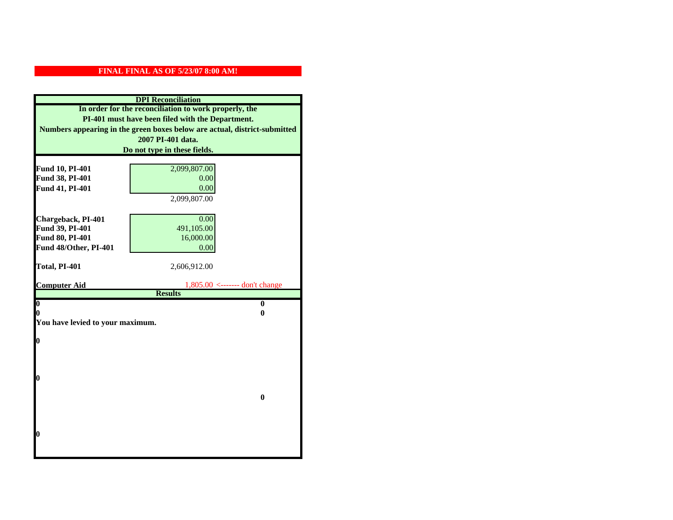|                                  | <b>DPI</b> Reconciliation                                                 |
|----------------------------------|---------------------------------------------------------------------------|
|                                  | In order for the reconciliation to work properly, the                     |
|                                  | PI-401 must have been filed with the Department.                          |
|                                  | Numbers appearing in the green boxes below are actual, district-submitted |
|                                  | 2007 PI-401 data.                                                         |
|                                  | Do not type in these fields.                                              |
|                                  |                                                                           |
| Fund 10, PI-401                  | 2,099,807.00                                                              |
| Fund 38, PI-401                  | 0.00                                                                      |
| Fund 41, PI-401                  | 0.00                                                                      |
|                                  | 2,099,807.00                                                              |
|                                  |                                                                           |
| Chargeback, PI-401               | 0.00                                                                      |
| Fund 39, PI-401                  | 491,105.00                                                                |
| Fund 80, PI-401                  | 16,000.00                                                                 |
| Fund 48/Other, PI-401            | 0.00                                                                      |
| Total, PI-401                    | 2,606,912.00                                                              |
|                                  |                                                                           |
|                                  |                                                                           |
| <b>Computer Aid</b>              | $1,805.00 \le$ ------- don't change                                       |
|                                  | <b>Results</b>                                                            |
| $\overline{\mathbf{0}}$          | $\mathbf{0}$                                                              |
| 0                                | 0                                                                         |
| You have levied to your maximum. |                                                                           |
|                                  |                                                                           |
| $\bf{0}$                         |                                                                           |
|                                  |                                                                           |
|                                  |                                                                           |
| 0                                |                                                                           |
|                                  |                                                                           |
|                                  | $\bf{0}$                                                                  |
|                                  |                                                                           |
|                                  |                                                                           |
|                                  |                                                                           |
| 0                                |                                                                           |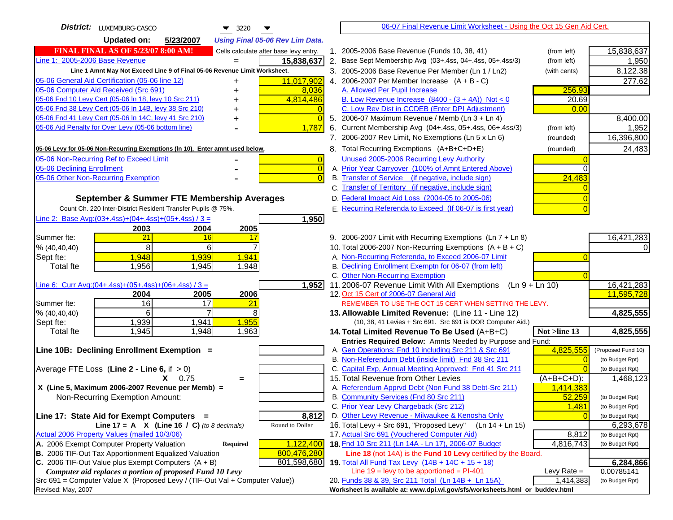| District: LUXEMBURG-CASCO<br>$\blacktriangledown$ 3220                                                                                  | 06-07 Final Revenue Limit Worksheet - Using the Oct 15 Gen Aid Cert.                                                               |                               |
|-----------------------------------------------------------------------------------------------------------------------------------------|------------------------------------------------------------------------------------------------------------------------------------|-------------------------------|
| <b>Updated on:</b><br>5/23/2007<br><b>Using Final 05-06 Rev Lim Data.</b>                                                               |                                                                                                                                    |                               |
| <b>FINAL FINAL AS OF 5/23/07 8:00 AM!</b><br>Cells calculate after base levy entry.                                                     | 1. 2005-2006 Base Revenue (Funds 10, 38, 41)<br>(from left)                                                                        | 15,838,637                    |
| Line 1: 2005-2006 Base Revenue<br>15,838,637                                                                                            | 2. Base Sept Membership Avg (03+.4ss, 04+.4ss, 05+.4ss/3)<br>(from left)                                                           | 1,950                         |
| Line 1 Amnt May Not Exceed Line 9 of Final 05-06 Revenue Limit Worksheet.                                                               | 3. 2005-2006 Base Revenue Per Member (Ln 1 / Ln2)<br>(with cents)                                                                  | 8,122.38                      |
| 11,017,902<br>05-06 General Aid Certification (05-06 line 12)<br>+                                                                      | 4. 2006-2007 Per Member Increase $(A + B - C)$                                                                                     | 277.62                        |
| 05-06 Computer Aid Received (Src 691)<br>8,036                                                                                          | A. Allowed Per Pupil Increase<br>256.93                                                                                            |                               |
| 05-06 Fnd 10 Levy Cert (05-06 In 18, levy 10 Src 211)<br>4,814,486                                                                      | B. Low Revenue Increase $(8400 - (3 + 4A))$ Not < 0<br>20.69                                                                       |                               |
| 05-06 Fnd 38 Levy Cert (05-06 In 14B, levy 38 Src 210)                                                                                  | C. Low Rev Dist in CCDEB (Enter DPI Adjustment)<br>0.00                                                                            |                               |
| 05-06 Fnd 41 Levy Cert (05-06 In 14C, levy 41 Src 210)<br>$\overline{0}$<br>+                                                           | 5. 2006-07 Maximum Revenue / Memb (Ln 3 + Ln 4)                                                                                    | 8,400.00                      |
| 05-06 Aid Penalty for Over Levy (05-06 bottom line)<br>1,787                                                                            | 6. Current Membership Avg (04+.4ss, 05+.4ss, 06+.4ss/3)<br>(from left)                                                             | 1,952                         |
|                                                                                                                                         | 7. 2006-2007 Rev Limit, No Exemptions (Ln 5 x Ln 6)<br>(rounded)                                                                   | 16,396,800                    |
| 05-06 Levy for 05-06 Non-Recurring Exemptions (In 10), Enter amnt used below.                                                           | 8. Total Recurring Exemptions (A+B+C+D+E)<br>(rounded)                                                                             | 24,483                        |
| 05-06 Non-Recurring Ref to Exceed Limit<br>$\overline{0}$                                                                               | Unused 2005-2006 Recurring Levy Authority                                                                                          |                               |
| 05-06 Declining Enrollment<br>$\overline{0}$                                                                                            | A. Prior Year Carryover (100% of Amnt Entered Above)<br>$\Omega$                                                                   |                               |
| 05-06 Other Non-Recurring Exemption<br>$\Omega$                                                                                         | B. Transfer of Service (if negative, include sign)<br>24,483                                                                       |                               |
|                                                                                                                                         | C. Transfer of Territory (if negative, include sign)                                                                               |                               |
| September & Summer FTE Membership Averages                                                                                              | D. Federal Impact Aid Loss (2004-05 to 2005-06)                                                                                    |                               |
| Count Ch. 220 Inter-District Resident Transfer Pupils @ 75%.                                                                            | E. Recurring Referenda to Exceed (If 06-07 is first year)                                                                          |                               |
| Line 2: Base Avg: (03+.4ss) + (04+.4ss) + (05+.4ss) / 3 =<br>1,950                                                                      |                                                                                                                                    |                               |
| 2003<br>2004<br>2005                                                                                                                    |                                                                                                                                    |                               |
| 21<br>Summer fte:<br>16<br>17                                                                                                           | 9. 2006-2007 Limit with Recurring Exemptions (Ln 7 + Ln 8)                                                                         | 16,421,283                    |
| 8<br>6<br>% (40, 40, 40)                                                                                                                | 10. Total 2006-2007 Non-Recurring Exemptions $(A + B + C)$                                                                         |                               |
| 1,948<br>1,939<br>1,941<br>Sept fte:                                                                                                    | A. Non-Recurring Referenda, to Exceed 2006-07 Limit                                                                                |                               |
| Total fte<br>1,956<br>1,945<br>1,948                                                                                                    | B. Declining Enrollment Exemptn for 06-07 (from left)                                                                              |                               |
|                                                                                                                                         | C. Other Non-Recurring Exemption                                                                                                   |                               |
| Line 6: Curr Avg: $(04+.4ss)+(05+.4ss)+(06+.4ss)/3 =$<br>1,952                                                                          | 11.2006-07 Revenue Limit With All Exemptions $(Ln 9 + Ln 10)$                                                                      | 16,421,283                    |
| 2006<br>2004<br>2005                                                                                                                    | 12. Oct 15 Cert of 2006-07 General Aid                                                                                             | 11,595,728                    |
| 16<br>Summer fte:<br>17<br>21                                                                                                           | REMEMBER TO USE THE OCT 15 CERT WHEN SETTING THE LEVY.                                                                             |                               |
| 6<br>$\overline{7}$<br>8<br>% (40, 40, 40)                                                                                              | 13. Allowable Limited Revenue: (Line 11 - Line 12)                                                                                 | 4,825,555                     |
| 1,941<br>1,939<br>1,955<br>Sept fte:<br>1,945<br>1,948<br>1,963<br><b>Total fte</b>                                                     | (10, 38, 41 Levies + Src 691. Src 691 is DOR Computer Aid.)<br>14. Total Limited Revenue To Be Used (A+B+C)<br>Not >line 13        | 4,825,555                     |
|                                                                                                                                         | Entries Required Below: Amnts Needed by Purpose and Fund:                                                                          |                               |
| Line 10B: Declining Enrollment Exemption =                                                                                              | 4,825,555<br>A. Gen Operations: Fnd 10 including Src 211 & Src 691                                                                 | (Proposed Fund 10)            |
|                                                                                                                                         | B. Non-Referendum Debt (inside limit) Fnd 38 Src 211<br>$\Omega$                                                                   | (to Budget Rpt)               |
| Average FTE Loss (Line $2 -$ Line 6, if $> 0$ )                                                                                         | C. Capital Exp, Annual Meeting Approved: Fnd 41 Src 211                                                                            | (to Budget Rpt)               |
| $X = 0.75$<br>$=$                                                                                                                       | 15. Total Revenue from Other Levies<br>$(A+B+C+D)$ :                                                                               | 1,468,123                     |
| X (Line 5, Maximum 2006-2007 Revenue per Memb) =                                                                                        | A. Referendum Apprvd Debt (Non Fund 38 Debt-Src 211)<br>1,414,383                                                                  |                               |
| Non-Recurring Exemption Amount:                                                                                                         | B. Community Services (Fnd 80 Src 211)<br>52,259                                                                                   | (to Budget Rpt)               |
|                                                                                                                                         | C. Prior Year Levy Chargeback (Src 212)<br>1,481                                                                                   | (to Budget Rpt)               |
| 8,812<br>Line 17: State Aid for Exempt Computers =                                                                                      | D. Other Levy Revenue - Milwaukee & Kenosha Only                                                                                   | (to Budget Rpt)               |
| Line 17 = A $X$ (Line 16 / C) (to 8 decimals)<br>Round to Dollar                                                                        | 16. Total Levy + Src 691, "Proposed Levy"<br>$(Ln 14 + Ln 15)$                                                                     | 6,293,678                     |
| Actual 2006 Property Values (mailed 10/3/06)                                                                                            | 17. Actual Src 691 (Vouchered Computer Aid)<br>8,812                                                                               | (to Budget Rpt)               |
| A. 2006 Exempt Computer Property Valuation<br>1,122,400<br><b>Required</b>                                                              | 18. Fnd 10 Src 211 (Ln 14A - Ln 17), 2006-07 Budget<br>4,816,743                                                                   | (to Budget Rpt)               |
| B. 2006 TIF-Out Tax Apportionment Equalized Valuation<br>800,476,280                                                                    | <b>Line 18</b> (not 14A) is the <b>Fund 10 Levy</b> certified by the Board.                                                        |                               |
| C. 2006 TIF-Out Value plus Exempt Computers $(A + B)$<br>801,598,680                                                                    | 19. Total All Fund Tax Levy (14B + 14C + 15 + 18)                                                                                  | 6,284,866                     |
| Computer aid replaces a portion of proposed Fund 10 Levy<br>Src 691 = Computer Value X (Proposed Levy / (TIF-Out Val + Computer Value)) | Line $19$ = levy to be apportioned = PI-401<br>Levy Rate $=$<br>1,414,383                                                          | 0.00785141<br>(to Budget Rpt) |
| Revised: May, 2007                                                                                                                      | 20. Funds 38 & 39, Src 211 Total (Ln 14B + Ln 15A)<br>Worksheet is available at: www.dpi.wi.gov/sfs/worksheets.html or buddev.html |                               |
|                                                                                                                                         |                                                                                                                                    |                               |